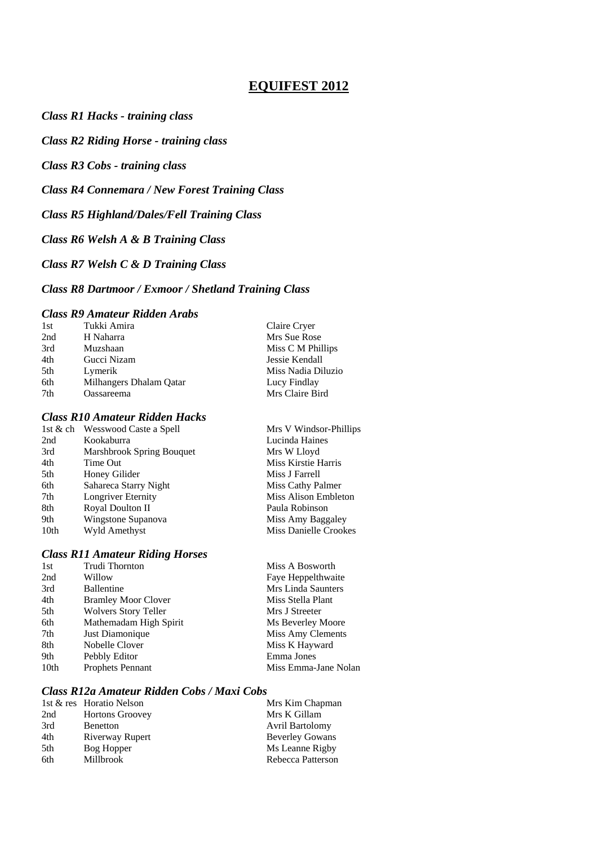# **EQUIFEST 2012**

*Class R1 Hacks - training class* 

*Class R2 Riding Horse - training class* 

*Class R3 Cobs - training class* 

*Class R4 Connemara / New Forest Training Class* 

*Class R5 Highland/Dales/Fell Training Class* 

*Class R6 Welsh A & B Training Class* 

*Class R7 Welsh C & D Training Class* 

#### *Class R8 Dartmoor / Exmoor / Shetland Training Class*

#### *Class R9 Amateur Ridden Arabs*

| 1st | Tukki Amira             | Claire Cryer       |
|-----|-------------------------|--------------------|
| 2nd | H Naharra               | Mrs Sue Rose       |
| 3rd | Muzshaan                | Miss C M Phillips  |
| 4th | Gucci Nizam             | Jessie Kendall     |
| 5th | Lymerik                 | Miss Nadia Diluzio |
| 6th | Milhangers Dhalam Qatar | Lucy Findlay       |
| 7th | Oassareema              | Mrs Claire Bird    |

# *Class R10 Amateur Ridden Hacks*

| 1st & ch Wesswood Caste a Spell | Mrs V Windsor-Phillips       |
|---------------------------------|------------------------------|
| Kookaburra                      | Lucinda Haines               |
| Marshbrook Spring Bouquet       | Mrs W Lloyd                  |
| Time Out                        | Miss Kirstie Harris          |
| Honey Gilider                   | Miss J Farrell               |
| Sahareca Starry Night           | Miss Cathy Palmer            |
| Longriver Eternity              | Miss Alison Embleton         |
| Royal Doulton II                | Paula Robinson               |
| Wingstone Supanova              | Miss Amy Baggaley            |
| Wyld Amethyst                   | <b>Miss Danielle Crookes</b> |
|                                 |                              |

#### *Class R11 Amateur Riding Horses*

| 1st  | Trudi Thornton              | Miss A Bosworth      |
|------|-----------------------------|----------------------|
| 2nd  | Willow                      | Faye Heppelthwaite   |
| 3rd  | <b>Ballentine</b>           | Mrs Linda Saunters   |
| 4th  | <b>Bramley Moor Clover</b>  | Miss Stella Plant    |
| 5th  | <b>Wolvers Story Teller</b> | Mrs J Streeter       |
| 6th  | Mathemadam High Spirit      | Ms Beverley Moore    |
| 7th  | Just Diamonique             | Miss Amy Clements    |
| 8th  | Nobelle Clover              | Miss K Hayward       |
| 9th  | Pebbly Editor               | Emma Jones           |
| 10th | Prophets Pennant            | Miss Emma-Jane Nolan |

#### *Class R12a Amateur Ridden Cobs / Maxi Cobs*

|     | 1st & res Horatio Nelson | Mrs Kim Chapman        |
|-----|--------------------------|------------------------|
| 2nd | <b>Hortons Groovey</b>   | Mrs K Gillam           |
| 3rd | Benetton                 | <b>Avril Bartolomy</b> |
| 4th | Riverway Rupert          | <b>Beverley Gowans</b> |
| 5th | Bog Hopper               | Ms Leanne Rigby        |
| 6th | Millbrook                | Rebecca Patterson      |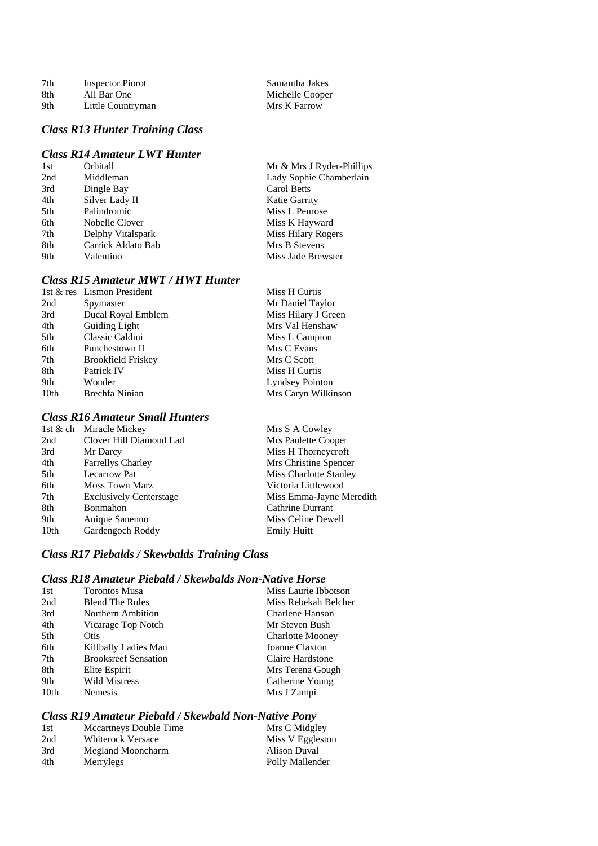| 7th | <b>Inspector Piorot</b> | Samantha Jakes  |
|-----|-------------------------|-----------------|
| 8th | All Bar One             | Michelle Cooper |
| 9th | Little Countryman       | Mrs K Farrow    |

# *Class R13 Hunter Training Class*

### *Class R14 Amateur LWT Hunter*

| Orbitall           | Mr & Mrs J Ryder-Phillips |
|--------------------|---------------------------|
| Middleman          | Lady Sophie Chamberlain   |
| Dingle Bay         | Carol Betts               |
| Silver Lady II     | <b>Katie Garrity</b>      |
| Palindromic        | Miss L Penrose            |
| Nobelle Clover     | Miss K Hayward            |
| Delphy Vitalspark  | Miss Hilary Rogers        |
| Carrick Aldato Bab | Mrs B Stevens             |
| Valentino          | Miss Jade Brewster        |
|                    |                           |

#### *Class R15 Amateur MWT / HWT Hunter*

|                           | Miss H Curtis              |
|---------------------------|----------------------------|
| Spymaster                 | Mr Daniel Taylor           |
| Ducal Royal Emblem        | Miss Hilary J Green        |
| Guiding Light             | Mrs Val Henshaw            |
| Classic Caldini           | Miss L Campion             |
| Punchestown II            | Mrs C Evans                |
| <b>Brookfield Friskey</b> | Mrs C Scott                |
| Patrick IV                | Miss H Curtis              |
| Wonder                    | <b>Lyndsey Pointon</b>     |
| Brechfa Ninian            | Mrs Caryn Wilkinson        |
|                           | 1st & res Lismon President |

### *Class R16 Amateur Small Hunters*

|      | 1st & ch Miracle Mickey        | Mrs S A Cowley           |
|------|--------------------------------|--------------------------|
| 2nd  | Clover Hill Diamond Lad        | Mrs Paulette Cooper      |
| 3rd  | Mr Darcy                       | Miss H Thorneycroft      |
| 4th  | <b>Farrellys Charley</b>       | Mrs Christine Spencer    |
| 5th  | <b>Lecarrow Pat</b>            | Miss Charlotte Stanley   |
| 6th  | <b>Moss Town Marz</b>          | Victoria Littlewood      |
| 7th  | <b>Exclusively Centerstage</b> | Miss Emma-Jayne Meredith |
| 8th  | Bonmahon                       | Cathrine Durrant         |
| 9th  | Anique Sanenno                 | Miss Celine Dewell       |
| 10th | Gardengoch Roddy               | <b>Emily Huitt</b>       |
|      |                                |                          |

### *Class R17 Piebalds / Skewbalds Training Class*

#### *Class R18 Amateur Piebald / Skewbalds Non-Native Horse*

| 1st              | Torontos Musa               | Miss Laurie Ibbotson    |
|------------------|-----------------------------|-------------------------|
| 2nd              | <b>Blend The Rules</b>      | Miss Rebekah Belcher    |
| 3rd              | Northern Ambition           | Charlene Hanson         |
| 4th              | Vicarage Top Notch          | Mr Steven Bush          |
| 5th              | Otis                        | <b>Charlotte Mooney</b> |
| 6th              | Killbally Ladies Man        | Joanne Claxton          |
| 7th              | <b>Brooksreef Sensation</b> | Claire Hardstone        |
| 8th              | Elite Espirit               | Mrs Terena Gough        |
| 9th              | <b>Wild Mistress</b>        | Catherine Young         |
| 10 <sub>th</sub> | Nemesis                     | Mrs J Zampi             |

# *Class R19 Amateur Piebald / Skewbald Non-Native Pony*

| 1st | Mccartneys Double Time   | Mrs C Midgley    |
|-----|--------------------------|------------------|
| 2nd | <b>Whiterock Versace</b> | Miss V Eggleston |
| 3rd | Megland Mooncharm        | Alison Duval     |
| 4th | Merrylegs                | Polly Mallender  |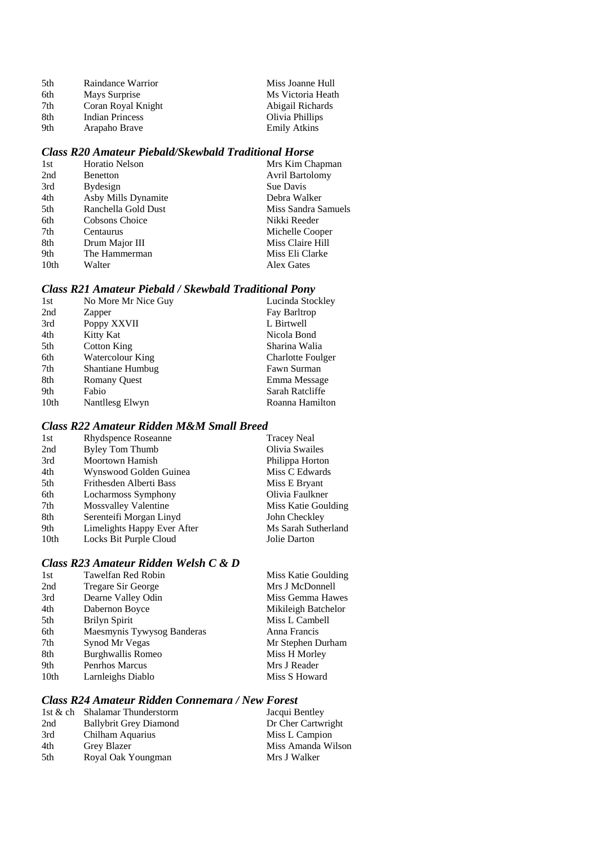| .5th | Raindance Warrior  | Miss Joanne Hull    |
|------|--------------------|---------------------|
| 6th  | Mays Surprise      | Ms Victoria Heath   |
| 7th  | Coran Royal Knight | Abigail Richards    |
| 8th  | Indian Princess    | Olivia Phillips     |
| 9th  | Arapaho Brave      | <b>Emily Atkins</b> |

### *Class R20 Amateur Piebald/Skewbald Traditional Horse*

| 1st              | <b>Horatio Nelson</b> | Mrs Kim Chapman        |
|------------------|-----------------------|------------------------|
| 2nd              | Benetton              | <b>Avril Bartolomy</b> |
| 3rd              | <b>Bydesign</b>       | Sue Davis              |
| 4th              | Asby Mills Dynamite   | Debra Walker           |
| 5th              | Ranchella Gold Dust   | Miss Sandra Samuels    |
| 6th              | Cobsons Choice        | Nikki Reeder           |
| 7th              | Centaurus             | Michelle Cooper        |
| 8th              | Drum Major III        | Miss Claire Hill       |
| 9th              | The Hammerman         | Miss Eli Clarke        |
| 10 <sub>th</sub> | Walter                | Alex Gates             |

### *Class R21 Amateur Piebald / Skewbald Traditional Pony*

| 1st              | No More Mr Nice Guy     | Lucinda Stockley         |
|------------------|-------------------------|--------------------------|
| 2nd              | Zapper                  | Fay Barltrop             |
| 3rd              | Poppy XXVII             | L Birtwell               |
| 4th              | Kitty Kat               | Nicola Bond              |
| 5th              | Cotton King             | Sharina Walia            |
| 6th              | Watercolour King        | <b>Charlotte Foulger</b> |
| 7th              | <b>Shantiane Humbug</b> | Fawn Surman              |
| 8th              | <b>Romany Quest</b>     | Emma Message             |
| 9th              | Fabio                   | Sarah Ratcliffe          |
| 10 <sub>th</sub> | Nantllesg Elwyn         | Roanna Hamilton          |
|                  |                         |                          |

### *Class R22 Amateur Ridden M&M Small Breed*

| <b>Byley Tom Thumb</b><br>Olivia Swailes<br>2nd<br>3rd<br>Moortown Hamish<br>Philippa Horton<br>Miss C Edwards<br>4th<br>Wynswood Golden Guinea<br>Frithesden Alberti Bass<br>5th<br>Miss E Bryant<br>Olivia Faulkner<br>6th<br>Locharmoss Symphony<br><b>Mossvalley Valentine</b><br>7th<br>Serenteifi Morgan Linyd<br>8th<br>John Checkley<br>Limelights Happy Ever After<br>9th<br>Locks Bit Purple Cloud<br>10th<br>Jolie Darton | 1st | Rhydspence Roseanne | <b>Tracey Neal</b>  |
|--------------------------------------------------------------------------------------------------------------------------------------------------------------------------------------------------------------------------------------------------------------------------------------------------------------------------------------------------------------------------------------------------------------------------------------|-----|---------------------|---------------------|
|                                                                                                                                                                                                                                                                                                                                                                                                                                      |     |                     |                     |
|                                                                                                                                                                                                                                                                                                                                                                                                                                      |     |                     |                     |
|                                                                                                                                                                                                                                                                                                                                                                                                                                      |     |                     |                     |
|                                                                                                                                                                                                                                                                                                                                                                                                                                      |     |                     |                     |
|                                                                                                                                                                                                                                                                                                                                                                                                                                      |     |                     |                     |
|                                                                                                                                                                                                                                                                                                                                                                                                                                      |     |                     | Miss Katie Goulding |
|                                                                                                                                                                                                                                                                                                                                                                                                                                      |     |                     |                     |
|                                                                                                                                                                                                                                                                                                                                                                                                                                      |     |                     | Ms Sarah Sutherland |
|                                                                                                                                                                                                                                                                                                                                                                                                                                      |     |                     |                     |

### *Class R23 Amateur Ridden Welsh C & D*

| 1st              | Tawelfan Red Robin         | Miss Katie Goulding |
|------------------|----------------------------|---------------------|
| 2nd              | <b>Tregare Sir George</b>  | Mrs J McDonnell     |
| 3rd              | Dearne Valley Odin         | Miss Gemma Hawes    |
| 4th              | Dabernon Boyce             | Mikileigh Batchelor |
| 5th              | Brilyn Spirit              | Miss L Cambell      |
| 6th              | Maesmynis Tywysog Banderas | Anna Francis        |
| 7th              | Synod Mr Vegas             | Mr Stephen Durham   |
| 8th              | Burghwallis Romeo          | Miss H Morley       |
| 9th              | Penrhos Marcus             | Mrs J Reader        |
| 10 <sub>th</sub> | Larnleighs Diablo          | Miss S Howard       |
|                  |                            |                     |

## *Class R24 Amateur Ridden Connemara / New Forest*

|     | 1st & ch Shalamar Thunderstorm | Jacqui Bentley     |
|-----|--------------------------------|--------------------|
| 2nd | <b>Ballybrit Grey Diamond</b>  | Dr Cher Cartwright |
| 3rd | Chilham Aquarius               | Miss L Campion     |
| 4th | Grey Blazer                    | Miss Amanda Wilson |
| 5th | Royal Oak Youngman             | Mrs J Walker       |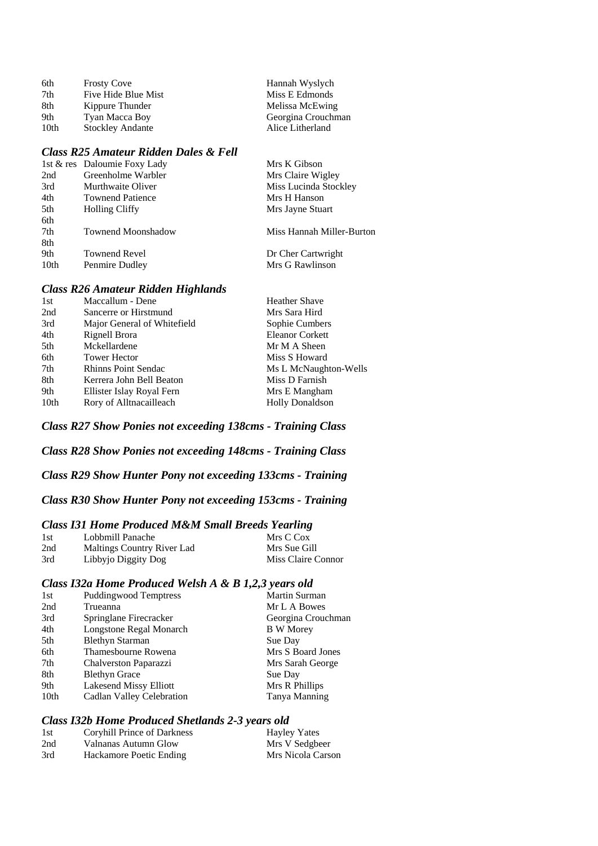| 6th  | <b>Frosty Cove</b>      | Hannah Wyslych     |
|------|-------------------------|--------------------|
| 7th  | Five Hide Blue Mist     | Miss E Edmonds     |
| 8th  | Kippure Thunder         | Melissa McEwing    |
| 9th  | Tyan Macca Boy          | Georgina Crouchman |
| 10th | <b>Stockley Andante</b> | Alice Litherland   |

#### *Class R25 Amateur Ridden Dales & Fell*

|      | 1st & res Daloumie Foxy Lady | Mrs K Gibson              |
|------|------------------------------|---------------------------|
| 2nd  | Greenholme Warbler           | Mrs Claire Wigley         |
| 3rd  | Murthwaite Oliver            | Miss Lucinda Stockley     |
| 4th  | <b>Townend Patience</b>      | Mrs H Hanson              |
| 5th  | <b>Holling Cliffy</b>        | Mrs Jayne Stuart          |
| 6th  |                              |                           |
| 7th  | <b>Townend Moonshadow</b>    | Miss Hannah Miller-Burton |
| 8th  |                              |                           |
| 9th  | <b>Townend Revel</b>         | Dr Cher Cartwright        |
| 10th | Penmire Dudley               | Mrs G Rawlinson           |
|      |                              |                           |

#### *Class R26 Amateur Ridden Highlands*

| Maccallum - Dene            | <b>Heather Shave</b>   |
|-----------------------------|------------------------|
| Sancerre or Hirstmund       | Mrs Sara Hird          |
| Major General of Whitefield | Sophie Cumbers         |
| Rignell Brora               | <b>Eleanor Corkett</b> |
| Mckellardene                | Mr M A Sheen           |
| <b>Tower Hector</b>         | Miss S Howard          |
| <b>Rhinns Point Sendac</b>  | Ms L McNaughton-Wells  |
| Kerrera John Bell Beaton    | Miss D Farnish         |
| Ellister Islay Royal Fern   | Mrs E Mangham          |
| Rory of Alltnacailleach     | <b>Holly Donaldson</b> |
|                             |                        |

#### *Class R27 Show Ponies not exceeding 138cms - Training Class*

#### *Class R28 Show Ponies not exceeding 148cms - Training Class*

### *Class R29 Show Hunter Pony not exceeding 133cms - Training*

#### *Class R30 Show Hunter Pony not exceeding 153cms - Training*

#### *Class I31 Home Produced M&M Small Breeds Yearling*

| -1st | Lobbmill Panache           | Mrs C Cox          |
|------|----------------------------|--------------------|
| 2nd  | Maltings Country River Lad | Mrs Sue Gill       |
| 3rd  | Libbyjo Diggity Dog        | Miss Claire Connor |

#### *Class I32a Home Produced Welsh A & B 1,2,3 years old*

| 1st  | <b>Puddingwood Temptress</b>  | <b>Martin Surman</b> |
|------|-------------------------------|----------------------|
| 2nd  | Trueanna                      | Mr L A Bowes         |
| 3rd  | Springlane Firecracker        | Georgina Crouchman   |
| 4th  | Longstone Regal Monarch       | <b>B</b> W Morey     |
| 5th  | <b>Blethyn Starman</b>        | Sue Day              |
| 6th  | Thamesbourne Rowena           | Mrs S Board Jones    |
| 7th  | Chalverston Paparazzi         | Mrs Sarah George     |
| 8th  | <b>Blethyn Grace</b>          | Sue Day              |
| 9th  | <b>Lakesend Missy Elliott</b> | Mrs R Phillips       |
| 10th | Cadlan Valley Celebration     | Tanya Manning        |

#### *Class I32b Home Produced Shetlands 2-3 years old*

| 1st | Coryhill Prince of Darkness | <b>Hayley Yates</b> |
|-----|-----------------------------|---------------------|
| 2nd | Valnanas Autumn Glow        | Mrs V Sedgbeer      |
| 3rd | Hackamore Poetic Ending     | Mrs Nicola Carson   |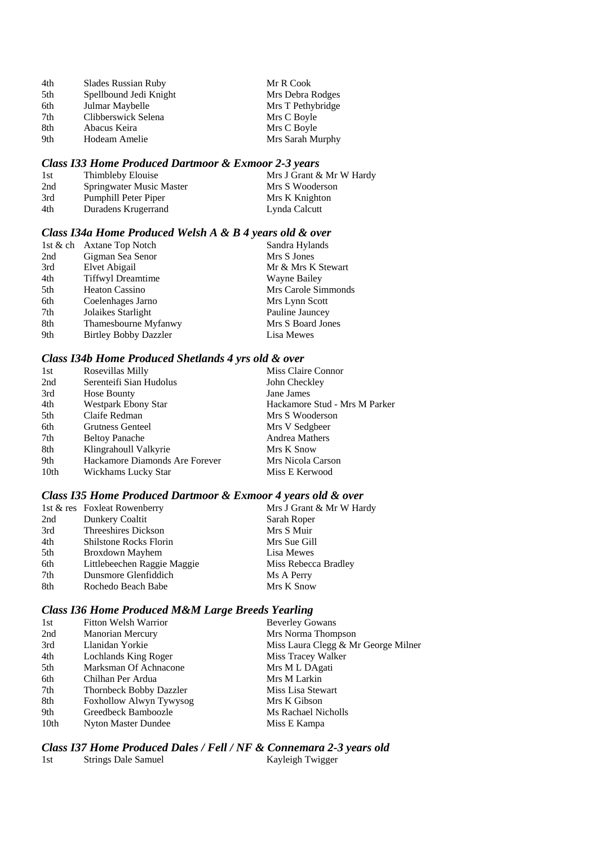| 4th | Slades Russian Ruby    | Mr R Cook         |
|-----|------------------------|-------------------|
| 5th | Spellbound Jedi Knight | Mrs Debra Rodges  |
| 6th | Julmar Maybelle        | Mrs T Pethybridge |
| 7th | Clibberswick Selena    | Mrs C Boyle       |
| 8th | Abacus Keira           | Mrs C Boyle       |
| 9th | Hodeam Amelie          | Mrs Sarah Murphy  |

#### *Class I33 Home Produced Dartmoor & Exmoor 2-3 years*

| 1st | Thimbleby Elouise        | Mrs J Grant & Mr W Hardy |
|-----|--------------------------|--------------------------|
| 2nd | Springwater Music Master | Mrs S Wooderson          |
| 3rd | Pumphill Peter Piper     | Mrs K Knighton           |
| 4th | Duradens Krugerrand      | Lynda Calcutt            |

#### *Class I34a Home Produced Welsh A & B 4 years old & over*

|     | 1st & ch Axtane Top Notch    | Sandra Hylands      |
|-----|------------------------------|---------------------|
| 2nd | Gigman Sea Senor             | Mrs S Jones         |
| 3rd | Elvet Abigail                | Mr & Mrs K Stewart  |
| 4th | <b>Tiffwyl Dreamtime</b>     | Wayne Bailey        |
| 5th | <b>Heaton Cassino</b>        | Mrs Carole Simmonds |
| 6th | Coelenhages Jarno            | Mrs Lynn Scott      |
| 7th | Jolaikes Starlight           | Pauline Jauncey     |
| 8th | Thamesbourne Myfanwy         | Mrs S Board Jones   |
| 9th | <b>Birtley Bobby Dazzler</b> | Lisa Mewes          |

#### *Class I34b Home Produced Shetlands 4 yrs old & over*

| Rosevillas Milly               | Miss Claire Connor            |
|--------------------------------|-------------------------------|
| Serenteifi Sian Hudolus        | John Checkley                 |
| Hose Bounty                    | Jane James                    |
| <b>Westpark Ebony Star</b>     | Hackamore Stud - Mrs M Parker |
| Claife Redman                  | Mrs S Wooderson               |
| <b>Grutness Genteel</b>        | Mrs V Sedgbeer                |
| <b>Beltoy Panache</b>          | Andrea Mathers                |
| Klingrahoull Valkyrie          | Mrs K Snow                    |
| Hackamore Diamonds Are Forever | Mrs Nicola Carson             |
| Wickhams Lucky Star            | Miss E Kerwood                |
|                                |                               |

#### *Class I35 Home Produced Dartmoor & Exmoor 4 years old & over*

|     | 1st & res Foxleat Rowenberry  | Mrs J Grant & Mr W Hardy |
|-----|-------------------------------|--------------------------|
| 2nd | Dunkery Coaltit               | Sarah Roper              |
| 3rd | Threeshires Dickson           | Mrs S Muir               |
| 4th | <b>Shilstone Rocks Florin</b> | Mrs Sue Gill             |
| 5th | Broxdown Mayhem               | Lisa Mewes               |
| 6th | Littlebeechen Raggie Maggie   | Miss Rebecca Bradley     |
| 7th | Dunsmore Glenfiddich          | Ms A Perry               |
| 8th | Rochedo Beach Babe            | Mrs K Snow               |
|     |                               |                          |

#### *Class I36 Home Produced M&M Large Breeds Yearling*

| 1st              | Fitton Welsh Warrior    | <b>Beverley Gowans</b>              |
|------------------|-------------------------|-------------------------------------|
| 2nd              | <b>Manorian Mercury</b> | Mrs Norma Thompson                  |
| 3rd              | Llanidan Yorkie         | Miss Laura Clegg & Mr George Milner |
| 4th              | Lochlands King Roger    | Miss Tracey Walker                  |
| 5th              | Marksman Of Achnacone   | Mrs M L DAgati                      |
| 6th              | Chilhan Per Ardua       | Mrs M Larkin                        |
| 7th              | Thornbeck Bobby Dazzler | Miss Lisa Stewart                   |
| 8th              | Foxhollow Alwyn Tywysog | Mrs K Gibson                        |
| 9th              | Greedbeck Bamboozle     | Ms Rachael Nicholls                 |
| 10 <sub>th</sub> | Nyton Master Dundee     | Miss E Kampa                        |
|                  |                         |                                     |

# *Class I37 Home Produced Dales / Fell / NF & Connemara 2-3 years old*

1st Strings Dale Samuel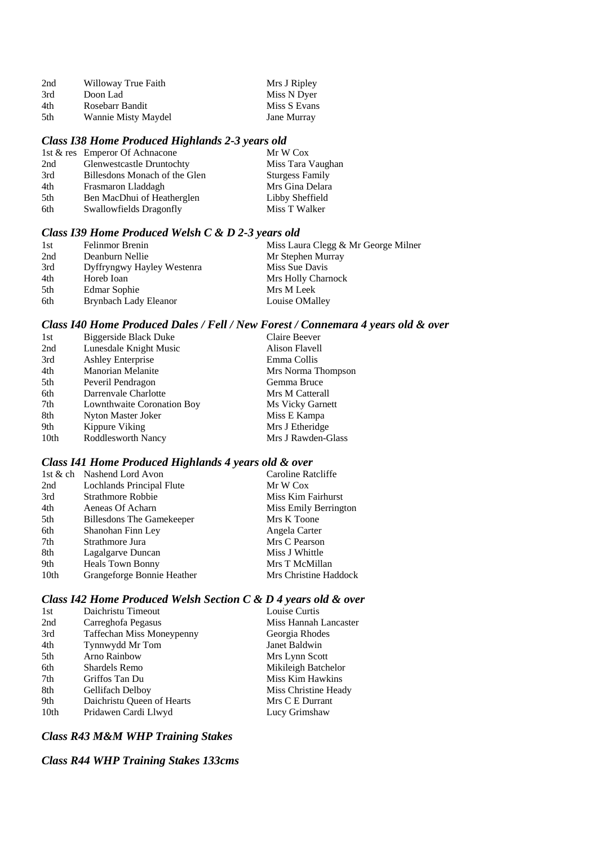| 2nd | Willoway True Faith | Mrs J Ripley       |
|-----|---------------------|--------------------|
| 3rd | Doon Lad            | Miss N Dyer        |
| 4th | Rosebarr Bandit     | Miss S Evans       |
| 5th | Wannie Misty Maydel | <b>Jane Murray</b> |

### *Class I38 Home Produced Highlands 2-3 years old*

|                               | Mr W Cox                       |
|-------------------------------|--------------------------------|
| Glenwestcastle Druntochty     | Miss Tara Vaughan              |
| Billesdons Monach of the Glen | <b>Sturgess Family</b>         |
| Frasmaron Lladdagh            | Mrs Gina Delara                |
| Ben MacDhui of Heatherglen    | Libby Sheffield                |
| Swallowfields Dragonfly       | Miss T Walker                  |
|                               | 1st & res Emperor Of Achnacone |

### *Class I39 Home Produced Welsh C & D 2-3 years old*

| Miss Laura Clegg & Mr George Milner |
|-------------------------------------|
|                                     |
|                                     |
|                                     |
|                                     |
|                                     |
|                                     |

### *Class I40 Home Produced Dales / Fell / New Forest / Connemara 4 years old & over*

| Biggerside Black Duke      | Claire Beever      |
|----------------------------|--------------------|
| Lunesdale Knight Music     | Alison Flavell     |
| <b>Ashley Enterprise</b>   | Emma Collis        |
| <b>Manorian Melanite</b>   | Mrs Norma Thompson |
| Peveril Pendragon          | Gemma Bruce        |
| Darrenvale Charlotte       | Mrs M Catterall    |
| Lownthwaite Coronation Boy | Ms Vicky Garnett   |
| Nyton Master Joker         | Miss E Kampa       |
| Kippure Viking             | Mrs J Etheridge    |
| Roddlesworth Nancy         | Mrs J Rawden-Glass |
|                            |                    |

#### *Class I41 Home Produced Highlands 4 years old & over*

|      | 1st & ch Nashend Lord Avon       | Caroline Ratcliffe    |
|------|----------------------------------|-----------------------|
| 2nd  | Lochlands Principal Flute        | Mr W Cox              |
| 3rd  | Strathmore Robbie                | Miss Kim Fairhurst    |
| 4th  | Aeneas Of Acharn                 | Miss Emily Berrington |
| 5th  | <b>Billesdons The Gamekeeper</b> | Mrs K Toone           |
| 6th  | Shanohan Finn Ley                | Angela Carter         |
| 7th  | Strathmore Jura                  | Mrs C Pearson         |
| 8th  | Lagalgarve Duncan                | Miss J Whittle        |
| 9th  | <b>Heals Town Bonny</b>          | Mrs T McMillan        |
| 10th | Grangeforge Bonnie Heather       | Mrs Christine Haddock |
|      |                                  |                       |

#### *Class I42 Home Produced Welsh Section C & D 4 years old & over*

| 1st  | Daichristu Timeout               | Louise Curtis         |
|------|----------------------------------|-----------------------|
| 2nd  | Carreghofa Pegasus               | Miss Hannah Lancaster |
| 3rd  | <b>Taffechan Miss Moneypenny</b> | Georgia Rhodes        |
| 4th  | Tynnwydd Mr Tom                  | Janet Baldwin         |
| 5th  | <b>Arno Rainbow</b>              | Mrs Lynn Scott        |
| 6th  | Shardels Remo                    | Mikileigh Batchelor   |
| 7th  | Griffos Tan Du                   | Miss Kim Hawkins      |
| 8th  | Gellifach Delboy                 | Miss Christine Heady  |
| 9th  | Daichristu Oueen of Hearts       | Mrs C E Durrant       |
| 10th | Pridawen Cardi Llwyd             | Lucy Grimshaw         |

# *Class R43 M&M WHP Training Stakes*

### *Class R44 WHP Training Stakes 133cms*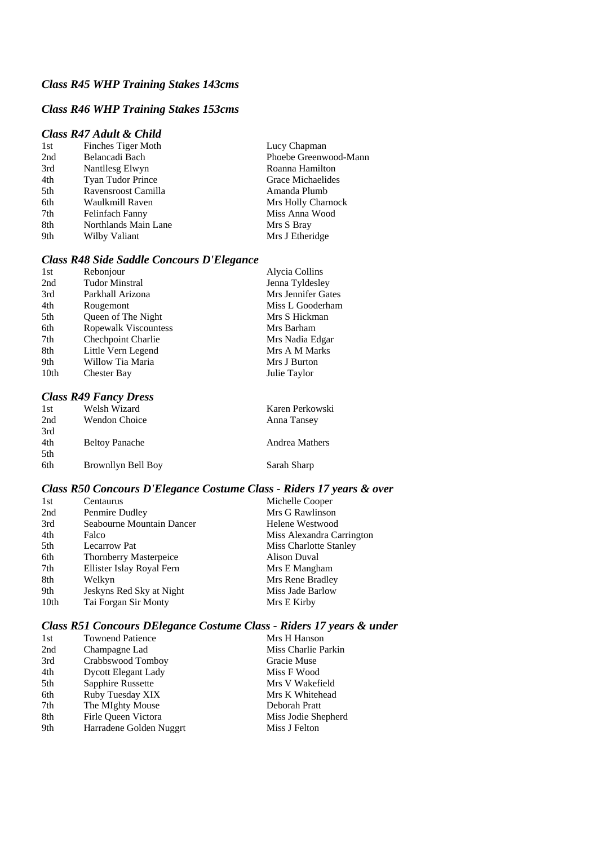### *Class R45 WHP Training Stakes 143cms*

# *Class R46 WHP Training Stakes 153cms*

#### *Class R47 Adult & Child*

| 1st | Finches Tiger Moth   | Lucy Chapman          |
|-----|----------------------|-----------------------|
| 2nd | Belancadi Bach       | Phoebe Greenwood-Mann |
| 3rd | Nantllesg Elwyn      | Roanna Hamilton       |
| 4th | Tyan Tudor Prince    | Grace Michaelides     |
| 5th | Ravensroost Camilla  | Amanda Plumb          |
| 6th | Waulkmill Raven      | Mrs Holly Charnock    |
| 7th | Felinfach Fanny      | Miss Anna Wood        |
| 8th | Northlands Main Lane | Mrs S Bray            |
| 9th | Wilby Valiant        | Mrs J Etheridge       |
|     |                      |                       |

#### *Class R48 Side Saddle Concours D'Elegance*

| 1st              | Rebonjour             | Alycia Collins     |
|------------------|-----------------------|--------------------|
| 2nd              | <b>Tudor Minstral</b> | Jenna Tyldesley    |
| 3rd              | Parkhall Arizona      | Mrs Jennifer Gates |
| 4th              | Rougemont             | Miss L Gooderham   |
| 5th              | Queen of The Night    | Mrs S Hickman      |
| 6th              | Ropewalk Viscountess  | Mrs Barham         |
| 7th              | Chechpoint Charlie    | Mrs Nadia Edgar    |
| 8th              | Little Vern Legend    | Mrs A M Marks      |
| 9th              | Willow Tia Maria      | Mrs J Burton       |
| 10 <sub>th</sub> | <b>Chester Bay</b>    | Julie Taylor       |
|                  |                       |                    |

### *Class R49 Fancy Dress*

| 1st | Welsh Wizard          | Karen Perkowski |
|-----|-----------------------|-----------------|
| 2nd | Wendon Choice         | Anna Tansey     |
| 3rd |                       |                 |
| 4th | <b>Beltoy Panache</b> | Andrea Mathers  |
| 5th |                       |                 |
| 6th | Brownllyn Bell Boy    | Sarah Sharp     |

### *Class R50 Concours D'Elegance Costume Class - Riders 17 years & over*

| 1st              | Centaurus                 | Michelle Cooper           |
|------------------|---------------------------|---------------------------|
| 2nd              | Penmire Dudley            | Mrs G Rawlinson           |
| 3rd              | Seabourne Mountain Dancer | Helene Westwood           |
| 4th              | Falco                     | Miss Alexandra Carrington |
| 5th              | Lecarrow Pat              | Miss Charlotte Stanley    |
| 6th              | Thornberry Masterpeice    | <b>Alison Duval</b>       |
| 7th              | Ellister Islay Royal Fern | Mrs E Mangham             |
| 8th              | Welkyn                    | Mrs Rene Bradley          |
| 9th              | Jeskyns Red Sky at Night  | Miss Jade Barlow          |
| 10 <sub>th</sub> | Tai Forgan Sir Monty      | Mrs E Kirby               |
|                  |                           |                           |

# *Class R51 Concours DElegance Costume Class - Riders 17 years & under*

| 1st | <b>Townend Patience</b>    | Mrs H Hanson        |
|-----|----------------------------|---------------------|
| 2nd | Champagne Lad              | Miss Charlie Parkin |
| 3rd | Crabbswood Tomboy          | Gracie Muse         |
| 4th | <b>Dycott Elegant Lady</b> | Miss F Wood         |
| 5th | Sapphire Russette          | Mrs V Wakefield     |
| 6th | Ruby Tuesday XIX           | Mrs K Whitehead     |
| 7th | The MIghty Mouse           | Deborah Pratt       |
| 8th | Firle Queen Victora        | Miss Jodie Shepherd |
| 9th | Harradene Golden Nuggrt    | Miss J Felton       |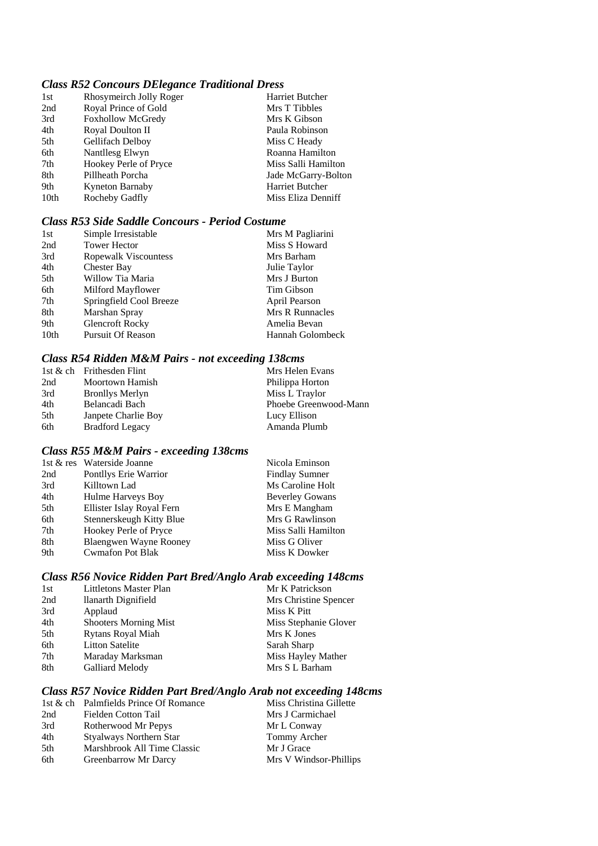### *Class R52 Concours DElegance Traditional Dress*

| Rhosymeirch Jolly Roger  | Harriet Butcher     |
|--------------------------|---------------------|
| Royal Prince of Gold     | Mrs T Tibbles       |
| <b>Foxhollow McGredy</b> | Mrs K Gibson        |
| Royal Doulton II         | Paula Robinson      |
| <b>Gellifach Delboy</b>  | Miss C Heady        |
| Nantllesg Elwyn          | Roanna Hamilton     |
| Hookey Perle of Pryce    | Miss Salli Hamilton |
| Pillheath Porcha         | Jade McGarry-Bolton |
| Kyneton Barnaby          | Harriet Butcher     |
| Rocheby Gadfly           | Miss Eliza Denniff  |
|                          |                     |

### *Class R53 Side Saddle Concours - Period Costume*

| 1st              | Simple Irresistable      | Mrs M Pagliarini |
|------------------|--------------------------|------------------|
| 2nd              | <b>Tower Hector</b>      | Miss S Howard    |
| 3rd              | Ropewalk Viscountess     | Mrs Barham       |
| 4th              | <b>Chester Bay</b>       | Julie Taylor     |
| 5th              | Willow Tia Maria         | Mrs J Burton     |
| 6th              | Milford Mayflower        | Tim Gibson       |
| 7th              | Springfield Cool Breeze  | April Pearson    |
| 8th              | Marshan Spray            | Mrs R Runnacles  |
| 9th              | <b>Glencroft Rocky</b>   | Amelia Bevan     |
| 10 <sub>th</sub> | <b>Pursuit Of Reason</b> | Hannah Golombeck |

#### *Class R54 Ridden M&M Pairs - not exceeding 138cms*

|     | 1st $\&$ ch Frithesden Flint | Mrs Helen Evans       |
|-----|------------------------------|-----------------------|
| 2nd | Moortown Hamish              | Philippa Horton       |
| 3rd | <b>Bronllys Merlyn</b>       | Miss L Traylor        |
| 4th | Belancadi Bach               | Phoebe Greenwood-Mann |
| 5th | Janpete Charlie Boy          | Lucy Ellison          |
| 6th | <b>Bradford Legacy</b>       | Amanda Plumb          |

### *Class R55 M&M Pairs - exceeding 138cms*

| 1st & res Waterside Joanne    | Nicola Eminson         |
|-------------------------------|------------------------|
| Pontllys Erie Warrior         | <b>Findlay Sumner</b>  |
| Killtown Lad                  | Ms Caroline Holt       |
| Hulme Harveys Boy             | <b>Beverley Gowans</b> |
| Ellister Islay Royal Fern     | Mrs E Mangham          |
| Stennerskeugh Kitty Blue      | Mrs G Rawlinson        |
| Hookey Perle of Pryce         | Miss Salli Hamilton    |
| <b>Blaengwen Wayne Rooney</b> | Miss G Oliver          |
| <b>Cwmafon Pot Blak</b>       | Miss K Dowker          |
|                               |                        |

### *Class R56 Novice Ridden Part Bred/Anglo Arab exceeding 148cms*

| 1st | Littletons Master Plan       | Mr K Patrickson       |
|-----|------------------------------|-----------------------|
| 2nd | llanarth Dignifield          | Mrs Christine Spencer |
| 3rd | Applaud                      | Miss K Pitt           |
| 4th | <b>Shooters Morning Mist</b> | Miss Stephanie Glover |
| 5th | Rytans Royal Miah            | Mrs K Jones           |
| 6th | <b>Litton Satelite</b>       | Sarah Sharp           |
| 7th | Maraday Marksman             | Miss Hayley Mather    |
| 8th | <b>Galliard Melody</b>       | Mrs S L Barham        |
|     |                              |                       |

#### *Class R57 Novice Ridden Part Bred/Anglo Arab not exceeding 148cms*

|     | 1st & ch Palmfields Prince Of Romance | Miss Christina Gillette |
|-----|---------------------------------------|-------------------------|
| 2nd | Fielden Cotton Tail                   | Mrs J Carmichael        |
| 3rd | Rotherwood Mr Pepys                   | Mr L Conway             |
| 4th | <b>Styalways Northern Star</b>        | Tommy Archer            |
| 5th | Marshbrook All Time Classic           | Mr J Grace              |
| 6th | Greenbarrow Mr Darcy                  | Mrs V Windsor-Phillips  |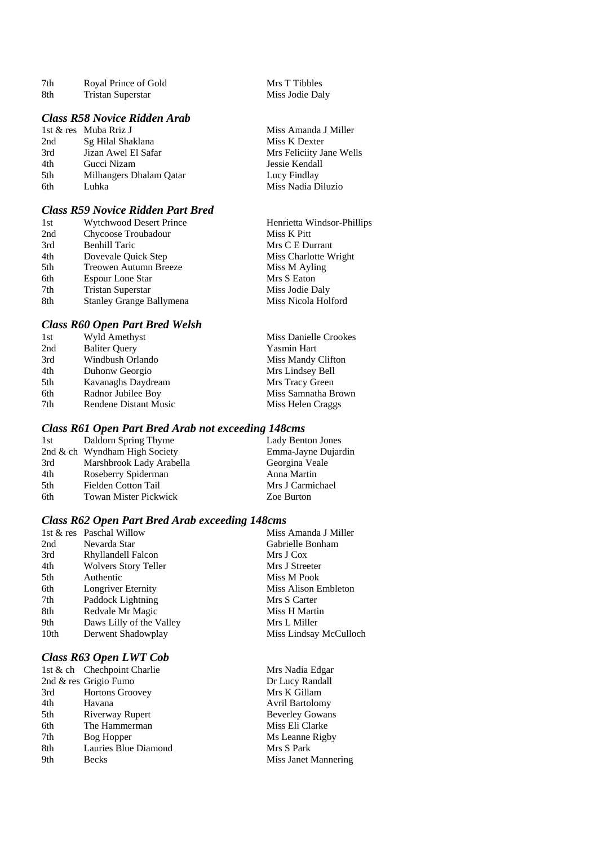| 7th                          | Royal Prince of Gold     | Mrs T Tibbles        |
|------------------------------|--------------------------|----------------------|
| 8th                          | <b>Tristan Superstar</b> | Miss Jodie Daly      |
|                              |                          |                      |
| Class R58 Novice Ridden Arab |                          |                      |
|                              | 1st & res Muba Rriz J    | Miss Amanda J Miller |
| 2nd                          | Sg Hilal Shaklana        | Miss K Dexter        |

3rd Jizan Awel El Safar Mrs Feliciity Jane Wells 4th Gucci Nizam Jessie Kendall 5th Milhangers Dhalam Qatar Lucy Findlay 6th Luhka Luhka Miss Nadia Diluzio

#### *Class R59 Novice Ridden Part Bred*

| 1st | <b>Wytchwood Desert Prince</b>  | Henrietta Windsor-Phillips |
|-----|---------------------------------|----------------------------|
| 2nd | Chycoose Troubadour             | Miss K Pitt                |
| 3rd | <b>Benhill Taric</b>            | Mrs C E Durrant            |
| 4th | Dovevale Quick Step             | Miss Charlotte Wright      |
| 5th | <b>Treowen Autumn Breeze</b>    | Miss M Ayling              |
| 6th | <b>Espour Lone Star</b>         | Mrs S Eaton                |
| 7th | <b>Tristan Superstar</b>        | Miss Jodie Daly            |
| 8th | <b>Stanley Grange Ballymena</b> | Miss Nicola Holford        |

#### *Class R60 Open Part Bred Welsh*

| 1st | Wyld Amethyst         | Miss Danielle Crookes |
|-----|-----------------------|-----------------------|
| 2nd | <b>Baliter Query</b>  | <b>Yasmin Hart</b>    |
| 3rd | Windbush Orlando      | Miss Mandy Clifton    |
| 4th | Duhonw Georgio        | Mrs Lindsey Bell      |
| 5th | Kavanaghs Daydream    | Mrs Tracy Green       |
| 6th | Radnor Jubilee Boy    | Miss Samnatha Brown   |
| 7th | Rendene Distant Music | Miss Helen Craggs     |
|     |                       |                       |

#### *Class R61 Open Part Bred Arab not exceeding 148cms*

| 1st | Daldorn Spring Thyme             | Lady Benton Jones   |
|-----|----------------------------------|---------------------|
|     | 2nd $\&$ ch Wyndham High Society | Emma-Jayne Dujardin |
| 3rd | Marshbrook Lady Arabella         | Georgina Veale      |
| 4th | Roseberry Spiderman              | Anna Martin         |
| 5th | Fielden Cotton Tail              | Mrs J Carmichael    |
| 6th | <b>Towan Mister Pickwick</b>     | Zoe Burton          |
|     |                                  |                     |

### *Class R62 Open Part Bred Arab exceeding 148cms*

|      | 1st & res Paschal Willow    | Miss Amanda J Miller   |
|------|-----------------------------|------------------------|
| 2nd  | Nevarda Star                | Gabrielle Bonham       |
| 3rd  | Rhyllandell Falcon          | Mrs J Cox              |
| 4th  | <b>Wolvers Story Teller</b> | Mrs J Streeter         |
| 5th  | Authentic                   | Miss M Pook            |
| 6th  | <b>Longriver Eternity</b>   | Miss Alison Embleton   |
| 7th  | Paddock Lightning           | Mrs S Carter           |
| 8th  | Redvale Mr Magic            | Miss H Martin          |
| 9th  | Daws Lilly of the Valley    | Mrs L Miller           |
| 10th | Derwent Shadowplay          | Miss Lindsay McCulloch |
|      |                             |                        |

#### *Class R63 Open LWT Cob*

|     | 1st & ch Chechpoint Charlie |
|-----|-----------------------------|
|     | 2nd & res Grigio Fumo       |
| 3rd | <b>Hortons Groovey</b>      |
| 4th | Havana                      |
| 5th | Riverway Rupert             |
| 6th | The Hammerman               |
| 7th | Bog Hopper                  |
| 8th | Lauries Blue Diamond        |
| 9th | <b>Becks</b>                |

Mrs Nadia Edgar Dr Lucy Randall Mrs K Gillam Avril Bartolomy Beverley Gowans Miss Eli Clarke Ms Leanne Rigby Mrs S Park Miss Janet Mannering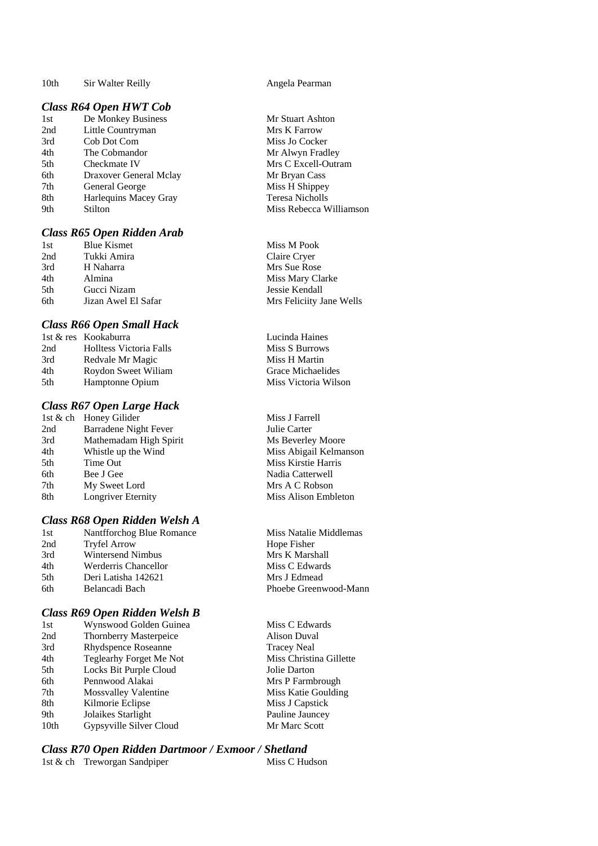10th Sir Walter Reilly Angela Pearman

#### *Class R64 Open HWT Cob*

| 1st | De Monkey Business    |
|-----|-----------------------|
| 2nd | Little Countryman     |
| 3rd | Cob Dot Com           |
| 4th | The Cobmandor         |
| 5th | Checkmate IV          |
| 6th | Draxover General Mcla |
| 7th | General George        |
| 8th | Harlequins Macey Gray |
| 9th | Stilton               |
|     |                       |

#### *Class R65 Open Ridden Arab*

| 1st  | <b>Blue Kismet</b>  |  |
|------|---------------------|--|
| 2nd  | Tukki Amira         |  |
| 3rd  | H Naharra           |  |
| 4th  | Almina              |  |
| .5th | Gucci Nizam         |  |
| 6th  | Jizan Awel El Safar |  |

#### *Class R66 Open Small Hack*

|     | 1st & res Kookaburra           |
|-----|--------------------------------|
| 2nd | <b>Holltess Victoria Falls</b> |
| 3rd | Redvale Mr Magic               |
| 4th | Roydon Sweet Wiliam            |
| 5th | Hamptonne Opium                |
|     |                                |

#### *Class R67 Open Large Hack*

|     | 1st & ch Honey Gilider |
|-----|------------------------|
| 2nd | Barradene Night Fever  |
| 3rd | Mathemadam High Spirit |
| 4th | Whistle up the Wind    |
| 5th | Time Out               |
| 6th | Bee J Gee              |
| 7th | My Sweet Lord          |
| 8th | Longriver Eternity     |
|     |                        |

#### *Class R68 Open Ridden Welsh A*

| 1st  | Nantfforchog Blue Romance |
|------|---------------------------|
| 2nd  | <b>Tryfel Arrow</b>       |
| 3rd  | Wintersend Nimbus         |
| 4th  | Werderris Chancellor      |
| .5th | Deri Latisha 142621       |
| 6th  | Belancadi Bach            |

#### *Class R69 Open Ridden Welsh B*

| Wynswood Golden Guinea      | Miss C Edwards          |
|-----------------------------|-------------------------|
| Thornberry Masterpeice      | <b>Alison Duval</b>     |
| Rhydspence Roseanne         | <b>Tracey Neal</b>      |
| Teglearhy Forget Me Not     | Miss Christina Gillette |
| Locks Bit Purple Cloud      | Jolie Darton            |
| Pennwood Alakai             | Mrs P Farmbrough        |
| <b>Mossvalley Valentine</b> | Miss Katie Goulding     |
| Kilmorie Eclipse            | Miss J Capstick         |
| Jolaikes Starlight          | Pauline Jauncey         |
| Gypsyville Silver Cloud     | Mr Marc Scott           |
|                             |                         |

#### *Class R70 Open Ridden Dartmoor / Exmoor / Shetland*

1st & ch Treworgan Sandpiper Miss C Hudson

Mr Stuart Ashton Mrs K Farrow Miss Jo Cocker Mr Alwyn Fradley Mrs C Excell-Outram ay Mr Bryan Cass Miss H Shippey  $\Gamma$ eresa Nicholls Miss Rebecca Williamson

> Miss M Pook Claire Cryer Mrs Sue Rose Miss Mary Clarke Jessie Kendall Mrs Feliciity Jane Wells

Lucinda Haines Miss S Burrows Miss H Martin Grace Michaelides Miss Victoria Wilson

Miss J Farrell Julie Carter Ms Beverley Moore Miss Abigail Kelmanson Miss Kirstie Harris Nadia Catterwell Mrs A C Robson Miss Alison Embleton

Miss Natalie Middlemas Hope Fisher Mrs K Marshall Miss C Edwards Mrs J Edmead Phoebe Greenwood-Mann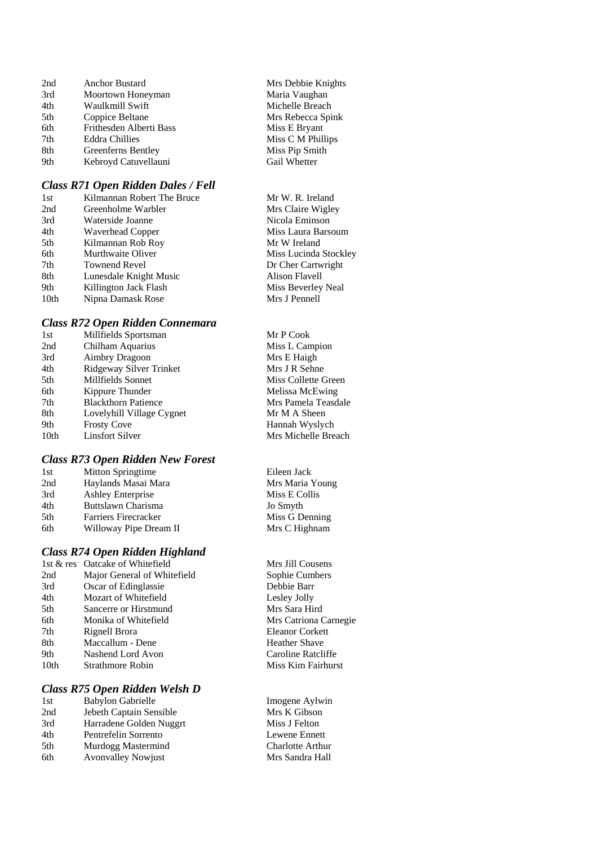| 2nd | <b>Anchor Bustard</b>   |
|-----|-------------------------|
| 3rd | Moortown Honeyman       |
| 4th | Waulkmill Swift         |
| 5th | Coppice Beltane         |
| 6th | Frithesden Alberti Bass |
| 7th | <b>Eddra Chillies</b>   |
| 8th | Greenferns Bentley      |
| 9th | Kebroyd Catuvellauni    |

#### *Class R71 Open Ridden Dales / Fell*

| 1st  | Kilmannan Robert The Bruce | Mr W. R. Ireland      |
|------|----------------------------|-----------------------|
| 2nd  | Greenholme Warbler         | Mrs Claire Wigley     |
| 3rd  | Waterside Joanne           | Nicola Eminson        |
| 4th  | Waverhead Copper           | Miss Laura Barsoum    |
| 5th  | Kilmannan Rob Roy          | Mr W Ireland          |
| 6th  | Murthwaite Oliver          | Miss Lucinda Stockley |
| 7th  | <b>Townend Revel</b>       | Dr Cher Cartwright    |
| 8th  | Lunesdale Knight Music     | Alison Flavell        |
| 9th  | Killington Jack Flash      | Miss Beverley Neal    |
| 10th | Nipna Damask Rose          | Mrs J Pennell         |
|      |                            |                       |

#### *Class R72 Open Ridden Connemara*

| 1st              | Millfields Sportsman       | Mr P Cook           |
|------------------|----------------------------|---------------------|
| 2nd              | Chilham Aquarius           | Miss L Campion      |
| 3rd              | Aimbry Dragoon             | Mrs E Haigh         |
| 4th              | Ridgeway Silver Trinket    | Mrs J R Sehne       |
| 5th              | Millfields Sonnet          | Miss Collette Green |
| 6th              | Kippure Thunder            | Melissa McEwing     |
| 7th              | <b>Blackthorn Patience</b> | Mrs Pamela Teasdale |
| 8th              | Lovelyhill Village Cygnet  | Mr M A Sheen        |
| 9th              | <b>Frosty Cove</b>         | Hannah Wyslych      |
| 10 <sub>th</sub> | <b>Linsfort Silver</b>     | Mrs Michelle Breach |
|                  |                            |                     |

### *Class R73 Open Ridden New Forest*

| 1st | Mitton Springtime        |
|-----|--------------------------|
| 2nd | Haylands Masai Mara      |
| 3rd | <b>Ashley Enterprise</b> |
| 4th | Buttslawn Charisma       |
| 5th | Farriers Firecracker     |
| 6th | Willoway Pipe Dream II   |

#### *Class R74 Open Ridden Highland*

| 1st $\&$ res     | Oatcake of Whitefield       |
|------------------|-----------------------------|
| 2nd              | Major General of Whitefield |
| 3rd              | Oscar of Edinglassie        |
| 4th              | Mozart of Whitefield        |
| 5th              | Sancerre or Hirstmund       |
| 6th              | Monika of Whitefield        |
| 7th              | Rignell Brora               |
| 8th              | Maccallum - Dene            |
| 9th              | Nashend Lord Avon           |
| 10 <sub>th</sub> | Strathmore Robin            |
|                  |                             |

#### *Class R75 Open Ridden Welsh D*

| 1st | <b>Babylon Gabrielle</b>  |
|-----|---------------------------|
| 2nd | Jebeth Captain Sensible   |
| 3rd | Harradene Golden Nuggrt   |
| 4th | Pentrefelin Sorrento      |
| 5th | Murdogg Mastermind        |
| 6th | <b>Avonvalley Nowjust</b> |

Mrs Debbie Knights Maria Vaughan Michelle Breach Mrs Rebecca Spink Miss E Bryant Miss C M Phillips Miss Pip Smith Gail Whetter

| Mr W. R. Ireland      |
|-----------------------|
| Mrs Claire Wigley     |
| Nicola Eminson        |
| Miss Laura Barsoum    |
| Mr W Ireland          |
| Miss Lucinda Stockle  |
| Dr Cher Cartwright    |
| <b>Alison Flavell</b> |
| Miss Beverley Neal    |
| Mrs J Pennell         |

Eileen Jack Mrs Maria Young Miss E Collis Jo Smyth Miss G Denning Mrs C Highnam

Mrs Jill Cousens Sophie Cumbers Debbie Barr Lesley Jolly Mrs Sara Hird Mrs Catriona Carnegie Eleanor Corkett Heather Shave Caroline Ratcliffe Miss Kim Fairhurst

Imogene Aylwin Mrs K Gibson Miss J Felton Lewene Ennett Charlotte Arthur Mrs Sandra Hall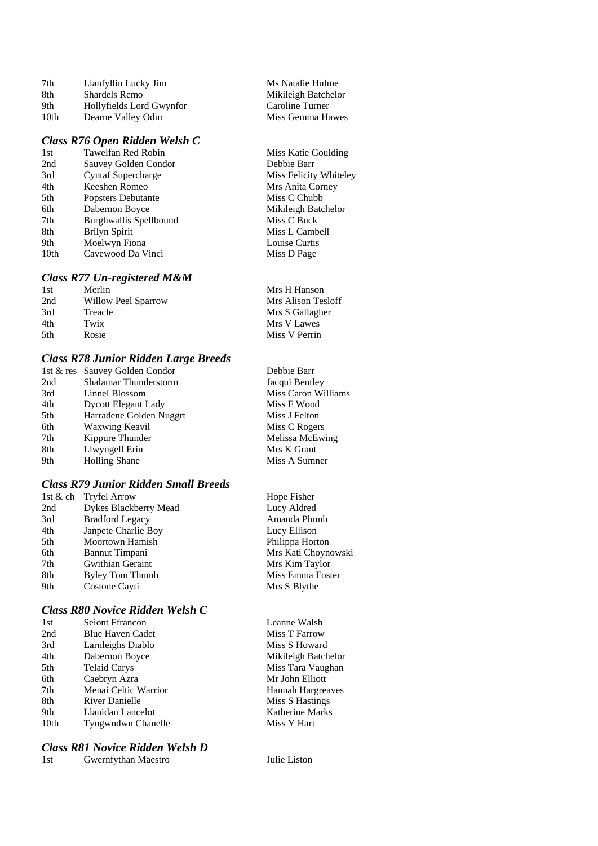| 7th  | Llanfyllin Lucky Jim     | Ms Natalie Hulme    |
|------|--------------------------|---------------------|
| 8th  | <b>Shardels Remo</b>     | Mikileigh Batchelor |
| 9th  | Hollyfields Lord Gwynfor | Caroline Turner     |
| 10th | Dearne Valley Odin       | Miss Gemma Hawes    |

#### *Class R76 Open Ridden Welsh C*

| 1st  | Tawelfan Red Robin        |
|------|---------------------------|
| 2nd  | Sauvey Golden Condor      |
| 3rd  | <b>Cyntaf Supercharge</b> |
| 4th  | Keeshen Romeo             |
| 5th  | Popsters Debutante        |
| 6th  | Dabernon Boyce            |
| 7th  | Burghwallis Spellbound    |
| 8th  | <b>Brilyn Spirit</b>      |
| 9th  | Moelwyn Fiona             |
| 10th | Cavewood Da Vinci         |
|      |                           |

#### *Class R77 Un-registered M&M*

| 1st  | Merlin              | Mrs H Hanson       |
|------|---------------------|--------------------|
| 2nd  | Willow Peel Sparrow | Mrs Alison Tesloff |
| 3rd  | Treacle             | Mrs S Gallagher    |
| 4th  | Twix                | Mrs V Lawes        |
| .5th | Rosie               | Miss V Perrin      |

#### *Class R78 Junior Ridden Large Breeds*

|     | 1st & res Sauvey Golden Condor | Debbie Barr         |
|-----|--------------------------------|---------------------|
| 2nd | Shalamar Thunderstorm          | Jacqui Bentley      |
| 3rd | Linnel Blossom                 | Miss Caron Williams |
| 4th | <b>Dycott Elegant Lady</b>     | Miss F Wood         |
| 5th | Harradene Golden Nuggrt        | Miss J Felton       |
| 6th | <b>Waxwing Keavil</b>          | Miss C Rogers       |
| 7th | Kippure Thunder                | Melissa McEwing     |
| 8th | Llwyngell Erin                 | Mrs K Grant         |
| 9th | <b>Holling Shane</b>           | Miss A Sumner       |
|     |                                |                     |

### *Class R79 Junior Ridden Small Breeds*

|     | 1st & ch Tryfel Arrow  | Hope Fisher         |
|-----|------------------------|---------------------|
| 2nd | Dykes Blackberry Mead  | Lucy Aldred         |
| 3rd | <b>Bradford Legacy</b> | Amanda Plumb        |
| 4th | Janpete Charlie Boy    | Lucy Ellison        |
| 5th | Moortown Hamish        | Philippa Horton     |
| 6th | Bannut Timpani         | Mrs Kati Choynowski |
| 7th | Gwithian Geraint       | Mrs Kim Taylor      |
| 8th | Byley Tom Thumb        | Miss Emma Foster    |
| 9th | Costone Cayti          | Mrs S Blythe        |
|     |                        |                     |

### *Class R80 Novice Ridden Welsh C*

| 1st  | <b>Seiont Ffrancon</b>    | Leanne Walsh           |
|------|---------------------------|------------------------|
| 2nd  | <b>Blue Haven Cadet</b>   | Miss T Farrow          |
| 3rd  | Larnleighs Diablo         | Miss S Howard          |
| 4th  | Dabernon Boyce            | Mikileigh Batchelor    |
| 5th  | <b>Telaid Carys</b>       | Miss Tara Vaughan      |
| 6th  | Caebryn Azra              | Mr John Elliott        |
| 7th  | Menai Celtic Warrior      | Hannah Hargreaves      |
| 8th  | <b>River Danielle</b>     | Miss S Hastings        |
| 9th  | Llanidan Lancelot         | <b>Katherine Marks</b> |
| 10th | <b>Tyngwndwn Chanelle</b> | Miss Y Hart            |
|      |                           |                        |

#### *Class R81 Novice Ridden Welsh D*

Miss Katie Goulding Debbie Barr Miss Felicity Whiteley Mrs Anita Corney Miss C Chubb Mikileigh Batchelor Miss C Buck Miss L Cambell Louise Curtis Miss D Page

| Debbie Barr        |
|--------------------|
| Jacqui Bentley     |
| Miss Caron Willian |
| Miss F Wood        |
| Miss J Felton      |
| Miss C Rogers      |
| Melissa McEwing    |
| Mrs K Grant        |
| Miss A Sumner      |
|                    |

Julie Liston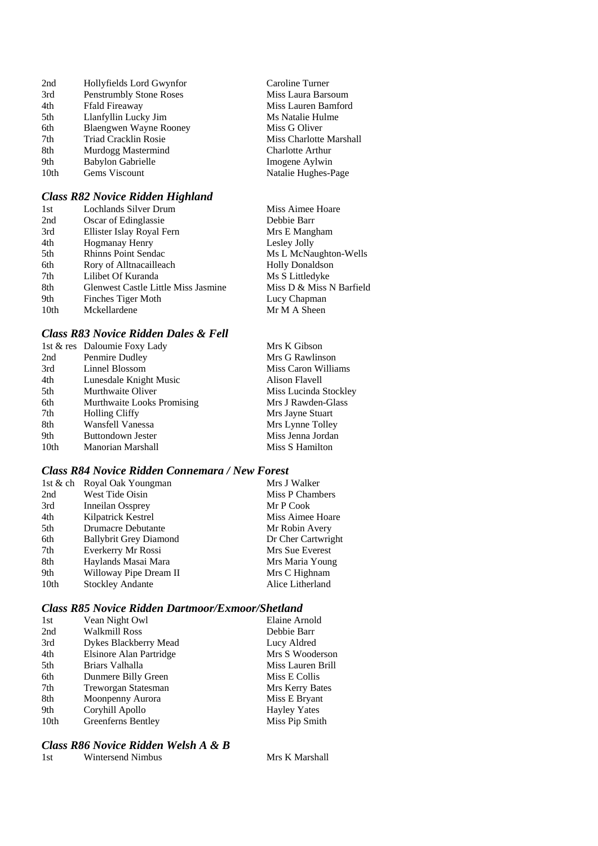| 2nd              | Hollyfields Lord Gwynfor       |
|------------------|--------------------------------|
| 3rd              | <b>Penstrumbly Stone Roses</b> |
| 4th              | <b>Ffald Fireaway</b>          |
| 5th              | Llanfyllin Lucky Jim           |
| 6th              | <b>Blaengwen Wayne Rooney</b>  |
| 7th              | <b>Triad Cracklin Rosie</b>    |
| 8th              | Murdogg Mastermind             |
| 9th              | <b>Babylon Gabrielle</b>       |
| 10 <sub>th</sub> | Gems Viscount                  |
|                  |                                |

### *Class R82 Novice Ridden Highland*

| 1st  | Lochlands Silver Drum                      | Miss Aimee Hoare         |
|------|--------------------------------------------|--------------------------|
| 2nd  | Oscar of Edinglassie                       | Debbie Barr              |
| 3rd  | Ellister Islay Royal Fern                  | Mrs E Mangham            |
| 4th  | <b>Hogmanay Henry</b>                      | Lesley Jolly             |
| 5th  | <b>Rhinns Point Sendac</b>                 | Ms L McNaughton-Wells    |
| 6th  | Rory of Alltnacailleach                    | <b>Holly Donaldson</b>   |
| 7th  | Lilibet Of Kuranda                         | Ms S Littledyke          |
| 8th  | <b>Glenwest Castle Little Miss Jasmine</b> | Miss D & Miss N Barfield |
| 9th  | Finches Tiger Moth                         | Lucy Chapman             |
| 10th | Mckellardene                               | Mr M A Sheen             |

Caroline Turner Miss Laura Barsoum Miss Lauren Bamford Ms Natalie Hulme Miss G Oliver

Miss Charlotte Marshall Charlotte Arthur Imogene Aylwin Natalie Hughes-Page

#### *Class R83 Novice Ridden Dales & Fell*

|      | 1st & res Daloumie Foxy Lady | Mrs K Gibson          |
|------|------------------------------|-----------------------|
| 2nd  | Penmire Dudley               | Mrs G Rawlinson       |
| 3rd  | Linnel Blossom               | Miss Caron Williams   |
| 4th  | Lunesdale Knight Music       | Alison Flavell        |
| 5th  | Murthwaite Oliver            | Miss Lucinda Stockley |
| 6th  | Murthwaite Looks Promising   | Mrs J Rawden-Glass    |
| 7th  | <b>Holling Cliffy</b>        | Mrs Jayne Stuart      |
| 8th  | Wansfell Vanessa             | Mrs Lynne Tolley      |
| 9th  | <b>Buttondown Jester</b>     | Miss Jenna Jordan     |
| 10th | Manorian Marshall            | Miss S Hamilton       |

### *Class R84 Novice Ridden Connemara / New Forest*

| 1st & ch | Royal Oak Youngman            | Mrs J Walker       |
|----------|-------------------------------|--------------------|
| 2nd      | West Tide Oisin               | Miss P Chambers    |
| 3rd      | Inneilan Ossprey              | Mr P Cook          |
| 4th      | Kilpatrick Kestrel            | Miss Aimee Hoare   |
| 5th      | Drumacre Debutante            | Mr Robin Avery     |
| 6th      | <b>Ballybrit Grey Diamond</b> | Dr Cher Cartwright |
| 7th      | Everkerry Mr Rossi            | Mrs Sue Everest    |
| 8th      | Haylands Masai Mara           | Mrs Maria Young    |
| 9th      | Willoway Pipe Dream II        | Mrs C Highnam      |
| 10th     | <b>Stockley Andante</b>       | Alice Litherland   |

#### *Class R85 Novice Ridden Dartmoor/Exmoor/Shetland*

| 1st<br>2nd | Vean Night Owl<br>Walkmill Ross | Elaine Arnold<br>Debbie Barr |
|------------|---------------------------------|------------------------------|
| 3rd        | Dykes Blackberry Mead           | Lucy Aldred                  |
| 4th        | Elsinore Alan Partridge         | Mrs S Wooderson              |
| 5th        | Briars Valhalla                 | Miss Lauren Brill            |
| 6th        | Dunmere Billy Green             | Miss E Collis                |
| 7th        | Treworgan Statesman             | Mrs Kerry Bates              |
| 8th        | Moonpenny Aurora                | Miss E Bryant                |
| 9th        | Coryhill Apollo                 | <b>Hayley Yates</b>          |
| 10th       | Greenferns Bentley              | Miss Pip Smith               |
|            |                                 |                              |

### *Class R86 Novice Ridden Welsh A & B*

| Wintersend Nimbus<br>1st | Mrs K Marshall |
|--------------------------|----------------|
|--------------------------|----------------|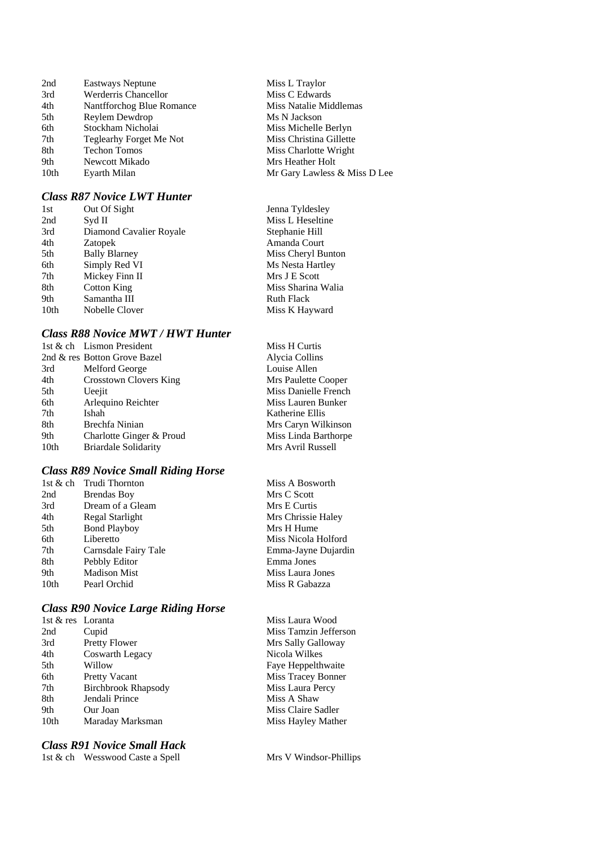| 2nd  | <b>Eastways Neptune</b>     |
|------|-----------------------------|
| 3rd  | <b>Werderris Chancellor</b> |
| 4th  | Nantfforchog Blue Romance   |
| 5th  | Reylem Dewdrop              |
| 6th  | Stockham Nicholai           |
| 7th  | Teglearhy Forget Me Not     |
| 8th  | <b>Techon Tomos</b>         |
| 9th  | Newcott Mikado              |
| 10th | Eyarth Milan                |
|      |                             |

#### *Class R87 Novice LWT Hunter*

| 1st              | Out Of Sight            |
|------------------|-------------------------|
| 2nd              | Syd II                  |
| 3rd              | Diamond Cavalier Royale |
| 4th              | Zatopek                 |
| 5th              | <b>Bally Blarney</b>    |
| 6th              | Simply Red VI           |
| 7th              | Mickey Finn II          |
| 8th              | Cotton King             |
| 9th              | Samantha III            |
| 10 <sub>th</sub> | Nobelle Clover          |

#### *Class R88 Novice MWT / HWT Hunter*

|      | 1st & ch Lismon President     | Miss H Curtis        |
|------|-------------------------------|----------------------|
|      | 2nd & res Botton Grove Bazel  | Alycia Collins       |
| 3rd  | Melford George                | Louise Allen         |
| 4th  | <b>Crosstown Clovers King</b> | Mrs Paulette Cooper  |
| 5th  | Ueejit                        | Miss Danielle French |
| 6th  | Arlequino Reichter            | Miss Lauren Bunker   |
| 7th  | Ishah                         | Katherine Ellis      |
| 8th  | Brechfa Ninian                | Mrs Caryn Wilkinson  |
| 9th  | Charlotte Ginger & Proud      | Miss Linda Barthorpe |
| 10th | <b>Briardale Solidarity</b>   | Mrs Avril Russell    |
|      |                               |                      |

### *Class R89 Novice Small Riding Horse*

| 1st & ch Trudi Thornton | Miss A Bosworth     |
|-------------------------|---------------------|
| <b>Brendas Boy</b>      | Mrs C Scott         |
| Dream of a Gleam        | Mrs E Curtis        |
| Regal Starlight         | Mrs Chrissie Haley  |
| <b>Bond Playboy</b>     | Mrs H Hume          |
| Liberetto               | Miss Nicola Holford |
| Carnsdale Fairy Tale    | Emma-Jayne Dujardin |
| Pebbly Editor           | Emma Jones          |
| <b>Madison Mist</b>     | Miss Laura Jones    |
| Pearl Orchid            | Miss R Gabazza      |
|                         |                     |

#### *Class R90 Novice Large Riding Horse*

| 1st & res Loranta |                            | Miss Laura Wood       |
|-------------------|----------------------------|-----------------------|
| 2nd               | Cupid                      | Miss Tamzin Jefferson |
| 3rd               | <b>Pretty Flower</b>       | Mrs Sally Galloway    |
| 4th               | Coswarth Legacy            | Nicola Wilkes         |
| 5th               | Willow                     | Faye Heppelthwaite    |
| 6th               | Pretty Vacant              | Miss Tracey Bonner    |
| 7th               | <b>Birchbrook Rhapsody</b> | Miss Laura Percy      |
| 8th               | Jendali Prince             | Miss A Shaw           |
| 9th               | Our Joan                   | Miss Claire Sadler    |
| 10th              | Maraday Marksman           | Miss Hayley Mather    |

#### *Class R91 Novice Small Hack*

1st & ch Wesswood Caste a Spell Mrs V Windsor-Phillips

Miss L Traylor Miss C Edwards Miss Natalie Middlemas Ms N Jackson Miss Michelle Berlyn Miss Christina Gillette Miss Charlotte Wright Mrs Heather Holt Mr Gary Lawless & Miss D Lee

Jenna Tyldesley Miss L Heseltine Stephanie Hill Amanda Court Miss Cheryl Bunton **Ms Nesta Hartley** Mrs J E Scott Miss Sharina Walia Ruth Flack Miss K Hayward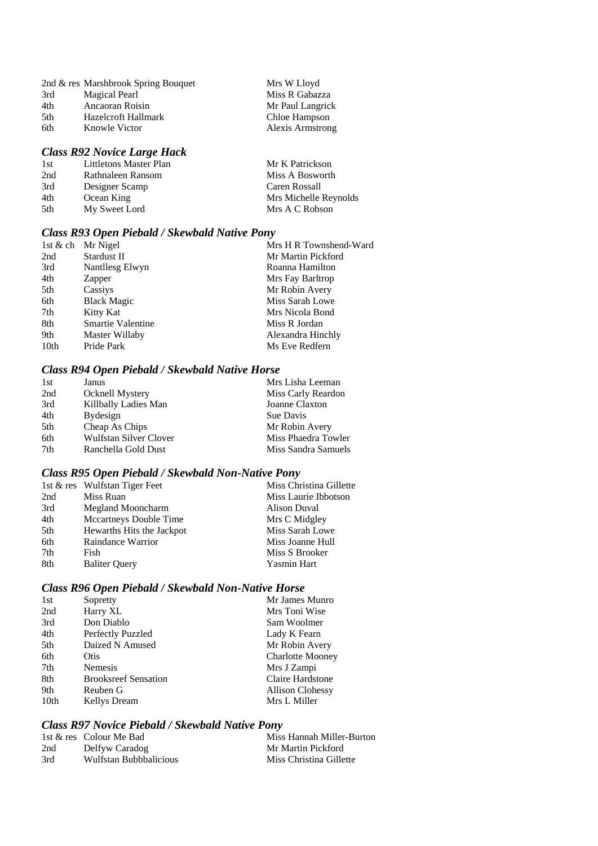|     | 2nd & res Marshbrook Spring Bouquet | Mrs W Lloyd      |
|-----|-------------------------------------|------------------|
| 3rd | Magical Pearl                       | Miss R Gabazza   |
| 4th | Ancaoran Roisin                     | Mr Paul Langrick |
| 5th | Hazelcroft Hallmark                 | Chloe Hampson    |
| 6th | Knowle Victor                       | Alexis Armstrong |
|     |                                     |                  |

### *Class R92 Novice Large Hack*

| 1st | Littletons Master Plan | Mr K Patrickson       |
|-----|------------------------|-----------------------|
| 2nd | Rathnaleen Ransom      | Miss A Bosworth       |
| 3rd | Designer Scamp         | Caren Rossall         |
| 4th | Ocean King             | Mrs Michelle Reynolds |
| 5th | My Sweet Lord          | Mrs A C Robson        |

#### *Class R93 Open Piebald / Skewbald Native Pony*

|      | 1st & ch Mr Nigel  | Mrs H R Townshend-Ward |
|------|--------------------|------------------------|
| 2nd  | Stardust II        | Mr Martin Pickford     |
| 3rd  | Nantllesg Elwyn    | Roanna Hamilton        |
| 4th  | Zapper             | Mrs Fay Barltrop       |
| 5th  | Cassiys            | Mr Robin Avery         |
| 6th  | <b>Black Magic</b> | Miss Sarah Lowe        |
| 7th  | Kitty Kat          | Mrs Nicola Bond        |
| 8th  | Smartie Valentine  | Miss R Jordan          |
| 9th  | Master Willaby     | Alexandra Hinchly      |
| 10th | Pride Park         | Ms Eve Redfern         |

### *Class R94 Open Piebald / Skewbald Native Horse*

| 1st | Janus                  | Mrs Lisha Leeman    |
|-----|------------------------|---------------------|
| 2nd | Ocknell Mystery        | Miss Carly Reardon  |
| 3rd | Killbally Ladies Man   | Joanne Claxton      |
| 4th | <b>Bydesign</b>        | Sue Davis           |
| 5th | Cheap As Chips         | Mr Robin Avery      |
| 6th | Wulfstan Silver Clover | Miss Phaedra Towler |
| 7th | Ranchella Gold Dust    | Miss Sandra Samuels |

### *Class R95 Open Piebald / Skewbald Non-Native Pony*

|                           | Miss Christina Gillette                            |
|---------------------------|----------------------------------------------------|
| Miss Ruan                 | Miss Laurie Ibbotson                               |
|                           | Alison Duval                                       |
| Mccartneys Double Time    | Mrs C Midgley                                      |
| Hewarths Hits the Jackpot | Miss Sarah Lowe                                    |
| Raindance Warrior         | Miss Joanne Hull                                   |
| Fish                      | Miss S Brooker                                     |
| <b>Baliter Query</b>      | <b>Yasmin Hart</b>                                 |
|                           | 1st & res Wulfstan Tiger Feet<br>Megland Mooncharm |

### *Class R96 Open Piebald / Skewbald Non-Native Horse*

| 1st  | Sopretty                    | Mr James Munro          |
|------|-----------------------------|-------------------------|
| 2nd  | Harry XL                    | Mrs Toni Wise           |
| 3rd  | Don Diablo                  | Sam Woolmer             |
| 4th  | Perfectly Puzzled           | Lady K Fearn            |
| 5th  | Daized N Amused             | Mr Robin Avery          |
| 6th  | Otis                        | <b>Charlotte Mooney</b> |
| 7th  | <b>Nemesis</b>              | Mrs J Zampi             |
| 8th  | <b>Brooksreef Sensation</b> | Claire Hardstone        |
| 9th  | Reuben G                    | <b>Allison Clohessy</b> |
| 10th | <b>Kellys Dream</b>         | Mrs L Miller            |
|      |                             |                         |

# *Class R97 Novice Piebald / Skewbald Native Pony*

|     | 1st & res Colour Me Bad | Miss Hannah Miller-Burton |
|-----|-------------------------|---------------------------|
| 2nd | Delfyw Caradog          | Mr Martin Pickford        |
| 3rd | Wulfstan Bubbbalicious  | Miss Christina Gillette   |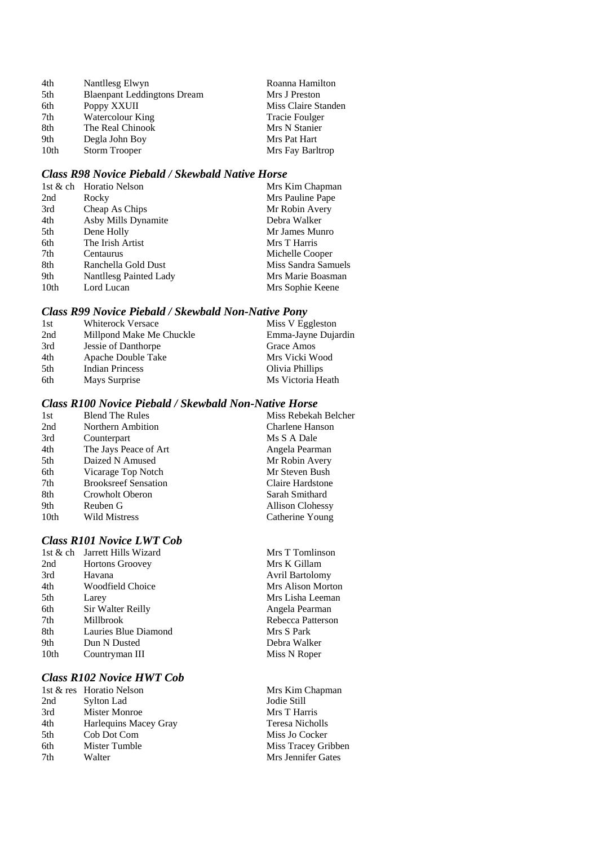| 4th  | Nantllesg Elwyn                    | Roanna Hamilton       |
|------|------------------------------------|-----------------------|
| 5th  | <b>Blaenpant Leddingtons Dream</b> | Mrs J Preston         |
| 6th  | Poppy XXUII                        | Miss Claire Standen   |
| 7th  | Watercolour King                   | <b>Tracie Foulger</b> |
| 8th  | The Real Chinook                   | Mrs N Stanier         |
| 9th  | Degla John Boy                     | Mrs Pat Hart          |
| 10th | <b>Storm Trooper</b>               | Mrs Fay Barltrop      |

### *Class R98 Novice Piebald / Skewbald Native Horse*

| 1st & ch         | Horatio Nelson         | Mrs Kim Chapman     |
|------------------|------------------------|---------------------|
| 2nd              | Rocky                  | Mrs Pauline Pape    |
| 3rd              | Cheap As Chips         | Mr Robin Avery      |
| 4th              | Asby Mills Dynamite    | Debra Walker        |
| 5th              | Dene Holly             | Mr James Munro      |
| 6th              | The Irish Artist       | Mrs T Harris        |
| 7th              | Centaurus              | Michelle Cooper     |
| 8th              | Ranchella Gold Dust    | Miss Sandra Samuels |
| 9th              | Nantllesg Painted Lady | Mrs Marie Boasman   |
| 10 <sub>th</sub> | Lord Lucan             | Mrs Sophie Keene    |

#### *Class R99 Novice Piebald / Skewbald Non-Native Pony*

| 1st | <b>Whiterock Versace</b> | Miss V Eggleston    |
|-----|--------------------------|---------------------|
| 2nd | Millpond Make Me Chuckle | Emma-Jayne Dujardin |
| 3rd | Jessie of Danthorpe      | Grace Amos          |
| 4th | Apache Double Take       | Mrs Vicki Wood      |
| 5th | <b>Indian Princess</b>   | Olivia Phillips     |
| 6th | Mays Surprise            | Ms Victoria Heath   |

### *Class R100 Novice Piebald / Skewbald Non-Native Horse*

| 1st  | <b>Blend The Rules</b>      | Miss Rebekah Belcher    |
|------|-----------------------------|-------------------------|
| 2nd  | Northern Ambition           | Charlene Hanson         |
| 3rd  | Counterpart                 | Ms S A Dale             |
| 4th  | The Jays Peace of Art       | Angela Pearman          |
| 5th  | Daized N Amused             | Mr Robin Avery          |
| 6th  | Vicarage Top Notch          | Mr Steven Bush          |
| 7th  | <b>Brooksreef Sensation</b> | Claire Hardstone        |
| 8th  | Crowholt Oberon             | Sarah Smithard          |
| 9th  | Reuben G                    | <b>Allison Clohessy</b> |
| 10th | Wild Mistress               | Catherine Young         |
|      |                             |                         |

### *Class R101 Novice LWT Cob*

|      | 1st & ch Jarrett Hills Wizard | Mrs T Tomlins  |
|------|-------------------------------|----------------|
| 2nd  | <b>Hortons Groovey</b>        | Mrs K Gillam   |
| 3rd  | Havana                        | Avril Bartolon |
| 4th  | Woodfield Choice              | Mrs Alison Mo  |
| 5th  | Larey                         | Mrs Lisha Lee  |
| 6th  | Sir Walter Reilly             | Angela Pearma  |
| 7th  | Millbrook                     | Rebecca Patter |
| 8th  | Lauries Blue Diamond          | Mrs S Park     |
| 9th  | Dun N Dusted                  | Debra Walker   |
| 10th | Countryman III                | Miss N Roper   |
|      |                               |                |

### *Class R102 Novice HWT Cob*

|     | 1st & res Horatio Nelson |
|-----|--------------------------|
| 2nd | Sylton Lad               |
| 3rd | Mister Monroe            |
| 4th | Harlequins Macey Gray    |
| 5th | Cob Dot Com              |
| 6th | Mister Tumble            |
| 7th | Walter                   |

romlinson artolomy ison Morton ha Leeman Pearman a Patterson

Mrs Kim Chapman Jodie Still Mrs T Harris Teresa Nicholls Miss Jo Cocker Miss Tracey Gribben Mrs Jennifer Gates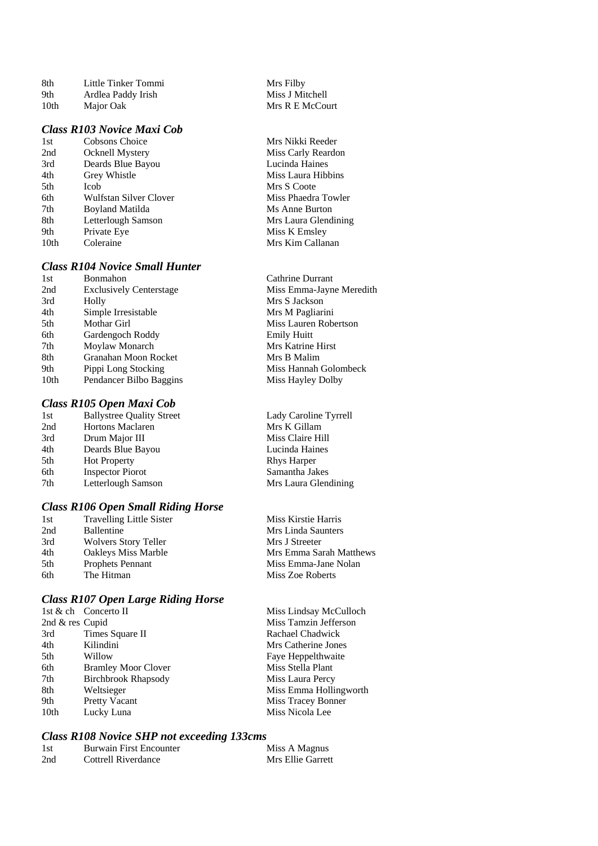| 8th  | Little Tinker Tommi | Mrs Filby       |
|------|---------------------|-----------------|
| 9th  | Ardlea Paddy Irish  | Miss J Mitchell |
| 10th | Major Oak           | Mrs R E McCourt |

#### *Class R103 Novice Maxi Cob*

| 1st              | Cobsons Choice         |
|------------------|------------------------|
| 2nd              | Ocknell Mystery        |
| 3rd              | Deards Blue Bayou      |
| 4th              | Grey Whistle           |
| .5th             | <b>Icob</b>            |
| 6th              | Wulfstan Silver Clover |
| 7th              | <b>Boyland Matilda</b> |
| 8th              | Letterlough Samson     |
| 9th              | Private Eye            |
| 10 <sub>th</sub> | Coleraine              |
|                  |                        |

#### *Class R104 Novice Small Hunter*

| l st | Bonmahon                       |
|------|--------------------------------|
| 2nd  | <b>Exclusively Centerstage</b> |
| 3rd  | Holly                          |
| 4th  | Simple Irresistable            |
| 5th  | Mothar Girl                    |
| 6th  | Gardengoch Roddy               |
| 7th  | Moylaw Monarch                 |
| 8th  | Granahan Moon Rocket           |
| 9th  | Pippi Long Stocking            |
| 10th | Pendancer Bilbo Baggins        |

#### *Class R105 Open Maxi Cob*

| 1st | <b>Ballystree Quality Street</b> |
|-----|----------------------------------|
| 2nd | <b>Hortons Maclaren</b>          |
| 3rd | Drum Major III                   |
| 4th | Deards Blue Bayou                |
| 5th | <b>Hot Property</b>              |
| 6th | <b>Inspector Piorot</b>          |
| 7th | Letterlough Samson               |
|     |                                  |

### *Class R106 Open Small Riding Horse*

| 1st | <b>Travelling Little Sister</b> |  |
|-----|---------------------------------|--|
| 2nd | <b>Ballentine</b>               |  |
| 3rd | <b>Wolvers Story Teller</b>     |  |
| 4th | <b>Oakleys Miss Marble</b>      |  |
| 5th | <b>Prophets Pennant</b>         |  |
| 6th | The Hitman                      |  |

#### *Class R107 Open Large Riding Horse*

| 1st & ch Concerto II       | Miss Lindsay McCulloch |
|----------------------------|------------------------|
| 2nd & res Cupid            | Miss Tamzin Jefferson  |
| Times Square II            | Rachael Chadwick       |
| Kilindini                  | Mrs Catherine Jones    |
| Willow                     | Faye Heppelthwaite     |
| <b>Bramley Moor Clover</b> | Miss Stella Plant      |
| <b>Birchbrook Rhapsody</b> | Miss Laura Percy       |
| Weltsieger                 | Miss Emma Hollingworth |
| Pretty Vacant              | Miss Tracey Bonner     |
| Lucky Luna                 | Miss Nicola Lee        |
|                            |                        |

#### *Class R108 Novice SHP not exceeding 133cms*

| 1st | <b>Burwain First Encounter</b> | Miss A Magnus     |
|-----|--------------------------------|-------------------|
| 2nd | Cottrell Riverdance            | Mrs Ellie Garrett |

Mrs Nikki Reeder Miss Carly Reardon Lucinda Haines Miss Laura Hibbins Mrs S Coote Miss Phaedra Towler Ms Anne Burton Mrs Laura Glendining Miss K Emsley Mrs Kim Callanan

Cathrine Durrant Miss Emma-Jayne Meredith Mrs S Jackson Mrs M Pagliarini Miss Lauren Robertson **Emily Huitt** Mrs Katrine Hirst Mrs B Malim Miss Hannah Golombeck Miss Hayley Dolby

Lady Caroline Tyrrell  $Mrs$  K Gillam Miss Claire Hill Lucinda Haines Rhys Harper Samantha Jakes Mrs Laura Glendining

Miss Kirstie Harris Mrs Linda Saunters Mrs J Streeter Mrs Emma Sarah Matthews Miss Emma-Jane Nolan Miss Zoe Roberts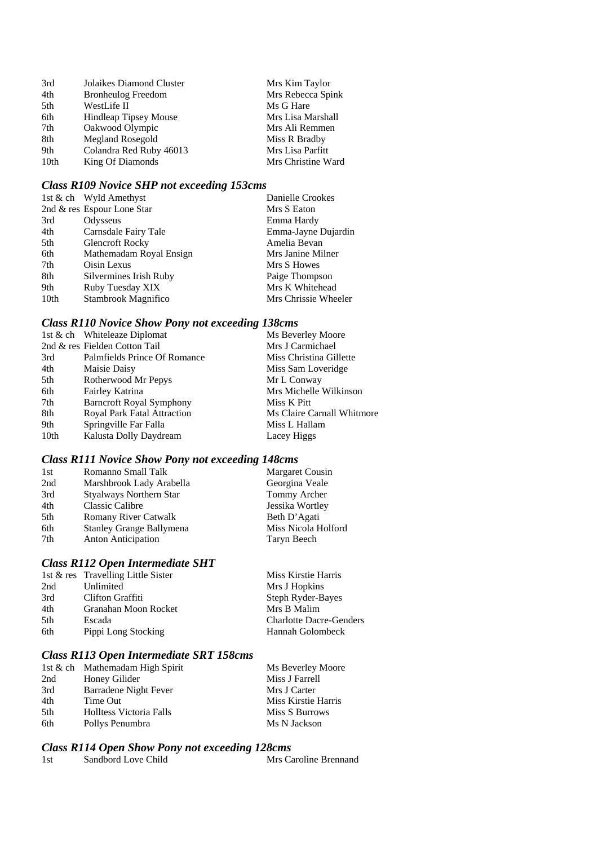| 3rd  | Jolaikes Diamond Cluster     | Mrs Kim Taylor     |
|------|------------------------------|--------------------|
| 4th  | <b>Bronheulog Freedom</b>    | Mrs Rebecca Spink  |
| 5th  | WestLife II                  | Ms G Hare          |
| 6th  | <b>Hindleap Tipsey Mouse</b> | Mrs Lisa Marshall  |
| 7th  | Oakwood Olympic              | Mrs Ali Remmen     |
| 8th  | Megland Rosegold             | Miss R Bradby      |
| 9th  | Colandra Red Ruby 46013      | Mrs Lisa Parfitt   |
| 10th | King Of Diamonds             | Mrs Christine Ward |

# *Class R109 Novice SHP not exceeding 153cms*

|      | 1st & ch Wyld Amethyst     | Danielle Crookes     |
|------|----------------------------|----------------------|
|      | 2nd & res Espour Lone Star | Mrs S Eaton          |
| 3rd  | Odysseus                   | Emma Hardy           |
| 4th  | Carnsdale Fairy Tale       | Emma-Jayne Dujardin  |
| 5th  | <b>Glencroft Rocky</b>     | Amelia Bevan         |
| 6th  | Mathemadam Royal Ensign    | Mrs Janine Milner    |
| 7th  | Oisin Lexus                | Mrs S Howes          |
| 8th  | Silvermines Irish Ruby     | Paige Thompson       |
| 9th  | Ruby Tuesday XIX           | Mrs K Whitehead      |
| 10th | Stambrook Magnifico        | Mrs Chrissie Wheeler |

### *Class R110 Novice Show Pony not exceeding 138cms*

|      | 1st & ch Whiteleaze Diplomat    | Ms Beverley Moore          |
|------|---------------------------------|----------------------------|
|      | 2nd & res Fielden Cotton Tail   | Mrs J Carmichael           |
| 3rd  | Palmfields Prince Of Romance    | Miss Christina Gillette    |
| 4th  | Maisie Daisy                    | Miss Sam Loveridge         |
| 5th  | Rotherwood Mr Pepys             | Mr L Conway                |
| 6th  | Fairley Katrina                 | Mrs Michelle Wilkinson     |
| 7th  | <b>Barncroft Royal Symphony</b> | Miss K Pitt                |
| 8th  | Royal Park Fatal Attraction     | Ms Claire Carnall Whitmore |
| 9th  | Springville Far Falla           | Miss L Hallam              |
| 10th | Kalusta Dolly Daydream          | Lacey Higgs                |

# *Class R111 Novice Show Pony not exceeding 148cms*

| 1st | Romanno Small Talk              | Margaret Cousin     |
|-----|---------------------------------|---------------------|
| 2nd | Marshbrook Lady Arabella        | Georgina Veale      |
| 3rd | Styalways Northern Star         | Tommy Archer        |
| 4th | Classic Calibre                 | Jessika Wortley     |
| 5th | <b>Romany River Catwalk</b>     | Beth D'Agati        |
| 6th | <b>Stanley Grange Ballymena</b> | Miss Nicola Holford |
| 7th | <b>Anton Anticipation</b>       | Taryn Beech         |

# *Class R112 Open Intermediate SHT*

|     | 1st & res Travelling Little Sister | Miss Kirstie Harris            |
|-----|------------------------------------|--------------------------------|
| 2nd | Unlimited                          | Mrs J Hopkins                  |
| 3rd | Clifton Graffiti                   | Steph Ryder-Bayes              |
| 4th | Granahan Moon Rocket               | Mrs B Malim                    |
| 5th | Escada                             | <b>Charlotte Dacre-Genders</b> |
| 6th | Pippi Long Stocking                | Hannah Golombeck               |
|     |                                    |                                |

# *Class R113 Open Intermediate SRT 158cms*

|      | 1st & ch Mathemadam High Spirit | Ms Beverley Moore   |
|------|---------------------------------|---------------------|
| 2nd  | Honey Gilider                   | Miss J Farrell      |
| 3rd  | Barradene Night Fever           | Mrs J Carter        |
| 4th  | Time Out                        | Miss Kirstie Harris |
| .5th | <b>Holltess Victoria Falls</b>  | Miss S Burrows      |
| 6th  | Pollys Penumbra                 | Ms N Jackson        |

# *Class R114 Open Show Pony not exceeding 128cms*

| Sandbord Love Child<br>1st | Mrs Caroline Brennand |
|----------------------------|-----------------------|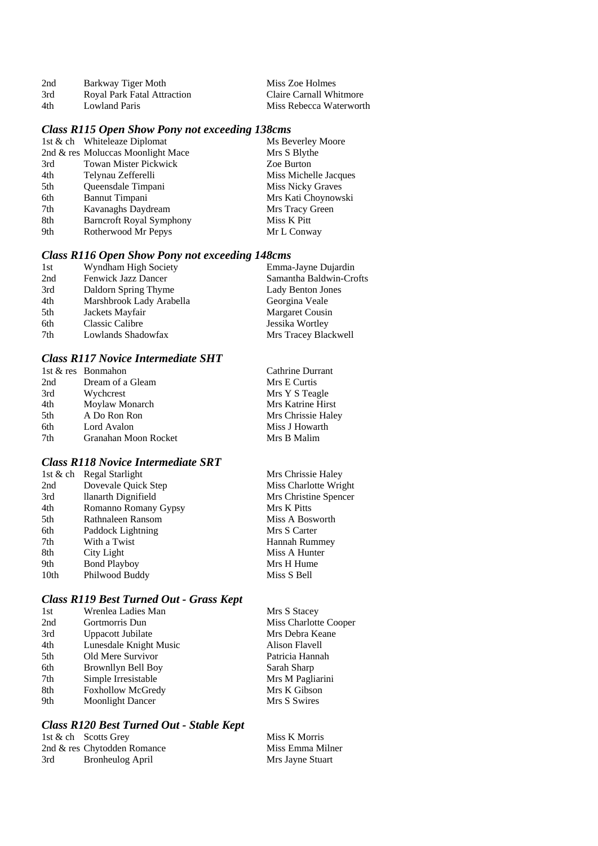| 2nd | Barkway Tiger Moth          | Miss Zoe Holmes         |
|-----|-----------------------------|-------------------------|
| 3rd | Royal Park Fatal Attraction | Claire Carnall Whitmore |
| 4th | Lowland Paris               | Miss Rebecca Waterworth |

### *Class R115 Open Show Pony not exceeding 138cms*

|     | 1st & ch Whiteleaze Diplomat      | Ms Beverley Moore        |
|-----|-----------------------------------|--------------------------|
|     | 2nd & res Moluccas Moonlight Mace | Mrs S Blythe             |
| 3rd | <b>Towan Mister Pickwick</b>      | Zoe Burton               |
| 4th | Telynau Zefferelli                | Miss Michelle Jacques    |
| 5th | Queensdale Timpani                | <b>Miss Nicky Graves</b> |
| 6th | Bannut Timpani                    | Mrs Kati Choynowski      |
| 7th | Kavanaghs Daydream                | Mrs Tracy Green          |
| 8th | <b>Barncroft Royal Symphony</b>   | Miss K Pitt              |
| 9th | Rotherwood Mr Pepys               | Mr L Conway              |

#### *Class R116 Open Show Pony not exceeding 148cms*

| 1st | Wyndham High Society     | Emma-Jayne Dujardin     |
|-----|--------------------------|-------------------------|
| 2nd | Fenwick Jazz Dancer      | Samantha Baldwin-Crofts |
| 3rd | Daldorn Spring Thyme     | Lady Benton Jones       |
| 4th | Marshbrook Lady Arabella | Georgina Veale          |
| 5th | Jackets Mayfair          | Margaret Cousin         |
| 6th | Classic Calibre          | Jessika Wortley         |
| 7th | Lowlands Shadowfax       | Mrs Tracey Blackwell    |

### *Class R117 Novice Intermediate SHT*

|     | 1st & res Bonmahon   | Cathrine Durrant   |
|-----|----------------------|--------------------|
| 2nd | Dream of a Gleam     | Mrs E Curtis       |
| 3rd | Wychcrest            | Mrs Y S Teagle     |
| 4th | Moylaw Monarch       | Mrs Katrine Hirst  |
| 5th | A Do Ron Ron         | Mrs Chrissie Haley |
| 6th | Lord Avalon          | Miss J Howarth     |
| 7th | Granahan Moon Rocket | Mrs B Malim        |

### *Class R118 Novice Intermediate SRT*

| 1st & ch         | Regal Starlight      | Mrs Chrissie Haley    |
|------------------|----------------------|-----------------------|
| 2nd              | Dovevale Quick Step  | Miss Charlotte Wright |
| 3rd              | llanarth Dignifield  | Mrs Christine Spencer |
| 4th              | Romanno Romany Gypsy | Mrs K Pitts           |
| 5th              | Rathnaleen Ransom    | Miss A Bosworth       |
| 6th              | Paddock Lightning    | Mrs S Carter          |
| 7th              | With a Twist         | <b>Hannah Rummey</b>  |
| 8th              | City Light           | Miss A Hunter         |
| 9th              | <b>Bond Playboy</b>  | Mrs H Hume            |
| 10 <sub>th</sub> | Philwood Buddy       | Miss S Bell           |

### *Class R119 Best Turned Out - Grass Kept*

| 1st | Wrenlea Ladies Man       | Mrs S Stacey          |
|-----|--------------------------|-----------------------|
| 2nd | Gortmorris Dun           | Miss Charlotte Cooper |
| 3rd | Uppacott Jubilate        | Mrs Debra Keane       |
| 4th | Lunesdale Knight Music   | Alison Flavell        |
| 5th | Old Mere Survivor        | Patricia Hannah       |
| 6th | Brownllyn Bell Boy       | Sarah Sharp           |
| 7th | Simple Irresistable      | Mrs M Pagliarini      |
| 8th | <b>Foxhollow McGredy</b> | Mrs K Gibson          |
| 9th | <b>Moonlight Dancer</b>  | Mrs S Swires          |
|     |                          |                       |

# *Class R120 Best Turned Out - Stable Kept*

|     | 1st $\&$ ch Scotts Grey     |
|-----|-----------------------------|
|     | 2nd & res Chytodden Romance |
| 3rd | <b>Bronheulog April</b>     |

Miss K Morris Miss Emma Milner Mrs Jayne Stuart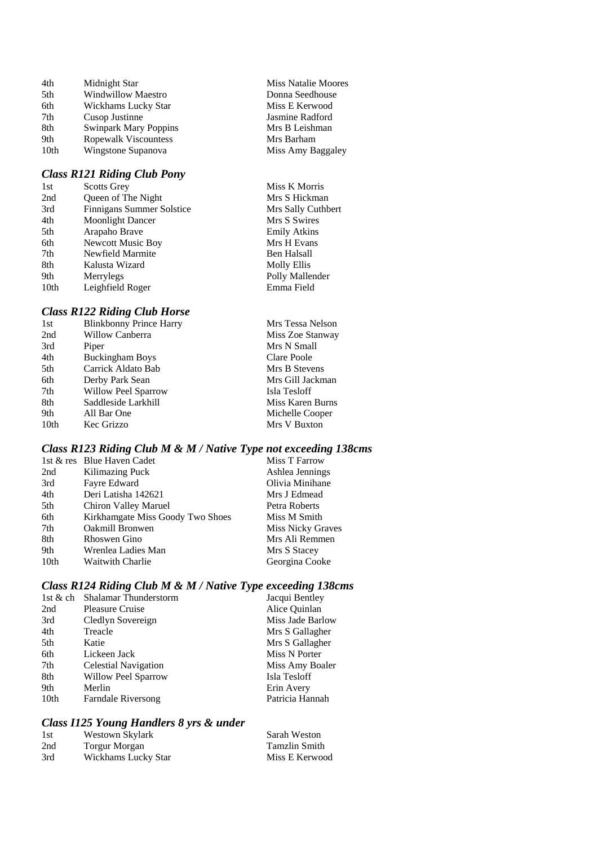| 4th              | Midnight Star                |
|------------------|------------------------------|
| 5th              | <b>Windwillow Maestro</b>    |
| 6th              | Wickhams Lucky Star          |
| 7th              | Cusop Justinne               |
| 8th              | <b>Swinpark Mary Poppins</b> |
| 9th              | <b>Ropewalk Viscountess</b>  |
| 10 <sub>th</sub> | Wingstone Supanova           |

### *Class R121 Riding Club Pony*

| 1st              | <b>Scotts Grey</b>               | Miss K Morris       |
|------------------|----------------------------------|---------------------|
| 2nd              | Queen of The Night               | Mrs S Hickman       |
| 3rd              | <b>Finnigans Summer Solstice</b> | Mrs Sally Cuthbert  |
| 4th              | <b>Moonlight Dancer</b>          | Mrs S Swires        |
| 5th              | Arapaho Brave                    | <b>Emily Atkins</b> |
| 6th              | Newcott Music Boy                | Mrs H Evans         |
| 7th              | Newfield Marmite                 | Ben Halsall         |
| 8th              | Kalusta Wizard                   | <b>Molly Ellis</b>  |
| 9th              | Merrylegs                        | Polly Mallender     |
| 10 <sub>th</sub> | Leighfield Roger                 | Emma Field          |
|                  |                                  |                     |

Miss Natalie Moores Donna Seedhouse Miss E Kerwood Jasmine Radford Mrs B Leishman Mrs Barham Miss Amy Baggaley

#### *Class R122 Riding Club Horse*

| 1st              | <b>Blinkbonny Prince Harry</b> | Mrs Tessa Nelson |
|------------------|--------------------------------|------------------|
| 2nd              | Willow Canberra                | Miss Zoe Stanway |
| 3rd              | Piper                          | Mrs N Small      |
| 4th              | <b>Buckingham Boys</b>         | Clare Poole      |
| 5th              | Carrick Aldato Bab             | Mrs B Stevens    |
| 6th              | Derby Park Sean                | Mrs Gill Jackman |
| 7th              | Willow Peel Sparrow            | Isla Tesloff     |
| 8th              | Saddleside Larkhill            | Miss Karen Burns |
| 9th              | All Bar One                    | Michelle Cooper  |
| 10 <sub>th</sub> | Kec Grizzo                     | Mrs V Buxton     |

# *Class R123 Riding Club M & M / Native Type not exceeding 138cms*

|      | 1st & res Blue Haven Cadet       | Miss T Farrow     |
|------|----------------------------------|-------------------|
| 2nd  | Kilimazing Puck                  | Ashlea Jennings   |
| 3rd  | Fayre Edward                     | Olivia Minihane   |
| 4th  | Deri Latisha 142621              | Mrs J Edmead      |
| 5th  | Chiron Valley Maruel             | Petra Roberts     |
| 6th  | Kirkhamgate Miss Goody Two Shoes | Miss M Smith      |
| 7th  | Oakmill Bronwen                  | Miss Nicky Graves |
| 8th  | Rhoswen Gino                     | Mrs Ali Remmen    |
| 9th  | Wrenlea Ladies Man               | Mrs S Stacey      |
| 10th | <b>Waitwith Charlie</b>          | Georgina Cooke    |

### *Class R124 Riding Club M & M / Native Type exceeding 138cms*

| 1st & ch | Shalamar Thunderstorm       | Jacqui Bentley   |
|----------|-----------------------------|------------------|
| 2nd      | <b>Pleasure Cruise</b>      | Alice Quinlan    |
| 3rd      | Cledlyn Sovereign           | Miss Jade Barlow |
| 4th      | Treacle                     | Mrs S Gallagher  |
| 5th      | Katie                       | Mrs S Gallagher  |
| 6th      | Lickeen Jack                | Miss N Porter    |
| 7th      | <b>Celestial Navigation</b> | Miss Amy Boaler  |
| 8th      | Willow Peel Sparrow         | Isla Tesloff     |
| 9th      | Merlin                      | Erin Avery       |
| 10th     | <b>Farndale Riversong</b>   | Patricia Hannah  |
|          |                             |                  |

### *Class I125 Young Handlers 8 yrs & under*

| 1st | Westown Skylark     | Sarah Weston         |
|-----|---------------------|----------------------|
| 2nd | Torgur Morgan       | <b>Tamzlin Smith</b> |
| 3rd | Wickhams Lucky Star | Miss E Kerwood       |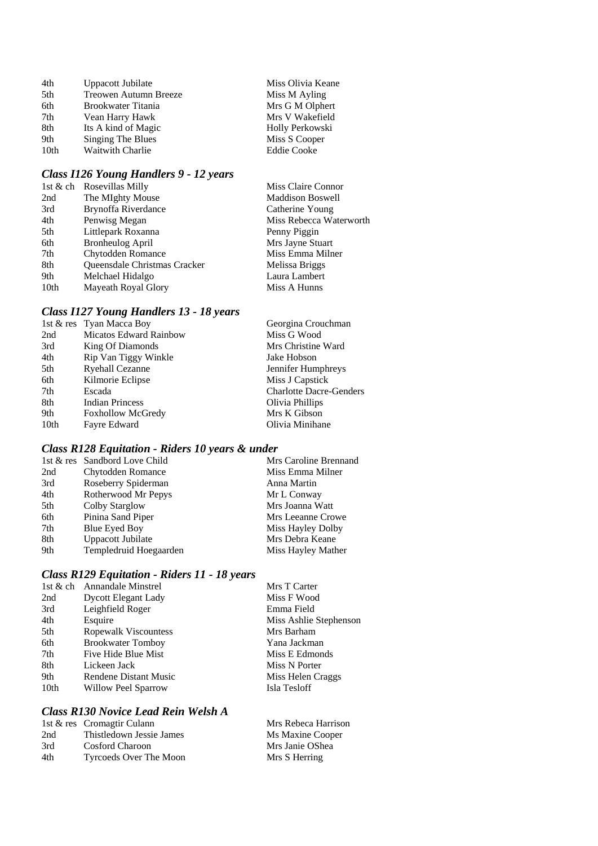| 4th  | Uppacott Jubilate         | Miss Olivia Keane |
|------|---------------------------|-------------------|
| 5th  | Treowen Autumn Breeze     | Miss M Ayling     |
| 6th  | <b>Brookwater Titania</b> | Mrs G M Olphert   |
| 7th  | Vean Harry Hawk           | Mrs V Wakefield   |
| 8th  | Its A kind of Magic       | Holly Perkowski   |
| 9th  | Singing The Blues         | Miss S Cooper     |
| 10th | <b>Waitwith Charlie</b>   | Eddie Cooke       |

# *Class I126 Young Handlers 9 - 12 years*

|      | 1st & ch Rosevillas Milly    | Miss Claire Connor      |
|------|------------------------------|-------------------------|
| 2nd  | The MIghty Mouse             | <b>Maddison Boswell</b> |
| 3rd  | Brynoffa Riverdance          | Catherine Young         |
| 4th  | Penwisg Megan                | Miss Rebecca Waterworth |
| 5th  | Littlepark Roxanna           | Penny Piggin            |
| 6th  | <b>Bronheulog April</b>      | Mrs Jayne Stuart        |
| 7th  | Chytodden Romance            | Miss Emma Milner        |
| 8th  | Queensdale Christmas Cracker | Melissa Briggs          |
| 9th  | Melchael Hidalgo             | Laura Lambert           |
| 10th | Mayeath Royal Glory          | Miss A Hunns            |

### *Class I127 Young Handlers 13 - 18 years*

|      | 1st & res Tyan Macca Boy      | Georgina Crouchman             |
|------|-------------------------------|--------------------------------|
| 2nd  | <b>Micatos Edward Rainbow</b> | Miss G Wood                    |
| 3rd  | King Of Diamonds              | Mrs Christine Ward             |
| 4th  | Rip Van Tiggy Winkle          | Jake Hobson                    |
| 5th  | <b>Ryehall Cezanne</b>        | Jennifer Humphreys             |
| 6th  | Kilmorie Eclipse              | Miss J Capstick                |
| 7th  | Escada                        | <b>Charlotte Dacre-Genders</b> |
| 8th  | <b>Indian Princess</b>        | Olivia Phillips                |
| 9th  | <b>Foxhollow McGredy</b>      | Mrs K Gibson                   |
| 10th | Favre Edward                  | Olivia Minihane                |

# *Class R128 Equitation - Riders 10 years & under*

| 1st & res Sandbord Love Child | Mrs Caroline Brennand |
|-------------------------------|-----------------------|
| <b>Chytodden Romance</b>      | Miss Emma Milner      |
| Roseberry Spiderman           | Anna Martin           |
| Rotherwood Mr Pepys           | Mr L Conway           |
| Colby Starglow                | Mrs Joanna Watt       |
| Pinina Sand Piper             | Mrs Leeanne Crowe     |
| <b>Blue Eyed Boy</b>          | Miss Hayley Dolby     |
| Uppacott Jubilate             | Mrs Debra Keane       |
| Templedruid Hoegaarden        | Miss Hayley Mather    |
|                               |                       |

# *Class R129 Equitation - Riders 11 - 18 years*

| Miss Ashlie Stephenson |
|------------------------|
|                        |
|                        |
|                        |
|                        |
|                        |
|                        |
|                        |

# *Class R130 Novice Lead Rein Welsh A*

|     | 1st & res Cromagtir Culann | Mrs Rebeca Harrison |
|-----|----------------------------|---------------------|
| 2nd | Thistledown Jessie James   | Ms Maxine Cooper    |
| 3rd | Cosford Charoon            | Mrs Janie OShea     |
| 4th | Tyrcoeds Over The Moon     | Mrs S Herring       |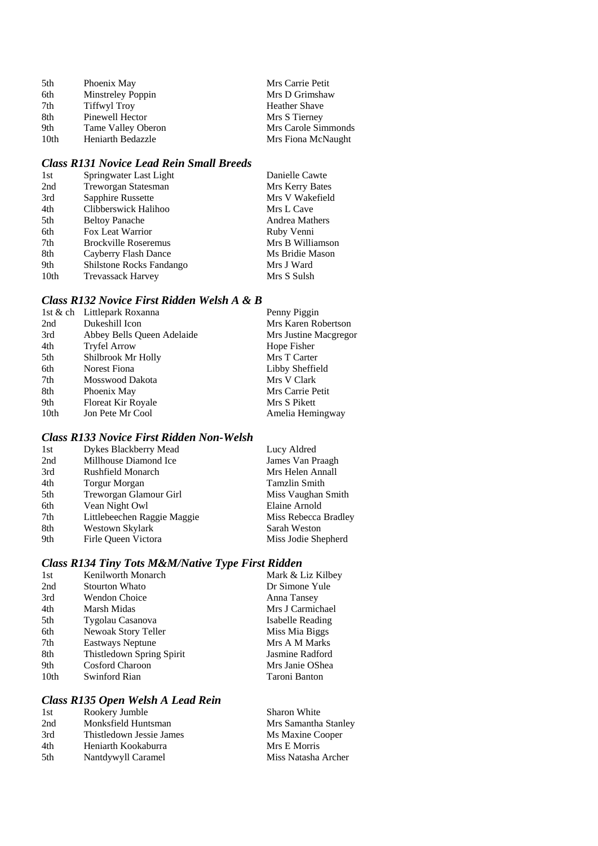| 5th  | Phoenix May         | Mrs Carrie Petit     |
|------|---------------------|----------------------|
| 6th  | Minstreley Poppin   | Mrs D Grimshaw       |
| 7th  | <b>Tiffwyl Troy</b> | <b>Heather Shave</b> |
| 8th  | Pinewell Hector     | Mrs S Tierney        |
| 9th  | Tame Valley Oberon  | Mrs Carole Simmonds  |
| 10th | Heniarth Bedazzle   | Mrs Fiona McNaught   |

### *Class R131 Novice Lead Rein Small Breeds*

| 1st              | Springwater Last Light      | Danielle Cawte        |
|------------------|-----------------------------|-----------------------|
| 2nd              | Treworgan Statesman         | Mrs Kerry Bates       |
| 3rd              | Sapphire Russette           | Mrs V Wakefield       |
| 4th              | Clibberswick Halihoo        | Mrs L Cave            |
| 5th              | <b>Beltoy Panache</b>       | <b>Andrea Mathers</b> |
| 6th              | Fox Leat Warrior            | Ruby Venni            |
| 7th              | <b>Brockville Roseremus</b> | Mrs B Williamson      |
| 8th              | Cayberry Flash Dance        | Ms Bridie Mason       |
| 9th              | Shilstone Rocks Fandango    | Mrs J Ward            |
| 10 <sub>th</sub> | <b>Trevassack Harvey</b>    | Mrs S Sulsh           |

#### *Class R132 Novice First Ridden Welsh A & B*

|      | 1st & ch Littlepark Roxanna | Penny Piggin          |
|------|-----------------------------|-----------------------|
| 2nd  | Dukeshill Icon              | Mrs Karen Robertson   |
| 3rd  | Abbey Bells Queen Adelaide  | Mrs Justine Macgregor |
| 4th  | <b>Tryfel Arrow</b>         | Hope Fisher           |
| 5th  | Shilbrook Mr Holly          | Mrs T Carter          |
| 6th  | <b>Norest Fiona</b>         | Libby Sheffield       |
| 7th  | Mosswood Dakota             | Mrs V Clark           |
| 8th  | Phoenix May                 | Mrs Carrie Petit      |
| 9th  | Floreat Kir Royale          | Mrs S Pikett          |
| 10th | Jon Pete Mr Cool            | Amelia Hemingway      |

### *Class R133 Novice First Ridden Non-Welsh*

| 1st | Dykes Blackberry Mead       | Lucy Aldred          |
|-----|-----------------------------|----------------------|
| 2nd | Millhouse Diamond Ice       | James Van Praagh     |
| 3rd | Rushfield Monarch           | Mrs Helen Annall     |
| 4th | <b>Torgur Morgan</b>        | <b>Tamzlin Smith</b> |
| 5th | Treworgan Glamour Girl      | Miss Vaughan Smith   |
| 6th | Vean Night Owl              | Elaine Arnold        |
| 7th | Littlebeechen Raggie Maggie | Miss Rebecca Bradley |
| 8th | Westown Skylark             | Sarah Weston         |
| 9th | Firle Queen Victora         | Miss Jodie Shepherd  |
|     |                             |                      |

### *Class R134 Tiny Tots M&M/Native Type First Ridden*

| 1st              | Kenilworth Monarch        | Mark & Liz Kilbey |
|------------------|---------------------------|-------------------|
| 2nd              | Stourton Whato            | Dr Simone Yule    |
| 3rd              | Wendon Choice             | Anna Tansey       |
| 4th              | Marsh Midas               | Mrs J Carmichael  |
| 5th              | Tygolau Casanova          | Isabelle Reading  |
| 6th              | Newoak Story Teller       | Miss Mia Biggs    |
| 7th              | Eastways Neptune          | Mrs A M Marks     |
| 8th              | Thistledown Spring Spirit | Jasmine Radford   |
| 9th              | Cosford Charoon           | Mrs Janie OShea   |
| 10 <sub>th</sub> | Swinford Rian             | Taroni Banton     |
|                  |                           |                   |

### *Class R135 Open Welsh A Lead Rein*

| 1st | Rookery Jumble           | Sharon White         |
|-----|--------------------------|----------------------|
| 2nd | Monksfield Huntsman      | Mrs Samantha Stanley |
| 3rd | Thistledown Jessie James | Ms Maxine Cooper     |
| 4th | Heniarth Kookaburra      | Mrs E Morris         |
| 5th | Nantdywyll Caramel       | Miss Natasha Archer  |
|     |                          |                      |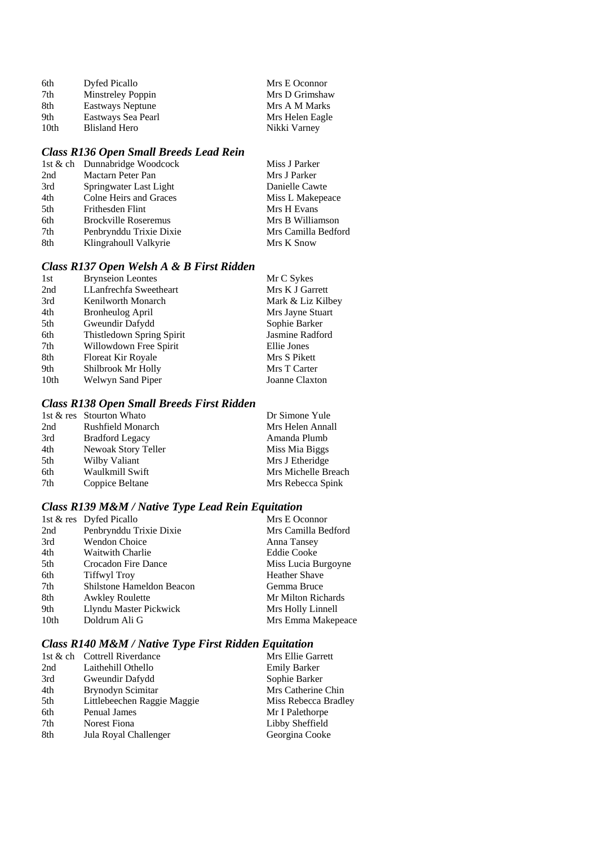| 6th  | Dyfed Picallo      | Mrs E Oconnor   |
|------|--------------------|-----------------|
| 7th  | Minstreley Poppin  | Mrs D Grimshaw  |
| 8th  | Eastways Neptune   | Mrs A M Marks   |
| 9th  | Eastways Sea Pearl | Mrs Helen Eagle |
| 10th | Blisland Hero      | Nikki Varney    |

# *Class R136 Open Small Breeds Lead Rein*

|     | 1st & ch Dunnabridge Woodcock | Miss J Parker       |
|-----|-------------------------------|---------------------|
| 2nd | Mactarn Peter Pan             | Mrs J Parker        |
| 3rd | Springwater Last Light        | Danielle Cawte      |
| 4th | Colne Heirs and Graces        | Miss L Makepeace    |
| 5th | Frithesden Flint              | Mrs H Evans         |
| 6th | <b>Brockville Roseremus</b>   | Mrs B Williamson    |
| 7th | Penbrynddu Trixie Dixie       | Mrs Camilla Bedford |
| 8th | Klingrahoull Valkyrie         | Mrs K Snow          |

# *Class R137 Open Welsh A & B First Ridden*

| 1st              | <b>Brynseion Leontes</b>  | Mr C Sykes        |
|------------------|---------------------------|-------------------|
| 2nd              | LLanfrechfa Sweetheart    | Mrs K J Garrett   |
| 3rd              | Kenilworth Monarch        | Mark & Liz Kilbey |
| 4th              | Bronheulog April          | Mrs Jayne Stuart  |
| 5th              | Gweundir Dafydd           | Sophie Barker     |
| 6th              | Thistledown Spring Spirit | Jasmine Radford   |
| 7th              | Willowdown Free Spirit    | Ellie Jones       |
| 8th              | Floreat Kir Royale        | Mrs S Pikett      |
| 9th              | Shilbrook Mr Holly        | Mrs T Carter      |
| 10 <sub>th</sub> | Welwyn Sand Piper         | Joanne Claxton    |
|                  |                           |                   |

### *Class R138 Open Small Breeds First Ridden*

|     | 1st & res Stourton Whato | Dr Simone Yule      |
|-----|--------------------------|---------------------|
| 2nd | Rushfield Monarch        | Mrs Helen Annall    |
| 3rd | <b>Bradford Legacy</b>   | Amanda Plumb        |
| 4th | Newoak Story Teller      | Miss Mia Biggs      |
| 5th | Wilby Valiant            | Mrs J Etheridge     |
| 6th | Waulkmill Swift          | Mrs Michelle Breach |
| 7th | Coppice Beltane          | Mrs Rebecca Spink   |
|     |                          |                     |

# *Class R139 M&M / Native Type Lead Rein Equitation*

|                  | 1st & res Dyfed Picallo   | Mrs E Oconnor        |
|------------------|---------------------------|----------------------|
| 2nd              | Penbrynddu Trixie Dixie   | Mrs Camilla Bedford  |
| 3rd              | Wendon Choice             | Anna Tansey          |
| 4th              | <b>Waitwith Charlie</b>   | <b>Eddie Cooke</b>   |
| 5th              | Crocadon Fire Dance       | Miss Lucia Burgoyne  |
| 6th              | <b>Tiffwyl Troy</b>       | <b>Heather Shave</b> |
| 7th              | Shilstone Hameldon Beacon | Gemma Bruce          |
| 8th              | <b>Awkley Roulette</b>    | Mr Milton Richards   |
| 9th              | Llyndu Master Pickwick    | Mrs Holly Linnell    |
| 10 <sub>th</sub> | Doldrum Ali G             | Mrs Emma Makepeace   |

# *Class R140 M&M / Native Type First Ridden Equitation*

|     | 1st & ch Cottrell Riverdance | Mrs Ellie Garrett    |
|-----|------------------------------|----------------------|
| 2nd | Laithehill Othello           | <b>Emily Barker</b>  |
| 3rd | Gweundir Dafydd              | Sophie Barker        |
| 4th | Brynodyn Scimitar            | Mrs Catherine Chin   |
| 5th | Littlebeechen Raggie Maggie  | Miss Rebecca Bradley |
| 6th | Penual James                 | Mr I Palethorpe      |
| 7th | <b>Norest Fiona</b>          | Libby Sheffield      |
| 8th | Jula Royal Challenger        | Georgina Cooke       |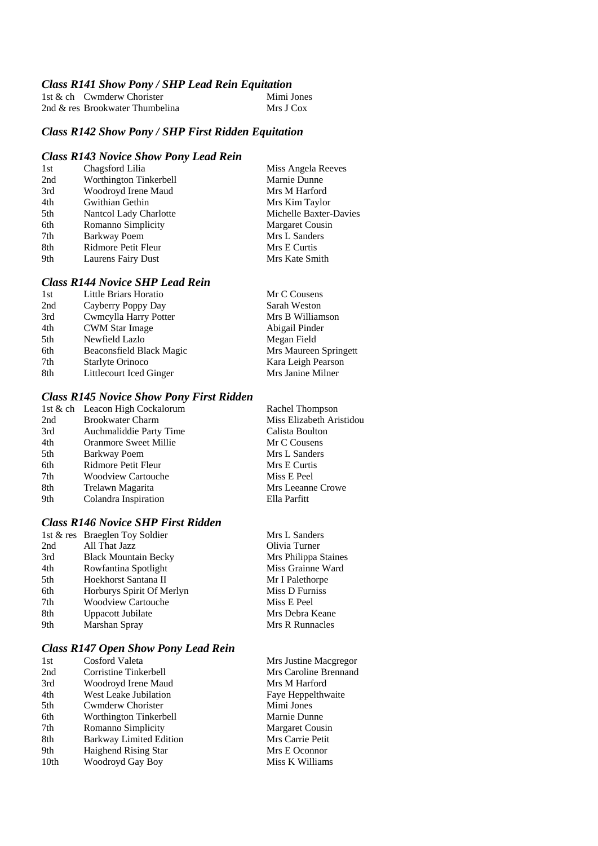#### *Class R141 Show Pony / SHP Lead Rein Equitation*

| 1st & ch Cwmderw Chorister      | Mimi Jones |
|---------------------------------|------------|
| 2nd & res Brookwater Thumbelina | Mrs J Cox  |

#### *Class R142 Show Pony / SHP First Ridden Equitation*

#### *Class R143 Novice Show Pony Lead Rein*

| 1st | Chagsford Lilia        | Miss Angela Reeves     |
|-----|------------------------|------------------------|
| 2nd | Worthington Tinkerbell | Marnie Dunne           |
| 3rd | Woodroyd Irene Maud    | Mrs M Harford          |
| 4th | Gwithian Gethin        | Mrs Kim Taylor         |
| 5th | Nantcol Lady Charlotte | Michelle Baxter-Davies |
| 6th | Romanno Simplicity     | <b>Margaret Cousin</b> |
| 7th | Barkway Poem           | Mrs L Sanders          |
| 8th | Ridmore Petit Fleur    | Mrs E Curtis           |
| 9th | Laurens Fairy Dust     | Mrs Kate Smith         |

### *Class R144 Novice SHP Lead Rein*

| 1st | Little Briars Horatio    | Mr C Cousens          |
|-----|--------------------------|-----------------------|
| 2nd | Cayberry Poppy Day       | Sarah Weston          |
| 3rd | Cwmcylla Harry Potter    | Mrs B Williamson      |
| 4th | <b>CWM Star Image</b>    | Abigail Pinder        |
| 5th | Newfield Lazlo           | Megan Field           |
| 6th | Beaconsfield Black Magic | Mrs Maureen Springett |
| 7th | Starlyte Orinoco         | Kara Leigh Pearson    |
| 8th | Littlecourt Iced Ginger  | Mrs Janine Milner     |
|     |                          |                       |

#### *Class R145 Novice Show Pony First Ridden*

|     | 1st & ch Leacon High Cockalorum | Rachel Thompson          |
|-----|---------------------------------|--------------------------|
| 2nd | <b>Brookwater Charm</b>         | Miss Elizabeth Aristidou |
| 3rd | Auchmaliddie Party Time         | Calista Boulton          |
| 4th | <b>Oranmore Sweet Millie</b>    | Mr C Cousens             |
| 5th | Barkway Poem                    | Mrs L Sanders            |
| 6th | Ridmore Petit Fleur             | Mrs E Curtis             |
| 7th | <b>Woodview Cartouche</b>       | Miss E Peel              |
| 8th | Trelawn Magarita                | Mrs Leeanne Crowe        |
| 9th | Colandra Inspiration            | Ella Parfitt             |
|     |                                 |                          |

### *Class R146 Novice SHP First Ridden*

| 1st & res Braeglen Toy Soldier | Mrs L Sanders        |
|--------------------------------|----------------------|
| All That Jazz                  | Olivia Turner        |
| <b>Black Mountain Becky</b>    | Mrs Philippa Staines |
| Rowfantina Spotlight           | Miss Grainne Ward    |
| Hoekhorst Santana II           | Mr I Palethorpe      |
| Horburys Spirit Of Merlyn      | Miss D Furniss       |
| <b>Woodview Cartouche</b>      | Miss E Peel          |
| Uppacott Jubilate              | Mrs Debra Keane      |
| Marshan Spray                  | Mrs R Runnacles      |
|                                |                      |

#### *Class R147 Open Show Pony Lead Rein*

| 1st              | Cosford Valeta                 |
|------------------|--------------------------------|
| 2nd              | <b>Corristine Tinkerbell</b>   |
| 3rd              | Woodroyd Irene Maud            |
| 4th              | West Leake Jubilation          |
| 5th              | Cwmderw Chorister              |
| 6th              | Worthington Tinkerbell         |
| 7th              | Romanno Simplicity             |
| 8th              | <b>Barkway Limited Edition</b> |
| 9th              | Haighend Rising Star           |
| 10 <sub>th</sub> | Woodroyd Gay Boy               |
|                  |                                |

Mrs Justine Macgregor Mrs Caroline Brennand Mrs M Harford Faye Heppelthwaite Mimi Jones Marnie Dunne Margaret Cousin Mrs Carrie Petit Mrs E Oconnor Miss K Williams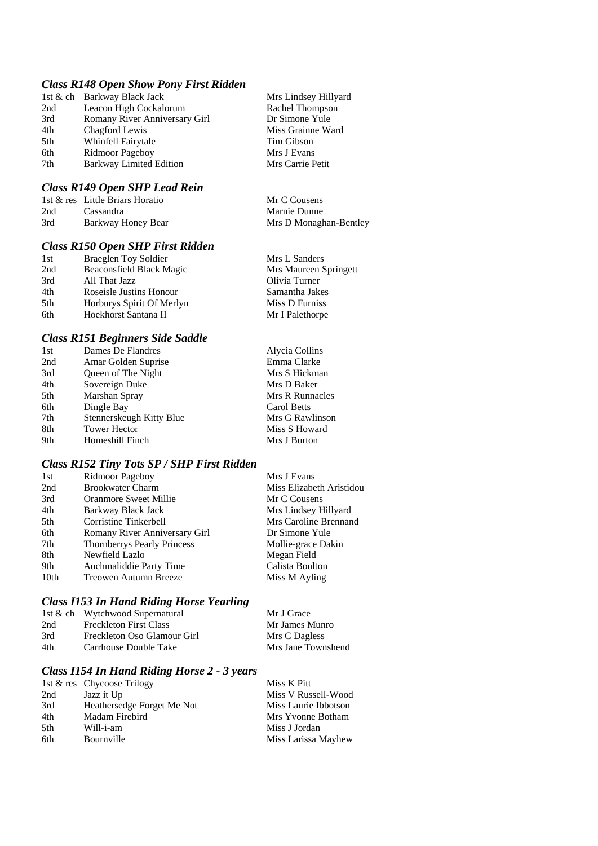### *Class R148 Open Show Pony First Ridden*

|                                | Mrs Lindsey Hillyard                                                           |
|--------------------------------|--------------------------------------------------------------------------------|
| Leacon High Cockalorum         | Rachel Thompson                                                                |
|                                | Dr Simone Yule                                                                 |
|                                | Miss Grainne Ward                                                              |
| Whinfell Fairytale             | Tim Gibson                                                                     |
| Ridmoor Pageboy                | Mrs J Evans                                                                    |
| <b>Barkway Limited Edition</b> | Mrs Carrie Petit                                                               |
|                                | 1st & ch Barkway Black Jack<br>Romany River Anniversary Girl<br>Chagford Lewis |

#### *Class R149 Open SHP Lead Rein*

|     | 1st & res Little Briars Horatio | Mr C Cousens           |
|-----|---------------------------------|------------------------|
| 2nd | Cassandra                       | Marnie Dunne           |
| 3rd | Barkway Honey Bear              | Mrs D Monaghan-Bentley |

### *Class R150 Open SHP First Ridden*

| Mrs L Sanders                                                                                                                                            |
|----------------------------------------------------------------------------------------------------------------------------------------------------------|
| Mrs Maureen Springett                                                                                                                                    |
| Olivia Turner                                                                                                                                            |
| Samantha Jakes                                                                                                                                           |
| Miss D Furniss                                                                                                                                           |
| Mr I Palethorpe                                                                                                                                          |
| <b>Braeglen Toy Soldier</b><br>Beaconsfield Black Magic<br>All That Jazz<br>Roseisle Justins Honour<br>Horburys Spirit Of Merlyn<br>Hoekhorst Santana II |

### *Class R151 Beginners Side Saddle*

| 1st | Dames De Flandres        | Alycia Collins  |
|-----|--------------------------|-----------------|
| 2nd | Amar Golden Suprise      | Emma Clarke     |
| 3rd | Queen of The Night       | Mrs S Hickman   |
| 4th | Sovereign Duke           | Mrs D Baker     |
| 5th | Marshan Spray            | Mrs R Runnacles |
| 6th | Dingle Bay               | Carol Betts     |
| 7th | Stennerskeugh Kitty Blue | Mrs G Rawlinson |
| 8th | <b>Tower Hector</b>      | Miss S Howard   |
| 9th | Homeshill Finch          | Mrs J Burton    |

#### *Class R152 Tiny Tots SP / SHP First Ridden*

| 1st  | Ridmoor Pageboy                    | Mrs J Evans              |
|------|------------------------------------|--------------------------|
| 2nd  | <b>Brookwater Charm</b>            | Miss Elizabeth Aristidou |
| 3rd  | Oranmore Sweet Millie              | Mr C Cousens             |
| 4th  | Barkway Black Jack                 | Mrs Lindsey Hillyard     |
| 5th  | Corristine Tinkerbell              | Mrs Caroline Brennand    |
| 6th  | Romany River Anniversary Girl      | Dr Simone Yule           |
| 7th  | <b>Thornberrys Pearly Princess</b> | Mollie-grace Dakin       |
| 8th  | Newfield Lazlo                     | Megan Field              |
| 9th  | Auchmaliddie Party Time            | Calista Boulton          |
| 10th | Treowen Autumn Breeze              | Miss M Ayling            |

# *Class I153 In Hand Riding Horse Yearling*

|     | 1st & ch Wytchwood Supernatural | Mr J Grace         |
|-----|---------------------------------|--------------------|
| 2nd | <b>Freckleton First Class</b>   | Mr James Munro     |
| 3rd | Freckleton Oso Glamour Girl     | Mrs C Dagless      |
| 4th | Carrhouse Double Take           | Mrs Jane Townshend |

# *Class I154 In Hand Riding Horse 2 - 3 years*

|      | 1st & res Chycoose Trilogy | Miss K Pitt          |
|------|----------------------------|----------------------|
| 2nd  | Jazz it Up                 | Miss V Russell-Wood  |
| 3rd  | Heathersedge Forget Me Not | Miss Laurie Ibbotson |
| 4th  | Madam Firebird             | Mrs Yvonne Botham    |
| .5th | Will-i-am                  | Miss J Jordan        |
| 6th  | Bournville                 | Miss Larissa Mayhew  |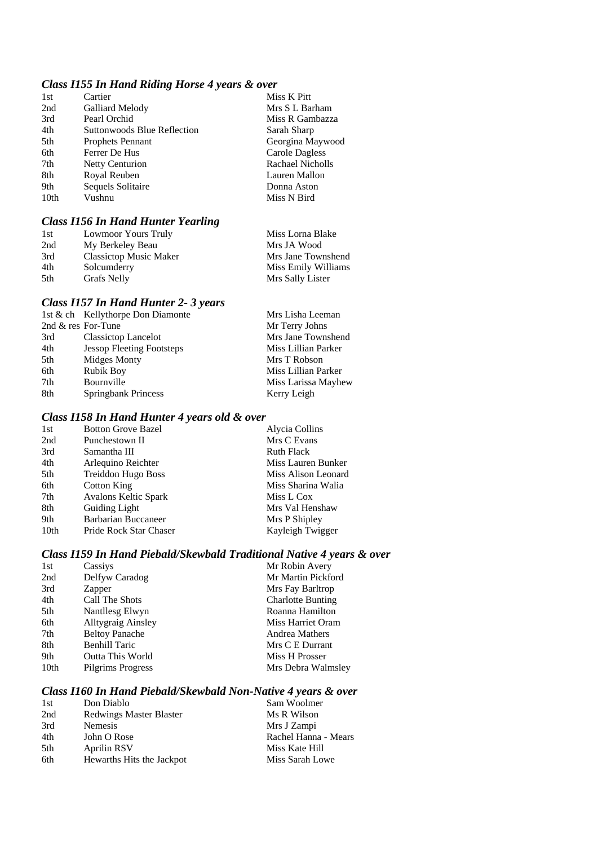### *Class I155 In Hand Riding Horse 4 years & over*

| 1st              | Cartier                     | Miss K Pitt             |
|------------------|-----------------------------|-------------------------|
| 2nd              | Galliard Melody             | Mrs S L Barham          |
| 3rd              | Pearl Orchid                | Miss R Gambazza         |
| 4th              | Suttonwoods Blue Reflection | Sarah Sharp             |
| 5th              | <b>Prophets Pennant</b>     | Georgina Maywood        |
| 6th              | Ferrer De Hus               | Carole Dagless          |
| 7th              | <b>Netty Centurion</b>      | <b>Rachael Nicholls</b> |
| 8th              | Royal Reuben                | Lauren Mallon           |
| 9th              | Sequels Solitaire           | Donna Aston             |
| 10 <sub>th</sub> | Vushnu                      | Miss N Bird             |
|                  |                             |                         |

### *Class I156 In Hand Hunter Yearling*

| 1st | Lowmoor Yours Truly    | Miss Lorna Blake    |
|-----|------------------------|---------------------|
| 2nd | My Berkeley Beau       | Mrs JA Wood         |
| 3rd | Classictop Music Maker | Mrs Jane Townshend  |
| 4th | Solcumderry            | Miss Emily Williams |
| 5th | Grafs Nelly            | Mrs Sally Lister    |

### *Class I157 In Hand Hunter 2- 3 years*

|                      | 1st & ch Kellythorpe Don Diamonte | Mrs Lisha Leeman    |
|----------------------|-----------------------------------|---------------------|
| 2nd $&$ res For-Tune |                                   | Mr Terry Johns      |
| 3rd                  | <b>Classictop Lancelot</b>        | Mrs Jane Townshend  |
| 4th                  | <b>Jessop Fleeting Footsteps</b>  | Miss Lillian Parker |
| 5th                  | Midges Monty                      | Mrs T Robson        |
| 6th                  | <b>Rubik Boy</b>                  | Miss Lillian Parker |
| 7th                  | Bournville                        | Miss Larissa Mayhew |
| 8th                  | <b>Springbank Princess</b>        | Kerry Leigh         |

# *Class I158 In Hand Hunter 4 years old & over*

| <b>Botton Grove Bazel</b> | Alycia Collins      |
|---------------------------|---------------------|
| Punchestown II            | Mrs C Evans         |
| Samantha III              | <b>Ruth Flack</b>   |
| Arlequino Reichter        | Miss Lauren Bunker  |
| Treiddon Hugo Boss        | Miss Alison Leonard |
| Cotton King               | Miss Sharina Walia  |
| Avalons Keltic Spark      | Miss L Cox          |
| <b>Guiding Light</b>      | Mrs Val Henshaw     |
| Barbarian Buccaneer       | Mrs P Shipley       |
| Pride Rock Star Chaser    | Kayleigh Twigger    |
|                           |                     |

#### *Class I159 In Hand Piebald/Skewbald Traditional Native 4 years & over*

| 1st              | Cassiys                   | Mr Robin Avery           |
|------------------|---------------------------|--------------------------|
| 2nd              | Delfyw Caradog            | Mr Martin Pickford       |
| 3rd              | Zapper                    | Mrs Fay Barltrop         |
| 4th              | Call The Shots            | <b>Charlotte Bunting</b> |
| 5th              | Nantllesg Elwyn           | Roanna Hamilton          |
| 6th              | <b>Alltygraig Ainsley</b> | Miss Harriet Oram        |
| 7th              | <b>Beltoy Panache</b>     | Andrea Mathers           |
| 8th              | <b>Benhill Taric</b>      | Mrs C E Durrant          |
| 9th              | Outta This World          | Miss H Prosser           |
| 10 <sub>th</sub> | Pilgrims Progress         | Mrs Debra Walmsley       |
|                  |                           |                          |

### *Class I160 In Hand Piebald/Skewbald Non-Native 4 years & over*

| 1st | Don Diablo                     | Sam Woolmer          |
|-----|--------------------------------|----------------------|
| 2nd | <b>Redwings Master Blaster</b> | Ms R Wilson          |
| 3rd | <b>Nemesis</b>                 | Mrs J Zampi          |
| 4th | John O Rose                    | Rachel Hanna - Mears |
| 5th | Aprilin RSV                    | Miss Kate Hill       |
| 6th | Hewarths Hits the Jackpot      | Miss Sarah Lowe      |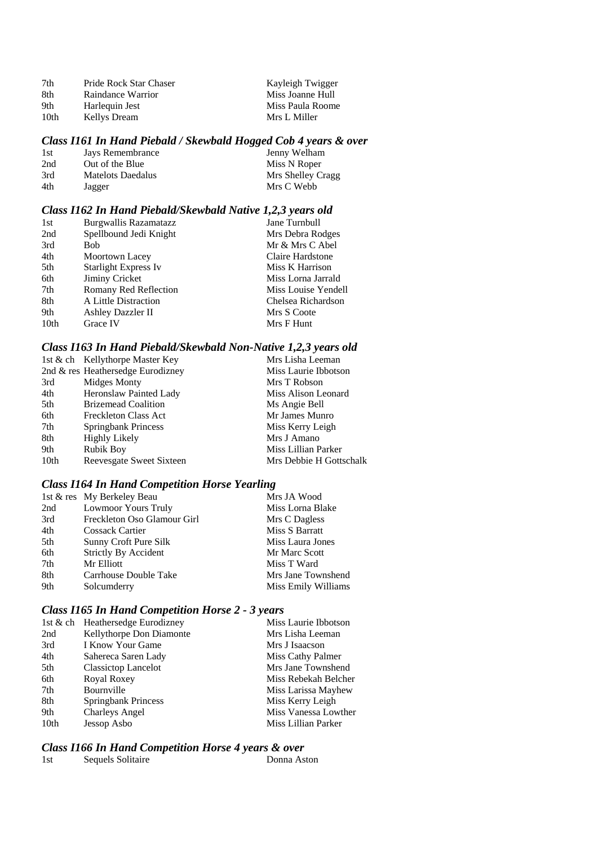| 7th  | Pride Rock Star Chaser | Kayleigh Twigger |
|------|------------------------|------------------|
| 8th  | Raindance Warrior      | Miss Joanne Hull |
| 9th  | Harlequin Jest         | Miss Paula Roome |
| 10th | Kellys Dream           | Mrs L Miller     |

#### *Class I161 In Hand Piebald / Skewbald Hogged Cob 4 years & over*

| 1st | Jays Remembrance  | Jenny Welham      |
|-----|-------------------|-------------------|
| 2nd | Out of the Blue   | Miss N Roper      |
| 3rd | Matelots Daedalus | Mrs Shelley Cragg |
| 4th | Jagger            | Mrs C Webb        |

### *Class I162 In Hand Piebald/Skewbald Native 1,2,3 years old*

| Burgwallis Razamatazz        | Jane Turnbull       |
|------------------------------|---------------------|
| Spellbound Jedi Knight       | Mrs Debra Rodges    |
| Bob                          | Mr & Mrs C Abel     |
| <b>Moortown Lacey</b>        | Claire Hardstone    |
| Starlight Express Iv         | Miss K Harrison     |
| Jiminy Cricket               | Miss Lorna Jarrald  |
| <b>Romany Red Reflection</b> | Miss Louise Yendell |
| A Little Distraction         | Chelsea Richardson  |
| Ashley Dazzler II            | Mrs S Coote         |
| Grace IV                     | Mrs F Hunt          |
|                              |                     |

### *Class I163 In Hand Piebald/Skewbald Non-Native 1,2,3 years old*

|      | 1st & ch Kellythorpe Master Key   | Mrs Lisha Leeman        |
|------|-----------------------------------|-------------------------|
|      | 2nd & res Heathersedge Eurodizney | Miss Laurie Ibbotson    |
| 3rd  | Midges Monty                      | Mrs T Robson            |
| 4th  | <b>Heronslaw Painted Lady</b>     | Miss Alison Leonard     |
| 5th  | <b>Brizemead Coalition</b>        | Ms Angie Bell           |
| 6th  | Freckleton Class Act              | Mr James Munro          |
| 7th  | Springbank Princess               | Miss Kerry Leigh        |
| 8th  | <b>Highly Likely</b>              | Mrs J Amano             |
| 9th  | <b>Rubik Boy</b>                  | Miss Lillian Parker     |
| 10th | Reevesgate Sweet Sixteen          | Mrs Debbie H Gottschalk |

### *Class I164 In Hand Competition Horse Yearling*

|     | 1st & res My Berkeley Beau  | Mrs JA Wood         |
|-----|-----------------------------|---------------------|
| 2nd | <b>Lowmoor Yours Truly</b>  | Miss Lorna Blake    |
| 3rd | Freckleton Oso Glamour Girl | Mrs C Dagless       |
| 4th | <b>Cossack Cartier</b>      | Miss S Barratt      |
| 5th | Sunny Croft Pure Silk       | Miss Laura Jones    |
| 6th | <b>Strictly By Accident</b> | Mr Marc Scott       |
| 7th | Mr Elliott                  | Miss T Ward         |
| 8th | Carrhouse Double Take       | Mrs Jane Townshend  |
| 9th | Solcumderry                 | Miss Emily Williams |

### *Class I165 In Hand Competition Horse 2 - 3 years*

|      | 1st & ch Heathersedge Eurodizney | Miss Laurie Ibbotson |
|------|----------------------------------|----------------------|
| 2nd  | Kellythorpe Don Diamonte         | Mrs Lisha Leeman     |
| 3rd  | I Know Your Game                 | Mrs J Isaacson       |
| 4th  | Sahereca Saren Lady              | Miss Cathy Palmer    |
| 5th  | <b>Classictop Lancelot</b>       | Mrs Jane Townshend   |
| 6th  | Royal Roxey                      | Miss Rebekah Belcher |
| 7th  | Bournville                       | Miss Larissa Mayhew  |
| 8th  | Springbank Princess              | Miss Kerry Leigh     |
| 9th  | <b>Charleys Angel</b>            | Miss Vanessa Lowther |
| 10th | Jessop Asbo                      | Miss Lillian Parker  |

# *Class I166 In Hand Competition Horse 4 years & over*

| Sequels Solitaire<br>1st | Donna Aston |
|--------------------------|-------------|
|--------------------------|-------------|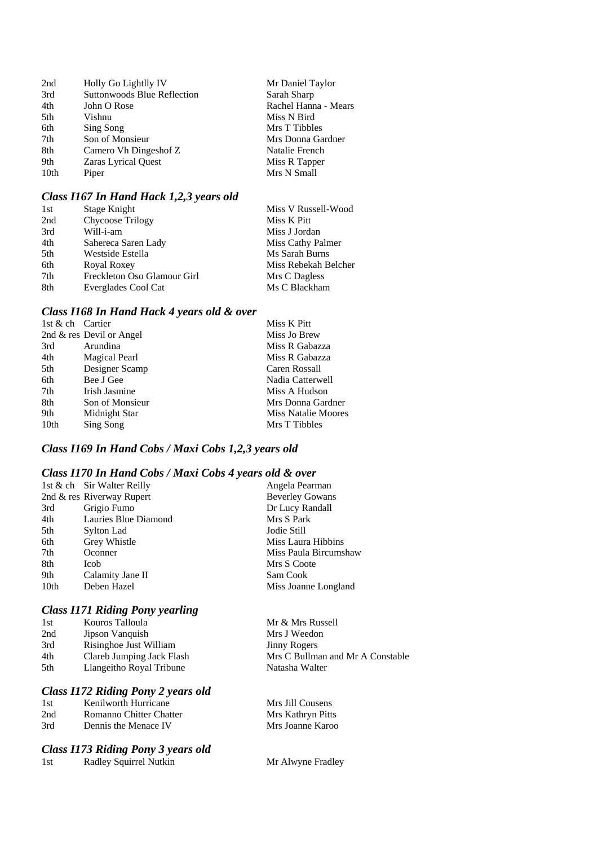| 2nd  | Holly Go Lightlly IV        | Mr Daniel Taylor     |
|------|-----------------------------|----------------------|
| 3rd  | Suttonwoods Blue Reflection | Sarah Sharp          |
| 4th  | John O Rose                 | Rachel Hanna - Mears |
| 5th  | Vishnu                      | Miss N Bird          |
| 6th  | Sing Song                   | Mrs T Tibbles        |
| 7th  | Son of Monsieur             | Mrs Donna Gardner    |
| 8th  | Camero Vh Dingeshof Z       | Natalie French       |
| 9th  | <b>Zaras Lyrical Quest</b>  | Miss R Tapper        |
| 10th | Piper                       | Mrs N Small          |

# *Class I167 In Hand Hack 1,2,3 years old*

| 1st | Stage Knight                | Miss V Russell-Wood  |
|-----|-----------------------------|----------------------|
| 2nd | Chycoose Trilogy            | Miss K Pitt          |
| 3rd | Will-i-am                   | Miss J Jordan        |
| 4th | Sahereca Saren Lady         | Miss Cathy Palmer    |
| 5th | Westside Estella            | Ms Sarah Burns       |
| 6th | Royal Roxey                 | Miss Rebekah Belcher |
| 7th | Freckleton Oso Glamour Girl | Mrs C Dagless        |
| 8th | Everglades Cool Cat         | Ms C Blackham        |

#### *Class I168 In Hand Hack 4 years old & over*

| 1st & ch Cartier |                          | Miss K Pitt                |
|------------------|--------------------------|----------------------------|
|                  | 2nd & res Devil or Angel | Miss Jo Brew               |
| 3rd              | Arundina                 | Miss R Gabazza             |
| 4th              | <b>Magical Pearl</b>     | Miss R Gabazza             |
| 5th              | Designer Scamp           | Caren Rossall              |
| 6th              | Bee J Gee                | Nadia Catterwell           |
| 7th              | Irish Jasmine            | Miss A Hudson              |
| 8th              | Son of Monsieur          | Mrs Donna Gardner          |
| 9th              | Midnight Star            | <b>Miss Natalie Moores</b> |
| 10th             | Sing Song                | Mrs T Tibbles              |

# *Class I169 In Hand Cobs / Maxi Cobs 1,2,3 years old*

### *Class I170 In Hand Cobs / Maxi Cobs 4 years old & over*

|      | 1st & ch Sir Walter Reilly | Angela Pearman         |
|------|----------------------------|------------------------|
|      | 2nd & res Riverway Rupert  | <b>Beverley Gowans</b> |
| 3rd  | Grigio Fumo                | Dr Lucy Randall        |
| 4th  | Lauries Blue Diamond       | Mrs S Park             |
| 5th  | Sylton Lad                 | Jodie Still            |
| 6th  | Grey Whistle               | Miss Laura Hibbins     |
| 7th  | Oconner                    | Miss Paula Bircumshaw  |
| 8th  | Icob                       | Mrs S Coote            |
| 9th  | Calamity Jane II           | Sam Cook               |
| 10th | Deben Hazel                | Miss Joanne Longland   |

### *Class I171 Riding Pony yearling*

| 1st | Kouros Talloula           | Mr & Mrs Russell                 |
|-----|---------------------------|----------------------------------|
| 2nd | Jipson Vanquish           | Mrs J Weedon                     |
| 3rd | Risinghoe Just William    | <b>Jinny Rogers</b>              |
| 4th | Clareb Jumping Jack Flash | Mrs C Bullman and Mr A Constable |
| 5th | Llangeitho Royal Tribune  | Natasha Walter                   |
|     |                           |                                  |

### *Class I172 Riding Pony 2 years old*

| 1st | Kenilworth Hurricane    | Mrs Jill Cousens  |
|-----|-------------------------|-------------------|
| 2nd | Romanno Chitter Chatter | Mrs Kathryn Pitts |
| 3rd | Dennis the Menace IV    | Mrs Joanne Karoo  |

### *Class I173 Riding Pony 3 years old*

| 1st | Radley Squirrel Nutkin |  |
|-----|------------------------|--|
|     |                        |  |

Mr Alwyne Fradley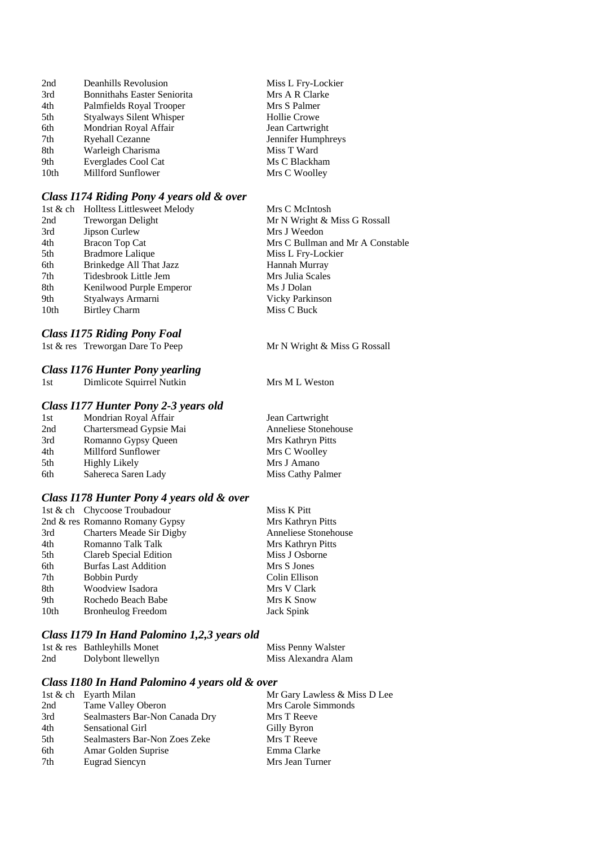| 2nd              | Deanhills Revolusion               |
|------------------|------------------------------------|
| 3rd              | <b>Bonnithahs Easter Seniorita</b> |
| 4th              | Palmfields Royal Trooper           |
| 5th              | <b>Styalways Silent Whisper</b>    |
| 6th              | Mondrian Royal Affair              |
| 7th              | <b>Ryehall Cezanne</b>             |
| 8th              | Warleigh Charisma                  |
| 9th              | Everglades Cool Cat                |
| 10 <sub>th</sub> | Millford Sunflower                 |

#### *Class I174 Riding Pony 4 years old & over*

1st & ch Holltess Littlesweet Melody Mrs C McIntosh 2nd Treworgan Delight Mr N Wright & Miss G Rossall 3rd Jipson Curlew Mrs J Weedon 4th Bracon Top Cat Mrs C Bullman and Mr A Constable 5th Bradmore Lalique Miss L Fry-Lockier 6th Brinkedge All That Jazz Hannah Murray 7th Tidesbrook Little Jem Mrs Julia Scales 8th Kenilwood Purple Emperor Ms J Dolan 9th Styalways Armarni Vicky Parkinson 10th Birtley Charm Miss C Buck

#### *Class I175 Riding Pony Foal*

1st & res Treworgan Dare To Peep Mr N Wright & Miss G Rossall

# *Class I176 Hunter Pony yearling*

1. Dimlicote Squirrel Nutkin Mrs M L Weston

#### *Class I177 Hunter Pony 2-3 years old*

| Mondrian Royal Affair   | Jean Cartwright      |
|-------------------------|----------------------|
| Chartersmead Gypsie Mai | Anneliese Stonehouse |
| Romanno Gypsy Queen     | Mrs Kathryn Pitts    |
| Millford Sunflower      | Mrs C Woolley        |
| Highly Likely           | Mrs J Amano          |
| Sahereca Saren Lady     | Miss Cathy Palmer    |
|                         |                      |

#### *Class I178 Hunter Pony 4 years old & over*

| 1st & ch Chycoose Troubadour    | Miss K Pitt          |
|---------------------------------|----------------------|
| 2nd & res Romanno Romany Gypsy  | Mrs Kathryn Pitts    |
| <b>Charters Meade Sir Digby</b> | Anneliese Stonehouse |
| Romanno Talk Talk               | Mrs Kathryn Pitts    |
| Clareb Special Edition          | Miss J Osborne       |
| <b>Burfas Last Addition</b>     | Mrs S Jones          |
| <b>Bobbin Purdy</b>             | Colin Ellison        |
| Woodview Isadora                | Mrs V Clark          |
| Rochedo Beach Babe              | Mrs K Snow           |
| <b>Bronheulog Freedom</b>       | Jack Spink           |
|                                 |                      |

#### *Class I179 In Hand Palomino 1,2,3 years old*

|     | 1st & res Bathleyhills Monet | Miss Penny Walster  |
|-----|------------------------------|---------------------|
| 2nd | Dolybont llewellyn           | Miss Alexandra Alam |

#### *Class I180 In Hand Palomino 4 years old & over*

|     | 1st $\&$ ch Eyarth Milan       | Mr Gary Lawless & Miss D Lee |
|-----|--------------------------------|------------------------------|
| 2nd | Tame Valley Oberon             | Mrs Carole Simmonds          |
| 3rd | Sealmasters Bar-Non Canada Dry | Mrs T Reeve                  |
| 4th | Sensational Girl               | Gilly Byron                  |
| 5th | Sealmasters Bar-Non Zoes Zeke  | Mrs T Reeve                  |
| 6th | Amar Golden Suprise            | Emma Clarke                  |
| 7th | <b>Eugrad Siencyn</b>          | Mrs Jean Turner              |

Miss L Fry-Lockier Mrs A R Clarke Mrs S Palmer Hollie Crowe Jean Cartwright Jennifer Humphreys Miss T Ward Ms C Blackham Mrs C Woolley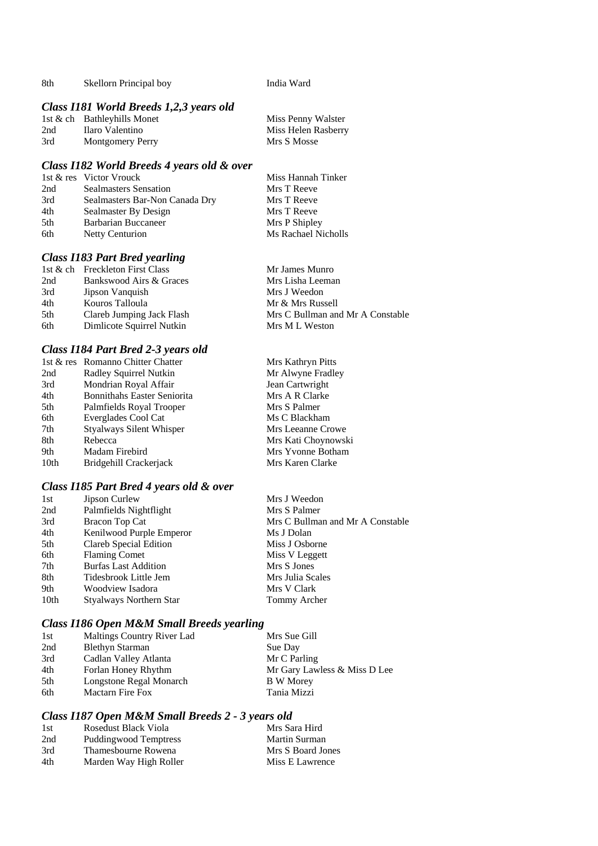| 8th | Skellorn Principal boy |  |
|-----|------------------------|--|
|-----|------------------------|--|

India Ward

### *Class I181 World Breeds 1,2,3 years old*

|     | 1st $\&$ ch Bathleyhills Monet | Miss Penny Walster  |
|-----|--------------------------------|---------------------|
| 2nd | Ilaro Valentino                | Miss Helen Rasberry |
| 3rd | <b>Montgomery Perry</b>        | Mrs S Mosse         |

# *Class I182 World Breeds 4 years old & over*

|     | 1st & res Victor Vrouck        | Miss Hannah Tinker  |
|-----|--------------------------------|---------------------|
| 2nd | <b>Sealmasters Sensation</b>   | Mrs T Reeve         |
| 3rd | Sealmasters Bar-Non Canada Dry | Mrs T Reeve         |
| 4th | Sealmaster By Design           | Mrs T Reeve         |
| 5th | Barbarian Buccaneer            | Mrs P Shipley       |
| 6th | <b>Netty Centurion</b>         | Ms Rachael Nicholls |

### *Class I183 Part Bred yearling*

|     | 1st & ch Freckleton First Class | Mr James Munro                   |
|-----|---------------------------------|----------------------------------|
| 2nd | Bankswood Airs & Graces         | Mrs Lisha Leeman                 |
| 3rd | Jipson Vanquish                 | Mrs J Weedon                     |
| 4th | Kouros Talloula                 | Mr & Mrs Russell                 |
| 5th | Clareb Jumping Jack Flash       | Mrs C Bullman and Mr A Constable |
| 6th | Dimlicote Squirrel Nutkin       | Mrs M L Weston                   |

# *Class I184 Part Bred 2-3 years old*

|      | 1st & res Romanno Chitter Chatter  | Mrs Kathryn Pitts   |
|------|------------------------------------|---------------------|
| 2nd  | Radley Squirrel Nutkin             | Mr Alwyne Fradley   |
| 3rd  | Mondrian Royal Affair              | Jean Cartwright     |
| 4th  | <b>Bonnithahs Easter Seniorita</b> | Mrs A R Clarke      |
| 5th  | Palmfields Royal Trooper           | Mrs S Palmer        |
| 6th  | Everglades Cool Cat                | Ms C Blackham       |
| 7th  | <b>Styalways Silent Whisper</b>    | Mrs Leeanne Crowe   |
| 8th  | Rebecca                            | Mrs Kati Choynowski |
| 9th  | Madam Firebird                     | Mrs Yvonne Botham   |
| 10th | Bridgehill Crackerjack             | Mrs Karen Clarke    |

### *Class I185 Part Bred 4 years old & over*

| 1st  | Jipson Curlew               | Mrs J Weedon                     |
|------|-----------------------------|----------------------------------|
| 2nd  | Palmfields Nightflight      | Mrs S Palmer                     |
| 3rd  | Bracon Top Cat              | Mrs C Bullman and Mr A Constable |
| 4th  | Kenilwood Purple Emperor    | Ms J Dolan                       |
| 5th  | Clareb Special Edition      | Miss J Osborne                   |
| 6th  | <b>Flaming Comet</b>        | Miss V Leggett                   |
| 7th  | <b>Burfas Last Addition</b> | Mrs S Jones                      |
| 8th  | Tidesbrook Little Jem       | Mrs Julia Scales                 |
| 9th  | Woodview Isadora            | Mrs V Clark                      |
| 10th | Styalways Northern Star     | Tommy Archer                     |
|      |                             |                                  |

### *Class I186 Open M&M Small Breeds yearling*

| 1st | Maltings Country River Lad | Mrs Sue Gill                 |
|-----|----------------------------|------------------------------|
| 2nd | Blethyn Starman            | Sue Day                      |
| 3rd | Cadlan Valley Atlanta      | Mr C Parling                 |
| 4th | Forlan Honey Rhythm        | Mr Gary Lawless & Miss D Lee |
| 5th | Longstone Regal Monarch    | <b>B</b> W Morey             |
| 6th | <b>Mactarn Fire Fox</b>    | Tania Mizzi                  |

# *Class I187 Open M&M Small Breeds 2 - 3 years old*

| 1st | Rosedust Black Viola   | Mrs Sara Hird     |
|-----|------------------------|-------------------|
| 2nd | Puddingwood Temptress  | Martin Surman     |
| 3rd | Thamesbourne Rowena    | Mrs S Board Jones |
| 4th | Marden Way High Roller | Miss E Lawrence   |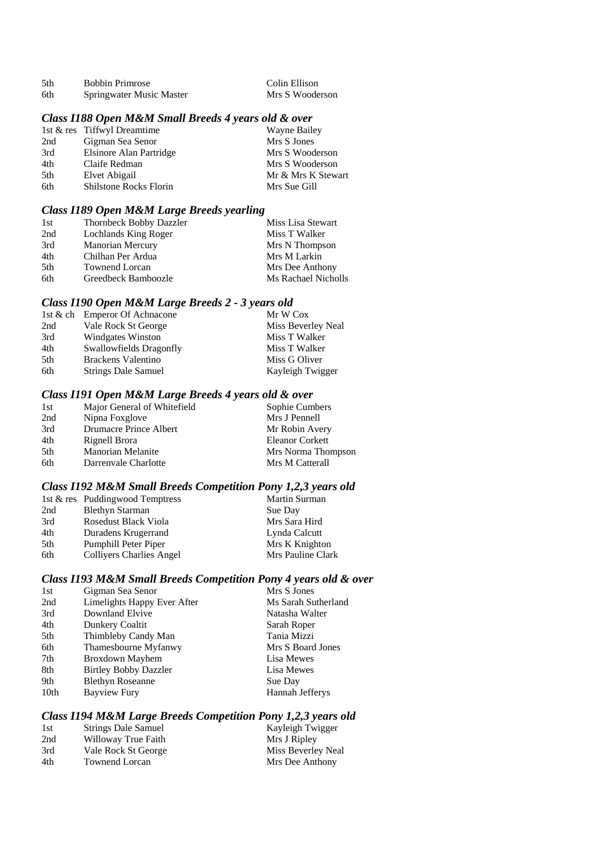| .5th | <b>Bobbin Primrose</b>   | Colin Ellison   |
|------|--------------------------|-----------------|
| 6th  | Springwater Music Master | Mrs S Wooderson |

### *Class I188 Open M&M Small Breeds 4 years old & over*

|     | 1st & res Tiffwyl Dreamtime   | Wayne Bailey       |
|-----|-------------------------------|--------------------|
| 2nd | Gigman Sea Senor              | Mrs S Jones        |
| 3rd | Elsinore Alan Partridge       | Mrs S Wooderson    |
| 4th | Claife Redman                 | Mrs S Wooderson    |
| 5th | Elvet Abigail                 | Mr & Mrs K Stewart |
| 6th | <b>Shilstone Rocks Florin</b> | Mrs Sue Gill       |
|     |                               |                    |

#### *Class I189 Open M&M Large Breeds yearling*

| 1st  | Thornbeck Bobby Dazzler | Miss Lisa Stewart   |
|------|-------------------------|---------------------|
| 2nd  | Lochlands King Roger    | Miss T Walker       |
| 3rd  | <b>Manorian Mercury</b> | Mrs N Thompson      |
| 4th  | Chilhan Per Ardua       | Mrs M Larkin        |
| .5th | <b>Townend Lorcan</b>   | Mrs Dee Anthony     |
| 6th  | Greedbeck Bamboozle     | Ms Rachael Nicholls |

### *Class I190 Open M&M Large Breeds 2 - 3 years old*

|     | 1st & ch Emperor Of Achnacone | Mr W Cox           |
|-----|-------------------------------|--------------------|
| 2nd | Vale Rock St George           | Miss Beverley Neal |
| 3rd | Windgates Winston             | Miss T Walker      |
| 4th | Swallowfields Dragonfly       | Miss T Walker      |
| 5th | Brackens Valentino            | Miss G Oliver      |
| 6th | <b>Strings Dale Samuel</b>    | Kayleigh Twigger   |

#### *Class I191 Open M&M Large Breeds 4 years old & over*

| 1st  | Major General of Whitefield | Sophie Cumbers         |
|------|-----------------------------|------------------------|
| 2nd  | Nipna Foxglove              | Mrs J Pennell          |
| 3rd  | Drumacre Prince Albert      | Mr Robin Avery         |
| 4th  | Rignell Brora               | <b>Eleanor Corkett</b> |
| .5th | <b>Manorian Melanite</b>    | Mrs Norma Thompson     |
| 6th  | Darrenvale Charlotte        | Mrs M Catterall        |
|      |                             |                        |

### *Class I192 M&M Small Breeds Competition Pony 1,2,3 years old*

|     | 1st & res Puddingwood Temptress | Martin Surman     |
|-----|---------------------------------|-------------------|
| 2nd | <b>Blethyn Starman</b>          | Sue Day           |
| 3rd | Rosedust Black Viola            | Mrs Sara Hird     |
| 4th | Duradens Krugerrand             | Lynda Calcutt     |
| 5th | Pumphill Peter Piper            | Mrs K Knighton    |
| 6th | <b>Collivers Charlies Angel</b> | Mrs Pauline Clark |

### *Class I193 M&M Small Breeds Competition Pony 4 years old & over*

| Gigman Sea Senor             | Mrs S Jones         |
|------------------------------|---------------------|
| Limelights Happy Ever After  | Ms Sarah Sutherland |
| Downland Elvive              | Natasha Walter      |
| Dunkery Coaltit              | Sarah Roper         |
| Thimbleby Candy Man          | Tania Mizzi         |
| Thamesbourne Myfanwy         | Mrs S Board Jones   |
| Broxdown Mayhem              | Lisa Mewes          |
| <b>Birtley Bobby Dazzler</b> | Lisa Mewes          |
| <b>Blethyn Roseanne</b>      | Sue Day             |
| <b>Bayview Fury</b>          | Hannah Jefferys     |
|                              |                     |

# *Class I194 M&M Large Breeds Competition Pony 1,2,3 years old*

| 1st | <b>Strings Dale Samuel</b> | Kayleigh Twigger   |
|-----|----------------------------|--------------------|
| 2nd | Willoway True Faith        | Mrs J Ripley       |
| 3rd | Vale Rock St George        | Miss Beverley Neal |
| 4th | <b>Townend Lorcan</b>      | Mrs Dee Anthony    |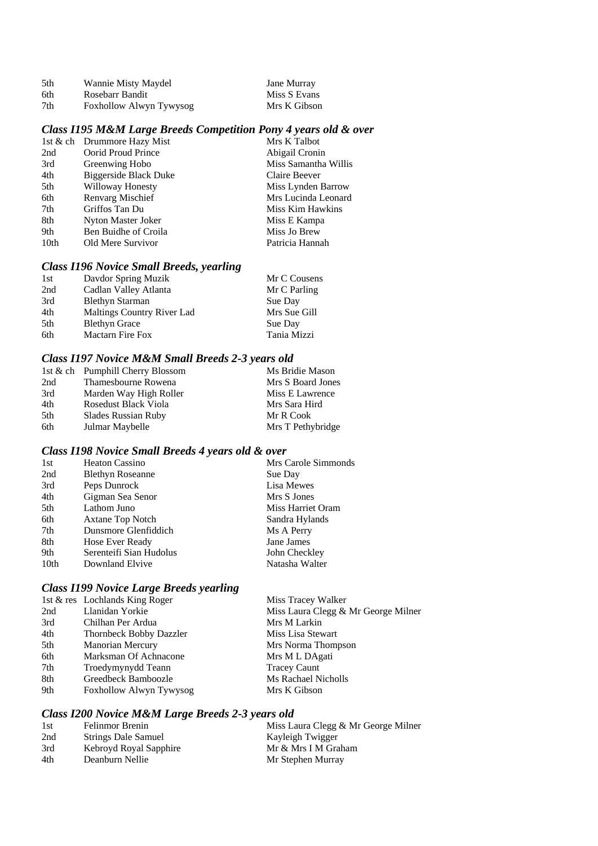| 5th | Wannie Misty Maydel     | Jane Murray  |
|-----|-------------------------|--------------|
| 6th | Rosebarr Bandit         | Miss S Evans |
| 7th | Foxhollow Alwyn Tywysog | Mrs K Gibson |

### *Class I195 M&M Large Breeds Competition Pony 4 years old & over*

|      | 1st & ch Drummore Hazy Mist  | Mrs K Talbot         |
|------|------------------------------|----------------------|
| 2nd  | Oorid Proud Prince           | Abigail Cronin       |
| 3rd  | Greenwing Hobo               | Miss Samantha Willis |
| 4th  | <b>Biggerside Black Duke</b> | Claire Beever        |
| 5th  | Willoway Honesty             | Miss Lynden Barrow   |
| 6th  | Renvarg Mischief             | Mrs Lucinda Leonard  |
| 7th  | Griffos Tan Du               | Miss Kim Hawkins     |
| 8th  | Nyton Master Joker           | Miss E Kampa         |
| 9th  | Ben Buidhe of Croila         | Miss Jo Brew         |
| 10th | Old Mere Survivor            | Patricia Hannah      |

### *Class I196 Novice Small Breeds, yearling*

| 1st | Davdor Spring Muzik        | Mr C Cousens |
|-----|----------------------------|--------------|
| 2nd | Cadlan Valley Atlanta      | Mr C Parling |
| 3rd | <b>Blethyn Starman</b>     | Sue Day      |
| 4th | Maltings Country River Lad | Mrs Sue Gill |
| 5th | <b>Blethyn Grace</b>       | Sue Day      |
| 6th | <b>Mactarn Fire Fox</b>    | Tania Mizzi  |

# *Class I197 Novice M&M Small Breeds 2-3 years old*

|     | 1st & ch Pumphill Cherry Blossom | Ms Bridie Mason   |
|-----|----------------------------------|-------------------|
| 2nd | Thamesbourne Rowena              | Mrs S Board Jones |
| 3rd | Marden Way High Roller           | Miss E Lawrence   |
| 4th | Rosedust Black Viola             | Mrs Sara Hird     |
| 5th | <b>Slades Russian Ruby</b>       | Mr R Cook         |
| 6th | Julmar Maybelle                  | Mrs T Pethybridge |

# *Class I198 Novice Small Breeds 4 years old & over*

| 1st  | <b>Heaton Cassino</b>   | Mrs Carole Simmonds |
|------|-------------------------|---------------------|
| 2nd  | <b>Blethyn Roseanne</b> | Sue Day             |
| 3rd  | Peps Dunrock            | Lisa Mewes          |
| 4th  | Gigman Sea Senor        | Mrs S Jones         |
| 5th  | Lathom Juno             | Miss Harriet Oram   |
| 6th  | Axtane Top Notch        | Sandra Hylands      |
| 7th  | Dunsmore Glenfiddich    | Ms A Perry          |
| 8th  | Hose Ever Ready         | Jane James          |
| 9th  | Serenteifi Sian Hudolus | John Checkley       |
| 10th | Downland Elvive         | Natasha Walter      |

# *Class I199 Novice Large Breeds yearling*

|     | 1st & res Lochlands King Roger | Miss Tracey Walker                  |
|-----|--------------------------------|-------------------------------------|
| 2nd | Llanidan Yorkie                | Miss Laura Clegg & Mr George Milner |
| 3rd | Chilhan Per Ardua              | Mrs M Larkin                        |
| 4th | Thornbeck Bobby Dazzler        | Miss Lisa Stewart                   |
| 5th | <b>Manorian Mercury</b>        | Mrs Norma Thompson                  |
| 6th | Marksman Of Achnacone          | Mrs M L DAgati                      |
| 7th | Troedymynydd Teann             | <b>Tracey Caunt</b>                 |
| 8th | Greedbeck Bamboozle            | Ms Rachael Nicholls                 |
| 9th | Foxhollow Alwyn Tywysog        | Mrs K Gibson                        |
|     |                                |                                     |

# *Class I200 Novice M&M Large Breeds 2-3 years old*

| -1st | Felinmor Brenin            | Miss Laura Clegg & Mr George Milner |
|------|----------------------------|-------------------------------------|
| 2nd  | <b>Strings Dale Samuel</b> | Kayleigh Twigger                    |
| 3rd  | Kebroyd Royal Sapphire     | Mr & Mrs I M Graham                 |
| 4th  | Deanburn Nellie            | Mr Stephen Murray                   |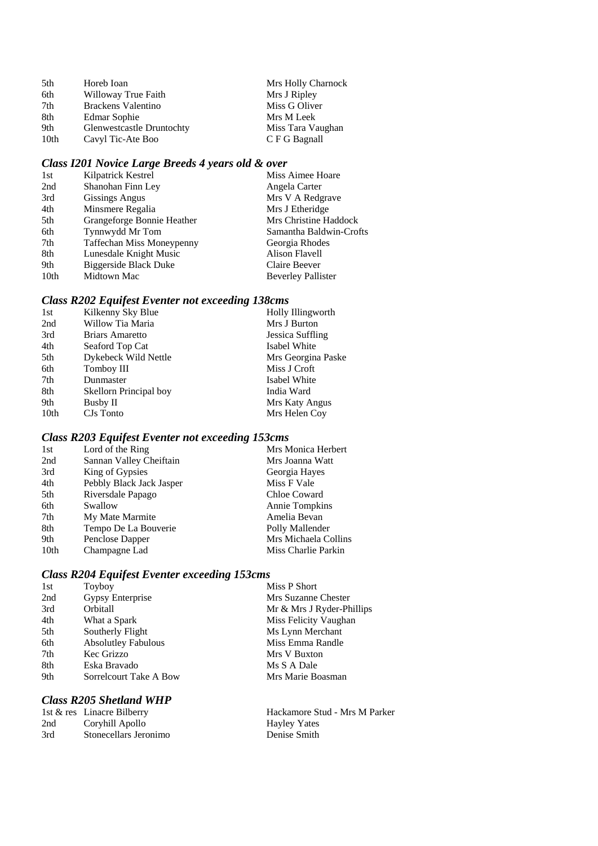| 5th  | Horeb Ioan                       | Mrs Holly Charnock |
|------|----------------------------------|--------------------|
| 6th  | Willoway True Faith              | Mrs J Ripley       |
| 7th  | Brackens Valentino               | Miss G Oliver      |
| 8th  | Edmar Sophie                     | Mrs M Leek         |
| 9th  | <b>Glenwestcastle Druntochty</b> | Miss Tara Vaughan  |
| 10th | Cavyl Tic-Ate Boo                | C F G Bagnall      |

# *Class I201 Novice Large Breeds 4 years old & over*

| 1st  | Kilpatrick Kestrel               | Miss Aimee Hoare          |
|------|----------------------------------|---------------------------|
| 2nd  | Shanohan Finn Ley                | Angela Carter             |
| 3rd  | <b>Gissings Angus</b>            | Mrs V A Redgrave          |
| 4th  | Minsmere Regalia                 | Mrs J Etheridge           |
| 5th  | Grangeforge Bonnie Heather       | Mrs Christine Haddock     |
| 6th  | Tynnwydd Mr Tom                  | Samantha Baldwin-Crofts   |
| 7th  | <b>Taffechan Miss Moneypenny</b> | Georgia Rhodes            |
| 8th  | Lunesdale Knight Music           | Alison Flavell            |
| 9th  | <b>Biggerside Black Duke</b>     | Claire Beever             |
| 10th | Midtown Mac                      | <b>Beverley Pallister</b> |

### *Class R202 Equifest Eventer not exceeding 138cms*

| 1st              | Kilkenny Sky Blue      | Holly Illingworth  |
|------------------|------------------------|--------------------|
| 2nd              | Willow Tia Maria       | Mrs J Burton       |
| 3rd              | <b>Briars Amaretto</b> | Jessica Suffling   |
| 4th              | Seaford Top Cat        | Isabel White       |
| 5th              | Dykebeck Wild Nettle   | Mrs Georgina Paske |
| 6th              | Tomboy III             | Miss J Croft       |
| 7th              | Dunmaster              | Isabel White       |
| 8th              | Skellorn Principal boy | India Ward         |
| 9th              | Busby II               | Mrs Katy Angus     |
| 10 <sub>th</sub> | CJs Tonto              | Mrs Helen Coy      |
|                  |                        |                    |

# *Class R203 Equifest Eventer not exceeding 153cms*

| 1st  | Lord of the Ring         | Mrs Monica Herbert   |
|------|--------------------------|----------------------|
| 2nd  | Sannan Valley Cheiftain  | Mrs Joanna Watt      |
| 3rd  | King of Gypsies          | Georgia Hayes        |
| 4th  | Pebbly Black Jack Jasper | Miss F Vale          |
| 5th  | Riversdale Papago        | Chloe Coward         |
| 6th  | Swallow                  | Annie Tompkins       |
| 7th  | My Mate Marmite          | Amelia Bevan         |
| 8th  | Tempo De La Bouverie     | Polly Mallender      |
| 9th  | Penclose Dapper          | Mrs Michaela Collins |
| 10th | Champagne Lad            | Miss Charlie Parkin  |

# *Class R204 Equifest Eventer exceeding 153cms*

| 1st | Toyboy                     | Miss P Short              |
|-----|----------------------------|---------------------------|
| 2nd | Gypsy Enterprise           | Mrs Suzanne Chester       |
| 3rd | Orbitall                   | Mr & Mrs J Ryder-Phillips |
| 4th | What a Spark               | Miss Felicity Vaughan     |
| 5th | Southerly Flight           | Ms Lynn Merchant          |
| 6th | <b>Absolutley Fabulous</b> | Miss Emma Randle          |
| 7th | Kec Grizzo                 | Mrs V Buxton              |
| 8th | Eska Bravado               | Ms S A Dale               |
| 9th | Sorrelcourt Take A Bow     | Mrs Marie Boasman         |
|     |                            |                           |

# *Class R205 Shetland WHP*

|     | 1st & res Linacre Bilberry | Hackamore Stud - Mrs M Parker |
|-----|----------------------------|-------------------------------|
| 2nd | Coryhill Apollo            | Hayley Yates                  |
| 3rd | Stonecellars Jeronimo      | Denise Smith                  |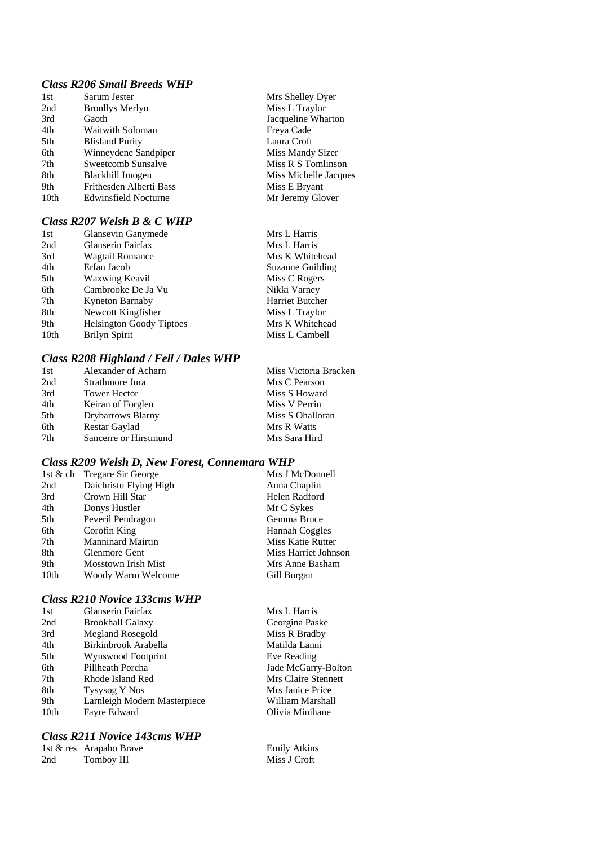### *Class R206 Small Breeds WHP*

| 2nd<br><b>Bronllys Merlyn</b>            |
|------------------------------------------|
| 3rd<br>Gaoth                             |
| <b>Waitwith Soloman</b><br>4th           |
| .5th<br><b>Blisland Purity</b>           |
| Winneydene Sandpiper<br>6th              |
| Sweetcomb Sunsalve<br>7th                |
| 8th<br>Blackhill Imogen                  |
| Frithesden Alberti Bass<br>9th           |
| 10 <sub>th</sub><br>Edwinsfield Nocturne |

### *Class R207 Welsh B & C WHP*

| Glansevin Ganymede              | Mrs L Harris     |
|---------------------------------|------------------|
| Glanserin Fairfax               | Mrs L Harris     |
| <b>Wagtail Romance</b>          | Mrs K Whitehead  |
| Erfan Jacob                     | Suzanne Guilding |
| <b>Waxwing Keavil</b>           | Miss C Rogers    |
| Cambrooke De Ja Vu              | Nikki Varney     |
| <b>Kyneton Barnaby</b>          | Harriet Butcher  |
| Newcott Kingfisher              | Miss L Traylor   |
| <b>Helsington Goody Tiptoes</b> | Mrs K Whitehead  |
| <b>Brilyn Spirit</b>            | Miss L Cambell   |
|                                 |                  |

#### *Class R208 Highland / Fell / Dales WHP*

| 1st | Alexander of Acharn   | Miss Victoria Bracken |
|-----|-----------------------|-----------------------|
| 2nd | Strathmore Jura       | Mrs C Pearson         |
| 3rd | <b>Tower Hector</b>   | Miss S Howard         |
| 4th | Keiran of Forglen     | Miss V Perrin         |
| 5th | Drybarrows Blarny     | Miss S Ohalloran      |
| 6th | Restar Gaylad         | Mrs R Watts           |
| 7th | Sancerre or Hirstmund | Mrs Sara Hird         |

#### *Class R209 Welsh D, New Forest, Connemara WHP*

| 1st & ch | Tregare Sir George         | Mrs J McDonnell          |
|----------|----------------------------|--------------------------|
| 2nd      | Daichristu Flying High     | Anna Chaplin             |
| 3rd      | Crown Hill Star            | Helen Radford            |
| 4th      | Donys Hustler              | Mr C Sykes               |
| 5th      | Peveril Pendragon          | Gemma Bruce              |
| 6th      | Corofin King               | Hannah Coggles           |
| 7th      | <b>Manninard Mairtin</b>   | <b>Miss Katie Rutter</b> |
| 8th      | Glenmore Gent              | Miss Harriet Johnson     |
| 9th      | <b>Mosstown Irish Mist</b> | Mrs Anne Basham          |
| 10th     | Woody Warm Welcome         | Gill Burgan              |

#### *Class R210 Novice 133cms WHP*

| 1st  | Glanserin Fairfax            |
|------|------------------------------|
| 2nd  | <b>Brookhall Galaxy</b>      |
| 3rd  | Megland Rosegold             |
| 4th  | Birkinbrook Arabella         |
| 5th  | Wynswood Footprint           |
| 6th  | Pillheath Porcha             |
| 7th  | Rhode Island Red             |
| 8th  | <b>Tysysog Y Nos</b>         |
| 9th  | Larnleigh Modern Masterpiece |
| 10th | Fayre Edward                 |

### *Class R211 Novice 143cms WHP*

|     | 1st & res Arapaho Brave |
|-----|-------------------------|
| 2nd | Tomboy III              |

Emily Atkins Miss J Croft

Mrs L Harris Georgina Paske Miss R Bradby Matilda Lanni Eve Reading

Jade McGarry-Bolton Mrs Claire Stennett Mrs Janice Price William Marshall Olivia Minihane

Mrs Shelley Dyer Miss L Traylor Jacqueline Wharton

Freya Cade Laura Croft Miss Mandy Sizer Miss R S Tomlinson Miss Michelle Jacques Miss E Bryant Mr Jeremy Glover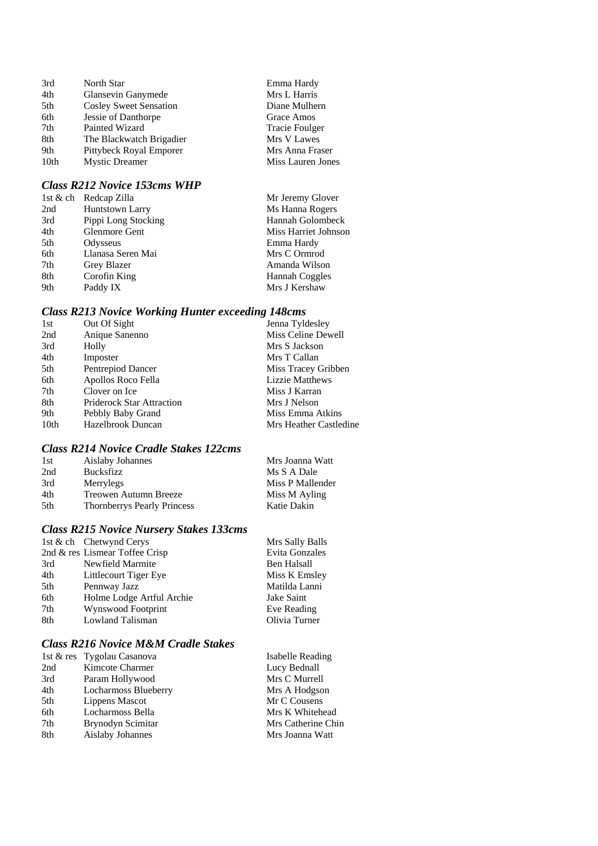| 3rd<br>North Star |                               | Emma Hardy            |
|-------------------|-------------------------------|-----------------------|
| 4th               | Glansevin Ganymede            | Mrs L Harris          |
| 5th               | <b>Cosley Sweet Sensation</b> | Diane Mulhern         |
| 6th               | Jessie of Danthorpe           | Grace Amos            |
| 7th               | Painted Wizard                | <b>Tracie Foulger</b> |
| 8th               | The Blackwatch Brigadier      | Mrs V Lawes           |
| 9th               | Pittybeck Royal Emporer       | Mrs Anna Fraser       |
| 10th              | <b>Mystic Dreamer</b>         | Miss Lauren Jones     |

# *Class R212 Novice 153cms WHP*

| 1st & ch | Redcap Zilla           | Mr Jeremy Glover     |
|----------|------------------------|----------------------|
| 2nd      | <b>Huntstown Larry</b> | Ms Hanna Rogers      |
| 3rd      | Pippi Long Stocking    | Hannah Golombeck     |
| 4th      | Glenmore Gent          | Miss Harriet Johnson |
| 5th      | Odysseus               | Emma Hardy           |
| 6th      | Llanasa Seren Mai      | Mrs C Ormrod         |
| 7th      | Grey Blazer            | Amanda Wilson        |
| 8th      | Corofin King           | Hannah Coggles       |
| 9th      | Paddy IX               | Mrs J Kershaw        |

#### *Class R213 Novice Working Hunter exceeding 148cms*

| Out Of Sight                     | Jenna Tyldesley        |
|----------------------------------|------------------------|
| Anique Sanenno                   | Miss Celine Dewell     |
| Holly                            | Mrs S Jackson          |
| Imposter                         | Mrs T Callan           |
| Pentrepiod Dancer                | Miss Tracey Gribben    |
| Apollos Roco Fella               | <b>Lizzie Matthews</b> |
| Clover on Ice                    | Miss J Karran          |
| <b>Priderock Star Attraction</b> | Mrs J Nelson           |
| Pebbly Baby Grand                | Miss Emma Atkins       |
| Hazelbrook Duncan                | Mrs Heather Castledine |
|                                  |                        |

### *Class R214 Novice Cradle Stakes 122cms*

| 1st | Aislaby Johannes                   | Mrs Joanna Watt  |
|-----|------------------------------------|------------------|
| 2nd | <b>Bucksfizz</b>                   | Ms S A Dale      |
| 3rd | <b>Merrylegs</b>                   | Miss P Mallender |
| 4th | Treowen Autumn Breeze              | Miss M Ayling    |
| 5th | <b>Thornberrys Pearly Princess</b> | Katie Dakin      |
|     |                                    |                  |

### *Class R215 Novice Nursery Stakes 133cms*

|     | 1st & ch Chetwynd Cerys        | Mrs Sally Balls |
|-----|--------------------------------|-----------------|
|     | 2nd & res Lismear Toffee Crisp | Evita Gonzales  |
| 3rd | Newfield Marmite               | Ben Halsall     |
| 4th | Littlecourt Tiger Eye          | Miss K Emsley   |
| 5th | Pennway Jazz                   | Matilda Lanni   |
| 6th | Holme Lodge Artful Archie      | Jake Saint      |
| 7th | Wynswood Footprint             | Eve Reading     |
| 8th | Lowland Talisman               | Olivia Turner   |
|     |                                |                 |

### *Class R216 Novice M&M Cradle Stakes*

|     | 1st & res Tygolau Casanova | Isabelle Reading   |
|-----|----------------------------|--------------------|
| 2nd | Kimcote Charmer            | Lucy Bednall       |
| 3rd | Param Hollywood            | Mrs C Murrell      |
| 4th | Locharmoss Blueberry       | Mrs A Hodgson      |
| 5th | Lippens Mascot             | Mr C Cousens       |
| 6th | Locharmoss Bella           | Mrs K Whitehead    |
| 7th | Brynodyn Scimitar          | Mrs Catherine Chin |
| 8th | <b>Aislaby Johannes</b>    | Mrs Joanna Watt    |
|     |                            |                    |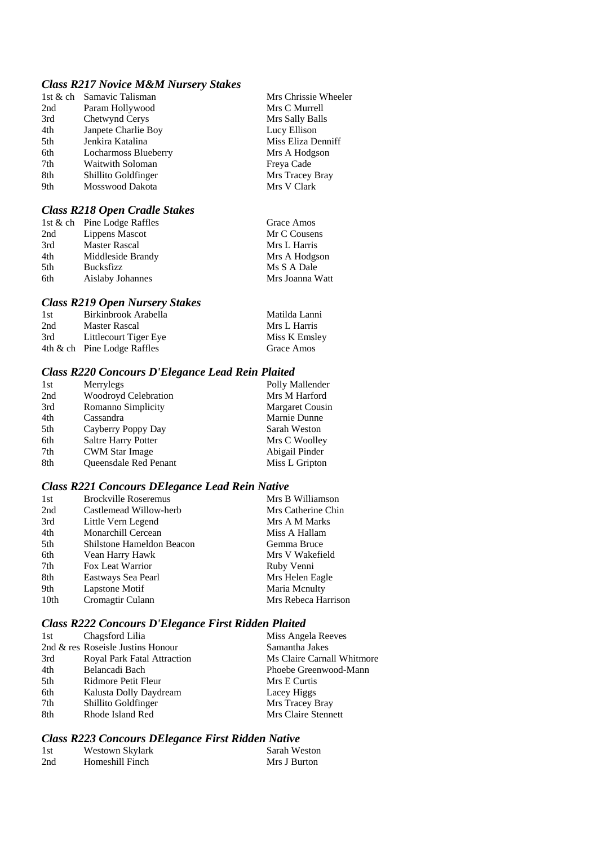### *Class R217 Novice M&M Nursery Stakes*

| 2nd<br>Mrs C Murrell<br>Param Hollywood<br>3rd<br>Chetwynd Cerys<br>Mrs Sally Balls<br>Janpete Charlie Boy<br>4th<br>Lucy Ellison<br>Miss Eliza Denniff<br>Jenkira Katalina<br>5th<br>6th<br>Mrs A Hodgson<br>Locharmoss Blueberry<br><b>Waitwith Soloman</b><br>Freya Cade<br>7th |
|------------------------------------------------------------------------------------------------------------------------------------------------------------------------------------------------------------------------------------------------------------------------------------|
|                                                                                                                                                                                                                                                                                    |
|                                                                                                                                                                                                                                                                                    |
|                                                                                                                                                                                                                                                                                    |
|                                                                                                                                                                                                                                                                                    |
|                                                                                                                                                                                                                                                                                    |
|                                                                                                                                                                                                                                                                                    |
| Mrs Tracey Bray<br>8th<br>Shillito Goldfinger                                                                                                                                                                                                                                      |
| Mrs V Clark<br>Mosswood Dakota<br>9th                                                                                                                                                                                                                                              |

### *Class R218 Open Cradle Stakes*

|     | 1st & ch Pine Lodge Raffles | Grace Amos      |
|-----|-----------------------------|-----------------|
| 2nd | Lippens Mascot              | Mr C Cousens    |
| 3rd | <b>Master Rascal</b>        | Mrs L Harris    |
| 4th | Middleside Brandy           | Mrs A Hodgson   |
| 5th | <b>Bucksfizz</b>            | Ms S A Dale     |
| 6th | Aislaby Johannes            | Mrs Joanna Watt |

### *Class R219 Open Nursery Stakes*

| 1st | Birkinbrook Arabella           | Matilda Lanni |
|-----|--------------------------------|---------------|
| 2nd | Master Rascal                  | Mrs L Harris  |
| 3rd | Littlecourt Tiger Eye          | Miss K Emsley |
|     | 4th $\&$ ch Pine Lodge Raffles | Grace Amos    |

### *Class R220 Concours D'Elegance Lead Rein Plaited*

| 1st | Merrylegs                  | Polly Mallender |
|-----|----------------------------|-----------------|
| 2nd | Woodroyd Celebration       | Mrs M Harford   |
| 3rd | Romanno Simplicity         | Margaret Cousin |
| 4th | Cassandra                  | Marnie Dunne    |
| 5th | Cayberry Poppy Day         | Sarah Weston    |
| 6th | <b>Saltre Harry Potter</b> | Mrs C Woolley   |
| 7th | <b>CWM Star Image</b>      | Abigail Pinder  |
| 8th | Queensdale Red Penant      | Miss L Gripton  |

### *Class R221 Concours DElegance Lead Rein Native*

| 1st  | <b>Brockville Roseremus</b> | Mrs B Williamson    |
|------|-----------------------------|---------------------|
| 2nd  | Castlemead Willow-herb      | Mrs Catherine Chin  |
| 3rd  | Little Vern Legend          | Mrs A M Marks       |
| 4th  | Monarchill Cercean          | Miss A Hallam       |
| 5th  | Shilstone Hameldon Beacon   | Gemma Bruce         |
| 6th  | Vean Harry Hawk             | Mrs V Wakefield     |
| 7th  | Fox Leat Warrior            | Ruby Venni          |
| 8th  | Eastways Sea Pearl          | Mrs Helen Eagle     |
| 9th  | Lapstone Motif              | Maria Menulty       |
| 10th | Cromagtir Culann            | Mrs Rebeca Harrison |

## *Class R222 Concours D'Elegance First Ridden Plaited*

| 1st | Chagsford Lilia                   | Miss Angela Reeves         |
|-----|-----------------------------------|----------------------------|
|     | 2nd & res Roseisle Justins Honour | Samantha Jakes             |
| 3rd | Royal Park Fatal Attraction       | Ms Claire Carnall Whitmore |
| 4th | Belancadi Bach                    | Phoebe Greenwood-Mann      |
| 5th | Ridmore Petit Fleur               | Mrs E Curtis               |
| 6th | Kalusta Dolly Daydream            | Lacey Higgs                |
| 7th | Shillito Goldfinger               | Mrs Tracey Bray            |
| 8th | Rhode Island Red                  | Mrs Claire Stennett        |

# *Class R223 Concours DElegance First Ridden Native*

| 1st | Westown Skylark | Sarah Weston |
|-----|-----------------|--------------|
| 2nd | Homeshill Finch | Mrs J Burton |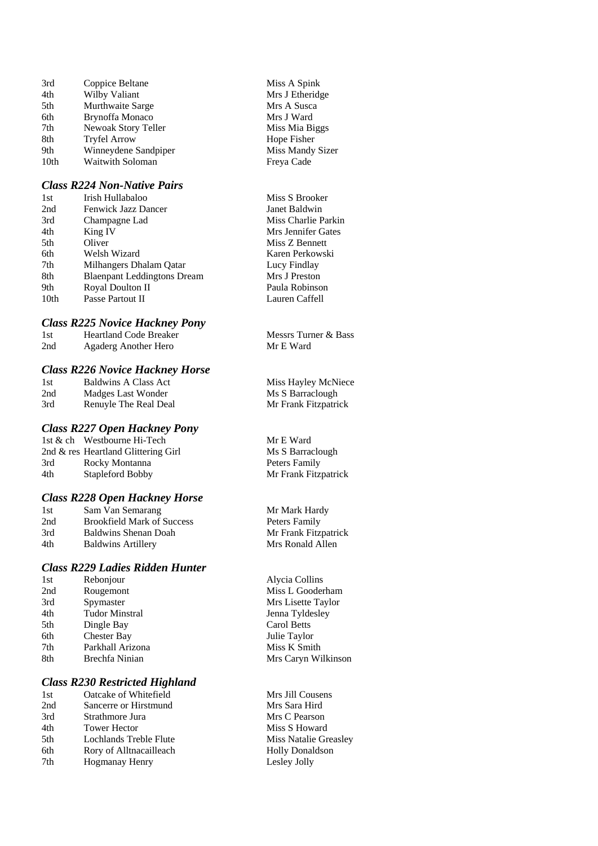3rd Coppice Beltane Miss A Spink<br>4th Wilby Valiant Mrs J Etherid; 4th Wilby Valiant Mrs J Etheridge<br>5th Murthwaite Sarge Mrs A Susca 5th Murthwaite Sarge Mrs A Susca<br>6th Brynoffa Monaco Mrs J Ward 6th Brynoffa Monaco<br>
7th Newoak Story Teller Miss Miss Mia Biggs Newoak Story Teller 8th Tryfel Arrow Hope Fisher Hope Fisher (1984)<br>9th Winneydene Sandpiper (1985) Miss Mandy Sizer 9th Winneydene Sandpiper 10th Waitwith Soloman Freya Cade

#### *Class R224 Non-Native Pairs*

| 1st              | Irish Hullabaloo                   |
|------------------|------------------------------------|
| 2nd              | <b>Fenwick Jazz Dancer</b>         |
| 3rd              | Champagne Lad                      |
| 4th              | King IV                            |
| 5th              | Oliver                             |
| 6th              | Welsh Wizard                       |
| 7th              | Milhangers Dhalam Qatar            |
| 8th              | <b>Blaenpant Leddingtons Drean</b> |
| 9th              | Royal Doulton II                   |
| 10 <sub>th</sub> | Passe Partout II                   |
|                  |                                    |

#### *Class R225 Novice Hackney Pony*

| 1st | <b>Heartland Code Breaker</b> | <b>Messrs</b> Turi |
|-----|-------------------------------|--------------------|
| 2nd | Agaderg Another Hero          | Mr E Ward          |

#### *Class R226 Novice Hackney Horse*

| 1st | <b>Baldwins A Class Act</b> |
|-----|-----------------------------|
| 2nd | Madges Last Wonder          |
| 3rd | Renuyle The Real Deal       |

#### *Class R227 Open Hackney Pony*

1st & ch Westbourne Hi-Tech Mr E Ward 2nd & res Heartland Glittering Girl Ms S Barraclough 3rd Rocky Montanna Peters Family 4th Stapleford Bobby Mr Frank Fitzpatrick

#### *Class R228 Open Hackney Horse*

| 1st | Sam Van Semarang                  |
|-----|-----------------------------------|
| 2nd | <b>Brookfield Mark of Success</b> |
| 3rd | <b>Baldwins Shenan Doah</b>       |
| 4th | <b>Baldwins Artillery</b>         |

#### *Class R229 Ladies Ridden Hunter*

1st Rebonjour Alycia Collins<br>
2nd Rougemont Miss L Gooder 2nd Rougemont Miss L Gooderham<br>3rd Spymaster Miss L Gooderham<br>3rd Miss L Gooderham 3rd Spymaster Mrs Lisette Taylor<br>4th Tudor Minstral Sena Tyldesley 4th Tudor Minstral Jenna Tyldesley<br>5th Dingle Bay Carol Betts 5th Dingle Bay Carol Betts<br>6th Chester Bay Julie Taylor 6th Chester Bay<br>
7th Parkhall Arizona Miss K Smith Parkhall Arizona 8th Brechfa Ninian Mrs Caryn Wilkinson

#### *Class R230 Restricted Highland*

| 1st  | Oatcake of Whitefield   |
|------|-------------------------|
| 2nd  | Sancerre or Hirstmund   |
| 3rd  | Strathmore Jura         |
| 4th  | <b>Tower Hector</b>     |
| .5th | Lochlands Treble Flute  |
| 6th  | Rory of Alltnacailleach |
| 7th  | Hogmanay Henry          |

Miss S Brooker **Janet Baldwin** Miss Charlie Parkin **Mrs Jennifer Gates** Miss Z Bennett Karen Perkowski Lucy Findlay n Mrs J Preston Paula Robinson Lauren Caffell

Messrs Turner & Bass

Miss Hayley McNiece Ms S Barraclough Mr Frank Fitzpatrick

Mr Mark Hardy s Peters Family Mr Frank Fitzpatrick Mrs Ronald Allen

Mrs Jill Cousens Mrs Sara Hird Mrs C Pearson Miss S Howard Miss Natalie Greasley Holly Donaldson Lesley Jolly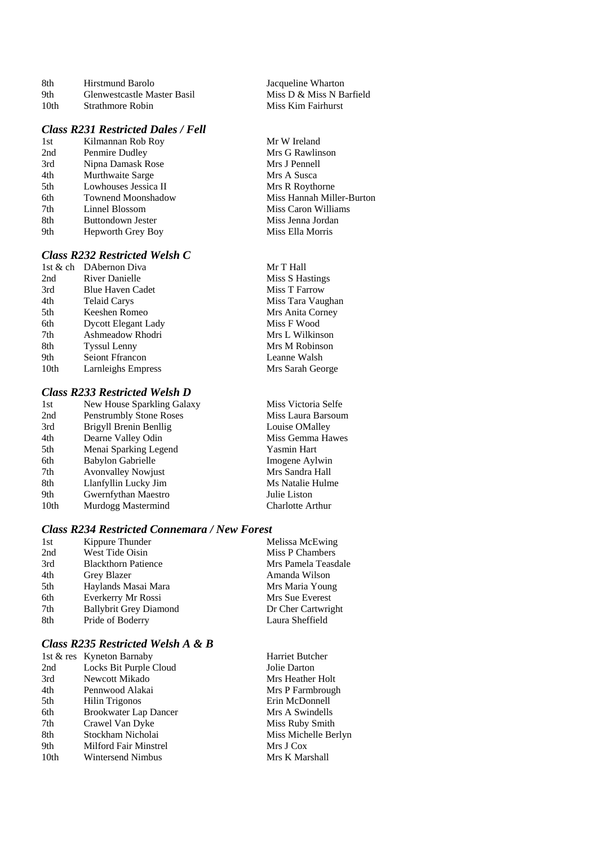| -8th | Hirstmund Barolo            | Jacqueline Wharton |
|------|-----------------------------|--------------------|
| 9th  | Glenwestcastle Master Basil | Miss D & Miss N B  |
| 10th | Strathmore Robin            | Miss Kim Fairhurst |

#### *Class R231 Restricted Dales / Fell*

| Kilmannan Rob Roy    |
|----------------------|
| Penmire Dudley       |
| Nipna Damask Rose    |
| Murthwaite Sarge     |
| Lowhouses Jessica II |
| Townend Moonshadow   |
| Linnel Blossom       |
| Buttondown Jester    |
| Hepworth Grey Boy    |
|                      |

#### *Class R232 Restricted Welsh C*

| 1st $\&$ ch | DAbernon Diva              |
|-------------|----------------------------|
| 2nd         | River Danielle             |
| 3rd         | <b>Blue Haven Cadet</b>    |
| 4th         | <b>Telaid Carys</b>        |
| 5th         | Keeshen Romeo              |
| 6th         | <b>Dycott Elegant Lady</b> |
| 7th         | Ashmeadow Rhodri           |
| 8th         | <b>Tyssul Lenny</b>        |
| 9th         | <b>Seiont Ffrancon</b>     |
| 10th        | Larnleighs Empress         |

#### *Class R233 Restricted Welsh D*

| 1st              | New House Sparkling Galaxy     |
|------------------|--------------------------------|
| 2nd              | <b>Penstrumbly Stone Roses</b> |
| 3rd              | <b>Brigyll Brenin Benllig</b>  |
| 4th              | Dearne Valley Odin             |
| 5th              | Menai Sparking Legend          |
| 6th              | <b>Babylon Gabrielle</b>       |
| 7th              | <b>Avonvalley Nowjust</b>      |
| 8th              | Llanfyllin Lucky Jim           |
| 9th              | Gwernfythan Maestro            |
| 10 <sub>th</sub> | Murdogg Mastermind             |

#### *Class R234 Restricted Connemara / New Forest*

| 1st | Kippure Thunder               | Melissa McEwing     |
|-----|-------------------------------|---------------------|
| 2nd | <b>West Tide Oisin</b>        | Miss P Chambers     |
| 3rd | <b>Blackthorn Patience</b>    | Mrs Pamela Teasdale |
| 4th | Grey Blazer                   | Amanda Wilson       |
| 5th | Haylands Masai Mara           | Mrs Maria Young     |
| 6th | Everkerry Mr Rossi            | Mrs Sue Everest     |
| 7th | <b>Ballybrit Grey Diamond</b> | Dr Cher Cartwright  |
| 8th | Pride of Boderry              | Laura Sheffield     |

#### *Class R235 Restricted Welsh A & B*

| 1st & res        | Kyneton Barnaby              |
|------------------|------------------------------|
| 2nd              | Locks Bit Purple Cloud       |
| 3rd              | Newcott Mikado               |
| 4th              | Pennwood Alakai              |
| 5th              | <b>Hilin Trigonos</b>        |
| 6th              | <b>Brookwater Lap Dancer</b> |
| 7th              | Crawel Van Dyke              |
| 8th              | Stockham Nicholai            |
| 9th              | Milford Fair Minstrel        |
| 10 <sub>th</sub> | <b>Wintersend Nimbus</b>     |
|                  |                              |

3th Hirstman Jacqueline Wharton<br>8th Miss D & Miss N B Miss D & Miss N Barfield

> Mr W Ireland Mrs G Rawlinson Mrs J Pennell Mrs A Susca Mrs R Roythorne Miss Hannah Miller-Burton **Miss Caron Williams** Miss Jenna Jordan Miss Ella Morris

Mr T Hall Miss S Hastings Miss T Farrow Miss Tara Vaughan Mrs Anita Corney Miss F Wood Mrs L Wilkinson Mrs M Robinson Leanne Walsh Mrs Sarah George

Miss Victoria Selfe Miss Laura Barsoum Louise OMalley Miss Gemma Hawes Yasmin Hart Imogene Aylwin Mrs Sandra Hall Ms Natalie Hulme Julie Liston Charlotte Arthur

1st & res Kyneton Barnaby Harriet Butcher Jolie Darton Mrs Heather Holt Mrs P Farmbrough Erin McDonnell Mrs A Swindells Miss Ruby Smith Miss Michelle Berlyn Mrs J Cox Mrs K Marshall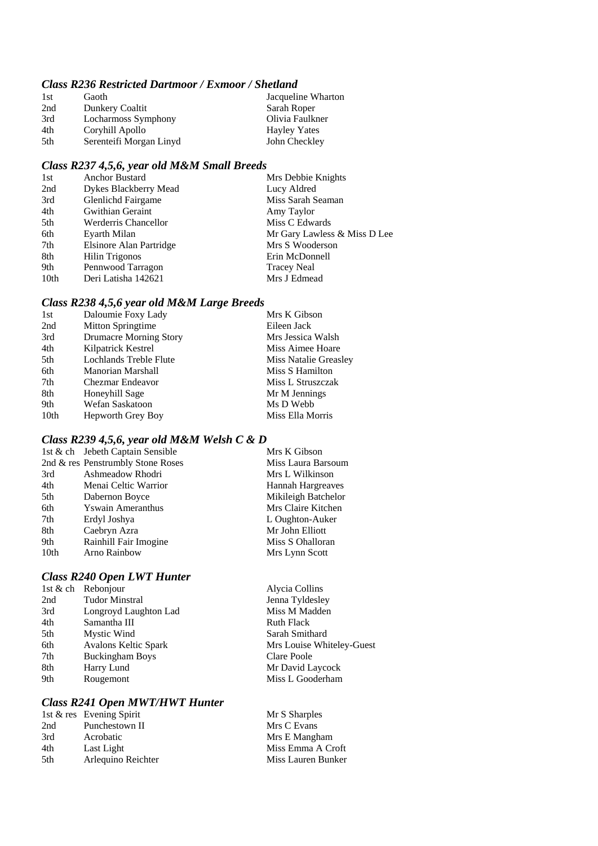#### *Class R236 Restricted Dartmoor / Exmoor / Shetland*

| 1st | Gaoth                   | Jacqueline Wharton  |
|-----|-------------------------|---------------------|
| 2nd | Dunkery Coaltit         | Sarah Roper         |
| 3rd | Locharmoss Symphony     | Olivia Faulkner     |
| 4th | Coryhill Apollo         | <b>Hayley Yates</b> |
| 5th | Serenteifi Morgan Linyd | John Checkley       |

# *Class R237 4,5,6, year old M&M Small Breeds*

| 1st  | <b>Anchor Bustard</b>     | Mrs Debbie Knights           |
|------|---------------------------|------------------------------|
| 2nd  | Dykes Blackberry Mead     | Lucy Aldred                  |
| 3rd  | <b>Glenlichd Fairgame</b> | Miss Sarah Seaman            |
| 4th  | Gwithian Geraint          | Amy Taylor                   |
| 5th  | Werderris Chancellor      | Miss C Edwards               |
| 6th  | Eyarth Milan              | Mr Gary Lawless & Miss D Lee |
| 7th  | Elsinore Alan Partridge   | Mrs S Wooderson              |
| 8th  | Hilin Trigonos            | Erin McDonnell               |
| 9th  | Pennwood Tarragon         | <b>Tracey Neal</b>           |
| 10th | Deri Latisha 142621       | Mrs J Edmead                 |

# *Class R238 4,5,6 year old M&M Large Breeds*

| Eileen Jack           |
|-----------------------|
|                       |
| Mrs Jessica Walsh     |
| Miss Aimee Hoare      |
| Miss Natalie Greasley |
| Miss S Hamilton       |
| Miss L Struszczak     |
| Mr M Jennings         |
| Ms D Webb             |
| Miss Ella Morris      |
|                       |

# *Class R239 4,5,6, year old M&M Welsh C & D*

| 1st & ch Jebeth Captain Sensible | Mrs K Gibson                      |
|----------------------------------|-----------------------------------|
|                                  | Miss Laura Barsoum                |
| Ashmeadow Rhodri                 | Mrs L Wilkinson                   |
| Menai Celtic Warrior             | Hannah Hargreaves                 |
| Dabernon Boyce                   | Mikileigh Batchelor               |
| <b>Yswain Ameranthus</b>         | Mrs Claire Kitchen                |
| Erdyl Joshya                     | L Oughton-Auker                   |
| Caebryn Azra                     | Mr John Elliott                   |
| Rainhill Fair Imogine            | Miss S Ohalloran                  |
| Arno Rainbow                     | Mrs Lynn Scott                    |
|                                  | 2nd & res Penstrumbly Stone Roses |

# *Class R240 Open LWT Hunter*

|     | 1st & ch Rebonjour     | Alycia Collins            |
|-----|------------------------|---------------------------|
| 2nd | <b>Tudor Minstral</b>  | Jenna Tyldesley           |
| 3rd | Longroyd Laughton Lad  | Miss M Madden             |
| 4th | Samantha III           | <b>Ruth Flack</b>         |
| 5th | Mystic Wind            | Sarah Smithard            |
| 6th | Avalons Keltic Spark   | Mrs Louise Whiteley-Guest |
| 7th | <b>Buckingham Boys</b> | Clare Poole               |
| 8th | Harry Lund             | Mr David Laycock          |
| 9th | Rougemont              | Miss L Gooderham          |
|     |                        |                           |

# *Class R241 Open MWT/HWT Hunter*

|     | 1st & res Evening Spirit | Mr S Sharples      |
|-----|--------------------------|--------------------|
| 2nd | Punchestown II           | Mrs C Evans        |
| 3rd | Acrobatic                | Mrs E Mangham      |
| 4th | Last Light               | Miss Emma A Croft  |
| 5th | Arlequino Reichter       | Miss Lauren Bunker |
|     |                          |                    |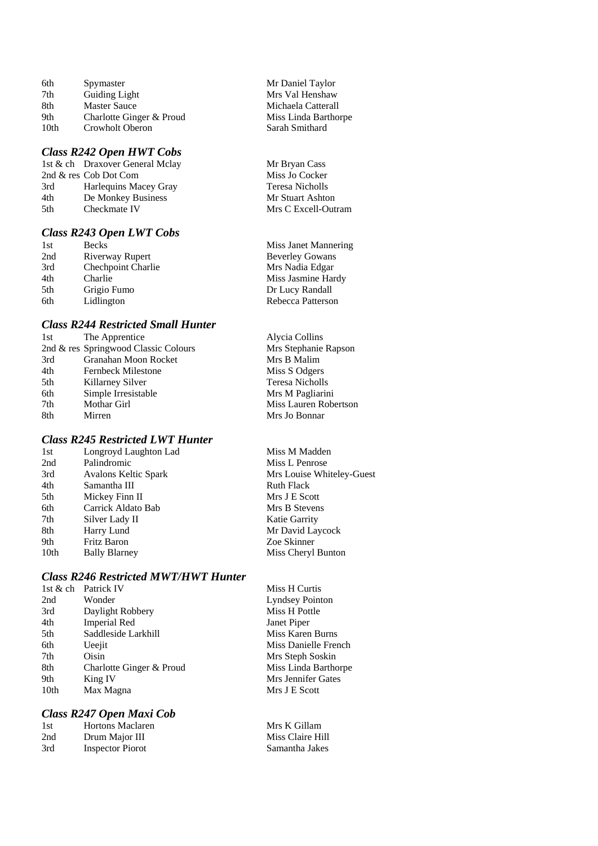| 6th  | Spymaster                |
|------|--------------------------|
| 7th  | <b>Guiding Light</b>     |
| 8th  | <b>Master Sauce</b>      |
| 9th  | Charlotte Ginger & Proud |
| 10th | Crowholt Oberon          |

#### *Class R242 Open HWT Cobs*

1st & ch Draxover General Mclay Mr Bryan Cass 2nd & res Cob Dot Com Miss Jo Cocker<br>
3rd Harlequins Macey Gray Teresa Nicholls 3rd Harlequins Macey Gray 4th De Monkey Business Mr Stuart Ashton<br>5th Checkmate IV Mrs C Excell-Out 5th Checkmate IV Mrs C Excell-Outram

#### *Class R243 Open LWT Cobs*

| 1st | <b>Becks</b>              | <b>Miss Janet Mannering</b> |
|-----|---------------------------|-----------------------------|
| 2nd | Riverway Rupert           | <b>Beverley Gowans</b>      |
| 3rd | <b>Chechpoint Charlie</b> | Mrs Nadia Edgar             |
| 4th | Charlie                   | Miss Jasmine Hardy          |
| 5th | Grigio Fumo               | Dr Lucy Randall             |
| 6th | Lidlington                | Rebecca Patterson           |
|     |                           |                             |

Mr Daniel Taylor Mrs Val Henshaw Michaela Catterall Miss Linda Barthorpe Sarah Smithard

# *Class R244 Restricted Small Hunter*

| 1st | The Apprentice                       | Alycia Collins        |
|-----|--------------------------------------|-----------------------|
|     | 2nd & res Springwood Classic Colours | Mrs Stephanie Rapson  |
| 3rd | Granahan Moon Rocket                 | Mrs B Malim           |
| 4th | <b>Fernbeck Milestone</b>            | Miss S Odgers         |
| 5th | Killarney Silver                     | Teresa Nicholls       |
| 6th | Simple Irresistable                  | Mrs M Pagliarini      |
| 7th | Mothar Girl                          | Miss Lauren Robertson |
| 8th | Mirren                               | Mrs Jo Bonnar         |

# *Class R245 Restricted LWT Hunter*

| 1st              | Longroyd Laughton Lad | Miss M Madden             |
|------------------|-----------------------|---------------------------|
| 2nd              | Palindromic           | Miss L Penrose            |
| 3rd              | Avalons Keltic Spark  | Mrs Louise Whiteley-Guest |
| 4th              | Samantha III          | <b>Ruth Flack</b>         |
| 5th              | Mickey Finn II        | Mrs J E Scott             |
| 6th              | Carrick Aldato Bab    | Mrs B Stevens             |
| 7th              | Silver Lady II        | <b>Katie Garrity</b>      |
| 8th              | Harry Lund            | Mr David Laycock          |
| 9th              | <b>Fritz Baron</b>    | Zoe Skinner               |
| 10 <sub>th</sub> | <b>Bally Blarney</b>  | Miss Cheryl Bunton        |

#### *Class R246 Restricted MWT/HWT Hunter*

| 1st & ch         | Patrick IV               | Miss H Curtis          |
|------------------|--------------------------|------------------------|
| 2nd              | Wonder                   | <b>Lyndsey Pointon</b> |
| 3rd              | Daylight Robbery         | Miss H Pottle          |
| 4th              | <b>Imperial Red</b>      | Janet Piper            |
| 5th              | Saddleside Larkhill      | Miss Karen Burns       |
| 6th              | Ueejit                   | Miss Danielle French   |
| 7th              | Oisin                    | Mrs Steph Soskin       |
| 8th              | Charlotte Ginger & Proud | Miss Linda Barthorpe   |
| 9th              | King IV                  | Mrs Jennifer Gates     |
| 10 <sub>th</sub> | Max Magna                | Mrs J E Scott          |
|                  |                          |                        |

# *Class R247 Open Maxi Cob*

| 1st | <b>Hortons Maclaren</b> | Mrs K Gillam     |
|-----|-------------------------|------------------|
| 2nd | Drum Major III          | Miss Claire Hill |
| 3rd | <b>Inspector Piorot</b> | Samantha Jakes   |
|     |                         |                  |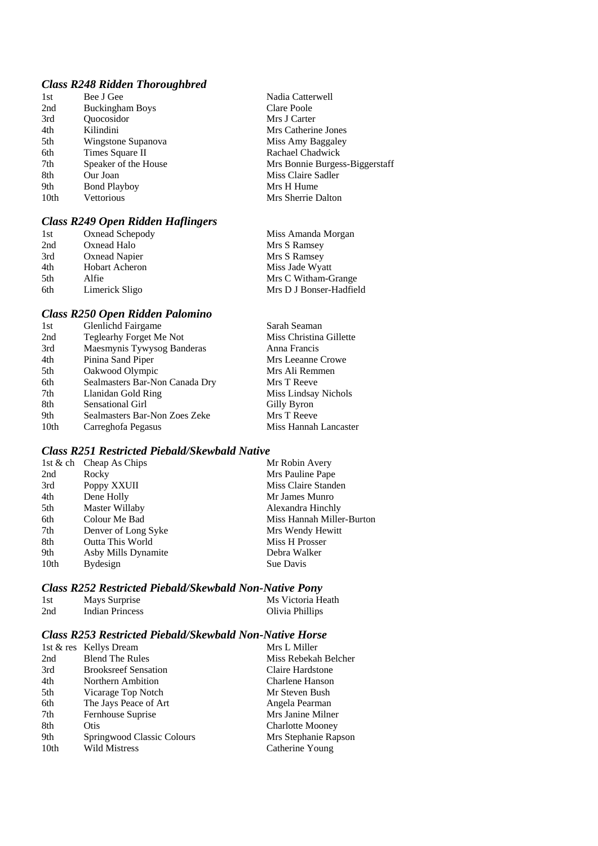# *Class R248 Ridden Thoroughbred*

| 1st  | Bee J Gee              | Nadia Catterwell               |
|------|------------------------|--------------------------------|
| 2nd  | <b>Buckingham Boys</b> | Clare Poole                    |
| 3rd  | <b>Ouocosidor</b>      | Mrs J Carter                   |
| 4th  | Kilindini              | Mrs Catherine Jones            |
| 5th  | Wingstone Supanova     | Miss Amy Baggaley              |
| 6th  | Times Square II        | Rachael Chadwick               |
| 7th  | Speaker of the House   | Mrs Bonnie Burgess-Biggerstaff |
| 8th  | Our Joan               | Miss Claire Sadler             |
| 9th  | <b>Bond Playboy</b>    | Mrs H Hume                     |
| 10th | Vettorious             | Mrs Sherrie Dalton             |
|      |                        |                                |

# *Class R249 Open Ridden Haflingers*

| Oxnead Schepody       | Miss Amanda Morgan      |
|-----------------------|-------------------------|
| Oxnead Halo           | Mrs S Ramsey            |
| Oxnead Napier         | Mrs S Ramsey            |
| <b>Hobart Acheron</b> | Miss Jade Wyatt         |
| Alfie                 | Mrs C Witham-Grange     |
| Limerick Sligo        | Mrs D J Bonser-Hadfield |
|                       |                         |

# *Class R250 Open Ridden Palomino*

| 1st  | <b>Glenlichd Fairgame</b>      | Sarah Seaman            |
|------|--------------------------------|-------------------------|
| 2nd  | Teglearhy Forget Me Not        | Miss Christina Gillette |
| 3rd  | Maesmynis Tywysog Banderas     | Anna Francis            |
| 4th  | Pinina Sand Piper              | Mrs Leeanne Crowe       |
| 5th  | Oakwood Olympic                | Mrs Ali Remmen          |
| 6th  | Sealmasters Bar-Non Canada Dry | Mrs T Reeve             |
| 7th  | Llanidan Gold Ring             | Miss Lindsay Nichols    |
| 8th  | Sensational Girl               | Gilly Byron             |
| 9th  | Sealmasters Bar-Non Zoes Zeke  | Mrs T Reeve             |
| 10th | Carreghofa Pegasus             | Miss Hannah Lancaster   |

# *Class R251 Restricted Piebald/Skewbald Native*

|                  | 1st & ch Cheap As Chips | Mr Robin Avery            |
|------------------|-------------------------|---------------------------|
| 2nd              | Rocky                   | Mrs Pauline Pape          |
| 3rd              | Poppy XXUII             | Miss Claire Standen       |
| 4th              | Dene Holly              | Mr James Munro            |
| 5th              | Master Willaby          | Alexandra Hinchly         |
| 6th              | Colour Me Bad           | Miss Hannah Miller-Burton |
| 7th              | Denver of Long Syke     | Mrs Wendy Hewitt          |
| 8th              | <b>Outta This World</b> | Miss H Prosser            |
| 9th              | Asby Mills Dynamite     | Debra Walker              |
| 10 <sub>th</sub> | <b>Bydesign</b>         | Sue Davis                 |

#### *Class R252 Restricted Piebald/Skewbald Non-Native Pony*

| - 1st | Mays Surprise   | Ms Victoria Heath |
|-------|-----------------|-------------------|
| 2nd   | Indian Princess | Olivia Phillips   |

# *Class R253 Restricted Piebald/Skewbald Non-Native Horse*

|      | 1st & res Kellys Dream      | Mrs L Miller            |
|------|-----------------------------|-------------------------|
| 2nd  | <b>Blend The Rules</b>      | Miss Rebekah Belcher    |
| 3rd  | <b>Brooksreef Sensation</b> | Claire Hardstone        |
| 4th  | Northern Ambition           | Charlene Hanson         |
| 5th  | Vicarage Top Notch          | Mr Steven Bush          |
| 6th  | The Jays Peace of Art       | Angela Pearman          |
| 7th  | Fernhouse Suprise           | Mrs Janine Milner       |
| 8th  | Otis                        | <b>Charlotte Mooney</b> |
| 9th  | Springwood Classic Colours  | Mrs Stephanie Rapson    |
| 10th | <b>Wild Mistress</b>        | Catherine Young         |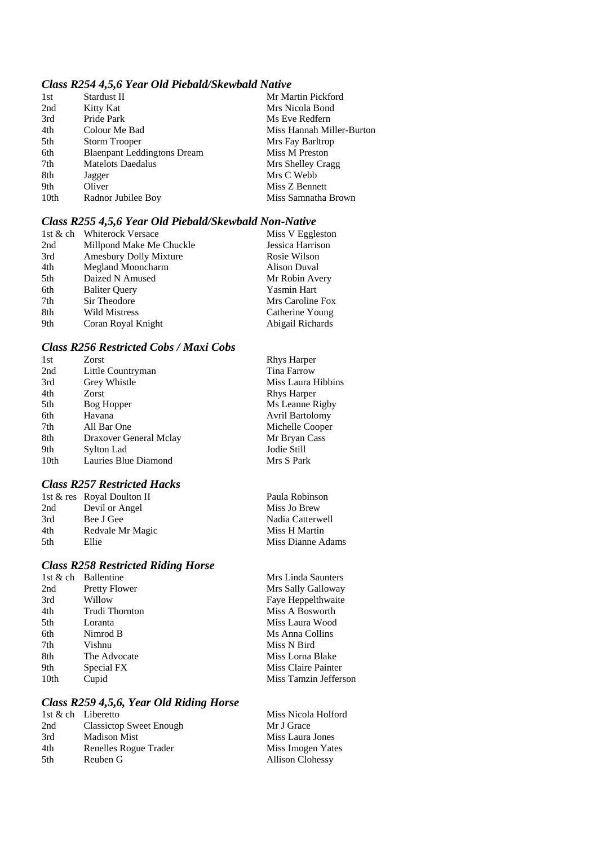#### *Class R254 4,5,6 Year Old Piebald/Skewbald Native*

| 1st  | Stardust II                        | Mr Martin Pickford        |
|------|------------------------------------|---------------------------|
| 2nd  | Kitty Kat                          | Mrs Nicola Bond           |
| 3rd  | Pride Park                         | Ms Eve Redfern            |
| 4th  | Colour Me Bad                      | Miss Hannah Miller-Burton |
| 5th  | <b>Storm Trooper</b>               | Mrs Fay Barltrop          |
| 6th  | <b>Blaenpant Leddingtons Dream</b> | Miss M Preston            |
| 7th  | <b>Matelots Daedalus</b>           | Mrs Shelley Cragg         |
| 8th  | Jagger                             | Mrs C Webb                |
| 9th  | Oliver                             | Miss Z Bennett            |
| 10th | Radnor Jubilee Boy                 | Miss Samnatha Brown       |
|      |                                    |                           |

#### *Class R255 4,5,6 Year Old Piebald/Skewbald Non-Native*

|     | 1st & ch Whiterock Versace | Miss V Eggleston   |
|-----|----------------------------|--------------------|
| 2nd | Millpond Make Me Chuckle   | Jessica Harrison   |
| 3rd | Amesbury Dolly Mixture     | Rosie Wilson       |
| 4th | Megland Mooncharm          | Alison Duval       |
| 5th | Daized N Amused            | Mr Robin Avery     |
| 6th | <b>Baliter Query</b>       | <b>Yasmin Hart</b> |
| 7th | Sir Theodore               | Mrs Caroline Fox   |
| 8th | <b>Wild Mistress</b>       | Catherine Young    |
| 9th | Coran Royal Knight         | Abigail Richards   |

# *Class R256 Restricted Cobs / Maxi Cobs*

| 1st              | Zorst                  | <b>Rhys Harper</b>     |
|------------------|------------------------|------------------------|
| 2nd              | Little Countryman      | Tina Farrow            |
| 3rd              | Grey Whistle           | Miss Laura Hibbins     |
| 4th              | Zorst                  | <b>Rhys Harper</b>     |
| 5th              | Bog Hopper             | Ms Leanne Rigby        |
| 6th              | Havana                 | <b>Avril Bartolomy</b> |
| 7th              | All Bar One            | Michelle Cooper        |
| 8th              | Draxover General Mclay | Mr Bryan Cass          |
| 9th              | Sylton Lad             | Jodie Still            |
| 10 <sub>th</sub> | Lauries Blue Diamond   | Mrs S Park             |
|                  |                        |                        |

# *Class R257 Restricted Hacks*

|      | 1st & res Royal Doulton II | Paula Robinson    |
|------|----------------------------|-------------------|
| 2nd  | Devil or Angel             | Miss Jo Brew      |
| 3rd  | Bee J Gee                  | Nadia Catterwell  |
| 4th  | Redvale Mr Magic           | Miss H Martin     |
| .5th | Ellie                      | Miss Dianne Adams |
|      |                            |                   |

Mrs Linda Saunters Mrs Sally Galloway Faye Heppelthwaite Miss A Bosworth Miss Laura Wood Ms Anna Collins Miss N Bird Miss Lorna Blake Miss Claire Painter Miss Tamzin Jefferson

#### *Class R258 Restricted Riding Horse*

|                  | 1st & ch Ballentine  |
|------------------|----------------------|
| 2nd              | <b>Pretty Flower</b> |
| 3rd              | Willow               |
| 4th              | Trudi Thornton       |
| 5th              | Loranta              |
| 6th              | Nimrod B             |
| 7th              | Vishnu               |
| 8th              | The Advocate         |
| 9th              | Special FX           |
| 10 <sub>th</sub> | Cupid                |
|                  |                      |

# *Class R259 4,5,6, Year Old Riding Horse*

|     | 1st & ch Liberetto             | Miss Nicola Holford     |
|-----|--------------------------------|-------------------------|
| 2nd | <b>Classictop Sweet Enough</b> | Mr J Grace              |
| 3rd | Madison Mist                   | Miss Laura Jones        |
| 4th | Renelles Rogue Trader          | Miss Imogen Yates       |
| 5th | Reuben G                       | <b>Allison Clohessy</b> |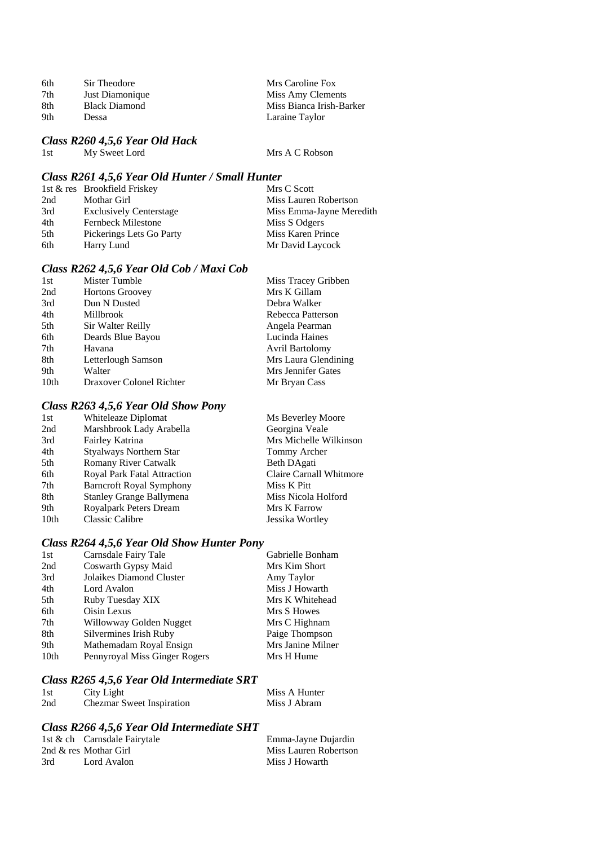| 6th | Sir Theodore         | Mrs Caroline Fox         |
|-----|----------------------|--------------------------|
| 7th | Just Diamonique      | Miss Amy Clements        |
| 8th | <b>Black Diamond</b> | Miss Bianca Irish-Barker |
| 9th | Dessa                | Laraine Taylor           |

#### *Class R260 4,5,6 Year Old Hack*

1st My Sweet Lord Mrs A C Robson

#### *Class R261 4,5,6 Year Old Hunter / Small Hunter*

|     | 1st & res Brookfield Friskey   | Mrs C Scott              |
|-----|--------------------------------|--------------------------|
| 2nd | Mothar Girl                    | Miss Lauren Robertson    |
| 3rd | <b>Exclusively Centerstage</b> | Miss Emma-Jayne Meredith |
| 4th | <b>Fernbeck Milestone</b>      | Miss S Odgers            |
| 5th | Pickerings Lets Go Party       | Miss Karen Prince        |
| 6th | Harry Lund                     | Mr David Laycock         |

#### *Class R262 4,5,6 Year Old Cob / Maxi Cob*

| 1st  | Mister Tumble            | Miss Tracey Gribben    |
|------|--------------------------|------------------------|
| 2nd  | <b>Hortons Groovey</b>   | Mrs K Gillam           |
| 3rd  | Dun N Dusted             | Debra Walker           |
| 4th  | Millbrook                | Rebecca Patterson      |
| 5th  | Sir Walter Reilly        | Angela Pearman         |
| 6th  | Deards Blue Bayou        | Lucinda Haines         |
| 7th  | Havana                   | <b>Avril Bartolomy</b> |
| 8th  | Letterlough Samson       | Mrs Laura Glendining   |
| 9th  | Walter                   | Mrs Jennifer Gates     |
| 10th | Draxover Colonel Richter | Mr Bryan Cass          |

#### *Class R263 4,5,6 Year Old Show Pony*

| Whiteleaze Diplomat             | Ms Beverley Moore       |
|---------------------------------|-------------------------|
| Marshbrook Lady Arabella        | Georgina Veale          |
| Fairley Katrina                 | Mrs Michelle Wilkinson  |
| Styalways Northern Star         | Tommy Archer            |
| <b>Romany River Catwalk</b>     | Beth DAgati             |
| Royal Park Fatal Attraction     | Claire Carnall Whitmore |
| <b>Barncroft Royal Symphony</b> | Miss K Pitt             |
| <b>Stanley Grange Ballymena</b> | Miss Nicola Holford     |
| <b>Royalpark Peters Dream</b>   | Mrs K Farrow            |
| Classic Calibre                 | Jessika Wortley         |
|                                 |                         |

#### *Class R264 4,5,6 Year Old Show Hunter Pony*

| 1st  | Carnsdale Fairy Tale          | Gabrielle Bonham  |
|------|-------------------------------|-------------------|
| 2nd  | Coswarth Gypsy Maid           | Mrs Kim Short     |
| 3rd  | Jolaikes Diamond Cluster      | Amy Taylor        |
| 4th  | Lord Avalon                   | Miss J Howarth    |
| 5th  | Ruby Tuesday XIX              | Mrs K Whitehead   |
| 6th  | Oisin Lexus                   | Mrs S Howes       |
| 7th  | Willowway Golden Nugget       | Mrs C Highnam     |
| 8th  | Silvermines Irish Ruby        | Paige Thompson    |
| 9th  | Mathemadam Royal Ensign       | Mrs Janine Milner |
| 10th | Pennyroyal Miss Ginger Rogers | Mrs H Hume        |
|      |                               |                   |

#### *Class R265 4,5,6 Year Old Intermediate SRT*

| 1st | City Light                       | Miss A Hunter |
|-----|----------------------------------|---------------|
| 2nd | <b>Chezmar Sweet Inspiration</b> | Miss J Abram  |

# *Class R266 4,5,6 Year Old Intermediate SHT*

|     | 1st & ch Carnsdale Fairytale | Emma-Jayne Dujardin   |
|-----|------------------------------|-----------------------|
|     | 2nd & res Mothar Girl        | Miss Lauren Robertson |
| 3rd | Lord Avalon                  | Miss J Howarth        |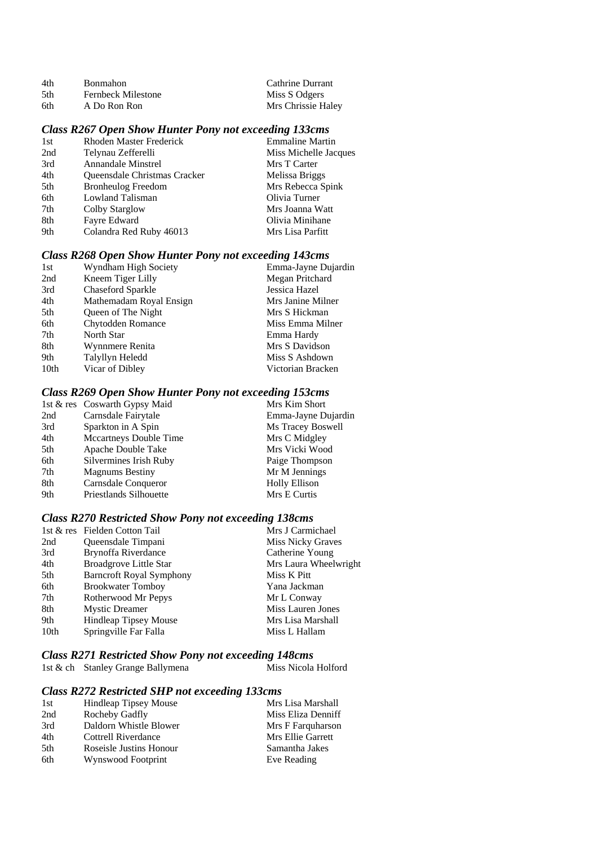| 4th  | <b>Bonmahon</b>           | Cathrine Durrant   |
|------|---------------------------|--------------------|
| .5th | <b>Fernbeck Milestone</b> | Miss S Odgers      |
| 6th  | A Do Ron Ron              | Mrs Chrissie Haley |

#### *Class R267 Open Show Hunter Pony not exceeding 133cms*

| 1st | <b>Rhoden Master Frederick</b> | <b>Emmaline Martin</b> |
|-----|--------------------------------|------------------------|
| 2nd | Telynau Zefferelli             | Miss Michelle Jacques  |
| 3rd | <b>Annandale Minstrel</b>      | Mrs T Carter           |
| 4th | Queensdale Christmas Cracker   | Melissa Briggs         |
| 5th | <b>Bronheulog Freedom</b>      | Mrs Rebecca Spink      |
| 6th | Lowland Talisman               | Olivia Turner          |
| 7th | Colby Starglow                 | Mrs Joanna Watt        |
| 8th | Fayre Edward                   | Olivia Minihane        |
| 9th | Colandra Red Ruby 46013        | Mrs Lisa Parfitt       |
|     |                                |                        |

#### *Class R268 Open Show Hunter Pony not exceeding 143cms*

| 1st  | Wyndham High Society     | Emma-Jayne Dujardin |
|------|--------------------------|---------------------|
| 2nd  | Kneem Tiger Lilly        | Megan Pritchard     |
| 3rd  | <b>Chaseford Sparkle</b> | Jessica Hazel       |
| 4th  | Mathemadam Royal Ensign  | Mrs Janine Milner   |
| 5th  | Queen of The Night       | Mrs S Hickman       |
| 6th  | Chytodden Romance        | Miss Emma Milner    |
| 7th  | North Star               | Emma Hardy          |
| 8th  | Wynnmere Renita          | Mrs S Davidson      |
| 9th  | Talyllyn Heledd          | Miss S Ashdown      |
| 10th | Vicar of Dibley          | Victorian Bracken   |

#### *Class R269 Open Show Hunter Pony not exceeding 153cms*

|     | 1st & res Coswarth Gypsy Maid | Mrs Kim Short        |
|-----|-------------------------------|----------------------|
| 2nd | Carnsdale Fairytale           | Emma-Jayne Dujardin  |
| 3rd | Sparkton in A Spin            | Ms Tracey Boswell    |
| 4th | Mccartneys Double Time        | Mrs C Midgley        |
| 5th | Apache Double Take            | Mrs Vicki Wood       |
| 6th | Silvermines Irish Ruby        | Paige Thompson       |
| 7th | <b>Magnums Bestiny</b>        | Mr M Jennings        |
| 8th | Carnsdale Conqueror           | <b>Holly Ellison</b> |
| 9th | Priestlands Silhouette        | Mrs E Curtis         |
|     |                               |                      |

#### *Class R270 Restricted Show Pony not exceeding 138cms*

|      | 1st & res Fielden Cotton Tail   | Mrs J Carmichael      |
|------|---------------------------------|-----------------------|
| 2nd  | Queensdale Timpani              | Miss Nicky Graves     |
| 3rd  | Brynoffa Riverdance             | Catherine Young       |
| 4th  | <b>Broadgrove Little Star</b>   | Mrs Laura Wheelwright |
| 5th  | <b>Barncroft Royal Symphony</b> | Miss K Pitt           |
| 6th  | <b>Brookwater Tomboy</b>        | Yana Jackman          |
| 7th  | Rotherwood Mr Pepys             | Mr L Conway           |
| 8th  | <b>Mystic Dreamer</b>           | Miss Lauren Jones     |
| 9th  | <b>Hindleap Tipsey Mouse</b>    | Mrs Lisa Marshall     |
| 10th | Springville Far Falla           | Miss L Hallam         |

*Class R271 Restricted Show Pony not exceeding 148cms*  1st & ch Stanley Grange Ballymena

#### *Class R272 Restricted SHP not exceeding 133cms*

| 1st | Hindleap Tipsey Mouse   | Mrs Lisa Marshall  |
|-----|-------------------------|--------------------|
| 2nd | Rocheby Gadfly          | Miss Eliza Denniff |
| 3rd | Daldorn Whistle Blower  | Mrs F Farquharson  |
| 4th | Cottrell Riverdance     | Mrs Ellie Garrett  |
| 5th | Roseisle Justins Honour | Samantha Jakes     |
| 6th | Wynswood Footprint      | Eve Reading        |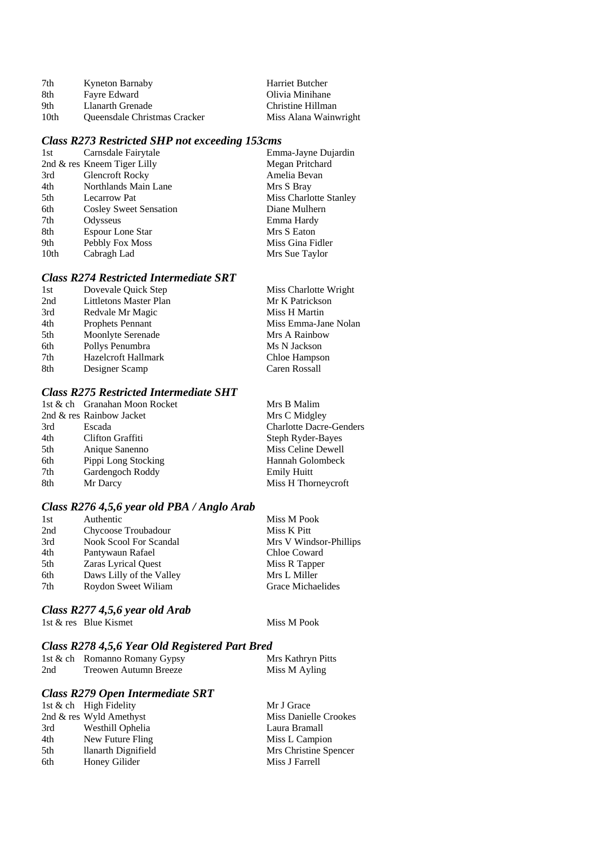| 7th  | Kyneton Barnaby              | Harriet Butcher       |
|------|------------------------------|-----------------------|
| 8th  | Fayre Edward                 | Olivia Minihane       |
| 9th  | Llanarth Grenade             | Christine Hillman     |
| 10th | Queensdale Christmas Cracker | Miss Alana Wainwright |

# *Class R273 Restricted SHP not exceeding 153cms*

| 1st  | Carnsdale Fairytale            | Emma-Jayne Dujardin    |
|------|--------------------------------|------------------------|
|      | 2nd $\&$ res Kneem Tiger Lilly | Megan Pritchard        |
| 3rd  | <b>Glencroft Rocky</b>         | Amelia Bevan           |
| 4th  | Northlands Main Lane           | Mrs S Bray             |
| 5th  | <b>Lecarrow Pat</b>            | Miss Charlotte Stanley |
| 6th  | <b>Cosley Sweet Sensation</b>  | Diane Mulhern          |
| 7th  | Odysseus                       | Emma Hardy             |
| 8th  | <b>Espour Lone Star</b>        | Mrs S Eaton            |
| 9th  | Pebbly Fox Moss                | Miss Gina Fidler       |
| 10th | Cabragh Lad                    | Mrs Sue Taylor         |

#### *Class R274 Restricted Intermediate SRT*

| 1st | Dovevale Quick Step    | Miss Charlotte Wright |
|-----|------------------------|-----------------------|
| 2nd | Littletons Master Plan | Mr K Patrickson       |
| 3rd | Redvale Mr Magic       | Miss H Martin         |
| 4th | Prophets Pennant       | Miss Emma-Jane Nolan  |
| 5th | Moonlyte Serenade      | Mrs A Rainbow         |
| 6th | Pollys Penumbra        | Ms N Jackson          |
| 7th | Hazelcroft Hallmark    | Chloe Hampson         |
| 8th | Designer Scamp         | Caren Rossall         |
|     |                        |                       |

#### *Class R275 Restricted Intermediate SHT*  **UUSS N275 Nestricted Intermediate SHI**<br>t & ch Granahan Moon Rocket Mrs B Malim

|     | 1st & ch Granahan Moon Rocket | Mrs B Malim                    |
|-----|-------------------------------|--------------------------------|
|     | 2nd & res Rainbow Jacket      | Mrs C Midgley                  |
| 3rd | Escada                        | <b>Charlotte Dacre-Genders</b> |
| 4th | Clifton Graffiti              | Steph Ryder-Bayes              |
| 5th | Anique Sanenno                | Miss Celine Dewell             |
| 6th | Pippi Long Stocking           | Hannah Golombeck               |
| 7th | Gardengoch Roddy              | <b>Emily Huitt</b>             |
| 8th | Mr Darcy                      | Miss H Thorneycroft            |

# *Class R276 4,5,6 year old PBA / Anglo Arab*

| 1st | Authentic                     | Miss M Pook            |
|-----|-------------------------------|------------------------|
| 2nd | Chycoose Troubadour           | Miss K Pitt            |
| 3rd | <b>Nook Scool For Scandal</b> | Mrs V Windsor-Phillips |
| 4th | Pantywaun Rafael              | Chloe Coward           |
| 5th | <b>Zaras Lyrical Quest</b>    | Miss R Tapper          |
| 6th | Daws Lilly of the Valley      | Mrs L Miller           |
| 7th | Roydon Sweet Wiliam           | Grace Michaelides      |
|     |                               |                        |

#### *Class R277 4,5,6 year old Arab*

 $1st \& res$  Blue Kismet Miss M Pook

#### *Class R278 4,5,6 Year Old Registered Part Bred*

|     | 1st & ch Romanno Romany Gypsy | Mrs Kathryn Pitts |
|-----|-------------------------------|-------------------|
| 2nd | Treowen Autumn Breeze         | Miss M Ayling     |

#### *Class R279 Open Intermediate SRT*

|     | 1st $&$ ch High Fidelity   | Mr J Grace            |
|-----|----------------------------|-----------------------|
|     | 2nd $\&$ res Wyld Amethyst | Miss Danielle Crookes |
| 3rd | Westhill Ophelia           | Laura Bramall         |
| 4th | New Future Fling           | Miss L Campion        |
| 5th | llanarth Dignifield        | Mrs Christine Spencer |
| 6th | Honey Gilider              | Miss J Farrell        |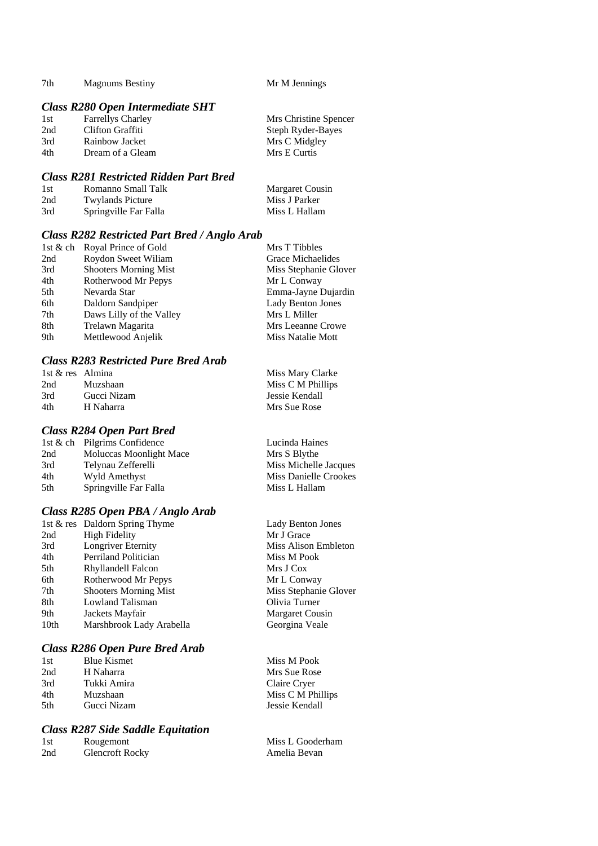7th Magnums Bestiny Mr M Jennings

#### *Class R280 Open Intermediate SHT*

| 1st | <b>Farrellys Charley</b> | Mrs Christine Spencer    |
|-----|--------------------------|--------------------------|
| 2nd | Clifton Graffiti         | <b>Steph Ryder-Bayes</b> |
| 3rd | Rainbow Jacket           | Mrs C Midgley            |
| 4th | Dream of a Gleam         | Mrs E Curtis             |
|     |                          |                          |

#### *Class R281 Restricted Ridden Part Bred*

| -1st | Romanno Small Talk      | Margaret Cousin |
|------|-------------------------|-----------------|
| 2nd  | <b>Twylands Picture</b> | Miss J Parker   |
| 3rd  | Springville Far Falla   | Miss L Hallam   |

#### *Class R282 Restricted Part Bred / Anglo Arab*

|     | 1st & ch Royal Prince of Gold | Mrs T Tibbles         |
|-----|-------------------------------|-----------------------|
| 2nd | Roydon Sweet Wiliam           | Grace Michaelides     |
| 3rd | <b>Shooters Morning Mist</b>  | Miss Stephanie Glover |
| 4th | Rotherwood Mr Pepys           | Mr L Conway           |
| 5th | Nevarda Star                  | Emma-Jayne Dujardin   |
| 6th | Daldorn Sandpiper             | Lady Benton Jones     |
| 7th | Daws Lilly of the Valley      | Mrs L Miller          |
| 8th | Trelawn Magarita              | Mrs Leeanne Crowe     |
| 9th | Mettlewood Anjelik            | Miss Natalie Mott     |
|     |                               |                       |

#### *Class R283 Restricted Pure Bred Arab*

| 1st & res Almina |             | Miss Mary Clarke  |
|------------------|-------------|-------------------|
| 2nd              | Muzshaan    | Miss C M Phillips |
| 3rd              | Gucci Nizam | Jessie Kendall    |
| 4th              | H Naharra   | Mrs Sue Rose      |

#### *Class R284 Open Part Bred*

|     | 1st & ch Pilgrims Confidence | Lucinda Haines        |
|-----|------------------------------|-----------------------|
| 2nd | Moluccas Moonlight Mace      | Mrs S Blythe          |
| 3rd | Telynau Zefferelli           | Miss Michelle Jacques |
| 4th | Wyld Amethyst                | Miss Danielle Crookes |
| 5th | Springville Far Falla        | Miss L Hallam         |

# *Class R285 Open PBA / Anglo Arab*

|      | 1st & res Daldorn Spring Thyme | Lady Benton Jones  |
|------|--------------------------------|--------------------|
| 2nd  | <b>High Fidelity</b>           | Mr J Grace         |
| 3rd  | <b>Longriver Eternity</b>      | Miss Alison Emble  |
| 4th  | Perriland Politician           | Miss M Pook        |
| 5th  | Rhyllandell Falcon             | Mrs J Cox          |
| 6th  | Rotherwood Mr Pepys            | Mr L Conway        |
| 7th  | <b>Shooters Morning Mist</b>   | Miss Stephanie Glo |
| 8th  | Lowland Talisman               | Olivia Turner      |
| 9th  | Jackets Mayfair                | Margaret Cousin    |
| 10th | Marshbrook Lady Arabella       | Georgina Veale     |
|      |                                |                    |

# *Class R286 Open Pure Bred Arab*

2nd H Naharra Mrs Sue Rose 3rd Tukki Amira Claire Cryer 4th Muzshaan Miss C M Phillips 5th Gucci Nizam Jessie Kendall

#### *Class R287 Side Saddle Equitation*

| 1st | Rougemont              |
|-----|------------------------|
| 2nd | <b>Glencroft Rocky</b> |

| <b>NILL</b> COLIWAY                        |
|--------------------------------------------|
| Emma-Jayne Dujardin                        |
| <b>Lady Benton Jones</b>                   |
| Mrs L Miller                               |
| Mrs Leeanne Crowe                          |
| Miss Natalie Mott                          |
|                                            |
|                                            |
| $M_{\text{tot}}^{\text{max}} M_{\text{c}}$ |

| Lucinda Haines       |
|----------------------|
| Mrs S Blythe         |
| Miss Michelle Jacque |
| Miss Danielle Crooke |
| Miss L Hallam        |
|                      |

Mr J Grace Miss Alison Embleton Miss M Pook Mrs J Cox Mr L Conway Miss Stephanie Glover Olivia Turner Margaret Cousin Georgina Veale

**Miss M Pook** 

Miss L Gooderham Amelia Bevan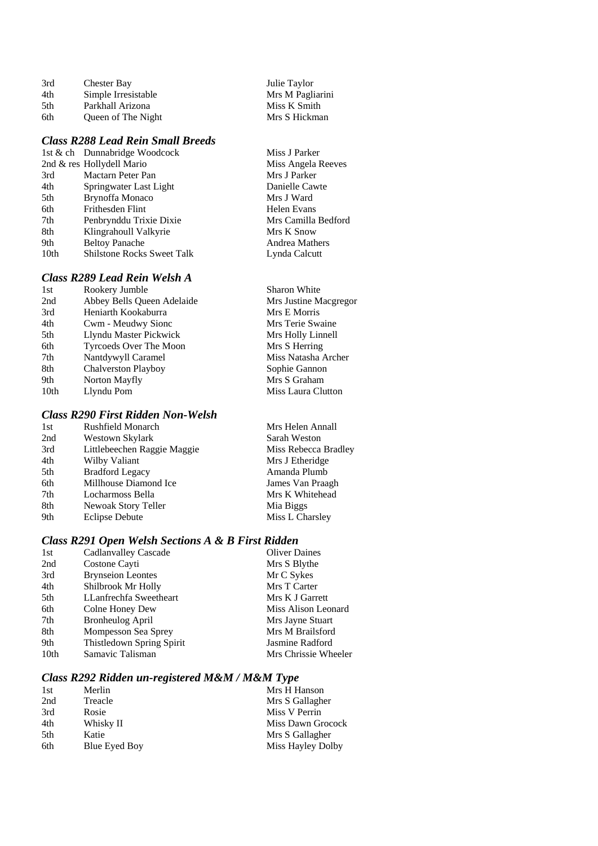| 3rd  | <b>Chester Bay</b>  |
|------|---------------------|
| 4th  | Simple Irresistable |
| .5th | Parkhall Arizona    |
| 6th  | Queen of The Night  |

#### *Class R288 Lead Rein Small Breeds*

|                  | 1st & ch Dunnabridge Woodcock     |
|------------------|-----------------------------------|
|                  | 2nd & res Hollydell Mario         |
| 3rd              | Mactarn Peter Pan                 |
| 4th              | Springwater Last Light            |
| 5th              | Brynoffa Monaco                   |
| 6th              | Frithesden Flint                  |
| 7th              | Penbrynddu Trixie Dixie           |
| 8th              | Klingrahoull Valkyrie             |
| 9th              | <b>Beltoy Panache</b>             |
| 10 <sub>th</sub> | <b>Shilstone Rocks Sweet Talk</b> |

#### *Class R289 Lead Rein Welsh A*

| 1st  | Rookery Jumble             | <b>Sharon White</b>   |
|------|----------------------------|-----------------------|
| 2nd  | Abbey Bells Queen Adelaide | Mrs Justine Macgregor |
| 3rd  | Heniarth Kookaburra        | Mrs E Morris          |
| 4th  | Cwm - Meudwy Sionc         | Mrs Terie Swaine      |
| 5th  | Llyndu Master Pickwick     | Mrs Holly Linnell     |
| 6th  | Tyrcoeds Over The Moon     | Mrs S Herring         |
| 7th  | Nantdywyll Caramel         | Miss Natasha Archer   |
| 8th  | Chalverston Playboy        | Sophie Gannon         |
| 9th  | Norton Mayfly              | Mrs S Graham          |
| 10th | Llyndu Pom                 | Miss Laura Clutton    |

Julie Taylor Mrs M Pagliarini Miss K Smith Mrs S Hickman

Miss J Parker Miss Angela Reeves Mrs J Parker Danielle Cawte Mrs J Ward Helen Evans Mrs Camilla Bedford

Mrs K Snow Andrea Mathers Lynda Calcutt

#### *Class R290 First Ridden Non-Welsh*

|     | Chiss R270 I that Rhingh IVON-WebM |                      |
|-----|------------------------------------|----------------------|
| 1st | Rushfield Monarch                  | Mrs Helen Annall     |
| 2nd | Westown Skylark                    | Sarah Weston         |
| 3rd | Littlebeechen Raggie Maggie        | Miss Rebecca Bradley |
| 4th | Wilby Valiant                      | Mrs J Etheridge      |
| 5th | <b>Bradford Legacy</b>             | Amanda Plumb         |
| 6th | Millhouse Diamond Ice              | James Van Praagh     |
| 7th | Locharmoss Bella                   | Mrs K Whitehead      |
| 8th | Newoak Story Teller                | Mia Biggs            |
| 9th | <b>Eclipse Debute</b>              | Miss L Charsley      |
|     |                                    |                      |

#### *Class R291 Open Welsh Sections A & B First Ridden*

| 1st  | Cadlanvalley Cascade      | <b>Oliver Daines</b> |
|------|---------------------------|----------------------|
| 2nd  | Costone Cayti             | Mrs S Blythe         |
| 3rd  | <b>Brynseion Leontes</b>  | Mr C Sykes           |
| 4th  | Shilbrook Mr Holly        | Mrs T Carter         |
| 5th  | LLanfrechfa Sweetheart    | Mrs K J Garrett      |
| 6th  | Colne Honey Dew           | Miss Alison Leonard  |
| 7th  | <b>Bronheulog April</b>   | Mrs Jayne Stuart     |
| 8th  | Mompesson Sea Sprey       | Mrs M Brailsford     |
| 9th  | Thistledown Spring Spirit | Jasmine Radford      |
| 10th | Samavic Talisman          | Mrs Chrissie Wheeler |

#### *Class R292 Ridden un-registered M&M / M&M Type*

| 1st  | Merlin        | Mrs H Hanson      |
|------|---------------|-------------------|
| 2nd  | Treacle       | Mrs S Gallagher   |
| 3rd  | Rosie         | Miss V Perrin     |
| 4th  | Whisky II     | Miss Dawn Grocock |
| .5th | Katie         | Mrs S Gallagher   |
| 6th  | Blue Eyed Boy | Miss Hayley Dolby |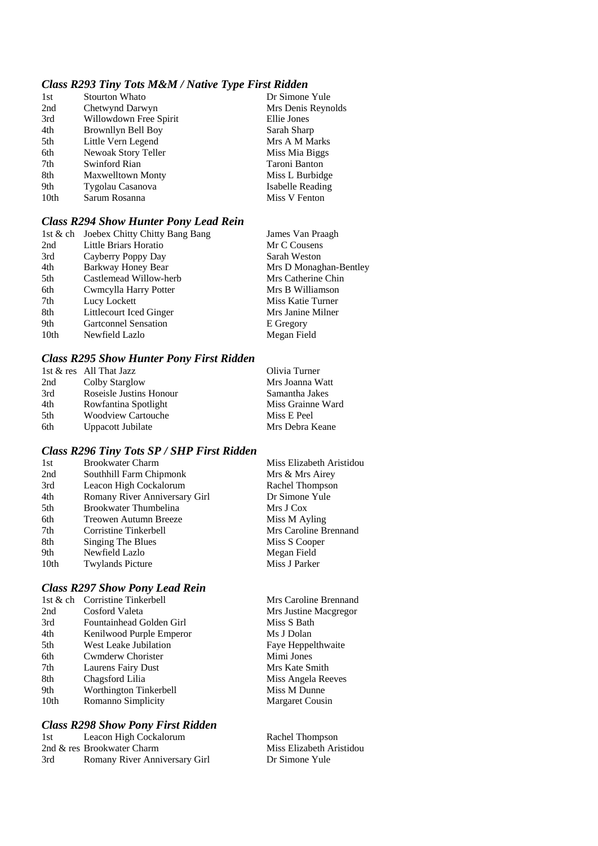#### *Class R293 Tiny Tots M&M / Native Type First Ridden*

| 1st              | <b>Stourton Whato</b>    | Dr Simone Yule     |
|------------------|--------------------------|--------------------|
| 2nd              | Chetwynd Darwyn          | Mrs Denis Reynolds |
| 3rd              | Willowdown Free Spirit   | Ellie Jones        |
| 4th              | Brownllyn Bell Boy       | Sarah Sharp        |
| 5th              | Little Vern Legend       | Mrs A M Marks      |
| 6th              | Newoak Story Teller      | Miss Mia Biggs     |
| 7th              | Swinford Rian            | Taroni Banton      |
| 8th              | <b>Maxwelltown Monty</b> | Miss L Burbidge    |
| 9th              | Tygolau Casanova         | Isabelle Reading   |
| 10 <sub>th</sub> | Sarum Rosanna            | Miss V Fenton      |

#### *Class R294 Show Hunter Pony Lead Rein*

|                  | 1st & ch Joebex Chitty Chitty Bang Bang | James Van Praagh       |
|------------------|-----------------------------------------|------------------------|
| 2nd              | Little Briars Horatio                   | Mr C Cousens           |
| 3rd              | Cayberry Poppy Day                      | Sarah Weston           |
| 4th              | Barkway Honey Bear                      | Mrs D Monaghan-Bentley |
| 5th              | Castlemead Willow-herb                  | Mrs Catherine Chin     |
| 6th              | Cwmcylla Harry Potter                   | Mrs B Williamson       |
| 7th              | Lucy Lockett                            | Miss Katie Turner      |
| 8th              | Littlecourt Iced Ginger                 | Mrs Janine Milner      |
| 9th              | <b>Gartconnel Sensation</b>             | E Gregory              |
| 10 <sub>th</sub> | Newfield Lazlo                          | Megan Field            |
|                  |                                         |                        |

#### *Class R295 Show Hunter Pony First Ridden*

|     | 1st & res All That Jazz   | Olivia Turner     |
|-----|---------------------------|-------------------|
| 2nd | Colby Starglow            | Mrs Joanna Watt   |
| 3rd | Roseisle Justins Honour   | Samantha Jakes    |
| 4th | Rowfantina Spotlight      | Miss Grainne Ward |
| 5th | <b>Woodview Cartouche</b> | Miss E Peel       |
| 6th | Uppacott Jubilate         | Mrs Debra Keane   |

#### *Class R296 Tiny Tots SP / SHP First Ridden*

| <b>Brookwater Charm</b>       | Miss Elizabeth Aristidou |
|-------------------------------|--------------------------|
| Southhill Farm Chipmonk       | Mrs & Mrs Airey          |
| Leacon High Cockalorum        | Rachel Thompson          |
| Romany River Anniversary Girl | Dr Simone Yule           |
| Brookwater Thumbelina         | Mrs J Cox                |
| Treowen Autumn Breeze         | Miss M Ayling            |
| Corristine Tinkerbell         | Mrs Caroline Brennand    |
| Singing The Blues             | Miss S Cooper            |
| Newfield Lazlo                | Megan Field              |
| <b>Twylands Picture</b>       | Miss J Parker            |
|                               |                          |

#### *Class R297 Show Pony Lead Rein*

| 1st $\&$ ch      | Corristine Tinkerbell    |
|------------------|--------------------------|
| 2nd              | Cosford Valeta           |
| 3rd              | Fountainhead Golden Girl |
| 4th              | Kenilwood Purple Emperor |
| 5th              | West Leake Jubilation    |
| 6th              | Cwmderw Chorister        |
| 7th              | Laurens Fairy Dust       |
| 8th              | Chagsford Lilia          |
| 9th              | Worthington Tinkerbell   |
| 10 <sub>th</sub> | Romanno Simplicity       |
|                  |                          |

#### *Class R298 Show Pony First Ridden*

1st Leacon High Cockalorum Rachel Thompson<br>
2nd & res Brookwater Charm Miss Elizabeth Aristidou 2nd & res Brookwater Charm Miss Elizabeth A<br>
3rd Romany River Anniversary Girl Dr Simone Yule 3rd Romany River Anniversary Girl

Mrs Caroline Brennand Mrs Justine Macgregor Miss S Bath Ms J Dolan Faye Heppelthwaite Mimi Jones Mrs Kate Smith Miss Angela Reeves Miss M Dunne Margaret Cousin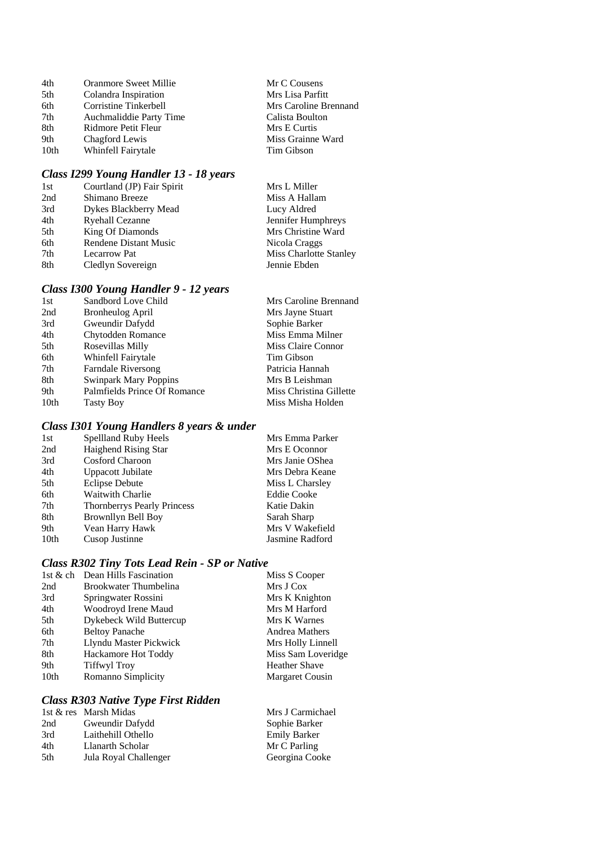| 4th              | <b>Oranmore Sweet Millie</b> | Mr C Cousens          |
|------------------|------------------------------|-----------------------|
| 5th              | Colandra Inspiration         | Mrs Lisa Parfitt      |
| 6th              | Corristine Tinkerbell        | Mrs Caroline Brennand |
| 7th              | Auchmaliddie Party Time      | Calista Boulton       |
| 8th              | Ridmore Petit Fleur          | Mrs E Curtis          |
| 9th              | Chagford Lewis               | Miss Grainne Ward     |
| 10 <sub>th</sub> | Whinfell Fairytale           | Tim Gibson            |

# *Class I299 Young Handler 13 - 18 years*

| 1st | Courtland (JP) Fair Spirit   | Mrs L Miller           |
|-----|------------------------------|------------------------|
| 2nd | Shimano Breeze               | Miss A Hallam          |
| 3rd | Dykes Blackberry Mead        | Lucy Aldred            |
| 4th | <b>Ryehall Cezanne</b>       | Jennifer Humphreys     |
| 5th | King Of Diamonds             | Mrs Christine Ward     |
| 6th | <b>Rendene Distant Music</b> | Nicola Craggs          |
| 7th | <b>Lecarrow Pat</b>          | Miss Charlotte Stanley |
| 8th | Cledlyn Sovereign            | Jennie Ebden           |

# *Class I300 Young Handler 9 - 12 years*

|      | Class 1500 Young Handler 9 - 12 years |                         |
|------|---------------------------------------|-------------------------|
| 1st  | Sandbord Love Child                   | Mrs Caroline Brennand   |
| 2nd  | Bronheulog April                      | Mrs Jayne Stuart        |
| 3rd  | Gweundir Dafydd                       | Sophie Barker           |
| 4th  | Chytodden Romance                     | Miss Emma Milner        |
| 5th  | Rosevillas Milly                      | Miss Claire Connor      |
| 6th  | Whinfell Fairytale                    | Tim Gibson              |
| 7th  | <b>Farndale Riversong</b>             | Patricia Hannah         |
| 8th  | <b>Swinpark Mary Poppins</b>          | Mrs B Leishman          |
| 9th  | Palmfields Prince Of Romance          | Miss Christina Gillette |
| 10th | <b>Tasty Boy</b>                      | Miss Misha Holden       |

# *Class I301 Young Handlers 8 years & under*

| 1st  | Spellland Ruby Heels               | Mrs Emma Parker    |
|------|------------------------------------|--------------------|
| 2nd  | Haighend Rising Star               | Mrs E Oconnor      |
| 3rd  | Cosford Charoon                    | Mrs Janie OShea    |
| 4th  | Uppacott Jubilate                  | Mrs Debra Keane    |
| 5th  | <b>Eclipse Debute</b>              | Miss L Charsley    |
| 6th  | <b>Waitwith Charlie</b>            | <b>Eddie Cooke</b> |
| 7th  | <b>Thornberrys Pearly Princess</b> | Katie Dakin        |
| 8th  | Brownllyn Bell Boy                 | Sarah Sharp        |
| 9th  | Vean Harry Hawk                    | Mrs V Wakefield    |
| 10th | Cusop Justinne                     | Jasmine Radford    |

#### *Class R302 Tiny Tots Lead Rein - SP or Native*

| 1st & ch         | Dean Hills Fascination  | Miss S Cooper          |
|------------------|-------------------------|------------------------|
| 2nd              | Brookwater Thumbelina   | Mrs J Cox              |
| 3rd              | Springwater Rossini     | Mrs K Knighton         |
| 4th              | Woodroyd Irene Maud     | Mrs M Harford          |
| 5th              | Dykebeck Wild Buttercup | Mrs K Warnes           |
| 6th              | <b>Beltoy Panache</b>   | Andrea Mathers         |
| 7th              | Llyndu Master Pickwick  | Mrs Holly Linnell      |
| 8th              | Hackamore Hot Toddy     | Miss Sam Loveridge     |
| 9th              | <b>Tiffwyl Troy</b>     | <b>Heather Shave</b>   |
| 10 <sub>th</sub> | Romanno Simplicity      | <b>Margaret Cousin</b> |
|                  |                         |                        |

# *Class R303 Native Type First Ridden*

|     | 1st & res Marsh Midas | Mrs J Carmichael |
|-----|-----------------------|------------------|
| 2nd | Gweundir Dafydd       | Sophie Barker    |
| 3rd | Laithehill Othello    | Emily Barker     |
| 4th | Llanarth Scholar      | Mr C Parling     |
| 5th | Jula Royal Challenger | Georgina Cooke   |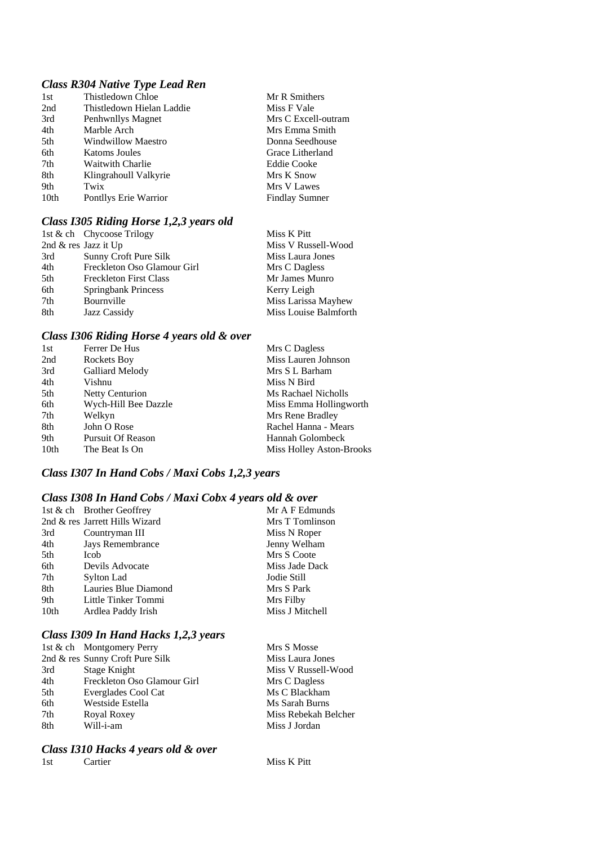# *Class R304 Native Type Lead Ren*

| 1st  | Thistledown Chloe         | Mr R Smithers         |
|------|---------------------------|-----------------------|
| 2nd  | Thistledown Hielan Laddie | Miss F Vale           |
| 3rd  | Penhwnllys Magnet         | Mrs C Excell-outram   |
| 4th  | Marble Arch               | Mrs Emma Smith        |
| 5th  | Windwillow Maestro        | Donna Seedhouse       |
| 6th  | Katoms Joules             | Grace Litherland      |
| 7th  | <b>Waitwith Charlie</b>   | Eddie Cooke           |
| 8th  | Klingrahoull Valkyrie     | Mrs K Snow            |
| 9th  | Twix                      | Mrs V Lawes           |
| 10th | Pontllys Erie Warrior     | <b>Findlay Sumner</b> |
|      |                           |                       |

# *Class I305 Riding Horse 1,2,3 years old*

|     | 1st & ch Chycoose Trilogy     | Miss K Pitt           |
|-----|-------------------------------|-----------------------|
|     | 2nd $\&$ res Jazz it Up       | Miss V Russell-Wood   |
| 3rd | Sunny Croft Pure Silk         | Miss Laura Jones      |
| 4th | Freckleton Oso Glamour Girl   | Mrs C Dagless         |
| 5th | <b>Freckleton First Class</b> | Mr James Munro        |
| 6th | <b>Springbank Princess</b>    | Kerry Leigh           |
| 7th | Bournville                    | Miss Larissa Mayhew   |
| 8th | Jazz Cassidy                  | Miss Louise Balmforth |

# *Class I306 Riding Horse 4 years old & over*

| 1st  | Ferrer De Hus            | Mrs C Dagless            |
|------|--------------------------|--------------------------|
| 2nd  | Rockets Boy              | Miss Lauren Johnson      |
| 3rd  | Galliard Melody          | Mrs S L Barham           |
| 4th  | Vishnu                   | Miss N Bird              |
| 5th  | <b>Netty Centurion</b>   | Ms Rachael Nicholls      |
| 6th  | Wych-Hill Bee Dazzle     | Miss Emma Hollingworth   |
| 7th  | Welkyn                   | Mrs Rene Bradley         |
| 8th  | John O Rose              | Rachel Hanna - Mears     |
| 9th  | <b>Pursuit Of Reason</b> | Hannah Golombeck         |
| 10th | The Beat Is On           | Miss Holley Aston-Brooks |

# *Class I307 In Hand Cobs / Maxi Cobs 1,2,3 years*

# *Class I308 In Hand Cobs / Maxi Cobx 4 years old & over*

|                  | 1st & ch Brother Geoffrey      | Mr A F Edmunds  |
|------------------|--------------------------------|-----------------|
|                  | 2nd & res Jarrett Hills Wizard | Mrs T Tomlinson |
| 3rd              | Countryman III                 | Miss N Roper    |
| 4th              | Jays Remembrance               | Jenny Welham    |
| 5th              | Icob                           | Mrs S Coote     |
| 6th              | Devils Advocate                | Miss Jade Dack  |
| 7th              | Sylton Lad                     | Jodie Still     |
| 8th              | Lauries Blue Diamond           | Mrs S Park      |
| 9th              | Little Tinker Tommi            | Mrs Filby       |
| 10 <sub>th</sub> | Ardlea Paddy Irish             | Miss J Mitchell |

# *Class I309 In Hand Hacks 1,2,3 years*

|     | 1st & ch Montgomery Perry          | Mrs S Mosse          |
|-----|------------------------------------|----------------------|
|     | 2nd $\&$ res Sunny Croft Pure Silk | Miss Laura Jones     |
| 3rd | Stage Knight                       | Miss V Russell-Wood  |
| 4th | Freckleton Oso Glamour Girl        | Mrs C Dagless        |
| 5th | Everglades Cool Cat                | Ms C Blackham        |
| 6th | Westside Estella                   | Ms Sarah Burns       |
| 7th | Royal Roxey                        | Miss Rebekah Belcher |
| 8th | Will-i-am                          | Miss J Jordan        |
|     |                                    |                      |

#### *Class I310 Hacks 4 years old & over*

1st Cartier Miss K Pitt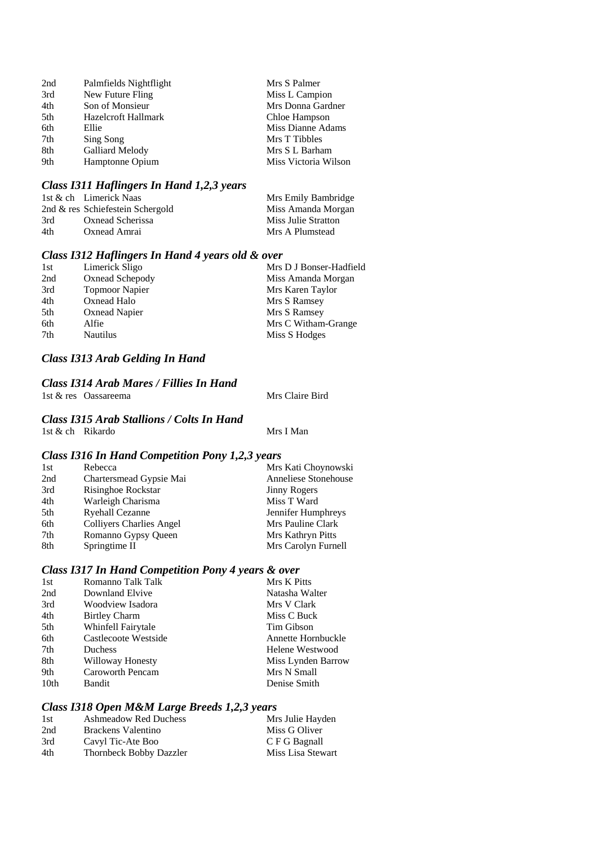| 2nd | Palmfields Nightflight | Mrs S Palmer         |
|-----|------------------------|----------------------|
| 3rd | New Future Fling       | Miss L Campion       |
| 4th | Son of Monsieur        | Mrs Donna Gardner    |
| 5th | Hazelcroft Hallmark    | Chloe Hampson        |
| 6th | Ellie                  | Miss Dianne Adams    |
| 7th | Sing Song              | Mrs T Tibbles        |
| 8th | Galliard Melody        | Mrs S L Barham       |
| 9th | Hamptonne Opium        | Miss Victoria Wilson |

## *Class I311 Haflingers In Hand 1,2,3 years*

|     | 1st & ch Limerick Naas           | Mrs Emily Bambridge |
|-----|----------------------------------|---------------------|
|     | 2nd & res Schiefestein Schergold | Miss Amanda Morgan  |
| 3rd | Oxnead Scherissa                 | Miss Julie Stratton |
| 4th | Oxnead Amrai                     | Mrs A Plumstead     |

#### *Class I312 Haflingers In Hand 4 years old & over*

| 1st | Limerick Sligo        | Mrs D J Bonser-Hadfield |
|-----|-----------------------|-------------------------|
| 2nd | Oxnead Schepody       | Miss Amanda Morgan      |
| 3rd | <b>Topmoor Napier</b> | Mrs Karen Taylor        |
| 4th | Oxnead Halo           | Mrs S Ramsey            |
| 5th | <b>Oxnead Napier</b>  | Mrs S Ramsey            |
| 6th | Alfie                 | Mrs C Witham-Grange     |
| 7th | <b>Nautilus</b>       | Miss S Hodges           |

# *Class I313 Arab Gelding In Hand*

#### *Class I314 Arab Mares / Fillies In Hand*

1st & res Oassareema Mrs Claire Bird

#### *Class I315 Arab Stallions / Colts In Hand*  1st & ch Rikardo Mrs I Man

#### *Class I316 In Hand Competition Pony 1,2,3 years*

| 1st | Rebecca                         | Mrs Kati Choynowski  |
|-----|---------------------------------|----------------------|
| 2nd | Chartersmead Gypsie Mai         | Anneliese Stonehouse |
| 3rd | Risinghoe Rockstar              | <b>Jinny Rogers</b>  |
| 4th | Warleigh Charisma               | Miss T Ward          |
| 5th | <b>Ryehall Cezanne</b>          | Jennifer Humphreys   |
| 6th | <b>Collivers Charlies Angel</b> | Mrs Pauline Clark    |
| 7th | Romanno Gypsy Queen             | Mrs Kathryn Pitts    |
| 8th | Springtime II                   | Mrs Carolyn Furnell  |
|     |                                 |                      |

#### *Class I317 In Hand Competition Pony 4 years & over*

| 1st  | Romanno Talk Talk    | Mrs K Pitts        |
|------|----------------------|--------------------|
| 2nd  | Downland Elvive      | Natasha Walter     |
| 3rd  | Woodview Isadora     | Mrs V Clark        |
| 4th  | <b>Birtley Charm</b> | Miss C Buck        |
| 5th  | Whinfell Fairytale   | Tim Gibson         |
| 6th  | Castlecoote Westside | Annette Hornbuckle |
| 7th  | <b>Duchess</b>       | Helene Westwood    |
| 8th  | Willoway Honesty     | Miss Lynden Barrow |
| 9th  | Caroworth Pencam     | Mrs N Small        |
| 10th | Bandit               | Denise Smith       |
|      |                      |                    |

#### *Class I318 Open M&M Large Breeds 1,2,3 years*

| 1st | <b>Ashmeadow Red Duchess</b>   | Mrs Julie Hayden  |
|-----|--------------------------------|-------------------|
| 2nd | Brackens Valentino             | Miss G Oliver     |
| 3rd | Cavyl Tic-Ate Boo              | C F G Bagnall     |
| 4th | <b>Thornbeck Bobby Dazzler</b> | Miss Lisa Stewart |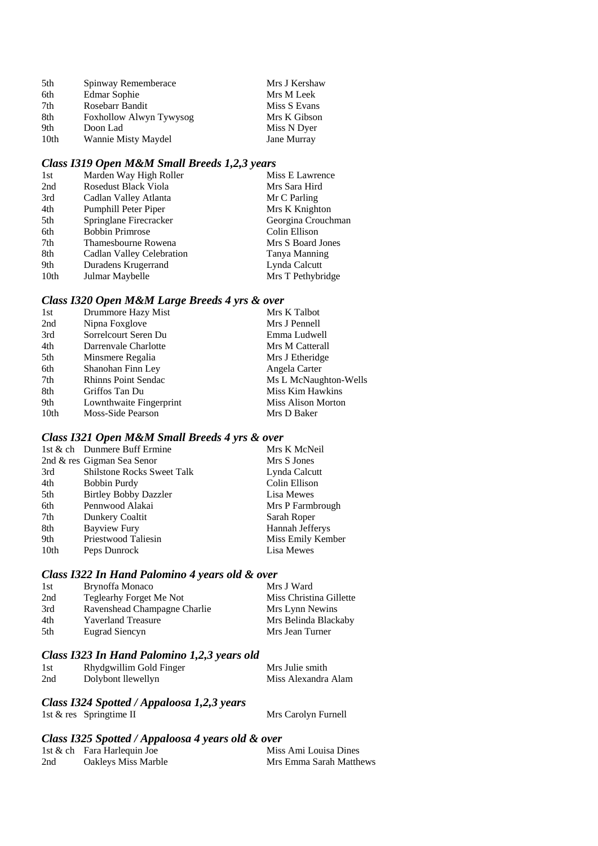| 5th  | Spinway Rememberace            | Mrs J Kershaw      |
|------|--------------------------------|--------------------|
| 6th  | Edmar Sophie                   | Mrs M Leek         |
| 7th  | Rosebarr Bandit                | Miss S Evans       |
| 8th  | <b>Foxhollow Alwyn Tywysog</b> | Mrs K Gibson       |
| 9th  | Doon Lad                       | Miss N Dyer        |
| 10th | Wannie Misty Maydel            | <b>Jane Murray</b> |

#### *Class I319 Open M&M Small Breeds 1,2,3 years*

| 1st  | Marden Way High Roller      | Miss E Lawrence    |
|------|-----------------------------|--------------------|
| 2nd  | <b>Rosedust Black Viola</b> | Mrs Sara Hird      |
| 3rd  | Cadlan Valley Atlanta       | Mr C Parling       |
| 4th  | Pumphill Peter Piper        | Mrs K Knighton     |
| 5th  | Springlane Firecracker      | Georgina Crouchman |
| 6th  | <b>Bobbin Primrose</b>      | Colin Ellison      |
| 7th  | Thamesbourne Rowena         | Mrs S Board Jones  |
| 8th  | Cadlan Valley Celebration   | Tanya Manning      |
| 9th  | Duradens Krugerrand         | Lynda Calcutt      |
| 10th | Julmar Maybelle             | Mrs T Pethybridge  |

# *Class I320 Open M&M Large Breeds 4 yrs & over*

| 1st  | Drummore Hazy Mist         | Mrs K Talbot          |
|------|----------------------------|-----------------------|
| 2nd  | Nipna Foxglove             | Mrs J Pennell         |
| 3rd  | Sorrelcourt Seren Du       | Emma Ludwell          |
| 4th  | Darrenvale Charlotte       | Mrs M Catterall       |
| 5th  | Minsmere Regalia           | Mrs J Etheridge       |
| 6th  | Shanohan Finn Ley          | Angela Carter         |
| 7th  | <b>Rhinns Point Sendac</b> | Ms L McNaughton-Wells |
| 8th  | Griffos Tan Du             | Miss Kim Hawkins      |
| 9th  | Lownthwaite Fingerprint    | Miss Alison Morton    |
| 10th | Moss-Side Pearson          | Mrs D Baker           |

#### *Class I321 Open M&M Small Breeds 4 yrs & over*

|      | 1st & ch Dunmere Buff Ermine      | Mrs K McNeil      |
|------|-----------------------------------|-------------------|
|      | 2nd & res Gigman Sea Senor        | Mrs S Jones       |
| 3rd  | <b>Shilstone Rocks Sweet Talk</b> | Lynda Calcutt     |
| 4th  | <b>Bobbin Purdy</b>               | Colin Ellison     |
| 5th  | <b>Birtley Bobby Dazzler</b>      | Lisa Mewes        |
| 6th  | Pennwood Alakai                   | Mrs P Farmbrough  |
| 7th  | Dunkery Coaltit                   | Sarah Roper       |
| 8th  | <b>Bayview Fury</b>               | Hannah Jefferys   |
| 9th  | Priestwood Taliesin               | Miss Emily Kember |
| 10th | Peps Dunrock                      | Lisa Mewes        |

# *Class I322 In Hand Palomino 4 years old & over*

| 1st | Brynoffa Monaco              | Mrs J Ward              |
|-----|------------------------------|-------------------------|
| 2nd | Teglearhy Forget Me Not      | Miss Christina Gillette |
| 3rd | Ravenshead Champagne Charlie | Mrs Lynn Newins         |
| 4th | <b>Yaverland Treasure</b>    | Mrs Belinda Blackaby    |
| 5th | Eugrad Siencyn               | Mrs Jean Turner         |

#### *Class I323 In Hand Palomino 1,2,3 years old*

| 1st | Rhydgwillim Gold Finger | Mrs Julie smith     |
|-----|-------------------------|---------------------|
| 2nd | Dolybont llewellyn      | Miss Alexandra Alam |

# *Class I324 Spotted / Appaloosa 1,2,3 years*

1st & res Springtime II Mrs Carolyn Furnell

#### *Class I325 Spotted / Appaloosa 4 years old & over*

|     | 1st & ch Fara Harlequin Joe | Miss Ami Louisa Dines   |
|-----|-----------------------------|-------------------------|
| 2nd | Oakleys Miss Marble         | Mrs Emma Sarah Matthews |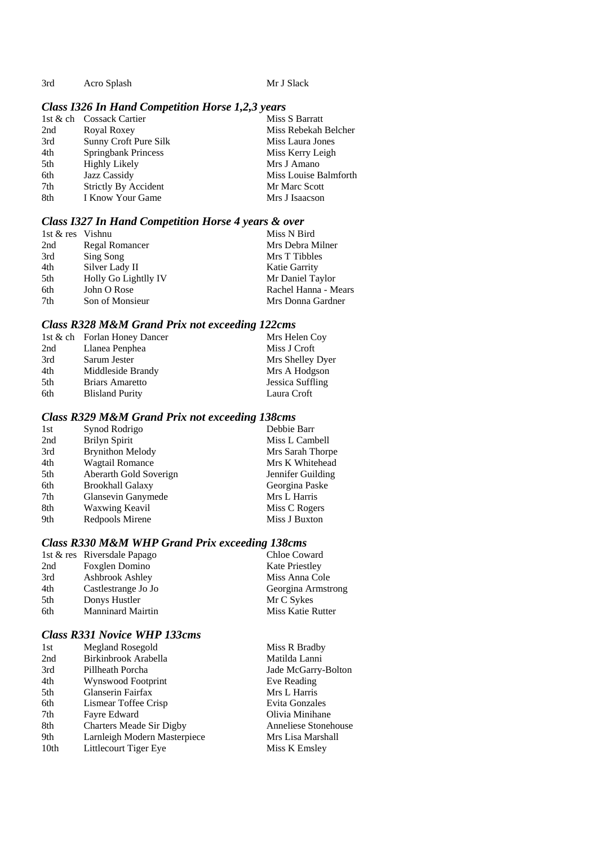3rd Acro Splash Mr J Slack

# *Class I326 In Hand Competition Horse 1,2,3 years*

|     | 1st & ch Cossack Cartier | Miss S Barratt        |
|-----|--------------------------|-----------------------|
| 2nd | Royal Roxey              | Miss Rebekah Belcher  |
| 3rd | Sunny Croft Pure Silk    | Miss Laura Jones      |
| 4th | Springbank Princess      | Miss Kerry Leigh      |
| 5th | <b>Highly Likely</b>     | Mrs J Amano           |
| 6th | Jazz Cassidy             | Miss Louise Balmforth |
| 7th | Strictly By Accident     | Mr Marc Scott         |
| 8th | I Know Your Game         | Mrs J Isaacson        |

# *Class I327 In Hand Competition Horse 4 years & over*

| 1st & res Vishnu |                      | Miss N Bird          |
|------------------|----------------------|----------------------|
| 2nd              | Regal Romancer       | Mrs Debra Milner     |
| 3rd              | Sing Song            | Mrs T Tibbles        |
| 4th              | Silver Lady II       | <b>Katie Garrity</b> |
| 5th              | Holly Go Lightlly IV | Mr Daniel Taylor     |
| 6th              | John O Rose          | Rachel Hanna - Mears |
| 7th              | Son of Monsieur      | Mrs Donna Gardner    |

#### *Class R328 M&M Grand Prix not exceeding 122cms*

|     | 1st & ch Forlan Honey Dancer | Mrs Helen Coy    |
|-----|------------------------------|------------------|
| 2nd | Llanea Penphea               | Miss J Croft     |
| 3rd | Sarum Jester                 | Mrs Shelley Dyer |
| 4th | Middleside Brandy            | Mrs A Hodgson    |
| 5th | <b>Briars Amaretto</b>       | Jessica Suffling |
| 6th | <b>Blisland Purity</b>       | Laura Croft      |

# *Class R329 M&M Grand Prix not exceeding 138cms*

| 1st | Synod Rodrigo           | Debbie Barr       |
|-----|-------------------------|-------------------|
| 2nd | <b>Brilyn Spirit</b>    | Miss L Cambell    |
| 3rd | <b>Brynithon Melody</b> | Mrs Sarah Thorpe  |
| 4th | <b>Wagtail Romance</b>  | Mrs K Whitehead   |
| 5th | Aberarth Gold Soverign  | Jennifer Guilding |
| 6th | <b>Brookhall Galaxy</b> | Georgina Paske    |
| 7th | Glansevin Ganymede      | Mrs L Harris      |
| 8th | <b>Waxwing Keavil</b>   | Miss C Rogers     |
| 9th | Redpools Mirene         | Miss J Buxton     |

# *Class R330 M&M WHP Grand Prix exceeding 138cms*

|     | 1st & res Riversdale Papago | Chloe Coward             |
|-----|-----------------------------|--------------------------|
| 2nd | Foxglen Domino              | <b>Kate Priestley</b>    |
| 3rd | Ashbrook Ashley             | Miss Anna Cole           |
| 4th | Castlestrange Jo Jo         | Georgina Armstrong       |
| 5th | Donys Hustler               | Mr C Sykes               |
| 6th | <b>Manninard Mairtin</b>    | <b>Miss Katie Rutter</b> |

# *Class R331 Novice WHP 133cms*

| 1st              | <b>Megland Rosegold</b>         | Miss R Bradby        |
|------------------|---------------------------------|----------------------|
| 2nd              | Birkinbrook Arabella            | Matilda Lanni        |
| 3rd              | Pillheath Porcha                | Jade McGarry-Bolton  |
| 4th              | Wynswood Footprint              | Eve Reading          |
| 5th              | Glanserin Fairfax               | Mrs L Harris         |
| 6th              | Lismear Toffee Crisp            | Evita Gonzales       |
| 7th              | Fayre Edward                    | Olivia Minihane      |
| 8th              | <b>Charters Meade Sir Digby</b> | Anneliese Stonehouse |
| 9th              | Larnleigh Modern Masterpiece    | Mrs Lisa Marshall    |
| 10 <sub>th</sub> | Littlecourt Tiger Eye           | Miss K Emsley        |
|                  |                                 |                      |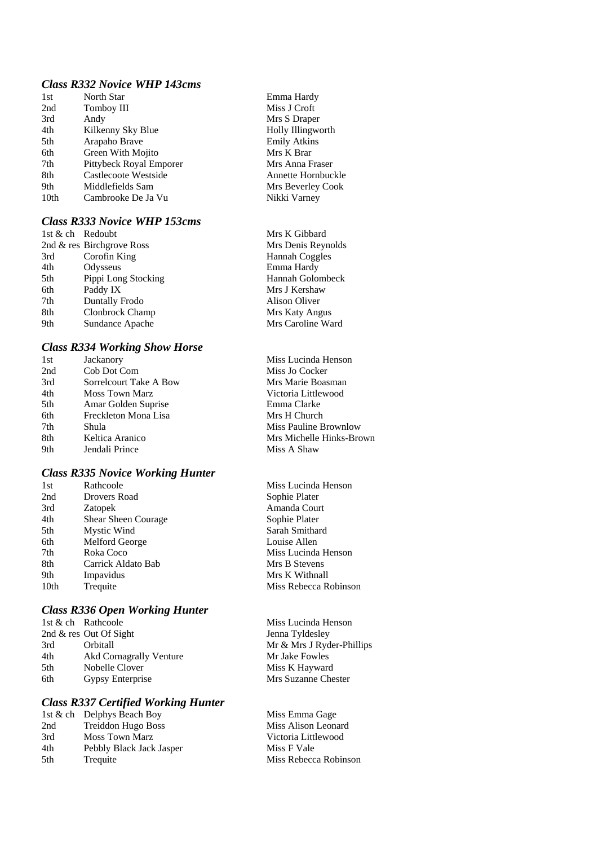#### *Class R332 Novice WHP 143cms*

| 1st              | North Star              |
|------------------|-------------------------|
| 2nd              | Tomboy III              |
| 3rd              | Andy                    |
| 4th              | Kilkenny Sky Blue       |
| .5th             | Arapaho Brave           |
| 6th              | Green With Mojito       |
| 7th              | Pittybeck Royal Emporer |
| 8th              | Castlecoote Westside    |
| 9th              | Middlefields Sam        |
| 10 <sub>th</sub> | Cambrooke De Ja Vu      |

#### *Class R333 Novice WHP 153cms*

| 1st $\&$ ch Redoubt |                           |
|---------------------|---------------------------|
|                     | 2nd & res Birchgrove Ross |
| 3rd                 | Corofin King              |
| 4th                 | Odysseus                  |
| 5th                 | Pippi Long Stocking       |
| 6th                 | Paddy IX                  |
| 7th                 | <b>Duntally Frodo</b>     |
| 8th                 | Clonbrock Champ           |
| 9th                 | Sundance Apache           |

#### *Class R334 Working Show Horse*

| 1st | Jackanory              |
|-----|------------------------|
| 2nd | Cob Dot Com            |
| 3rd | Sorrelcourt Take A Bow |
| 4th | Moss Town Marz         |
| 5th | Amar Golden Suprise    |
| 6th | Freckleton Mona Lisa   |
| 7th | Shula                  |
| 8th | Keltica Aranico        |
| 9th | Jendali Prince         |

#### *Class R335 Novice Working Hunter*

| 1st  | Rathcoole           |
|------|---------------------|
| 2nd  | Drovers Road        |
| 3rd  | Zatopek             |
| 4th  | Shear Sheen Courage |
| 5th  | <b>Mystic Wind</b>  |
| 6th  | Melford George      |
| 7th  | Roka Coco           |
| 8th  | Carrick Aldato Bab  |
| 9th  | Impavidus           |
| 10th | Trequite            |
|      |                     |

#### *Class R336 Open Working Hunter*

|      | 1st & ch Rathcoole             | Miss Lucinda He |
|------|--------------------------------|-----------------|
|      | 2nd $\&$ res Out Of Sight      | Jenna Tyldesley |
| 3rd  | Orbitall                       | Mr & Mrs J Ryd  |
| 4th  | <b>Akd Cornagrally Venture</b> | Mr Jake Fowles  |
| .5th | Nobelle Clover                 | Miss K Hayward  |
| 6th  | <b>Gypsy Enterprise</b>        | Mrs Suzanne Ch  |
|      |                                |                 |

#### *Class R337 Certified Working Hunter*

|     | 1st & ch Delphys Beach Boy | Miss Emma      |
|-----|----------------------------|----------------|
| 2nd | Treiddon Hugo Boss         | Miss Alison    |
| 3rd | <b>Moss Town Marz</b>      | Victoria Littl |
| 4th | Pebbly Black Jack Jasper   | Miss F Vale    |
| 5th | Trequite                   | Miss Rebecc    |

Emma Hardy Miss J Croft Mrs S Draper Holly Illingworth Emily Atkins Mrs K Brar Mrs Anna Fraser Annette Hornbuckle Mrs Beverley Cook Nikki Varney

Mrs K Gibbard Mrs Denis Reynolds Hannah Coggles Emma Hardy Hannah Golombeck Mrs J Kershaw Alison Oliver Mrs Katy Angus Mrs Caroline Ward

Miss Lucinda Henson Miss Jo Cocker Mrs Marie Boasman Victoria Littlewood Emma Clarke Mrs H Church **Miss Pauline Brownlow** Mrs Michelle Hinks-Brown Miss A Shaw

Miss Lucinda Henson Sophie Plater Amanda Court Sophie Plater Sarah Smithard Louise Allen Miss Lucinda Henson Mrs B Stevens Mrs K Withnall Miss Rebecca Robinson

icinda Henson 'yldesley ord J<br>3. Fowles<br>3. Fowles Hayward zanne Chester

Emma Gage Alison Leonard ia Littlewood Rebecca Robinson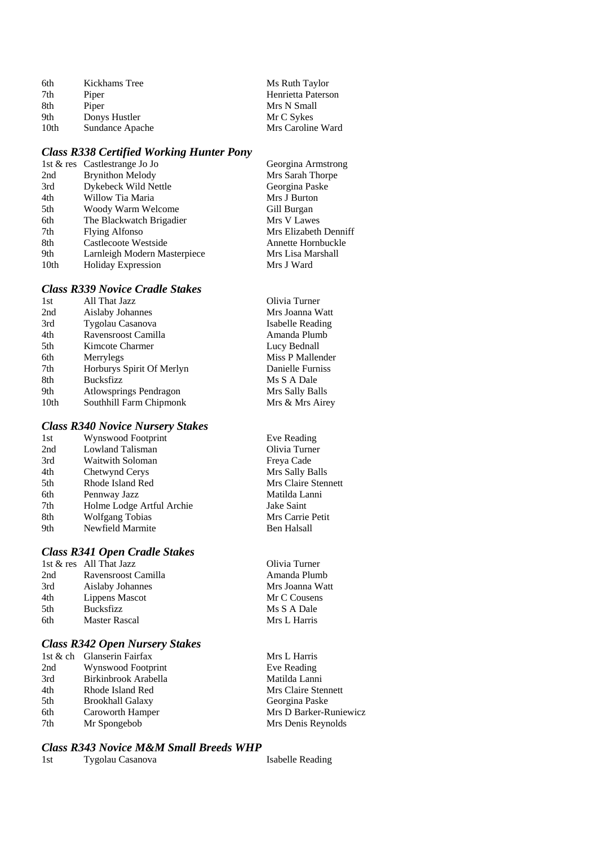| 6th  | Kickhams Tree   | Ms Ruth Taylor     |
|------|-----------------|--------------------|
| 7th  | Piper           | Henrietta Paterson |
| 8th  | Piper           | Mrs N Small        |
| 9th  | Donys Hustler   | Mr C Sykes         |
| 10th | Sundance Apache | Mrs Caroline Ward  |

#### *Class R338 Certified Working Hunter Pony*

|      | 1st & res Castlestrange Jo Jo | Georgina Armstrong    |
|------|-------------------------------|-----------------------|
| 2nd  | <b>Brynithon Melody</b>       | Mrs Sarah Thorpe      |
| 3rd  | Dykebeck Wild Nettle          | Georgina Paske        |
| 4th  | Willow Tia Maria              | Mrs J Burton          |
| 5th  | Woody Warm Welcome            | Gill Burgan           |
| 6th  | The Blackwatch Brigadier      | Mrs V Lawes           |
| 7th  | <b>Flying Alfonso</b>         | Mrs Elizabeth Denniff |
| 8th  | Castlecoote Westside          | Annette Hornbuckle    |
| 9th  | Larnleigh Modern Masterpiece  | Mrs Lisa Marshall     |
| 10th | <b>Holiday Expression</b>     | Mrs J Ward            |
|      |                               |                       |

# *Class R339 Novice Cradle Stakes*

| 1st              | All That Jazz             | Olivia Turner    |
|------------------|---------------------------|------------------|
| 2nd              | Aislaby Johannes          | Mrs Joanna Watt  |
| 3rd              | Tygolau Casanova          | Isabelle Reading |
| 4th              | Ravensroost Camilla       | Amanda Plumb     |
| 5th              | Kimcote Charmer           | Lucy Bednall     |
| 6th              | Merrylegs                 | Miss P Mallender |
| 7th              | Horburys Spirit Of Merlyn | Danielle Furniss |
| 8th              | <b>Bucksfizz</b>          | Ms S A Dale      |
| 9th              | Atlowsprings Pendragon    | Mrs Sally Balls  |
| 10 <sub>th</sub> | Southhill Farm Chipmonk   | Mrs & Mrs Airey  |
|                  |                           |                  |

Eve Reading Olivia Turner Freya Cade Mrs Sally Balls Mrs Claire Stennett Matilda Lanni Jake Saint Mrs Carrie Petit Ben Halsall

Olivia Turner Amanda Plumb Mrs Joanna Watt Mr C Cousens Ms S A Dale Mrs L Harris

#### *Class R340 Novice Nursery Stakes*

| 1st | Wynswood Footprint        |
|-----|---------------------------|
| 2nd | Lowland Talisman          |
| 3rd | <b>Waitwith Soloman</b>   |
| 4th | Chetwynd Cerys            |
| 5th | Rhode Island Red          |
| 6th | Pennway Jazz              |
| 7th | Holme Lodge Artful Archie |
| 8th | <b>Wolfgang Tobias</b>    |
| 9th | Newfield Marmite          |

#### *Class R341 Open Cradle Stakes*

|      | 1st & res All That Jazz |
|------|-------------------------|
| 2nd  | Ravensroost Camilla     |
| 3rd  | Aislaby Johannes        |
| 4th  | Lippens Mascot          |
| .5th | <b>Bucksfizz</b>        |
| 6th  | Master Rascal           |
|      |                         |

#### *Class R342 Open Nursery Stakes*

|     | 1st & ch Glanserin Fairfax | Mrs L Harris           |
|-----|----------------------------|------------------------|
| 2nd | Wynswood Footprint         | Eve Reading            |
| 3rd | Birkinbrook Arabella       | Matilda Lanni          |
| 4th | Rhode Island Red           | Mrs Claire Stennett    |
| 5th | <b>Brookhall Galaxy</b>    | Georgina Paske         |
| 6th | Caroworth Hamper           | Mrs D Barker-Runiewicz |
| 7th | Mr Spongebob               | Mrs Denis Reynolds     |
|     |                            |                        |

# *Class R343 Novice M&M Small Breeds WHP*

| Tygolau Casanova<br>1st | <b>Isabelle Reading</b> |
|-------------------------|-------------------------|
|-------------------------|-------------------------|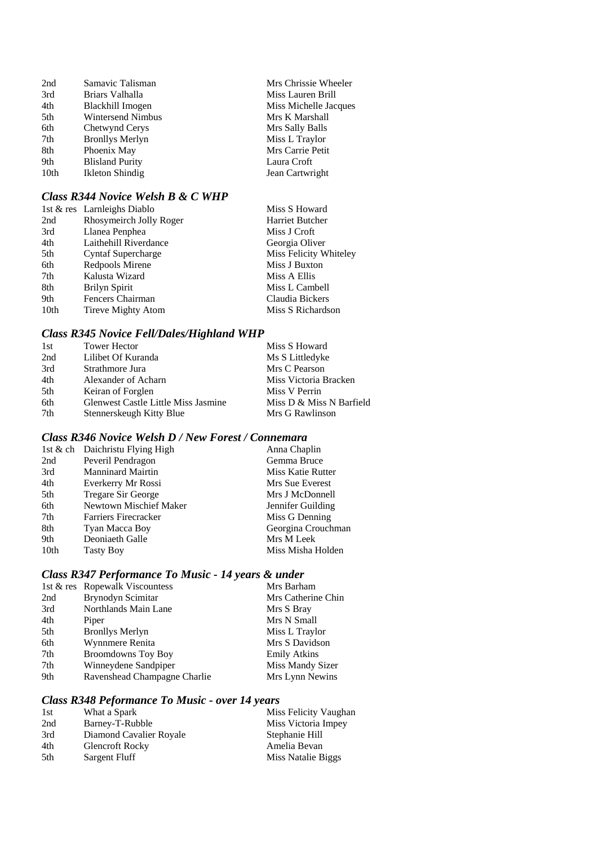| 2nd  | Samavic Talisman         | Mrs Chrissie Wheeler  |
|------|--------------------------|-----------------------|
| 3rd  | Briars Valhalla          | Miss Lauren Brill     |
| 4th  | Blackhill Imogen         | Miss Michelle Jacques |
| 5th  | <b>Wintersend Nimbus</b> | Mrs K Marshall        |
| 6th  | Chetwynd Cerys           | Mrs Sally Balls       |
| 7th  | <b>Bronllys Merlyn</b>   | Miss L Traylor        |
| 8th  | Phoenix May              | Mrs Carrie Petit      |
| 9th  | <b>Blisland Purity</b>   | Laura Croft           |
| 10th | Ikleton Shindig          | Jean Cartwright       |

# *Class R344 Novice Welsh B & C WHP*

|      | 1st & res Larnleighs Diablo | Miss S Howard          |
|------|-----------------------------|------------------------|
| 2nd  | Rhosymeirch Jolly Roger     | Harriet Butcher        |
| 3rd  | Llanea Penphea              | Miss J Croft           |
| 4th  | Laithehill Riverdance       | Georgia Oliver         |
| 5th  | <b>Cyntaf Supercharge</b>   | Miss Felicity Whiteley |
| 6th  | Redpools Mirene             | Miss J Buxton          |
| 7th  | Kalusta Wizard              | Miss A Ellis           |
| 8th  | Brilyn Spirit               | Miss L Cambell         |
| 9th  | Fencers Chairman            | Claudia Bickers        |
| 10th | Tireve Mighty Atom          | Miss S Richardson      |

# *Class R345 Novice Fell/Dales/Highland WHP*

| 1st | <b>Tower Hector</b>                 | Miss S Howard            |
|-----|-------------------------------------|--------------------------|
| 2nd | Lilibet Of Kuranda                  | Ms S Littledyke          |
| 3rd | Strathmore Jura                     | Mrs C Pearson            |
| 4th | Alexander of Acharn                 | Miss Victoria Bracken    |
| 5th | Keiran of Forglen                   | Miss V Perrin            |
| 6th | Glenwest Castle Little Miss Jasmine | Miss D & Miss N Barfield |
| 7th | Stennerskeugh Kitty Blue            | Mrs G Rawlinson          |

# *Class R346 Novice Welsh D / New Forest / Connemara*

|      | 1st & ch Daichristu Flying High | Anna Chaplin       |
|------|---------------------------------|--------------------|
| 2nd  | Peveril Pendragon               | Gemma Bruce        |
| 3rd  | <b>Manninard Mairtin</b>        | Miss Katie Rutter  |
| 4th  | Everkerry Mr Rossi              | Mrs Sue Everest    |
| 5th  | Tregare Sir George              | Mrs J McDonnell    |
| 6th  | Newtown Mischief Maker          | Jennifer Guilding  |
| 7th  | Farriers Firecracker            | Miss G Denning     |
| 8th  | Tyan Macca Boy                  | Georgina Crouchman |
| 9th  | Deoniaeth Galle                 | Mrs M Leek         |
| 10th | <b>Tasty Boy</b>                | Miss Misha Holden  |

# *Class R347 Performance To Music - 14 years & under*

|     | 1st & res Ropewalk Viscountess | Mrs Barham          |
|-----|--------------------------------|---------------------|
| 2nd | Brynodyn Scimitar              | Mrs Catherine Chin  |
| 3rd | Northlands Main Lane           | Mrs S Bray          |
| 4th | Piper                          | Mrs N Small         |
| 5th | <b>Bronllys Merlyn</b>         | Miss L Traylor      |
| 6th | Wynnmere Renita                | Mrs S Davidson      |
| 7th | <b>Broomdowns Toy Boy</b>      | <b>Emily Atkins</b> |
| 7th | Winneydene Sandpiper           | Miss Mandy Sizer    |
| 9th | Ravenshead Champagne Charlie   | Mrs Lynn Newins     |

# *Class R348 Peformance To Music - over 14 years*

| 1st | What a Spark            | Miss Felicity Vaughan |
|-----|-------------------------|-----------------------|
| 2nd | Barney-T-Rubble         | Miss Victoria Impey   |
| 3rd | Diamond Cavalier Royale | Stephanie Hill        |
| 4th | <b>Glencroft Rocky</b>  | Amelia Bevan          |
| 5th | Sargent Fluff           | Miss Natalie Biggs    |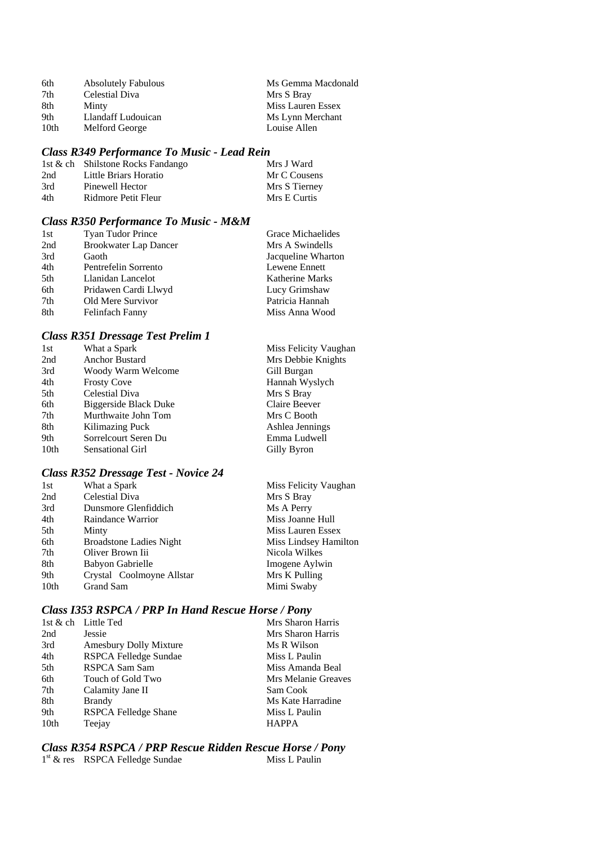| 6th  | <b>Absolutely Fabulous</b> | Ms Gemma Macdonald |
|------|----------------------------|--------------------|
| 7th  | Celestial Diva             | Mrs S Bray         |
| 8th  | Minty                      | Miss Lauren Essex  |
| 9th  | Llandaff Ludouican         | Ms Lynn Merchant   |
| 10th | Melford George             | Louise Allen       |

# *Class R349 Performance To Music - Lead Rein*

|     | 1st & ch Shilstone Rocks Fandango | Mrs J Ward    |
|-----|-----------------------------------|---------------|
| 2nd | Little Briars Horatio             | Mr C Cousens  |
| 3rd | Pinewell Hector                   | Mrs S Tierney |
| 4th | Ridmore Petit Fleur               | Mrs E Curtis  |

# *Class R350 Performance To Music - M&M*

| Tyan Tudor Prince            | Grace Michaelides      |
|------------------------------|------------------------|
| <b>Brookwater Lap Dancer</b> | Mrs A Swindells        |
| Gaoth                        | Jacqueline Wharton     |
| Pentrefelin Sorrento         | Lewene Ennett          |
| Llanidan Lancelot            | <b>Katherine Marks</b> |
| Pridawen Cardi Llwyd         | Lucy Grimshaw          |
| Old Mere Survivor            | Patricia Hannah        |
| Felinfach Fanny              | Miss Anna Wood         |
|                              |                        |

#### *Class R351 Dressage Test Prelim 1*

| 1st  | What a Spark          | Miss Felicity Vaughan |
|------|-----------------------|-----------------------|
| 2nd  | <b>Anchor Bustard</b> | Mrs Debbie Knights    |
| 3rd  | Woody Warm Welcome    | Gill Burgan           |
| 4th  | <b>Frosty Cove</b>    | Hannah Wyslych        |
| 5th  | Celestial Diva        | Mrs S Bray            |
| 6th  | Biggerside Black Duke | Claire Beever         |
| 7th  | Murthwaite John Tom   | Mrs C Booth           |
| 8th  | Kilimazing Puck       | Ashlea Jennings       |
| 9th  | Sorrelcourt Seren Du  | Emma Ludwell          |
| 10th | Sensational Girl      | Gilly Byron           |
|      |                       |                       |

# *Class R352 Dressage Test - Novice 24*

| What a Spark                   | Miss Felicity Vaughan |
|--------------------------------|-----------------------|
| <b>Celestial Diva</b>          | Mrs S Bray            |
| Dunsmore Glenfiddich           | Ms A Perry            |
| Raindance Warrior              | Miss Joanne Hull      |
| Minty                          | Miss Lauren Essex     |
| <b>Broadstone Ladies Night</b> | Miss Lindsey Hamilton |
| Oliver Brown Iii               | Nicola Wilkes         |
| Babyon Gabrielle               | Imogene Aylwin        |
| Crystal Coolmoyne Allstar      | Mrs K Pulling         |
| Grand Sam                      | Mimi Swaby            |
|                                |                       |

#### *Class I353 RSPCA / PRP In Hand Rescue Horse / Pony*

|      | 1st & ch Little Ted    | Mrs Sharon Harris   |
|------|------------------------|---------------------|
| 2nd  | Jessie                 | Mrs Sharon Harris   |
| 3rd  | Amesbury Dolly Mixture | Ms R Wilson         |
| 4th  | RSPCA Felledge Sundae  | Miss L Paulin       |
| 5th  | RSPCA Sam Sam          | Miss Amanda Beal    |
| 6th  | Touch of Gold Two      | Mrs Melanie Greaves |
| 7th  | Calamity Jane II       | Sam Cook            |
| 8th  | <b>Brandy</b>          | Ms Kate Harradine   |
| 9th  | RSPCA Felledge Shane   | Miss L Paulin       |
| 10th | Teejay                 | <b>HAPPA</b>        |
|      |                        |                     |

# *Class R354 RSPCA / PRP Rescue Ridden Rescue Horse / Pony*

 $1<sup>st</sup>$  & res RSPCA Felledge Sundae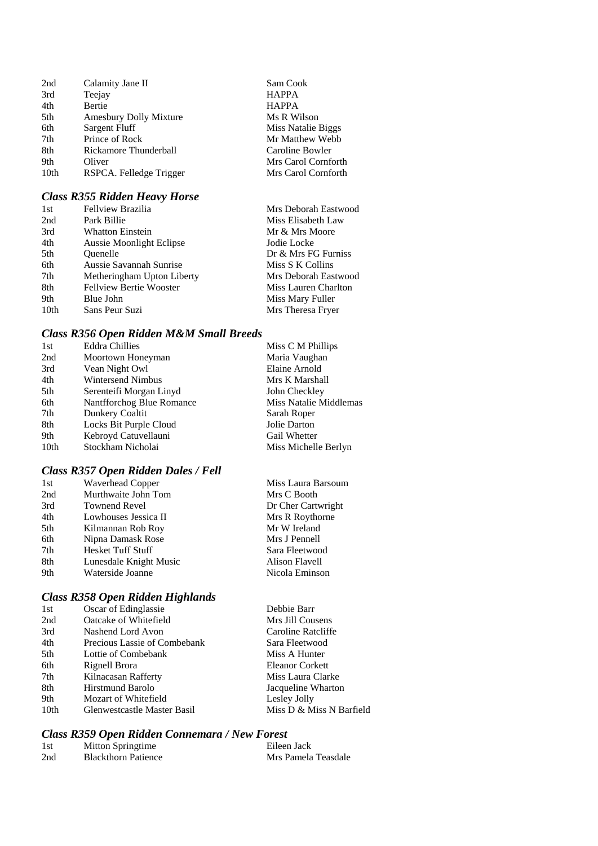| Calamity Jane II        | Sam Cook            |
|-------------------------|---------------------|
| Teejay                  | <b>HAPPA</b>        |
| Bertie                  | <b>HAPPA</b>        |
| Amesbury Dolly Mixture  | Ms R Wilson         |
| Sargent Fluff           | Miss Natalie Biggs  |
| Prince of Rock          | Mr Matthew Webb     |
| Rickamore Thunderball   | Caroline Bowler     |
| Oliver                  | Mrs Carol Cornforth |
| RSPCA. Felledge Trigger | Mrs Carol Cornforth |
|                         |                     |

# *Class R355 Ridden Heavy Horse*

| 1st  | Fellview Brazilia               | Mrs Deborah Eastwood |
|------|---------------------------------|----------------------|
| 2nd  | Park Billie                     | Miss Elisabeth Law   |
| 3rd  | <b>Whatton Einstein</b>         | Mr & Mrs Moore       |
| 4th  | <b>Aussie Moonlight Eclipse</b> | Jodie Locke          |
| 5th  | Ouenelle                        | Dr & Mrs FG Furniss  |
| 6th  | Aussie Savannah Sunrise         | Miss S K Collins     |
| 7th  | Metheringham Upton Liberty      | Mrs Deborah Eastwood |
| 8th  | <b>Fellview Bertie Wooster</b>  | Miss Lauren Charlton |
| 9th  | Blue John                       | Miss Mary Fuller     |
| 10th | Sans Peur Suzi                  | Mrs Theresa Fryer    |

# *Class R356 Open Ridden M&M Small Breeds*

| 1st  | <b>Eddra Chillies</b>     | Miss C M Phillips      |
|------|---------------------------|------------------------|
| 2nd  | Moortown Honeyman         | Maria Vaughan          |
| 3rd  | Vean Night Owl            | Elaine Arnold          |
| 4th  | <b>Wintersend Nimbus</b>  | Mrs K Marshall         |
| 5th  | Serenteifi Morgan Linyd   | John Checkley          |
| 6th  | Nantfforchog Blue Romance | Miss Natalie Middlemas |
| 7th  | Dunkery Coaltit           | Sarah Roper            |
| 8th  | Locks Bit Purple Cloud    | Jolie Darton           |
| 9th  | Kebroyd Catuvellauni      | Gail Whetter           |
| 10th | Stockham Nicholai         | Miss Michelle Berlyn   |

# *Class R357 Open Ridden Dales / Fell*

| Waverhead Copper       | Miss Laura Barsoum |
|------------------------|--------------------|
| Murthwaite John Tom    | Mrs C Booth        |
| <b>Townend Revel</b>   | Dr Cher Cartwright |
| Lowhouses Jessica II   | Mrs R Roythorne    |
| Kilmannan Rob Roy      | Mr W Ireland       |
| Nipna Damask Rose      | Mrs J Pennell      |
| Hesket Tuff Stuff      | Sara Fleetwood     |
| Lunesdale Knight Music | Alison Flavell     |
| Waterside Joanne       | Nicola Eminson     |
|                        |                    |

# *Class R358 Open Ridden Highlands*

| 1st              | Oscar of Edinglassie         | Debbie Barr              |
|------------------|------------------------------|--------------------------|
| 2nd              | Oatcake of Whitefield        | Mrs Jill Cousens         |
| 3rd              | Nashend Lord Avon            | Caroline Ratcliffe       |
| 4th              | Precious Lassie of Combebank | Sara Fleetwood           |
| 5th              | Lottie of Combebank          | Miss A Hunter            |
| 6th              | Rignell Brora                | Eleanor Corkett          |
| 7th              | Kilnacasan Rafferty          | Miss Laura Clarke        |
| 8th              | <b>Hirstmund Barolo</b>      | Jacqueline Wharton       |
| 9th              | Mozart of Whitefield         | Lesley Jolly             |
| 10 <sub>th</sub> | Glenwestcastle Master Basil  | Miss D & Miss N Barfield |

# *Class R359 Open Ridden Connemara / New Forest*

| 1st | Mitton Springtime          | Eileen Jack         |
|-----|----------------------------|---------------------|
| 2nd | <b>Blackthorn Patience</b> | Mrs Pamela Teasdale |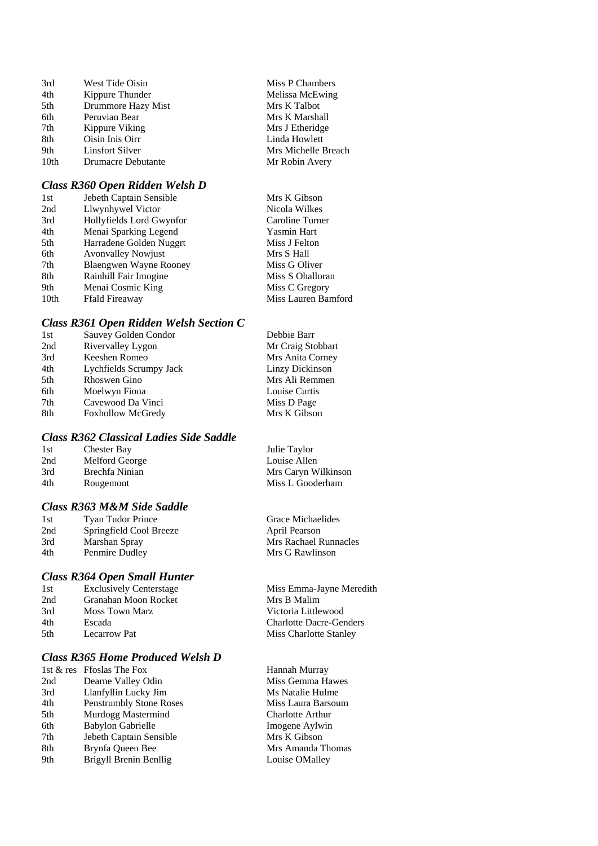| 3rd  | West Tide Oisin        | Miss P Chambers     |
|------|------------------------|---------------------|
| 4th  | Kippure Thunder        | Melissa McEwing     |
| 5th  | Drummore Hazy Mist     | Mrs K Talbot        |
| 6th  | Peruvian Bear          | Mrs K Marshall      |
| 7th  | Kippure Viking         | Mrs J Etheridge     |
| 8th  | Oisin Inis Oirr        | Linda Howlett       |
| 9th  | <b>Linsfort Silver</b> | Mrs Michelle Breach |
| 10th | Drumacre Debutante     | Mr Robin Avery      |
|      |                        |                     |

#### *Class R360 Open Ridden Welsh D*

| 1st              | Jebeth Captain Sensible   | Mrs K Gibson        |
|------------------|---------------------------|---------------------|
| 2nd              | Llwynhywel Victor         | Nicola Wilkes       |
| 3rd              | Hollyfields Lord Gwynfor  | Caroline Turner     |
| 4th              | Menai Sparking Legend     | <b>Yasmin Hart</b>  |
| 5th              | Harradene Golden Nuggrt   | Miss J Felton       |
| 6th              | <b>Avonvalley Nowjust</b> | Mrs S Hall          |
| 7th              | Blaengwen Wayne Rooney    | Miss G Oliver       |
| 8th              | Rainhill Fair Imogine     | Miss S Ohalloran    |
| 9th              | Menai Cosmic King         | Miss C Gregory      |
| 10 <sub>th</sub> | <b>Ffald Fireaway</b>     | Miss Lauren Bamford |

#### *Class R361 Open Ridden Welsh Section C*

| 1st | Sauvey Golden Condor     | Debbie Barr       |
|-----|--------------------------|-------------------|
| 2nd | Rivervalley Lygon        | Mr Craig Stobbart |
| 3rd | Keeshen Romeo            | Mrs Anita Corney  |
| 4th | Lychfields Scrumpy Jack  | Linzy Dickinson   |
| 5th | Rhoswen Gino             | Mrs Ali Remmen    |
| 6th | Moelwyn Fiona            | Louise Curtis     |
| 7th | Cavewood Da Vinci        | Miss D Page       |
| 8th | <b>Foxhollow McGredy</b> | Mrs K Gibson      |
|     |                          |                   |

#### *Class R362 Classical Ladies Side Saddle*

| 1st | <b>Chester Bay</b> | Julie Taylor        |
|-----|--------------------|---------------------|
| 2nd | Melford George     | Louise Allen        |
| 3rd | Brechfa Ninian     | Mrs Caryn Wilkinson |
| 4th | Rougemont          | Miss L Gooderham    |

#### *Class R363 M&M Side Saddle*

| 1st | Tyan Tudor Prince       |
|-----|-------------------------|
| 2nd | Springfield Cool Breeze |
| 3rd | Marshan Spray           |
| 4th | Penmire Dudley          |

#### *Class R364 Open Small Hunter*

| 1st  | <b>Exclusively Centerstage</b> |
|------|--------------------------------|
| 2nd  | Granahan Moon Rocket           |
| 3rd  | <b>Moss Town Marz</b>          |
| 4th  | Escada                         |
| .5th | Lecarrow Pat                   |
|      |                                |

# *Class R365 Home Produced Welsh D*

|     | 1st & res Ffoslas The Fox      |
|-----|--------------------------------|
| 2nd | Dearne Valley Odin             |
| 3rd | Llanfyllin Lucky Jim           |
| 4th | <b>Penstrumbly Stone Roses</b> |
| 5th | Murdogg Mastermind             |
| 6th | <b>Babylon Gabrielle</b>       |
| 7th | Jebeth Captain Sensible        |
| 8th | Brynfa Queen Bee               |
| 9th | <b>Brigyll Brenin Benllig</b>  |
|     |                                |

Miss Emma-Jayne Meredith Mrs B Malim Victoria Littlewood Charlotte Dacre-Genders Miss Charlotte Stanley

Grace Michaelides April Pearson

**Mrs Rachael Runnacles** Mrs G Rawlinson

Hannah Murray Miss Gemma Hawes Ms Natalie Hulme Miss Laura Barsoum Charlotte Arthur Imogene Aylwin Mrs K Gibson Mrs Amanda Thomas Louise OMalley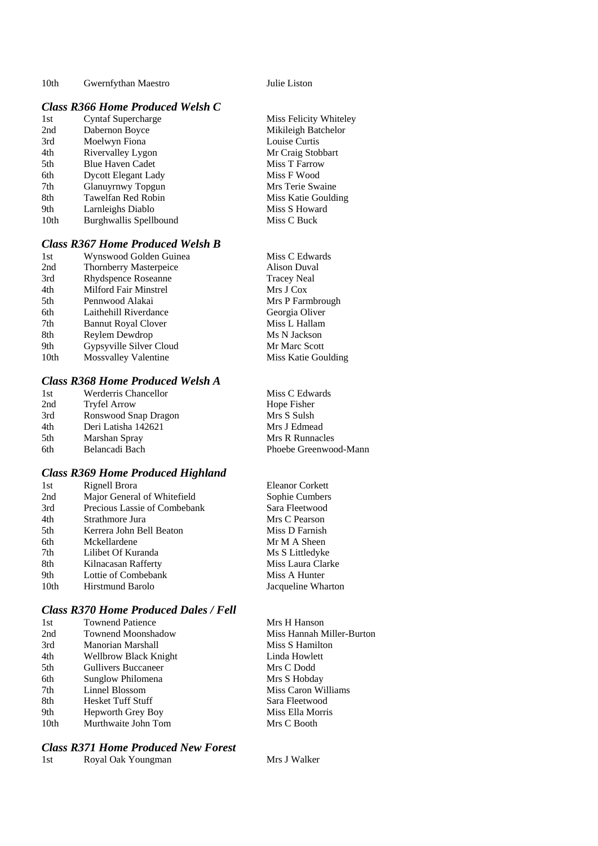10th Gwernfythan Maestro Julie Liston

#### *Class R366 Home Produced Welsh C*

| 1st              | <b>Cyntaf Supercharge</b>  | <b>Miss</b> |
|------------------|----------------------------|-------------|
| 2nd              | Dabernon Boyce             | Miki        |
| 3rd              | Moelwyn Fiona              | Louis       |
| 4th              | Rivervalley Lygon          | Mr C        |
| 5th              | <b>Blue Haven Cadet</b>    | Miss        |
| 6th              | <b>Dycott Elegant Lady</b> | Miss        |
| 7th              | <b>Glanuyrnwy Topgun</b>   | Mrs'        |
| 8th              | Tawelfan Red Robin         | Miss        |
| 9th              | Larnleighs Diablo          | Miss        |
| 10 <sub>th</sub> | Burghwallis Spellbound     | Miss        |

#### *Class R367 Home Produced Welsh B*

| 1st  | Wynswood Golden Guinea        | M  |
|------|-------------------------------|----|
| 2nd  | <b>Thornberry Masterpeice</b> | A. |
| 3rd  | Rhydspence Roseanne           | Тı |
| 4th  | <b>Milford Fair Minstrel</b>  | M  |
| 5th  | Pennwood Alakai               | M  |
| 6th  | Laithehill Riverdance         | G  |
| 7th  | <b>Bannut Royal Clover</b>    | M  |
| 8th  | Reylem Dewdrop                | M  |
| 9th  | Gypsyville Silver Cloud       | M  |
| 10th | <b>Mossvalley Valentine</b>   | M  |
|      |                               |    |

# *Class R368 Home Produced Welsh A*

| 1st | Werderris Chancellor | Miss C Edwards        |
|-----|----------------------|-----------------------|
| 2nd | <b>Tryfel Arrow</b>  | Hope Fisher           |
| 3rd | Ronswood Snap Dragon | Mrs S Sulsh           |
| 4th | Deri Latisha 142621  | Mrs J Edmead          |
| 5th | Marshan Spray        | Mrs R Runnacles       |
| 6th | Belancadi Bach       | Phoebe Greenwood-Mann |

#### *Class R369 Home Produced Highland*

| Rignell Brora                | <b>Eleanor Corkett</b> |
|------------------------------|------------------------|
| Major General of Whitefield  | Sophie Cumbers         |
| Precious Lassie of Combebank | Sara Fleetwood         |
| Strathmore Jura              | Mrs C Pearson          |
| Kerrera John Bell Beaton     | Miss D Farnish         |
| Mckellardene                 | Mr M A Sheen           |
| Lilibet Of Kuranda           | Ms S Littledyke        |
| Kilnacasan Rafferty          | Miss Laura Clarke      |
| Lottie of Combebank          | Miss A Hunter          |
| Hirstmund Barolo             | Jacqueline Wharton     |
|                              |                        |

#### *Class R370 Home Produced Dales / Fell*

| 1st  | <b>Townend Patience</b>   | Mrs H Hanson              |
|------|---------------------------|---------------------------|
| 2nd  | <b>Townend Moonshadow</b> | Miss Hannah Miller-Burton |
| 3rd  | Manorian Marshall         | Miss S Hamilton           |
| 4th  | Wellbrow Black Knight     | Linda Howlett             |
| 5th  | Gullivers Buccaneer       | Mrs C Dodd                |
| 6th  | Sunglow Philomena         | Mrs S Hobday              |
| 7th  | Linnel Blossom            | Miss Caron Williams       |
| 8th  | Hesket Tuff Stuff         | Sara Fleetwood            |
| 9th  | Hepworth Grey Boy         | Miss Ella Morris          |
| 10th | Murthwaite John Tom       | Mrs C Booth               |
|      |                           |                           |

# *Class R371 Home Produced New Forest*

| Royal Oak Youngman<br>1st |  |
|---------------------------|--|
|---------------------------|--|

Felicity Whiteley leigh Batchelor se Curtis Praig Stobbart T Farrow F Wood Terie Swaine Katie Goulding S Howard C Buck

Iiss C Edwards lison Duval racey Neal Irs  $J$  Cox Irs P Farmbrough eorgia Oliver Iiss L Hallam Is N Jackson Ir Marc Scott **Iiss Katie Goulding** 

| Miss C Edwards        |
|-----------------------|
| Hope Fisher           |
| Mrs S Sulsh           |
| Mrs J Edmead          |
| Mrs R Runnacles       |
| Phoebe Greenwood-Manr |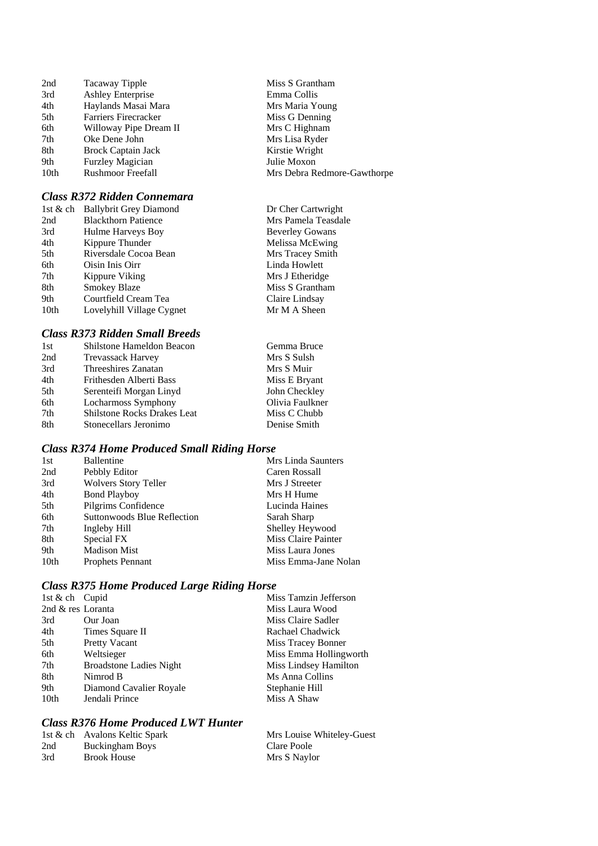| 2nd  | Tacaway Tipple            | Miss S Grantham             |
|------|---------------------------|-----------------------------|
| 3rd  | <b>Ashley Enterprise</b>  | Emma Collis                 |
| 4th  | Haylands Masai Mara       | Mrs Maria Young             |
| 5th  | Farriers Firecracker      | Miss G Denning              |
| 6th  | Willoway Pipe Dream II    | Mrs C Highnam               |
| 7th  | Oke Dene John             | Mrs Lisa Ryder              |
| 8th  | <b>Brock Captain Jack</b> | Kirstie Wright              |
| 9th  | <b>Furzley Magician</b>   | Julie Moxon                 |
| 10th | <b>Rushmoor Freefall</b>  | Mrs Debra Redmore-Gawthorpe |

# *Class R372 Ridden Connemara*

| 1st & ch | <b>Ballybrit Grey Diamond</b> | Dr Cher Cartwright     |
|----------|-------------------------------|------------------------|
| 2nd      | <b>Blackthorn Patience</b>    | Mrs Pamela Teasdale    |
| 3rd      | Hulme Harveys Boy             | <b>Beverley Gowans</b> |
| 4th      | Kippure Thunder               | Melissa McEwing        |
| 5th      | Riversdale Cocoa Bean         | Mrs Tracey Smith       |
| 6th      | Oisin Inis Oirr               | Linda Howlett          |
| 7th      | Kippure Viking                | Mrs J Etheridge        |
| 8th      | <b>Smokey Blaze</b>           | Miss S Grantham        |
| 9th      | Courtfield Cream Tea          | Claire Lindsay         |
| 10th     | Lovelyhill Village Cygnet     | Mr M A Sheen           |
|          |                               |                        |

#### *Class R373 Ridden Small Breeds*

| 1st | Shilstone Hameldon Beacon          | Gemma Bruce     |
|-----|------------------------------------|-----------------|
| 2nd | <b>Trevassack Harvey</b>           | Mrs S Sulsh     |
| 3rd | Threeshires Zanatan                | Mrs S Muir      |
| 4th | Frithesden Alberti Bass            | Miss E Bryant   |
| 5th | Serenteifi Morgan Linyd            | John Checkley   |
| 6th | Locharmoss Symphony                | Olivia Faulkner |
| 7th | <b>Shilstone Rocks Drakes Leat</b> | Miss C Chubb    |
| 8th | Stonecellars Jeronimo              | Denise Smith    |
|     |                                    |                 |

# *Class R374 Home Produced Small Riding Horse*

| 1st  | <b>Ballentine</b>                  | Mrs Linda Saunters   |
|------|------------------------------------|----------------------|
| 2nd  | Pebbly Editor                      | Caren Rossall        |
| 3rd  | <b>Wolvers Story Teller</b>        | Mrs J Streeter       |
| 4th  | <b>Bond Playboy</b>                | Mrs H Hume           |
| 5th  | Pilgrims Confidence                | Lucinda Haines       |
| 6th  | <b>Suttonwoods Blue Reflection</b> | Sarah Sharp          |
| 7th  | Ingleby Hill                       | Shelley Heywood      |
| 8th  | Special FX                         | Miss Claire Painter  |
| 9th  | <b>Madison Mist</b>                | Miss Laura Jones     |
| 10th | <b>Prophets Pennant</b>            | Miss Emma-Jane Nolan |

# *Class R375 Home Produced Large Riding Horse*

| 1st & ch Cupid    |                                | Miss Tamzin Jefferson  |
|-------------------|--------------------------------|------------------------|
| 2nd & res Loranta |                                | Miss Laura Wood        |
| 3rd               | Our Joan                       | Miss Claire Sadler     |
| 4th               | Times Square II                | Rachael Chadwick       |
| 5th               | <b>Pretty Vacant</b>           | Miss Tracey Bonner     |
| 6th               | Weltsieger                     | Miss Emma Hollingworth |
| 7th               | <b>Broadstone Ladies Night</b> | Miss Lindsey Hamilton  |
| 8th               | Nimrod B                       | Ms Anna Collins        |
| 9th               | Diamond Cavalier Royale        | Stephanie Hill         |
| 10th              | Jendali Prince                 | Miss A Shaw            |
|                   |                                |                        |

# *Class R376 Home Produced LWT Hunter*

|     | 1st & ch Avalons Keltic Spark | Mrs Louise Whiteley-Guest |
|-----|-------------------------------|---------------------------|
| 2nd | Buckingham Boys               | Clare Poole               |
| 3rd | <b>Brook House</b>            | Mrs S Naylor              |

| Miss S Grantham             |
|-----------------------------|
| Emma Collis                 |
| Mrs Maria Young             |
| Miss G Denning              |
| Mrs C Highnam               |
| Mrs Lisa Ryder              |
| Kirstie Wright              |
| Julie Moxon                 |
| Mrs Debra Redmore-Gawthorpe |

| Dr Cher Cartwright     |
|------------------------|
| Mrs Pamela Teasda      |
| <b>Beverley Gowans</b> |
| Melissa McEwing        |
| Mrs Tracey Smith       |
| Linda Howlett          |
| Mrs J Etheridge        |
| Miss S Grantham        |
| Claire Lindsay         |
| Mr M A Sheen           |
|                        |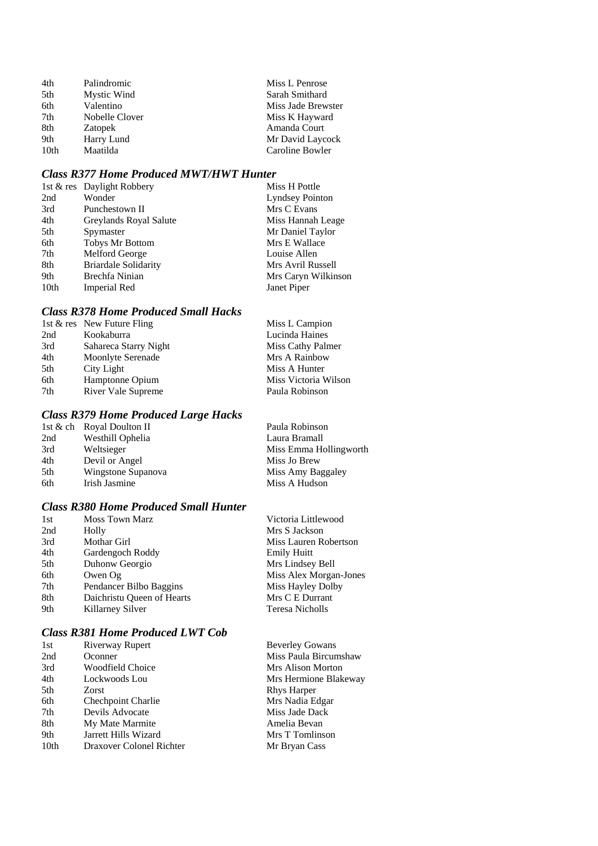| 4th  | Palindromic    | Miss L Penrose     |
|------|----------------|--------------------|
| 5th  | Mystic Wind    | Sarah Smithard     |
| 6th  | Valentino      | Miss Jade Brewster |
| 7th  | Nobelle Clover | Miss K Hayward     |
| 8th  | Zatopek        | Amanda Court       |
| 9th  | Harry Lund     | Mr David Laycock   |
| 10th | Maatilda       | Caroline Bowler    |

# *Class R377 Home Produced MWT/HWT Hunter*

|                  | 1st & res Daylight Robbery  | Miss H Pottle          |
|------------------|-----------------------------|------------------------|
| 2nd              | Wonder                      | <b>Lyndsey Pointon</b> |
| 3rd              | Punchestown II              | Mrs C Evans            |
| 4th              | Greylands Royal Salute      | Miss Hannah Leage      |
| 5th              | Spymaster                   | Mr Daniel Taylor       |
| 6th              | <b>Tobys Mr Bottom</b>      | Mrs E Wallace          |
| 7th              | Melford George              | Louise Allen           |
| 8th              | <b>Briardale Solidarity</b> | Mrs Avril Russell      |
| 9th              | Brechfa Ninian              | Mrs Caryn Wilkinson    |
| 10 <sub>th</sub> | Imperial Red                | Janet Piper            |

# *Class R378 Home Produced Small Hacks*

|     | 1st & res New Future Fling | Miss L Campion       |
|-----|----------------------------|----------------------|
| 2nd | Kookaburra                 | Lucinda Haines       |
| 3rd | Sahareca Starry Night      | Miss Cathy Palmer    |
| 4th | Moonlyte Serenade          | Mrs A Rainbow        |
| 5th | City Light                 | Miss A Hunter        |
| 6th | Hamptonne Opium            | Miss Victoria Wilson |
| 7th | <b>River Vale Supreme</b>  | Paula Robinson       |

# *Class R379 Home Produced Large Hacks*

|     | 1st & ch Royal Doulton II | Paula Robinson         |
|-----|---------------------------|------------------------|
| 2nd | Westhill Ophelia          | Laura Bramall          |
| 3rd | Weltsieger                | Miss Emma Hollingworth |
| 4th | Devil or Angel            | Miss Jo Brew           |
| 5th | Wingstone Supanova        | Miss Amy Baggaley      |
| 6th | Irish Jasmine             | Miss A Hudson          |

#### *Class R380 Home Produced Small Hunter*

| 1st | <b>Moss Town Marz</b>      | Victoria Littlewood    |
|-----|----------------------------|------------------------|
| 2nd | Holly                      | Mrs S Jackson          |
| 3rd | Mothar Girl                | Miss Lauren Robertson  |
| 4th | Gardengoch Roddy           | <b>Emily Huitt</b>     |
| 5th | Duhonw Georgio             | Mrs Lindsey Bell       |
| 6th | Owen Og                    | Miss Alex Morgan-Jones |
| 7th | Pendancer Bilbo Baggins    | Miss Hayley Dolby      |
| 8th | Daichristu Oueen of Hearts | Mrs C E Durrant        |
| 9th | Killarney Silver           | Teresa Nicholls        |
|     |                            |                        |

### *Class R381 Home Produced LWT Cob*

| 1st              | Riverway Rupert          | <b>Beverley Gowans</b> |
|------------------|--------------------------|------------------------|
| 2nd              | Oconner                  | Miss Paula Bircumshaw  |
| 3rd              | <b>Woodfield Choice</b>  | Mrs Alison Morton      |
| 4th              | Lockwoods Lou            | Mrs Hermione Blakeway  |
| 5th              | Zorst                    | <b>Rhys Harper</b>     |
| 6th              | Chechpoint Charlie       | Mrs Nadia Edgar        |
| 7th              | Devils Advocate          | Miss Jade Dack         |
| 8th              | My Mate Marmite          | Amelia Bevan           |
| 9th              | Jarrett Hills Wizard     | Mrs T Tomlinson        |
| 10 <sub>th</sub> | Draxover Colonel Richter | Mr Bryan Cass          |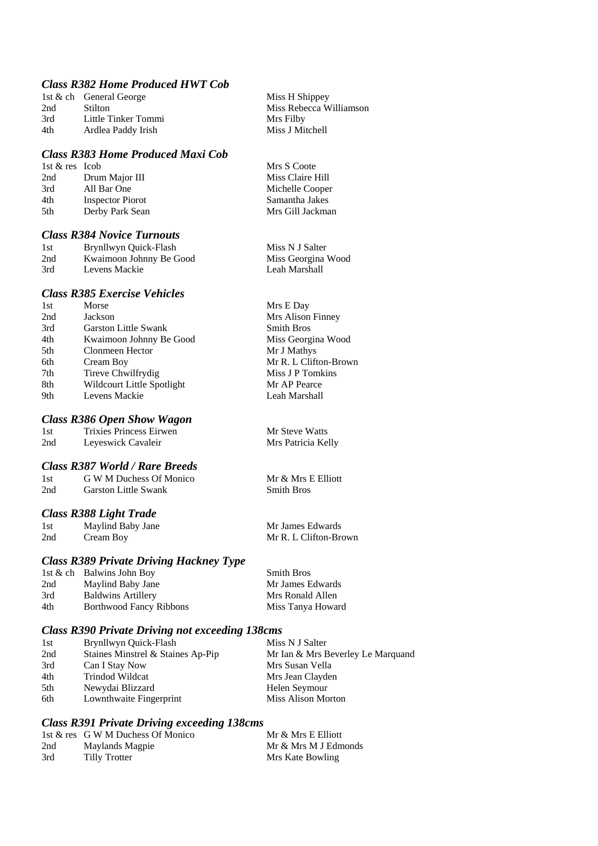#### *Class R382 Home Produced HWT Cob*

1st & ch General George Miss H Shippey<br>
2nd Stilton Miss Rebecca W 2nd Stilton Miss Rebecca Williamson<br>
3rd Little Tinker Tommi Mrs Filby 1989 Little Tinker Tommi Mrs Filby<br>31 Ardlea Paddy Irish Miss J Mitchell 4th Ardlea Paddy Irish

#### *Class R383 Home Produced Maxi Cob*

1st & res Icob Mrs S Coote 2nd Drum Major III Miss Claire Hill 3rd All Bar One Michelle Cooper 4th Inspector Piorot Samantha Jakes 5th Derby Park Sean Mrs Gill Jackman

#### *Class R384 Novice Turnouts*

| 1st | Brynllwyn Quick-Flash   | Miss N J Salter    |
|-----|-------------------------|--------------------|
| 2nd | Kwaimoon Johnny Be Good | Miss Georgina Wood |
| 3rd | Levens Mackie           | Leah Marshall      |

#### *Class R385 Exercise Vehicles*

| 1st | Morse                       | Mrs E Day             |
|-----|-----------------------------|-----------------------|
| 2nd | Jackson                     | Mrs Alison Finney     |
| 3rd | <b>Garston Little Swank</b> | <b>Smith Bros</b>     |
| 4th | Kwaimoon Johnny Be Good     | Miss Georgina Wood    |
| 5th | Clonmeen Hector             | Mr J Mathys           |
| 6th | Cream Boy                   | Mr R. L Clifton-Brown |
| 7th | Tireve Chwilfrydig          | Miss J P Tomkins      |
| 8th | Wildcourt Little Spotlight  | Mr AP Pearce          |
| 9th | Levens Mackie               | Leah Marshall         |
|     |                             |                       |

# *Class R386 Open Show Wagon*

| 1st | Trixies Princess Eirwen | Mr Steve Watts     |
|-----|-------------------------|--------------------|
| 2nd | Leyeswick Cavaleir      | Mrs Patricia Kelly |

#### *Class R387 World / Rare Breeds*

| 1st | G W M Duchess Of Monico     | Mr & Mrs E Elliott |
|-----|-----------------------------|--------------------|
| 2nd | <b>Garston Little Swank</b> | <b>Smith Bros</b>  |

#### *Class R388 Light Trade*

| 1st | Maylind Baby Jane | Mr James Edwards      |
|-----|-------------------|-----------------------|
| 2nd | Cream Boy         | Mr R. L Clifton-Brown |

#### *Class R389 Private Driving Hackney Type*

|     | 1st $\&$ ch Balwins John Boy | <b>Smith Bros</b> |
|-----|------------------------------|-------------------|
| 2nd | Maylind Baby Jane            | Mr James Edwards  |
| 3rd | <b>Baldwins Artillery</b>    | Mrs Ronald Allen  |
| 4th | Borthwood Fancy Ribbons      | Miss Tanya Howard |

#### *Class R390 Private Driving not exceeding 138cms*

| 1st | Brynllwyn Quick-Flash             | Miss N J Salter                   |
|-----|-----------------------------------|-----------------------------------|
| 2nd | Staines Minstrel & Staines Ap-Pip | Mr Ian & Mrs Beverley Le Marquand |
| 3rd | Can I Stay Now                    | Mrs Susan Vella                   |
| 4th | Trindod Wildcat                   | Mrs Jean Clayden                  |
| 5th | Newydai Blizzard                  | Helen Seymour                     |
| 6th | Lownthwaite Fingerprint           | Miss Alison Morton                |

#### *Class R391 Private Driving exceeding 138cms*

|     | 1st & res G W M Duchess Of Monico | Mr & Mrs E Elliott   |
|-----|-----------------------------------|----------------------|
| 2nd | Maylands Magpie                   | Mr & Mrs M J Edmonds |
| 3rd | Tilly Trotter                     | Mrs Kate Bowling     |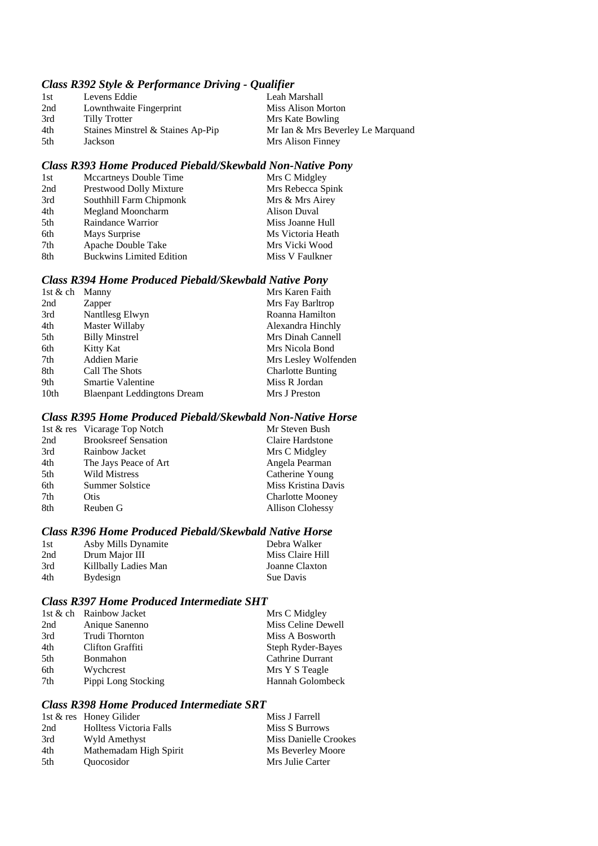# *Class R392 Style & Performance Driving - Qualifier*

| 1st | Levens Eddie                      | Leah Marshall                     |
|-----|-----------------------------------|-----------------------------------|
| 2nd | Lownthwaite Fingerprint           | Miss Alison Morton                |
| 3rd | Tilly Trotter                     | Mrs Kate Bowling                  |
| 4th | Staines Minstrel & Staines Ap-Pip | Mr Ian & Mrs Beverley Le Marquand |
| 5th | Jackson                           | Mrs Alison Finney                 |

# *Class R393 Home Produced Piebald/Skewbald Non-Native Pony*

| 1st | Mccartneys Double Time          | Mrs C Midgley     |
|-----|---------------------------------|-------------------|
| 2nd | Prestwood Dolly Mixture         | Mrs Rebecca Spink |
| 3rd | Southhill Farm Chipmonk         | Mrs & Mrs Airey   |
| 4th | Megland Mooncharm               | Alison Duval      |
| 5th | Raindance Warrior               | Miss Joanne Hull  |
| 6th | Mays Surprise                   | Ms Victoria Heath |
| 7th | Apache Double Take              | Mrs Vicki Wood    |
| 8th | <b>Buckwins Limited Edition</b> | Miss V Faulkner   |

#### *Class R394 Home Produced Piebald/Skewbald Native Pony*

| Manny                              | Mrs Karen Faith          |
|------------------------------------|--------------------------|
| Zapper                             | Mrs Fay Barltrop         |
| Nantllesg Elwyn                    | Roanna Hamilton          |
| Master Willaby                     | Alexandra Hinchly        |
| <b>Billy Minstrel</b>              | Mrs Dinah Cannell        |
| Kitty Kat                          | Mrs Nicola Bond          |
| Addien Marie                       | Mrs Lesley Wolfenden     |
| Call The Shots                     | <b>Charlotte Bunting</b> |
| <b>Smartie Valentine</b>           | Miss R Jordan            |
| <b>Blaenpant Leddingtons Dream</b> | Mrs J Preston            |
|                                    |                          |

#### *Class R395 Home Produced Piebald/Skewbald Non-Native Horse*

|                             | Mr Steven Bush               |
|-----------------------------|------------------------------|
| <b>Brooksreef Sensation</b> | Claire Hardstone             |
| Rainbow Jacket              | Mrs C Midgley                |
| The Jays Peace of Art       | Angela Pearman               |
| <b>Wild Mistress</b>        | Catherine Young              |
| <b>Summer Solstice</b>      | Miss Kristina Davis          |
| Otis                        | <b>Charlotte Mooney</b>      |
| Reuben G                    | <b>Allison Clohessy</b>      |
|                             | 1st & res Vicarage Top Notch |

#### *Class R396 Home Produced Piebald/Skewbald Native Horse*

| 1st | Asby Mills Dynamite  | Debra Walker     |
|-----|----------------------|------------------|
| 2nd | Drum Major III       | Miss Claire Hill |
| 3rd | Killbally Ladies Man | Joanne Claxton   |
| 4th | <b>Bydesign</b>      | Sue Davis        |

#### *Class R397 Home Produced Intermediate SHT*

|                     | Mrs C Midgley           |
|---------------------|-------------------------|
| Anique Sanenno      | Miss Celine Dewell      |
| Trudi Thornton      | Miss A Bosworth         |
| Clifton Graffiti    | Steph Ryder-Bayes       |
| Bonmahon            | Cathrine Durrant        |
| Wychcrest           | Mrs Y S Teagle          |
| Pippi Long Stocking | Hannah Golombeck        |
|                     | 1st & ch Rainbow Jacket |

#### *Class R398 Home Produced Intermediate SRT*

|     | 1st & res Honey Gilider         | Miss J Farrell        |
|-----|---------------------------------|-----------------------|
| 2nd | <b>Holltess Victoria Falls</b>  | Miss S Burrows        |
| 3rd | Wyld Amethyst                   | Miss Danielle Crookes |
| 4th | Mathemadam High Spirit          | Ms Beverley Moore     |
| 5th | <i><u><b>Ouocosidor</b></u></i> | Mrs Julie Carter      |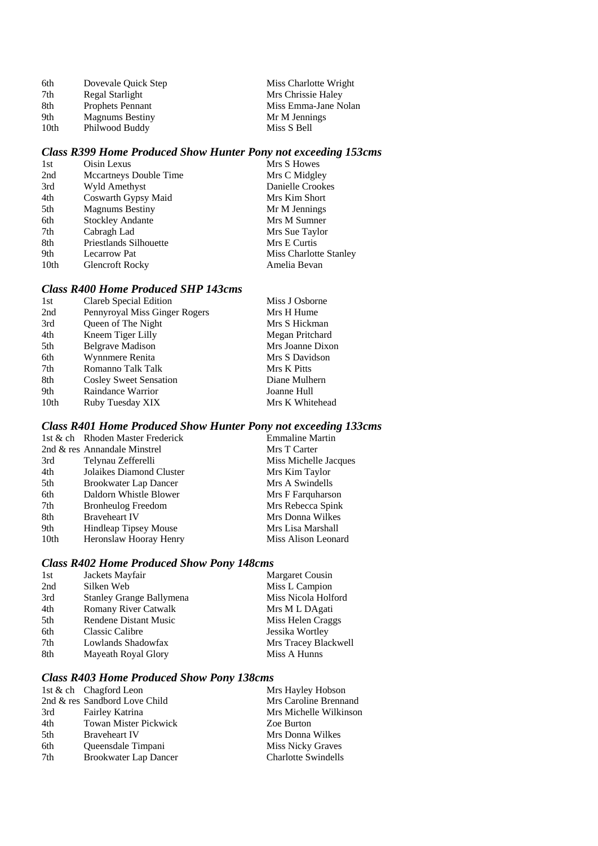| 6th              | Dovevale Ouick Step     | Miss Charlotte Wright |
|------------------|-------------------------|-----------------------|
| 7th              | Regal Starlight         | Mrs Chrissie Haley    |
| 8th              | <b>Prophets Pennant</b> | Miss Emma-Jane Nolan  |
| 9th              | <b>Magnums Bestiny</b>  | Mr M Jennings         |
| 10 <sub>th</sub> | Philwood Buddy          | Miss S Bell           |

# *Class R399 Home Produced Show Hunter Pony not exceeding 153cms*

| 1st              | Oisin Lexus             | Mrs S Howes            |
|------------------|-------------------------|------------------------|
| 2nd              | Mccartneys Double Time  | Mrs C Midgley          |
| 3rd              | Wyld Amethyst           | Danielle Crookes       |
| 4th              | Coswarth Gypsy Maid     | Mrs Kim Short          |
| 5th              | <b>Magnums Bestiny</b>  | Mr M Jennings          |
| 6th              | <b>Stockley Andante</b> | Mrs M Sumner           |
| 7th              | Cabragh Lad             | Mrs Sue Taylor         |
| 8th              | Priestlands Silhouette  | Mrs E Curtis           |
| 9th              | <b>Lecarrow Pat</b>     | Miss Charlotte Stanley |
| 10 <sub>th</sub> | <b>Glencroft Rocky</b>  | Amelia Bevan           |

#### *Class R400 Home Produced SHP 143cms*

| 1st              | Clareb Special Edition        | Miss J Osborne   |
|------------------|-------------------------------|------------------|
| 2nd              | Pennyroyal Miss Ginger Rogers | Mrs H Hume       |
| 3rd              | Queen of The Night            | Mrs S Hickman    |
| 4th              | Kneem Tiger Lilly             | Megan Pritchard  |
| 5th              | <b>Belgrave Madison</b>       | Mrs Joanne Dixon |
| 6th              | Wynnmere Renita               | Mrs S Davidson   |
| 7th              | Romanno Talk Talk             | Mrs K Pitts      |
| 8th              | <b>Cosley Sweet Sensation</b> | Diane Mulhern    |
| 9th              | Raindance Warrior             | Joanne Hull      |
| 10 <sub>th</sub> | Ruby Tuesday XIX              | Mrs K Whitehead  |

# *Class R401 Home Produced Show Hunter Pony not exceeding 133cms*

|                              | <b>Emmaline Martin</b>                                           |
|------------------------------|------------------------------------------------------------------|
|                              | Mrs T Carter                                                     |
| Telynau Zefferelli           | Miss Michelle Jacques                                            |
| Jolaikes Diamond Cluster     | Mrs Kim Taylor                                                   |
| <b>Brookwater Lap Dancer</b> | Mrs A Swindells                                                  |
| Daldorn Whistle Blower       | Mrs F Farquharson                                                |
| <b>Bronheulog Freedom</b>    | Mrs Rebecca Spink                                                |
| <b>Braveheart IV</b>         | Mrs Donna Wilkes                                                 |
| <b>Hindleap Tipsey Mouse</b> | Mrs Lisa Marshall                                                |
| Heronslaw Hooray Henry       | Miss Alison Leonard                                              |
|                              | 1st & ch Rhoden Master Frederick<br>2nd & res Annandale Minstrel |

# *Class R402 Home Produced Show Pony 148cms*

| 1st | Jackets Mayfair                 | Margaret Cousin      |
|-----|---------------------------------|----------------------|
| 2nd | Silken Web                      | Miss L Campion       |
| 3rd | <b>Stanley Grange Ballymena</b> | Miss Nicola Holford  |
| 4th | <b>Romany River Catwalk</b>     | Mrs M L DAgati       |
| 5th | Rendene Distant Music           | Miss Helen Craggs    |
| 6th | Classic Calibre                 | Jessika Wortley      |
| 7th | Lowlands Shadowfax              | Mrs Tracey Blackwell |
| 8th | Mayeath Royal Glory             | Miss A Hunns         |
|     |                                 |                      |

# *Class R403 Home Produced Show Pony 138cms*

|     | 1st & ch Chagford Leon        | Mrs Hayley Hobson          |
|-----|-------------------------------|----------------------------|
|     | 2nd & res Sandbord Love Child | Mrs Caroline Brennand      |
| 3rd | Fairley Katrina               | Mrs Michelle Wilkinson     |
| 4th | <b>Towan Mister Pickwick</b>  | Zoe Burton                 |
| 5th | <b>Braveheart IV</b>          | Mrs Donna Wilkes           |
| 6th | Queensdale Timpani            | <b>Miss Nicky Graves</b>   |
| 7th | <b>Brookwater Lap Dancer</b>  | <b>Charlotte Swindells</b> |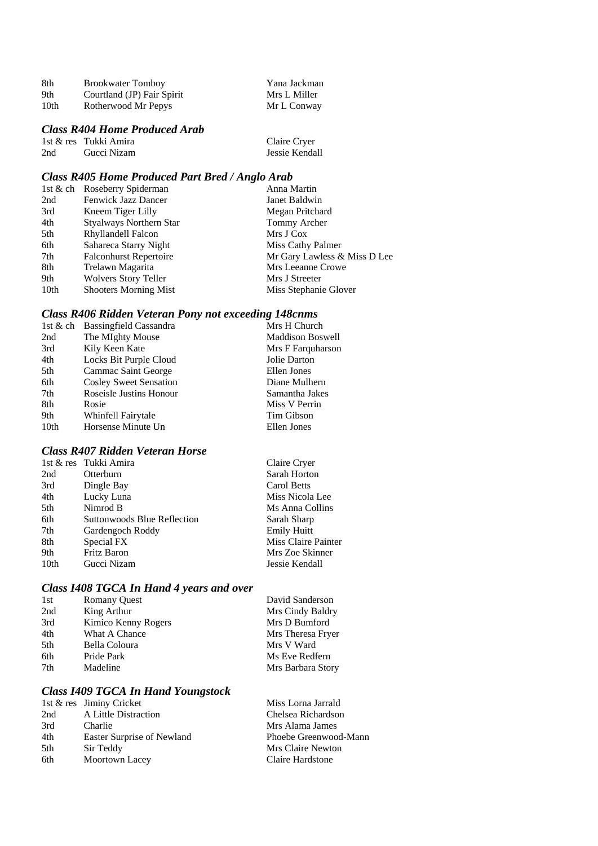| 8th  | <b>Brookwater Tomboy</b>   | Yana Jackman |
|------|----------------------------|--------------|
| 9th  | Courtland (JP) Fair Spirit | Mrs L Miller |
| 10th | Rotherwood Mr Pepys        | Mr L Conway  |

# *Class R404 Home Produced Arab*

|     | 1st & res Tukki Amira | Claire Cryer   |
|-----|-----------------------|----------------|
| 2nd | Gucci Nizam           | Jessie Kendall |

# *Class R405 Home Produced Part Bred / Anglo Arab*

|      | 1st & ch Roseberry Spiderman  | Anna Martin                  |
|------|-------------------------------|------------------------------|
| 2nd  | Fenwick Jazz Dancer           | Janet Baldwin                |
| 3rd  | Kneem Tiger Lilly             | Megan Pritchard              |
| 4th  | Styalways Northern Star       | Tommy Archer                 |
| 5th  | Rhyllandell Falcon            | Mrs J Cox                    |
| 6th  | Sahareca Starry Night         | Miss Cathy Palmer            |
| 7th  | <b>Falconhurst Repertoire</b> | Mr Gary Lawless & Miss D Lee |
| 8th  | Trelawn Magarita              | Mrs Leeanne Crowe            |
| 9th  | <b>Wolvers Story Teller</b>   | Mrs J Streeter               |
| 10th | <b>Shooters Morning Mist</b>  | Miss Stephanie Glover        |

# *Class R406 Ridden Veteran Pony not exceeding 148cnms*

| <b>Bassingfield Cassandra</b> | Mrs H Church            |
|-------------------------------|-------------------------|
| The MIghty Mouse              | <b>Maddison Boswell</b> |
| Kily Keen Kate                | Mrs F Farquharson       |
| Locks Bit Purple Cloud        | Jolie Darton            |
| Cammac Saint George           | Ellen Jones             |
| <b>Cosley Sweet Sensation</b> | Diane Mulhern           |
| Roseisle Justins Honour       | Samantha Jakes          |
| Rosie                         | Miss V Perrin           |
| Whinfell Fairytale            | Tim Gibson              |
| Horsense Minute Un            | Ellen Jones             |
|                               |                         |

# *Class R407 Ridden Veteran Horse*

|      | 1st & res Tukki Amira       | Claire Cryer        |
|------|-----------------------------|---------------------|
| 2nd  | Otterburn                   | Sarah Horton        |
| 3rd  | Dingle Bay                  | Carol Betts         |
| 4th  | Lucky Luna                  | Miss Nicola Lee     |
| 5th  | Nimrod B                    | Ms Anna Collins     |
| 6th  | Suttonwoods Blue Reflection | Sarah Sharp         |
| 7th  | Gardengoch Roddy            | <b>Emily Huitt</b>  |
| 8th  | Special FX                  | Miss Claire Painter |
| 9th  | <b>Fritz Baron</b>          | Mrs Zoe Skinner     |
| 10th | Gucci Nizam                 | Jessie Kendall      |

# *Class I408 TGCA In Hand 4 years and over*

| 1st | <b>Romany Quest</b> | David Sanderson   |
|-----|---------------------|-------------------|
| 2nd | King Arthur         | Mrs Cindy Baldry  |
| 3rd | Kimico Kenny Rogers | Mrs D Bumford     |
| 4th | What A Chance       | Mrs Theresa Fryer |
| 5th | Bella Coloura       | Mrs V Ward        |
| 6th | Pride Park          | Ms Eve Redfern    |
| 7th | Madeline            | Mrs Barbara Story |
|     |                     |                   |

#### *Class I409 TGCA In Hand Youngstock*

|     | 1st & res Jiminy Cricket   | Miss Lorna Jarrald    |
|-----|----------------------------|-----------------------|
| 2nd | A Little Distraction       | Chelsea Richardson    |
| 3rd | Charlie                    | Mrs Alama James       |
| 4th | Easter Surprise of Newland | Phoebe Greenwood-Mann |
| 5th | Sir Teddy                  | Mrs Claire Newton     |
| 6th | <b>Moortown Lacey</b>      | Claire Hardstone      |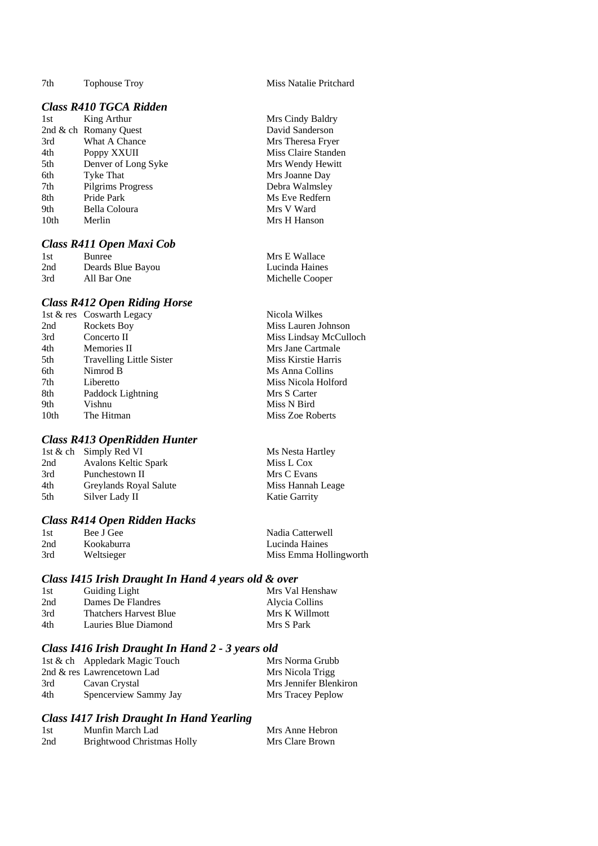7th Tophouse Troy Miss Natalie Pritchard

# *Class R410 TGCA Ridden*

1st King Arthur Mrs Cindy Baldry 2nd & ch Romany Quest David Sanderson 3rd What A Chance Mrs Theresa Fryer 4th Poppy XXUII Miss Claire Standen 5th Denver of Long Syke Mrs Wendy Hewitt 6th Tyke That Mrs Joanne Day 7th Pilgrims Progress Debra Walmsley 8th Pride Park Ms Eve Redfern 9th Bella Coloura Mrs V Ward 10th Merlin Mrs H Hanson

#### *Class R411 Open Maxi Cob*

| 1st | <b>Bunree</b>     |
|-----|-------------------|
| 2nd | Deards Blue Bayou |
| 3rd | All Bar One       |

#### *Class R412 Open Riding Horse*

|      | 1st & res Coswarth Legacy       | Nicola Wilkes          |
|------|---------------------------------|------------------------|
| 2nd  | Rockets Boy                     | Miss Lauren Johnson    |
| 3rd  | Concerto II                     | Miss Lindsay McCulloch |
| 4th  | Memories II                     | Mrs Jane Cartmale      |
| 5th  | <b>Travelling Little Sister</b> | Miss Kirstie Harris    |
| 6th  | Nimrod B                        | Ms Anna Collins        |
| 7th  | Liberetto                       | Miss Nicola Holford    |
| 8th  | Paddock Lightning               | Mrs S Carter           |
| 9th  | Vishnu                          | Miss N Bird            |
| 10th | The Hitman                      | Miss Zoe Roberts       |
|      |                                 |                        |

#### *Class R413 OpenRidden Hunter*

1st & ch Simply Red VI Ms Nesta Hartley 2nd Avalons Keltic Spark Miss L Cox 3rd Punchestown II Mrs C Evans 4th Greylands Royal Salute Miss Hannah Leage 5th Silver Lady II Katie Garrity

# *Class R414 Open Ridden Hacks*

1st Bee J Gee Nadia Catterwell 2nd Kookaburra Lucinda Haines 3rd Weltsieger Miss Emma Hollingworth

#### *Class I415 Irish Draught In Hand 4 years old & over*

| 1st | <b>Guiding Light</b>          | Mrs Val Henshaw |
|-----|-------------------------------|-----------------|
| 2nd | Dames De Flandres             | Alycia Collins  |
| 3rd | <b>Thatchers Harvest Blue</b> | Mrs K Willmott  |
| 4th | Lauries Blue Diamond          | Mrs S Park      |

#### *Class I416 Irish Draught In Hand 2 - 3 years old*

|     | 1st & ch Appledark Magic Touch | Mrs Norma Grubb          |
|-----|--------------------------------|--------------------------|
|     | 2nd & res Lawrencetown Lad     | Mrs Nicola Trigg         |
| 3rd | Cavan Crystal                  | Mrs Jennifer Blenkiron   |
| 4th | Spencerview Sammy Jay          | <b>Mrs Tracey Peplow</b> |

#### *Class I417 Irish Draught In Hand Yearling*

| 1st | Munfin March Lad           | Mrs Anne Hebron |
|-----|----------------------------|-----------------|
| 2nd | Brightwood Christmas Holly | Mrs Clare Brown |

Mrs E Wallace Lucinda Haines Michelle Cooper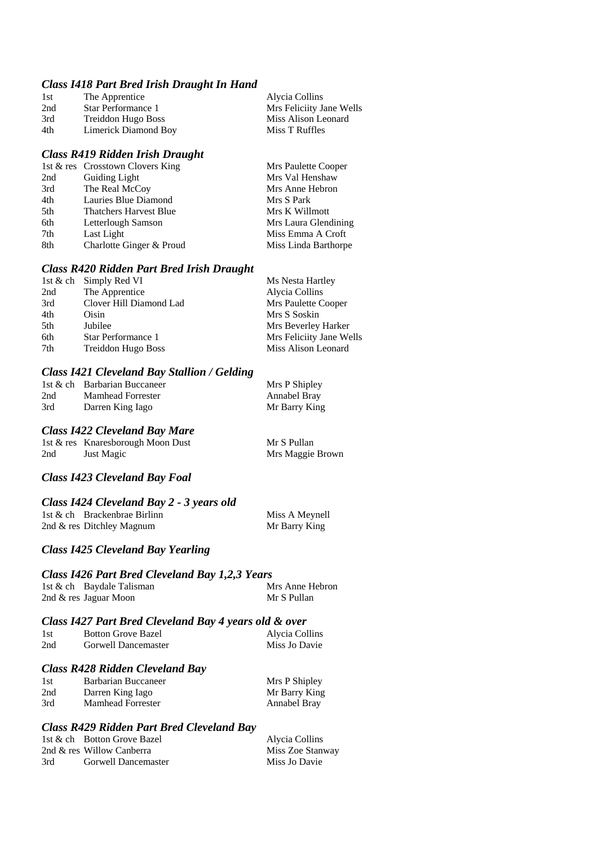#### *Class I418 Part Bred Irish Draught In Hand*

| 1st | The Apprentice       | Alycia Collins           |
|-----|----------------------|--------------------------|
| 2nd | Star Performance 1   | Mrs Feliciity Jane Wells |
| 3rd | Treiddon Hugo Boss   | Miss Alison Leonard      |
| 4th | Limerick Diamond Boy | Miss T Ruffles           |

#### *Class R419 Ridden Irish Draught*

|     | 1st & res Crosstown Clovers King | Mrs Paulette Cooper  |
|-----|----------------------------------|----------------------|
| 2nd | <b>Guiding Light</b>             | Mrs Val Henshaw      |
| 3rd | The Real McCoy                   | Mrs Anne Hebron      |
| 4th | Lauries Blue Diamond             | Mrs S Park           |
| 5th | <b>Thatchers Harvest Blue</b>    | Mrs K Willmott       |
| 6th | Letterlough Samson               | Mrs Laura Glendining |
| 7th | Last Light                       | Miss Emma A Croft    |
| 8th | Charlotte Ginger & Proud         | Miss Linda Barthorpe |

#### *Class R420 Ridden Part Bred Irish Draught*

| 1st & ch Simply Red VI  | Ms Nesta Hartley         |
|-------------------------|--------------------------|
| The Apprentice          | Alycia Collins           |
| Clover Hill Diamond Lad | Mrs Paulette Cooper      |
| Oisin                   | Mrs S Soskin             |
| Jubilee                 | Mrs Beverley Harker      |
| Star Performance 1      | Mrs Feliciity Jane Wells |
| Treiddon Hugo Boss      | Miss Alison Leonard      |
|                         |                          |

#### *Class I421 Cleveland Bay Stallion / Gelding*

|     | 1st & ch Barbarian Buccaneer | Mrs P Shipley |
|-----|------------------------------|---------------|
| 2nd | <b>Mamhead Forrester</b>     | Annabel Bray  |
| 3rd | Darren King Iago             | Mr Barry King |

#### *Class I422 Cleveland Bay Mare*

|     | 1st & res Knaresborough Moon Dust | Mr S Pullan      |
|-----|-----------------------------------|------------------|
| 2nd | Just Magic                        | Mrs Maggie Brown |

#### *Class I423 Cleveland Bay Foal*

#### *Class I424 Cleveland Bay 2 - 3 years old*

1st & ch Brackenbrae Birlinn Miss A Meynell<br>
2nd & res Ditchley Magnum Mr Barry King 2nd  $&$  res Ditchley Magnum

#### *Class I425 Cleveland Bay Yearling*

#### *Class I426 Part Bred Cleveland Bay 1,2,3 Years*

| 1st & ch Baydale Talisman | Mrs Anne Hebron |
|---------------------------|-----------------|
| 2nd & res Jaguar Moon     | Mr S Pullan     |

#### *Class I427 Part Bred Cleveland Bay 4 years old & over*

| 1st | <b>Botton Grove Bazel</b> | Alycia Collins |
|-----|---------------------------|----------------|
| 2nd | Gorwell Dancemaster       | Miss Jo Davie  |

#### *Class R428 Ridden Cleveland Bay*

| 1st | Barbarian Buccaneer      | Mrs P Shipley |
|-----|--------------------------|---------------|
| 2nd | Darren King Iago         | Mr Barry King |
| 3rd | <b>Mamhead Forrester</b> | Annabel Bray  |

#### *Class R429 Ridden Part Bred Cleveland Bay*

|      | 1st & ch Botton Grove Bazel | Alycia Collins   |
|------|-----------------------------|------------------|
|      | 2nd & res Willow Canberra   | Miss Zoe Stanway |
| -3rd | Gorwell Dancemaster         | Miss Jo Davie    |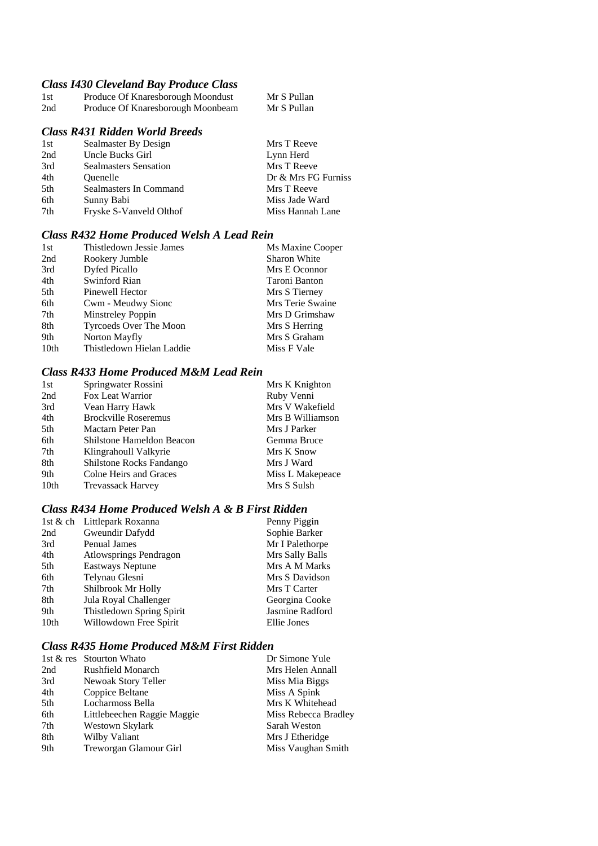# *Class I430 Cleveland Bay Produce Class*

| 1st | Produce Of Knaresborough Moondust | Mr S Pullan |
|-----|-----------------------------------|-------------|
| 2nd | Produce Of Knaresborough Moonbeam | Mr S Pullan |

# *Class R431 Ridden World Breeds*

| Sealmaster By Design         | Mrs T Reeve         |
|------------------------------|---------------------|
| Uncle Bucks Girl             | Lynn Herd           |
| <b>Sealmasters Sensation</b> | Mrs T Reeve         |
| <b>Ouenelle</b>              | Dr & Mrs FG Furniss |
| Sealmasters In Command       | Mrs T Reeve         |
| Sunny Babi                   | Miss Jade Ward      |
| Fryske S-Vanveld Olthof      | Miss Hannah Lane    |
|                              |                     |

#### *Class R432 Home Produced Welsh A Lead Rein*

| 1st              | Thistledown Jessie James  | Ms Maxine Cooper    |
|------------------|---------------------------|---------------------|
| 2nd              | Rookery Jumble            | <b>Sharon White</b> |
| 3rd              | Dyfed Picallo             | Mrs E Oconnor       |
| 4th              | Swinford Rian             | Taroni Banton       |
| 5th              | Pinewell Hector           | Mrs S Tierney       |
| 6th              | Cwm - Meudwy Sionc        | Mrs Terie Swaine    |
| 7th              | Minstreley Poppin         | Mrs D Grimshaw      |
| 8th              | Tyrcoeds Over The Moon    | Mrs S Herring       |
| 9th              | Norton Mayfly             | Mrs S Graham        |
| 10 <sub>th</sub> | Thistledown Hielan Laddie | Miss F Vale         |

# *Class R433 Home Produced M&M Lead Rein*

| Springwater Rossini         | Mrs K Knighton   |
|-----------------------------|------------------|
| Fox Leat Warrior            | Ruby Venni       |
| Vean Harry Hawk             | Mrs V Wakefield  |
| <b>Brockville Roseremus</b> | Mrs B Williamson |
| Mactarn Peter Pan           | Mrs J Parker     |
| Shilstone Hameldon Beacon   | Gemma Bruce      |
| Klingrahoull Valkyrie       | Mrs K Snow       |
| Shilstone Rocks Fandango    | Mrs J Ward       |
| Colne Heirs and Graces      | Miss L Makepeace |
| <b>Trevassack Harvey</b>    | Mrs S Sulsh      |
|                             |                  |

## *Class R434 Home Produced Welsh A & B First Ridden*

|      | 1st & ch Littlepark Roxanna | Penny Piggin    |
|------|-----------------------------|-----------------|
| 2nd  | Gweundir Dafydd             | Sophie Barker   |
| 3rd  | Penual James                | Mr I Palethorpe |
| 4th  | Atlowsprings Pendragon      | Mrs Sally Balls |
| 5th  | <b>Eastways Neptune</b>     | Mrs A M Marks   |
| 6th  | Telynau Glesni              | Mrs S Davidson  |
| 7th  | Shilbrook Mr Holly          | Mrs T Carter    |
| 8th  | Jula Royal Challenger       | Georgina Cooke  |
| 9th  | Thistledown Spring Spirit   | Jasmine Radford |
| 10th | Willowdown Free Spirit      | Ellie Jones     |

# *Class R435 Home Produced M&M First Ridden*

|     | 1st & res Stourton Whato    | Dr Simone Yule       |
|-----|-----------------------------|----------------------|
| 2nd | Rushfield Monarch           | Mrs Helen Annall     |
| 3rd | Newoak Story Teller         | Miss Mia Biggs       |
| 4th | Coppice Beltane             | Miss A Spink         |
| 5th | Locharmoss Bella            | Mrs K Whitehead      |
| 6th | Littlebeechen Raggie Maggie | Miss Rebecca Bradley |
| 7th | Westown Skylark             | Sarah Weston         |
| 8th | Wilby Valiant               | Mrs J Etheridge      |
| 9th | Treworgan Glamour Girl      | Miss Vaughan Smith   |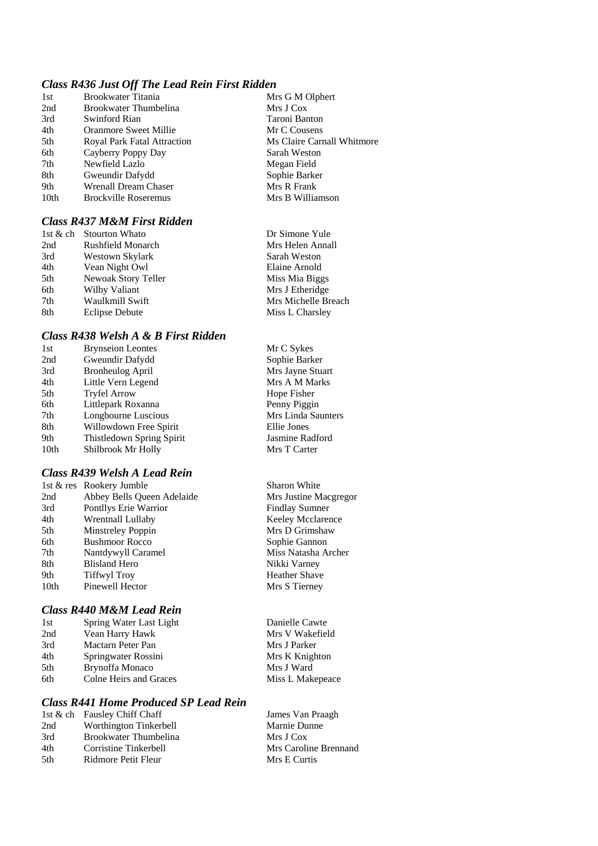#### *Class R436 Just Off The Lead Rein First Ridden*  Mrs G M Olphert

Mrs J Cox Taroni Banton Mr C Cousens

Sarah Weston Megan Field Sophie Barker Mrs R Frank Mrs B Williamson

Mr C Sykes Sophie Barker Mrs Jayne Stuart Mrs A M Marks Hope Fisher Penny Piggin Mrs Linda Saunters

Ellie Jones Jasmine Radford Mrs T Carter

Sharon White

Mrs Justine Macgregor Findlay Sumner Keeley Mcclarence Mrs D Grimshaw Sophie Gannon Miss Natasha Archer Nikki Varney Heather Shave Mrs S Tierney

Ms Claire Carnall Whitmore

| 1st              | <b>Brookwater Titania</b>    |
|------------------|------------------------------|
| 2nd              | Brookwater Thumbelina        |
| 3rd              | Swinford Rian                |
| 4th              | <b>Oranmore Sweet Millie</b> |
| .5th             | Royal Park Fatal Attraction  |
| 6th              | Cayberry Poppy Day           |
| 7th              | Newfield Lazlo               |
| 8th              | Gweundir Dafydd              |
| 9th              | <b>Wrenall Dream Chaser</b>  |
| 10 <sub>th</sub> | <b>Brockville Roseremus</b>  |
|                  |                              |

#### *Class R437 M&M First Ridden*

|     | 1st & ch Stourton Whato | Dr Simone Yule      |
|-----|-------------------------|---------------------|
| 2nd | Rushfield Monarch       | Mrs Helen Annall    |
| 3rd | Westown Skylark         | Sarah Weston        |
| 4th | Vean Night Owl          | Elaine Arnold       |
| 5th | Newoak Story Teller     | Miss Mia Biggs      |
| 6th | Wilby Valiant           | Mrs J Etheridge     |
| 7th | Waulkmill Swift         | Mrs Michelle Breach |
| 8th | <b>Eclipse Debute</b>   | Miss L Charsley     |

#### *Class R438 Welsh A & B First Ridden*

| 1st  | <b>Brynseion Leontes</b>  |
|------|---------------------------|
| 2nd  | Gweundir Dafydd           |
| 3rd  | <b>Bronheulog April</b>   |
| 4th  | Little Vern Legend        |
| 5th  | <b>Tryfel Arrow</b>       |
| 6th  | Littlepark Roxanna        |
| 7th  | Longbourne Luscious       |
| 8th  | Willowdown Free Spirit    |
| 9th  | Thistledown Spring Spirit |
| 10th | Shilbrook Mr Holly        |

# *Class R439 Welsh A Lead Rein*

|      | 1st & res Rookery Jumble   |
|------|----------------------------|
| 2nd  | Abbey Bells Queen Adelaide |
| 3rd  | Pontllys Erie Warrior      |
| 4th  | Wrentnall Lullaby          |
| 5th  | Minstreley Poppin          |
| 6th  | <b>Bushmoor Rocco</b>      |
| 7th  | Nantdywyll Caramel         |
| 8th  | <b>Blisland Hero</b>       |
| 9th  | <b>Tiffwyl Troy</b>        |
| 10th | Pinewell Hector            |

#### *Class R440 M&M Lead Rein*

| 1st | Spring Water Last Light | Danielle Cawte   |
|-----|-------------------------|------------------|
| 2nd | Vean Harry Hawk         | Mrs V Wakefield  |
| 3rd | Mactarn Peter Pan       | Mrs J Parker     |
| 4th | Springwater Rossini     | Mrs K Knighton   |
| 5th | Brynoffa Monaco         | Mrs J Ward       |
| 6th | Colne Heirs and Graces  | Miss L Makepeace |
|     |                         |                  |

# *Class R441 Home Produced SP Lead Rein*

|                        | James Van Praagh             |
|------------------------|------------------------------|
| Worthington Tinkerbell | Marnie Dunne                 |
| Brookwater Thumbelina  | Mrs J Cox                    |
| Corristine Tinkerbell  | Mrs Caroline Brennand        |
| Ridmore Petit Fleur    | Mrs E Curtis                 |
|                        | 1st & ch Fausley Chiff Chaff |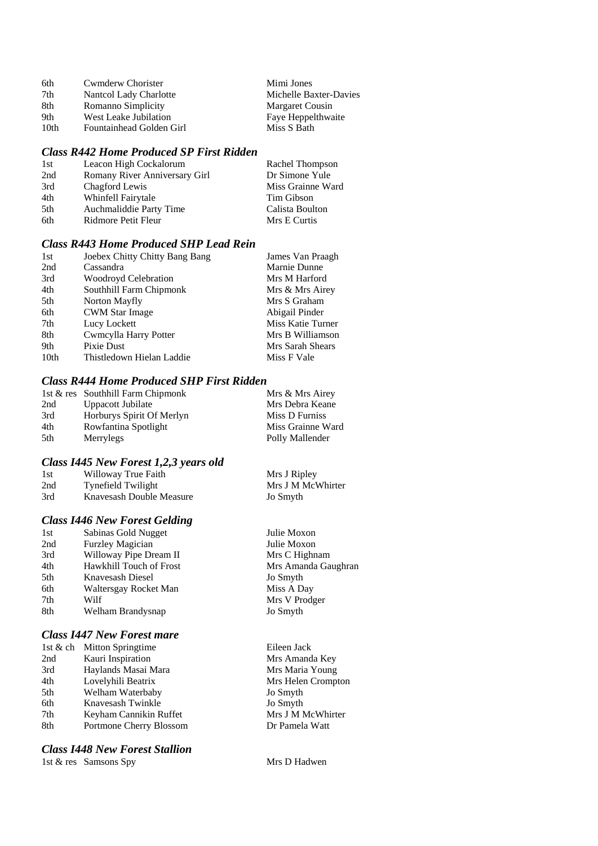| 6th  | Cwmderw Chorister        | Mimi Jones             |
|------|--------------------------|------------------------|
| 7th  | Nantcol Lady Charlotte   | Michelle Baxter-Davies |
| 8th  | Romanno Simplicity       | Margaret Cousin        |
| 9th  | West Leake Jubilation    | Faye Heppelthwaite     |
| 10th | Fountainhead Golden Girl | Miss S Bath            |

# *Class R442 Home Produced SP First Ridden*

| 1st | Leacon High Cockalorum        | Rachel Thompson   |
|-----|-------------------------------|-------------------|
| 2nd | Romany River Anniversary Girl | Dr Simone Yule    |
| 3rd | Chagford Lewis                | Miss Grainne Ward |
| 4th | Whinfell Fairytale            | Tim Gibson        |
| 5th | Auchmaliddie Party Time       | Calista Boulton   |
| 6th | Ridmore Petit Fleur           | Mrs E Curtis      |

#### *Class R443 Home Produced SHP Lead Rein*

| 1st              | Joebex Chitty Chitty Bang Bang | James Van Praagh  |
|------------------|--------------------------------|-------------------|
| 2nd              | Cassandra                      | Marnie Dunne      |
| 3rd              | Woodroyd Celebration           | Mrs M Harford     |
| 4th              | Southhill Farm Chipmonk        | Mrs & Mrs Airey   |
| 5th              | Norton Mayfly                  | Mrs S Graham      |
| 6th              | <b>CWM Star Image</b>          | Abigail Pinder    |
| 7th              | Lucy Lockett                   | Miss Katie Turner |
| 8th              | Cwmcylla Harry Potter          | Mrs B Williamson  |
| 9th              | Pixie Dust                     | Mrs Sarah Shears  |
| 10 <sub>th</sub> | Thistledown Hielan Laddie      | Miss F Vale       |

# *Class R444 Home Produced SHP First Ridden*

|     | 1st $&$ res Southhill Farm Chipmonk | Mrs & Mrs Airey   |
|-----|-------------------------------------|-------------------|
| 2nd | Uppacott Jubilate                   | Mrs Debra Keane   |
| 3rd | Horburys Spirit Of Merlyn           | Miss D Furniss    |
| 4th | Rowfantina Spotlight                | Miss Grainne Ward |
| 5th | Merrylegs                           | Polly Mallender   |

# *Class I445 New Forest 1,2,3 years old*

| 1st | Willoway True Faith      | Mrs J Ripley      |
|-----|--------------------------|-------------------|
| 2nd | Tynefield Twilight       | Mrs J M McWhirter |
| 3rd | Knavesash Double Measure | Jo Smyth          |

#### *Class I446 New Forest Gelding*

| 1st | Sabinas Gold Nugget     | Julie Moxon         |
|-----|-------------------------|---------------------|
| 2nd | <b>Furzley Magician</b> | Julie Moxon         |
| 3rd | Willoway Pipe Dream II  | Mrs C Highnam       |
| 4th | Hawkhill Touch of Frost | Mrs Amanda Gaughran |
| 5th | Knavesash Diesel        | Jo Smyth            |
| 6th | Waltersgay Rocket Man   | Miss A Day          |
| 7th | Wilf                    | Mrs V Prodger       |
| 8th | Welham Brandysnap       | Jo Smyth            |
|     |                         |                     |

# *Class I447 New Forest mare*

|     | 1st & ch Mitton Springtime |
|-----|----------------------------|
| 2nd | Kauri Inspiration          |
| 3rd | Haylands Masai Mara        |
| 4th | Lovelyhili Beatrix         |
| 5th | Welham Waterbaby           |
| 6th | Knavesash Twinkle          |
| 7th | Keyham Cannikin Ruffet     |
| 8th | Portmone Cherry Blossom    |

# *Class I448 New Forest Stallion*

1st & res Samsons Spy Mrs D Hadwen

Eileen Jack Mrs Amanda Key Mrs Maria Young Mrs Helen Crompton Jo Smyth Jo Smyth Mrs J M McWhirter n Dr Pamela Watt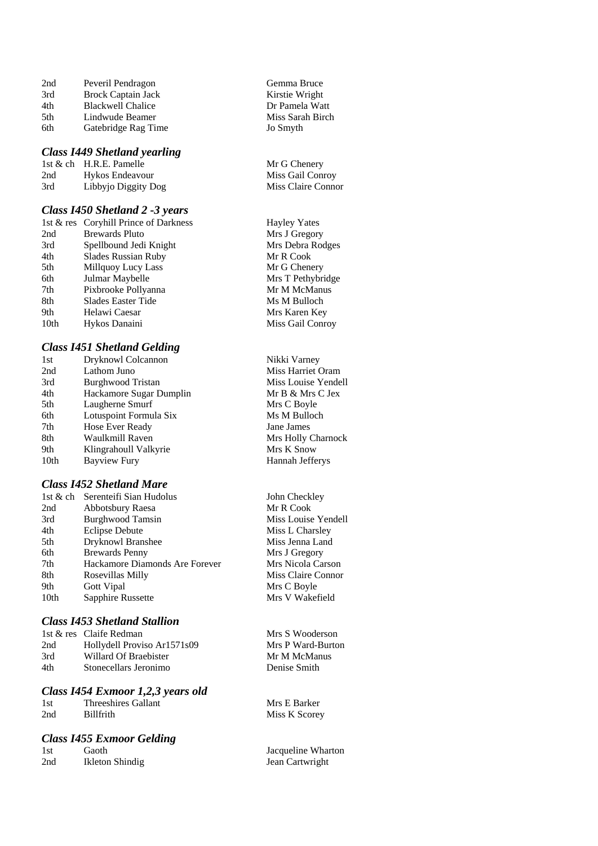| 2nd | Peveril Pendragon         |
|-----|---------------------------|
| 3rd | <b>Brock Captain Jack</b> |
| 4th | <b>Blackwell Chalice</b>  |
| 5th | Lindwude Beamer           |
| 6th | Gatebridge Rag Time       |

#### *Class I449 Shetland yearling*

|     | 1st $\&$ ch $H.R.E.$ Pamelle |
|-----|------------------------------|
| 2nd | Hykos Endeavour              |
| 3rd | Libbyio Diggity Dog          |

#### *Class I450 Shetland 2 -3 years*

| 1st $&$ res      | Coryhill Prince of Darknes |
|------------------|----------------------------|
| 2nd              | <b>Brewards Pluto</b>      |
| 3rd              | Spellbound Jedi Knight     |
| 4th              | <b>Slades Russian Ruby</b> |
| 5th              | Millquoy Lucy Lass         |
| 6th              | Julmar Maybelle            |
| 7th              | Pixbrooke Pollyanna        |
| 8th              | Slades Easter Tide         |
| 9th              | Helawi Caesar              |
| 10 <sub>th</sub> | Hykos Danaini              |

#### *Class I451 Shetland Gelding*

| 1st              | Dryknowl Colcannon       |
|------------------|--------------------------|
| 2nd              | Lathom Juno              |
| 3rd              | <b>Burghwood Tristan</b> |
| 4th              | Hackamore Sugar Dumplin  |
| 5th              | Laugherne Smurf          |
| 6th              | Lotuspoint Formula Six   |
| 7th              | Hose Ever Ready          |
| 8th              | Waulkmill Raven          |
| 9th              | Klingrahoull Valkyrie    |
| 10 <sub>th</sub> | <b>Bayview Fury</b>      |

#### *Class I452 Shetland Mare*

| 1st $&$ ch | Serenteifi Sian Hudolus        |
|------------|--------------------------------|
| 2nd        | Abbotsbury Raesa               |
| 3rd        | <b>Burghwood Tamsin</b>        |
| 4th        | <b>Eclipse Debute</b>          |
| 5th        | Dryknowl Branshee              |
| 6th        | <b>Brewards Penny</b>          |
| 7th        | Hackamore Diamonds Are Forever |
| 8th        | Rosevillas Milly               |
| 9th        | Gott Vipal                     |
| 10th       | Sapphire Russette              |

# *Class I453 Shetland Stallion*

|     | 1st & res Claife Redman     |
|-----|-----------------------------|
| 2nd | Hollydell Proviso Ar1571s09 |
| 3rd | Willard Of Braebister       |
| 4th | Stonecellars Jeronimo       |

#### *Class I454 Exmoor 1,2,3 years old*

| 1st | Threeshires Gallant |
|-----|---------------------|
| 2nd | <b>Billfrith</b>    |

#### *Class I455 Exmoor Gelding*

| 1st | Gaoth           |
|-----|-----------------|
| 2nd | Ikleton Shindig |

Gemma Bruce Kirstie Wright Dr Pamela Watt Miss Sarah Birch Jo Smyth

Mr G Chenery Miss Gail Conroy ibbyjo Diggity Dog Miss Claire Connor

> ss Hayley Yates Mrs J Gregory Mrs Debra Rodges Mr R Cook Mr G Chenery Mrs T Pethybridge Mr M McManus Ms M Bulloch Mrs Karen Key Miss Gail Conroy

> > Nikki Varney Miss Harriet Oram Miss Louise Yendell  $Mr B & Mrs C$  Jex Mrs C Boyle Ms M Bulloch Jane James Mrs Holly Charnock Mrs K Snow Hannah Jefferys

> > John Checkley Mr R Cook Miss Louise Yendell Miss L Charsley Miss Jenna Land Mrs J Gregory Mrs Nicola Carson Miss Claire Connor Mrs C Boyle Mrs V Wakefield

Mrs S Wooderson Mrs P Ward-Burton Mr M McManus Denise Smith

Mrs E Barker Miss K Scorey

Jacqueline Wharton Jean Cartwright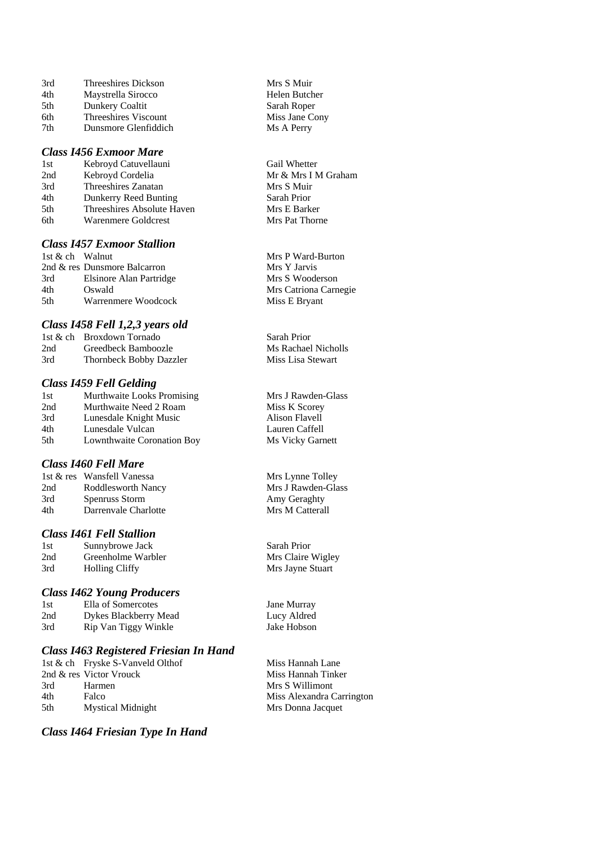3rd Threeshires Dickson Mrs S Muir 4th Maystrella Sirocco Helen Butcher<br>
5th Dunkery Coaltit Sarah Roper 5th Dunkery Coaltit Sarah Roper<br>6th Threeshires Viscount Miss Jane Cony 6th Threeshires Viscount Miss Jane C<br>
7th Dunsmore Glenfiddich Ms A Perry Dunsmore Glenfiddich

#### *Class I456 Exmoor Mare*

| 1st | Kebroyd Catuvellauni       |
|-----|----------------------------|
| 2nd | Kebroyd Cordelia           |
| 3rd | Threeshires Zanatan        |
| 4th | Dunkerry Reed Bunting      |
| 5th | Threeshires Absolute Haven |
| 6th | <b>Warenmere Goldcrest</b> |

# *Class I457 Exmoor Stallion*

2nd & res Dunsmore Balcarron Mrs Y Jarvis 3rd Elsinore Alan Partridge Mrs S Wooderson 4th Oswald Mrs Catriona Carnegie 5th Warrenmere Woodcock Miss E Bryant

#### *Class I458 Fell 1,2,3 years old*

|     | 1st & ch Broxdown Tornado      |
|-----|--------------------------------|
| 2nd | Greedbeck Bamboozle            |
| 3rd | <b>Thornbeck Bobby Dazzler</b> |

#### *Class I459 Fell Gelding*

| 1st  | Murthwaite Looks Promising |
|------|----------------------------|
| 2nd  | Murthwaite Need 2 Roam     |
| 3rd  | Lunesdale Knight Music     |
| 4th  | Lunesdale Vulcan           |
| .5th | Lownthwaite Coronation Boy |

#### *Class I460 Fell Mare*

|     | 1st & res Wansfell Vanessa |
|-----|----------------------------|
| 2nd | Roddlesworth Nancy         |
| 3rd | <b>Spenruss Storm</b>      |
| 4th | Darrenvale Charlotte       |

#### *Class I461 Fell Stallion*

| 1st | Sunnybrowe Jack       | Sarah Prior       |
|-----|-----------------------|-------------------|
| 2nd | Greenholme Warbler    | Mrs Claire Wigley |
| 3rd | <b>Holling Cliffy</b> | Mrs Jayne Stuart  |

#### *Class I462 Young Producers*

| 1st | Ella of Somercotes    |
|-----|-----------------------|
| 2nd | Dykes Blackberry Mead |
| 3rd | Rip Van Tiggy Winkle  |

#### *Class I463 Registered Friesian In Hand*

1st & ch Fryske S-Vanveld Olthof Miss Hannah Lane 2nd & res Victor Vrouck Miss Hannah Tinker 3rd Harmen Mrs S Willimont 4th Falco Miss Alexandra Carrington 5th Mystical Midnight Mrs Donna Jacquet

*Class I464 Friesian Type In Hand* 

Gail Whetter Mr & Mrs I M Graham Mrs S Muir Sarah Prior Mrs E Barker Mrs Pat Thorne

Mrs P Ward-Burton

Sarah Prior Ms Rachael Nicholls Miss Lisa Stewart

Mrs J Rawden-Glass Miss K Scorey Alison Flavell Lauren Caffell Ms Vicky Garnett

Mrs Lynne Tolley Mrs J Rawden-Glass Amy Geraghty Mrs M Catterall

Jane Murray Lucy Aldred Jake Hobson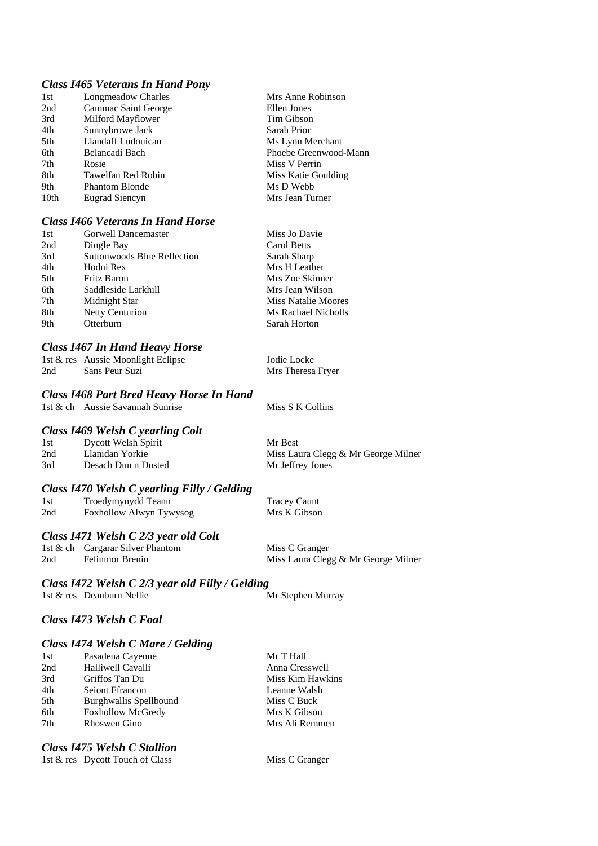#### *Class I465 Veterans In Hand Pony*

| 1st              | Longmeadow Charles    | Mrs Anne Robinson     |
|------------------|-----------------------|-----------------------|
| 2nd              | Cammac Saint George   | Ellen Jones           |
| 3rd              | Milford Mayflower     | Tim Gibson            |
| 4th              | Sunnybrowe Jack       | Sarah Prior           |
| 5th              | Llandaff Ludouican    | Ms Lynn Merchant      |
| 6th              | Belancadi Bach        | Phoebe Greenwood-Mann |
| 7th              | Rosie                 | Miss V Perrin         |
| 8th              | Tawelfan Red Robin    | Miss Katie Goulding   |
| 9th              | <b>Phantom Blonde</b> | Ms D Webb             |
| 10 <sub>th</sub> | Eugrad Siencyn        | Mrs Jean Turner       |

#### *Class I466 Veterans In Hand Horse*

| 1st | <b>Gorwell Dancemaster</b>  | Miss Jo Davie              |
|-----|-----------------------------|----------------------------|
| 2nd | Dingle Bay                  | Carol Betts                |
| 3rd | Suttonwoods Blue Reflection | Sarah Sharp                |
| 4th | Hodni Rex                   | Mrs H Leather              |
| 5th | Fritz Baron                 | Mrs Zoe Skinner            |
| 6th | Saddleside Larkhill         | Mrs Jean Wilson            |
| 7th | Midnight Star               | <b>Miss Natalie Moores</b> |
| 8th | <b>Netty Centurion</b>      | Ms Rachael Nicholls        |
| 9th | Otterburn                   | Sarah Horton               |

#### *Class I467 In Hand Heavy Horse*

|     | 1st & res Aussie Moonlight Eclipse | Jodie Locke       |
|-----|------------------------------------|-------------------|
| 2nd | Sans Peur Suzi                     | Mrs Theresa Fryer |

#### *Class I468 Part Bred Heavy Horse In Hand*

1st  $\&$  ch Aussie Savannah Sunrise Miss S K Collins

#### *Class I469 Welsh C yearling Colt*

| 1st | Dycott Welsh Spirit | Mr Best                             |
|-----|---------------------|-------------------------------------|
| 2nd | Llanidan Yorkie     | Miss Laura Clegg & Mr George Milner |
| 3rd | Desach Dun n Dusted | Mr Jeffrey Jones                    |

#### *Class I470 Welsh C yearling Filly / Gelding*

| 1st | Troedymynydd Teann      | <b>Tracey Caunt</b> |
|-----|-------------------------|---------------------|
| 2nd | Foxhollow Alwyn Tywysog | Mrs K Gibson        |

#### *Class I471 Welsh C 2/3 year old Colt*

1st & ch Cargarar Silver Phantom Miss C Granger<br>
2nd Felinmor Brenin Miss Laura Cleg

Miss Laura Clegg & Mr George Milner

## *Class I472 Welsh C 2/3 year old Filly / Gelding*

1st  $\&$  res Deanburn Nellie Murray Mr Stephen Murray

#### *Class I473 Welsh C Foal*

#### *Class I474 Welsh C Mare / Gelding*

| Pasadena Cayenne       | Mr T Hall        |
|------------------------|------------------|
| Halliwell Cavalli      | Anna Cresswell   |
| Griffos Tan Du         | Miss Kim Hawkins |
| Seiont Ffrancon        | Leanne Walsh     |
| Burghwallis Spellbound | Miss C Buck      |
| Foxhollow McGredy      | Mrs K Gibson     |
| Rhoswen Gino           | Mrs Ali Remmen   |
|                        |                  |

#### *Class I475 Welsh C Stallion*

1st & res Dycott Touch of Class Miss C Granger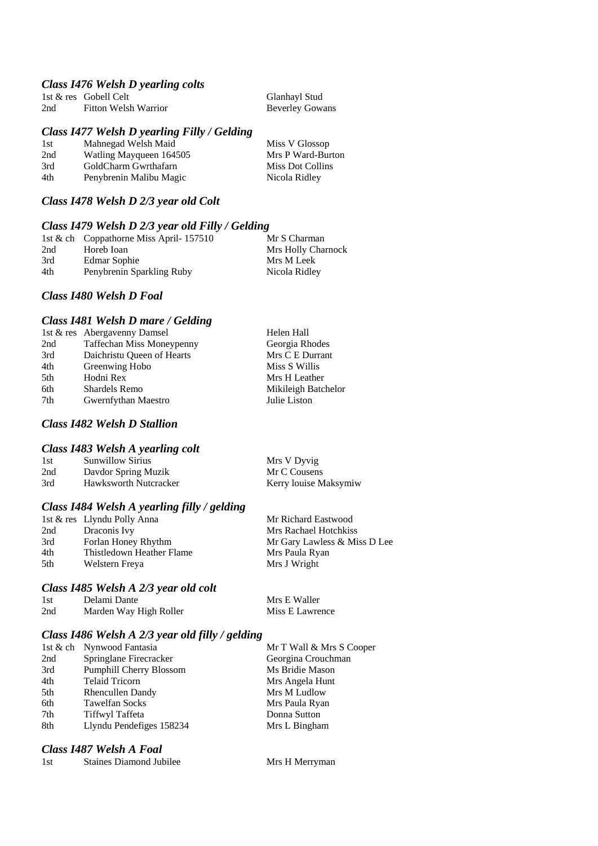#### *Class I476 Welsh D yearling colts*

|     | 1st & res Gobell Celt | Glanhayl Stud          |
|-----|-----------------------|------------------------|
| 2nd | Fitton Welsh Warrior  | <b>Beverley Gowans</b> |

#### *Class I477 Welsh D yearling Filly / Gelding*

| 1st | Mahnegad Welsh Maid     | Miss V Glossop    |
|-----|-------------------------|-------------------|
| 2nd | Watling Mayqueen 164505 | Mrs P Ward-Burton |
| 3rd | GoldCharm Gwrthafarn    | Miss Dot Collins  |
| 4th | Penybrenin Malibu Magic | Nicola Ridley     |

#### *Class I478 Welsh D 2/3 year old Colt*

#### *Class I479 Welsh D 2/3 year old Filly / Gelding*

|                           | Mr S Charman                           |
|---------------------------|----------------------------------------|
| Horeb Ioan                | Mrs Holly Charnock                     |
| Edmar Sophie              | Mrs M Leek                             |
| Penybrenin Sparkling Ruby | Nicola Ridley                          |
|                           | 1st & ch Coppathorne Miss April-157510 |

### *Class I480 Welsh D Foal*

#### *Class I481 Welsh D mare / Gelding*

|     | 1st & res Abergavenny Damsel | Helen Hall          |
|-----|------------------------------|---------------------|
| 2nd | Taffechan Miss Moneypenny    | Georgia Rhodes      |
| 3rd | Daichristu Oueen of Hearts   | Mrs C E Durrant     |
| 4th | Greenwing Hobo               | Miss S Willis       |
| 5th | Hodni Rex                    | Mrs H Leather       |
| 6th | Shardels Remo                | Mikileigh Batchelor |
| 7th | Gwernfythan Maestro          | Julie Liston        |

#### *Class I482 Welsh D Stallion*

#### *Class I483 Welsh A yearling colt*

| 1st | <b>Sunwillow Sirius</b> | Mrs V Dyvig           |
|-----|-------------------------|-----------------------|
| 2nd | Davdor Spring Muzik     | Mr C Cousens          |
| 3rd | Hawksworth Nutcracker   | Kerry louise Maksymiw |

#### *Class I484 Welsh A yearling filly / gelding*

|     | 1st & res Llyndu Polly Anna | Mr Richard Eastwood          |
|-----|-----------------------------|------------------------------|
| 2nd | Draconis Ivy                | Mrs Rachael Hotchkiss        |
| 3rd | Forlan Honey Rhythm         | Mr Gary Lawless & Miss D Lee |
| 4th | Thistledown Heather Flame   | Mrs Paula Ryan               |
| 5th | Welstern Freya              | Mrs J Wright                 |
|     |                             |                              |

#### *Class I485 Welsh A 2/3 year old colt*

| 1st | Delami Dante           | Mrs E Waller    |
|-----|------------------------|-----------------|
| 2nd | Marden Way High Roller | Miss E Lawrence |

#### *Class I486 Welsh A 2/3 year old filly / gelding*

| 1st & ch Nynwood Fantasia      | Mr T Wall & Mrs S Cooper |
|--------------------------------|--------------------------|
| Springlane Firecracker         | Georgina Crouchman       |
| <b>Pumphill Cherry Blossom</b> | Ms Bridie Mason          |
| <b>Telaid Tricorn</b>          | Mrs Angela Hunt          |
| <b>Rhencullen Dandy</b>        | Mrs M Ludlow             |
| Tawelfan Socks                 | Mrs Paula Ryan           |
| Tiffwyl Taffeta                | Donna Sutton             |
| Llyndu Pendefiges 158234       | Mrs L Bingham            |
|                                |                          |

### *Class I487 Welsh A Foal*

| 1st | Staines Diamond Jubilee | Mrs H Merryman |
|-----|-------------------------|----------------|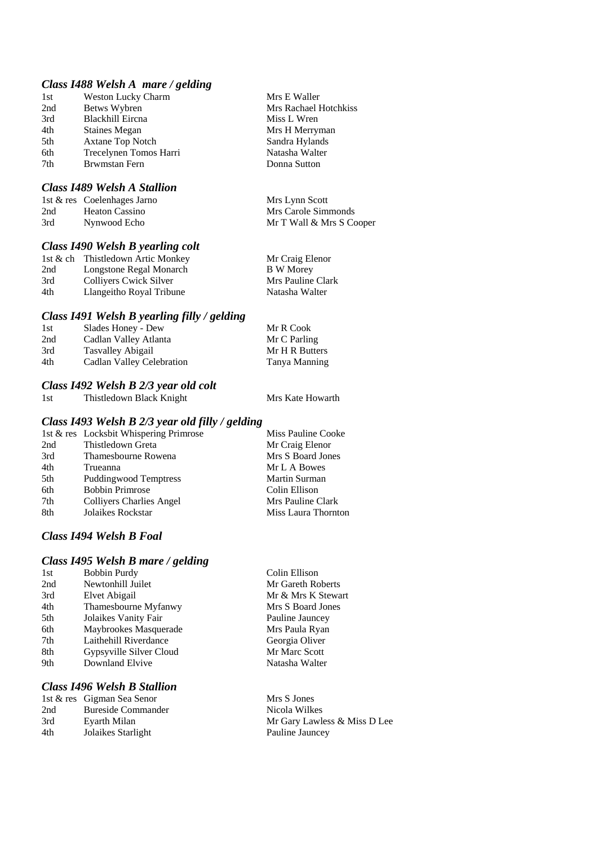#### *Class I488 Welsh A mare / gelding*

| 1st | <b>Weston Lucky Charm</b> |
|-----|---------------------------|
| 2nd | Betws Wybren              |
| 3rd | Blackhill Eircna          |
| 4th | <b>Staines Megan</b>      |
| 5th | <b>Axtane Top Notch</b>   |
| 6th | Trecelynen Tomos Harri    |
| 7th | Brwmstan Fern             |

## *Class I489 Welsh A Stallion*

|     | 1st & res Coelenhages Jarno | Mrs Lynn Scott           |
|-----|-----------------------------|--------------------------|
| 2nd | Heaton Cassino              | Mrs Carole Simmonds      |
| 3rd | Nynwood Echo                | Mr T Wall & Mrs S Cooper |

#### *Class I490 Welsh B yearling colt*

|     | 1st & ch Thistledown Artic Monkey | Mr Craig Elenor   |
|-----|-----------------------------------|-------------------|
| 2nd | Longstone Regal Monarch           | <b>B</b> W Morey  |
| 3rd | Colliyers Cwick Silver            | Mrs Pauline Clark |
| 4th | Llangeitho Royal Tribune          | Natasha Walter    |

## *Class I491 Welsh B yearling filly / gelding*

| 1st | Slades Honey - Dew        | Mr R Cook      |
|-----|---------------------------|----------------|
| 2nd | Cadlan Valley Atlanta     | Mr C Parling   |
| 3rd | Tasvalley Abigail         | Mr H R Butters |
| 4th | Cadlan Valley Celebration | Tanya Manning  |
|     |                           |                |

#### *Class I492 Welsh B 2/3 year old colt*

| 1st | Thistledown Black Knight |  |  |
|-----|--------------------------|--|--|

Mrs Kate Howarth

Mrs E Waller

Miss L Wren Mrs H Merryman Sandra Hylands Natasha Walter Donna Sutton

Mrs Rachael Hotchkiss

#### *Class I493 Welsh B 2/3 year old filly / gelding*

|     | 1st & res Locksbit Whispering Primrose | Miss Pauline Cooke  |
|-----|----------------------------------------|---------------------|
| 2nd | Thistledown Greta                      | Mr Craig Elenor     |
| 3rd | Thamesbourne Rowena                    | Mrs S Board Jones   |
| 4th | Trueanna                               | Mr L A Bowes        |
| 5th | <b>Puddingwood Temptress</b>           | Martin Surman       |
| 6th | <b>Bobbin Primrose</b>                 | Colin Ellison       |
| 7th | <b>Collivers Charlies Angel</b>        | Mrs Pauline Clark   |
| 8th | Jolaikes Rockstar                      | Miss Laura Thornton |
|     |                                        |                     |

#### *Class I494 Welsh B Foal*

#### *Class I495 Welsh B mare / gelding*

| 1st | <b>Bobbin Purdy</b>     | Colin Ellison   |
|-----|-------------------------|-----------------|
| 2nd | Newtonhill Juilet       | Mr Gareth Ro    |
| 3rd | Elvet Abigail           | Mr $\&$ Mrs K : |
| 4th | Thamesbourne Myfanwy    | Mrs S Board.    |
| 5th | Jolaikes Vanity Fair    | Pauline Jaunc   |
| 6th | Maybrookes Masquerade   | Mrs Paula Ry    |
| 7th | Laithehill Riverdance   | Georgia Olive   |
| 8th | Gypsyville Silver Cloud | Mr Marc Scot    |
| 9th | Downland Elvive         | Natasha Walt    |
|     |                         |                 |

#### *Class I496 Welsh B Stallion*

|     | 1st & res Gigman Sea Senor |
|-----|----------------------------|
| 2nd | <b>Bureside Commander</b>  |
| 3rd | Eyarth Milan               |
| 4th | Jolaikes Starlight         |

areth Roberts **Mrs K Stewart** Board Jones e Jauncey aula Ryan ia Oliver arc Scott a Walter

Mrs S Jones Nicola Wilkes Mr Gary Lawless & Miss D Lee Ather Starline Jauncey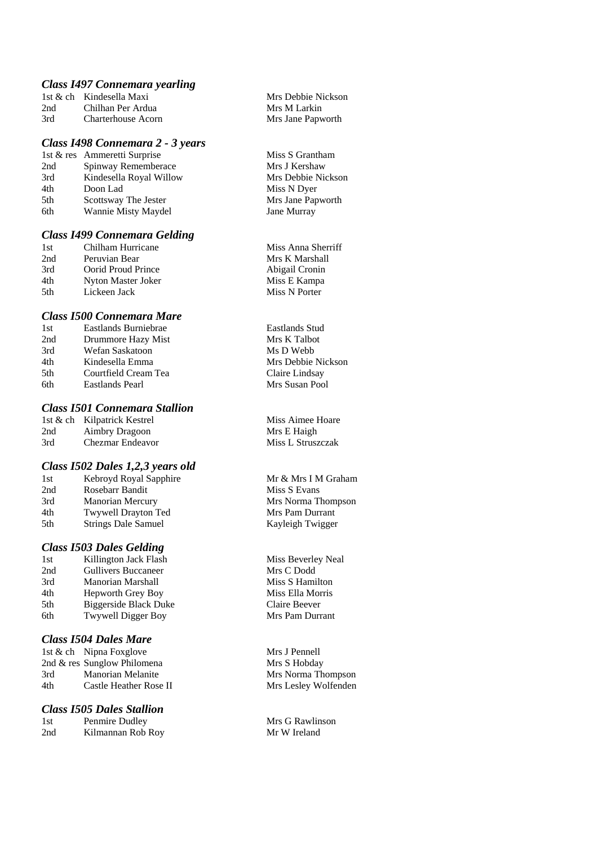## *Class I497 Connemara yearling*

|     | 1st & ch Kindesella Maxi |
|-----|--------------------------|
| 2nd | Chilhan Per Ardua        |
| 3rd | Charterhouse Acorn       |

#### *Class I498 Connemara 2 - 3 years*

|     | 1st & res Ammeretti Surprise |
|-----|------------------------------|
| 2nd | Spinway Rememberace          |
| 3rd | Kindesella Royal Willow      |
| 4th | Doon Lad                     |
| 5th | Scottsway The Jester         |
| 6th | Wannie Misty Maydel          |

# *Class I499 Connemara Gelding*

1. Chilham Hurricane Miss Anna Sherriff<br>
1. Mrs K Marshall<br>
Mrs K Marshall 2nd Peruvian Bear Mrs K Marshall<br>3rd Oorid Proud Prince Abigail Cronin 3rd Oorid Proud Prince Abigail Cronin<br>4th Nyton Master Joker Miss E Kampa 4th Nyton Master Joker<br>5th Lickeen Jack 5th Lickeen Jack Miss N Porter

#### *Class I500 Connemara Mare*

| 1st  | Eastlands Burniebrae |
|------|----------------------|
| 2nd  | Drummore Hazy Mist   |
| 3rd  | Wefan Saskatoon      |
| 4th  | Kindesella Emma      |
| .5th | Courtfield Cream Tea |
| 6th  | Eastlands Pearl      |

#### *Class I501 Connemara Stallion*

1st & ch Kilpatrick Kestrel Miss Aimee Hoare 2nd Aimbry Dragoon Mrs E Haigh 3rd Chezmar Endeavor Miss L Struszczak

#### *Class I502 Dales 1,2,3 years old*

| 1st | Kebroyd Royal Sapphire     |
|-----|----------------------------|
| 2nd | Rosebarr Bandit            |
| 3rd | <b>Manorian Mercury</b>    |
| 4th | <b>Twywell Drayton Ted</b> |
| 5th | <b>Strings Dale Samuel</b> |

#### *Class I503 Dales Gelding*

| 1st | Killington Jack Flash      |
|-----|----------------------------|
| 2nd | <b>Gullivers Buccaneer</b> |
| 3rd | Manorian Marshall          |
| 4th | Hepworth Grey Boy          |
| 5th | Biggerside Black Duke      |
| 6th | Twywell Digger Boy         |

#### *Class I504 Dales Mare*

1st & ch Nipna Foxglove Mrs J Pennell 2nd & res Sunglow Philomena<br>
Mrs S Hobday 3rd Manorian Melanite Mrs Norma Thompson 4th Castle Heather Rose II Mrs Lesley Wolfenden

#### *Class I505 Dales Stallion*

| 1st | Penmire Dudley    |
|-----|-------------------|
| 2nd | Kilmannan Rob Roy |

Mrs Debbie Nickson Mrs M Larkin Mrs Jane Papworth

Miss S Grantham Mrs J Kershaw Mrs Debbie Nickson Miss N Dyer Mrs Jane Papworth Jane Murray

Eastlands Stud Mrs K Talbot Ms D Webb Mrs Debbie Nickson Claire Lindsay Mrs Susan Pool

Mr & Mrs I M Graham Miss S Evans Mrs Norma Thompson **Mrs Pam Durrant** Kayleigh Twigger

Miss Beverley Neal Mrs C Dodd Miss S Hamilton Miss Ella Morris Claire Beever Mrs Pam Durrant

Mrs G Rawlinson Mr W Ireland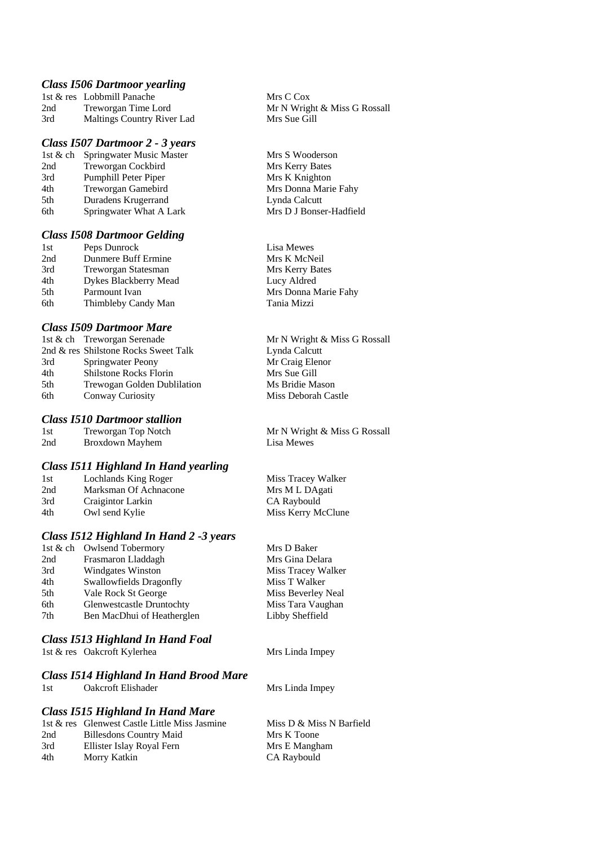#### *Class I506 Dartmoor yearling*

|     | 1st & res Lobbmill Panache |
|-----|----------------------------|
| 2nd | Treworgan Time Lord        |
| 3rd | Maltings Country River Lad |

#### *Class I507 Dartmoor 2 - 3 years*

| 1st & ch | Springwater Music Master |
|----------|--------------------------|
| 2nd      | Treworgan Cockbird       |
| 3rd      | Pumphill Peter Piper     |
| 4th      | Treworgan Gamebird       |
| 5th      | Duradens Krugerrand      |
| 6th      | Springwater What A Lark  |

#### *Class I508 Dartmoor Gelding*

| 1st  | Peps Dunrock          |
|------|-----------------------|
| 2nd  | Dunmere Buff Ermine   |
| 3rd  | Treworgan Statesman   |
| 4th  | Dykes Blackberry Mead |
| .5th | Parmount Ivan         |
| 6th  | Thimbleby Candy Man   |

## *Class I509 Dartmoor Mare*

|     | 1st & ch Treworgan Serenade          | Mr N Wright & Miss G Rossall |
|-----|--------------------------------------|------------------------------|
|     | 2nd & res Shilstone Rocks Sweet Talk | Lynda Calcutt                |
| 3rd | Springwater Peony                    | Mr Craig Elenor              |
| 4th | <b>Shilstone Rocks Florin</b>        | Mrs Sue Gill                 |
| 5th | Trewogan Golden Dublilation          | Ms Bridie Mason              |
| 6th | Conway Curiosity                     | Miss Deborah Castle          |
|     |                                      |                              |

## *Class I510 Dartmoor stallion*

| 1st | Treworgan Top Notch | Mr N Wright & Miss G Rossall |
|-----|---------------------|------------------------------|
| 2nd | Broxdown Mayhem     | Lisa Mewes                   |

#### *Class I511 Highland In Hand yearling*

| Lochlands King Roger  | Miss Tracey Walker |
|-----------------------|--------------------|
| Marksman Of Achnacone | Mrs M L DAgati     |
| Craigintor Larkin     | CA Raybould        |
| Owl send Kylie        | Miss Kerry McClune |
|                       |                    |

## *Class I512 Highland In Hand 2 -3 years*

|     | 1st & ch Owlsend Tobermory       | Mrs D Baker        |
|-----|----------------------------------|--------------------|
| 2nd | Frasmaron Lladdagh               | Mrs Gina Delara    |
| 3rd | <b>Windgates Winston</b>         | Miss Tracey Walker |
| 4th | Swallowfields Dragonfly          | Miss T Walker      |
| 5th | Vale Rock St George              | Miss Beverley Neal |
| 6th | <b>Glenwestcastle Druntochty</b> | Miss Tara Vaughan  |
| 7th | Ben MacDhui of Heatherglen       | Libby Sheffield    |
|     |                                  |                    |

#### *Class I513 Highland In Hand Foal*

1st & res Oakcroft Kylerhea Mrs Linda Impey

## *Class I514 Highland In Hand Brood Mare*

1st Oakcroft Elishader Mrs Linda Impey

#### *Class I515 Highland In Hand Mare*

|                                | Miss D & Mis                                  |
|--------------------------------|-----------------------------------------------|
| <b>Billesdons Country Maid</b> | Mrs K Toone                                   |
| Ellister Islay Royal Fern      | Mrs E Mangha                                  |
| Morry Katkin                   | CA Raybould                                   |
|                                | 1st & res Glenwest Castle Little Miss Jasmine |

Mrs C Cox Mr N Wright & Miss G Rossall Mrs Sue Gill

Mrs S Wooderson Mrs Kerry Bates Mrs K Knighton Mrs Donna Marie Fahy Lynda Calcutt Mrs D J Bonser-Hadfield

Lisa Mewes Mrs K McNeil Mrs Kerry Bates Lucy Aldred Mrs Donna Marie Fahy Tania Mizzi

& Miss N Barfield Mangham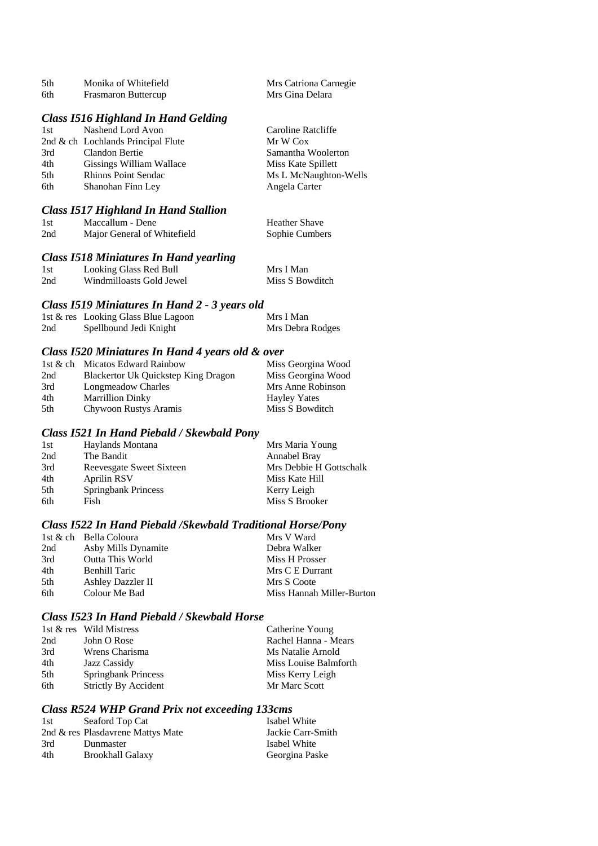| .5th | Monika of Whitefield                | Mrs Catriona Carnegie |
|------|-------------------------------------|-----------------------|
| 6th  | Frasmaron Buttercup                 | Mrs Gina Delara       |
|      | Class 1516 Highland In Hand Gelding |                       |
| 1st  | Nashend Lord Avon                   | Caroline Ratcliffe    |
|      | <b>A</b> is it is in the indi-      |                       |

|     | 2nd & ch Lochlands Principal Flute | Mr W Cox              |
|-----|------------------------------------|-----------------------|
| 3rd | Clandon Bertie                     | Samantha Woolerton    |
| 4th | Gissings William Wallace           | Miss Kate Spillett    |
| 5th | <b>Rhinns Point Sendac</b>         | Ms L McNaughton-Wells |
| 6th | Shanohan Finn Ley                  | Angela Carter         |

## *Class I517 Highland In Hand Stallion*

| 1st | Maccallum - Dene            | Heather Shave  |
|-----|-----------------------------|----------------|
| 2nd | Major General of Whitefield | Sophie Cumbers |

#### *Class I518 Miniatures In Hand yearling*

| -1st | Looking Glass Red Bull   | Mrs I Man       |
|------|--------------------------|-----------------|
| 2nd  | Windmilloasts Gold Jewel | Miss S Bowditch |

#### *Class I519 Miniatures In Hand 2 - 3 years old*

|     | 1st & res Looking Glass Blue Lagoon | Mrs I Man        |
|-----|-------------------------------------|------------------|
| 2nd | Spellbound Jedi Knight              | Mrs Debra Rodges |

#### *Class I520 Miniatures In Hand 4 years old & over*

|     | 1st & ch Micatos Edward Rainbow     | Miss Georgina Wood  |
|-----|-------------------------------------|---------------------|
| 2nd | Blackertor Uk Quickstep King Dragon | Miss Georgina Wood  |
| 3rd | Longmeadow Charles                  | Mrs Anne Robinson   |
| 4th | <b>Marrillion Dinky</b>             | <b>Hayley Yates</b> |
| 5th | Chywoon Rustys Aramis               | Miss S Bowditch     |

#### *Class I521 In Hand Piebald / Skewbald Pony*

| 1st | Haylands Montana         | Mrs Maria Young         |
|-----|--------------------------|-------------------------|
| 2nd | The Bandit               | Annabel Bray            |
| 3rd | Reevesgate Sweet Sixteen | Mrs Debbie H Gottschalk |
| 4th | Aprilin RSV              | Miss Kate Hill          |
| 5th | Springbank Princess      | Kerry Leigh             |
| 6th | Fish                     | Miss S Brooker          |
|     |                          |                         |

#### *Class I522 In Hand Piebald /Skewbald Traditional Horse/Pony*

|     | 1st & ch Bella Coloura  | Mrs V Ward                |
|-----|-------------------------|---------------------------|
| 2nd | Asby Mills Dynamite     | Debra Walker              |
| 3rd | <b>Outta This World</b> | Miss H Prosser            |
| 4th | <b>Benhill Taric</b>    | Mrs C E Durrant           |
| 5th | Ashley Dazzler II       | Mrs S Coote               |
| 6th | Colour Me Bad           | Miss Hannah Miller-Burton |

#### *Class I523 In Hand Piebald / Skewbald Horse*

|     | 1st & res Wild Mistress     | Catherine Young       |
|-----|-----------------------------|-----------------------|
| 2nd | John O Rose                 | Rachel Hanna - Mears  |
| 3rd | Wrens Charisma              | Ms Natalie Arnold     |
| 4th | Jazz Cassidy                | Miss Louise Balmforth |
| 5th | <b>Springbank Princess</b>  | Miss Kerry Leigh      |
| 6th | <b>Strictly By Accident</b> | Mr Marc Scott         |

#### *Class R524 WHP Grand Prix not exceeding 133cms*

| 1st | Seaford Top Cat                   | Isabel White      |
|-----|-----------------------------------|-------------------|
|     | 2nd & res Plasdavrene Mattys Mate | Jackie Carr-Smith |
| 3rd | Dunmaster                         | Isabel White      |
| 4th | <b>Brookhall Galaxy</b>           | Georgina Paske    |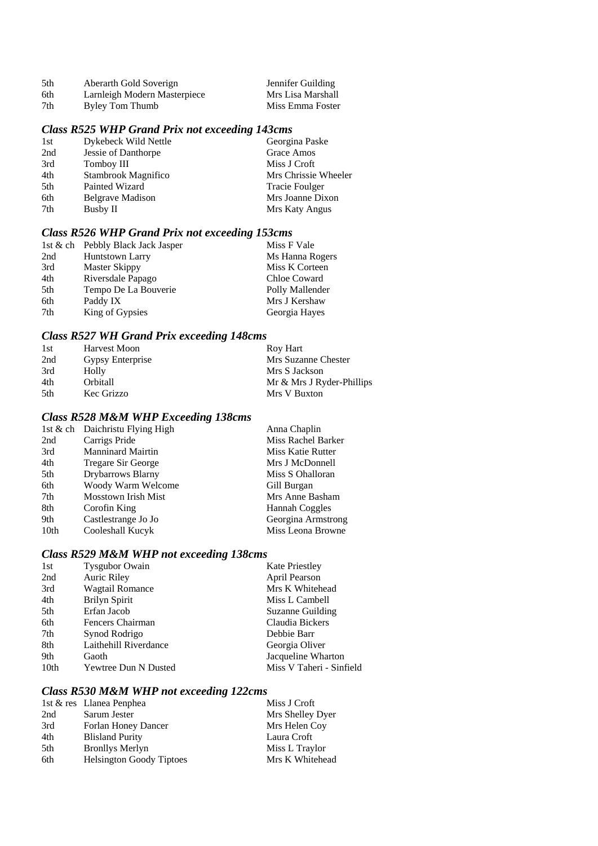| 5th | Aberarth Gold Soverign       | Jennifer Guilding |
|-----|------------------------------|-------------------|
| 6th | Larnleigh Modern Masterpiece | Mrs Lisa Marshall |
| 7th | Byley Tom Thumb              | Miss Emma Foster  |

## *Class R525 WHP Grand Prix not exceeding 143cms*

| 1st | Dykebeck Wild Nettle    | Georgina Paske        |
|-----|-------------------------|-----------------------|
| 2nd | Jessie of Danthorpe     | Grace Amos            |
| 3rd | Tomboy III              | Miss J Croft          |
| 4th | Stambrook Magnifico     | Mrs Chrissie Wheeler  |
| 5th | Painted Wizard          | <b>Tracie Foulger</b> |
| 6th | <b>Belgrave Madison</b> | Mrs Joanne Dixon      |
| 7th | Busby II                | Mrs Katy Angus        |
|     |                         |                       |

## *Class R526 WHP Grand Prix not exceeding 153cms*

|     | 1st & ch Pebbly Black Jack Jasper | Miss F Vale     |
|-----|-----------------------------------|-----------------|
| 2nd | Huntstown Larry                   | Ms Hanna Rogers |
| 3rd | Master Skippy                     | Miss K Corteen  |
| 4th | Riversdale Papago                 | Chloe Coward    |
| 5th | Tempo De La Bouverie              | Polly Mallender |
| 6th | Paddy IX                          | Mrs J Kershaw   |
| 7th | King of Gypsies                   | Georgia Hayes   |

## *Class R527 WH Grand Prix exceeding 148cms*

| 1st  | Harvest Moon     | Roy Hart                  |
|------|------------------|---------------------------|
| 2nd  | Gypsy Enterprise | Mrs Suzanne Chester       |
| 3rd  | Holly            | Mrs S Jackson             |
| 4th  | Orbitall         | Mr & Mrs J Ryder-Phillips |
| .5th | Kec Grizzo       | Mrs V Buxton              |

## *Class R528 M&M WHP Exceeding 138cms*

|      | 1st & ch Daichristu Flying High | Anna Chaplin       |
|------|---------------------------------|--------------------|
| 2nd  | Carrigs Pride                   | Miss Rachel Barker |
| 3rd  | <b>Manninard Mairtin</b>        | Miss Katie Rutter  |
| 4th  | Tregare Sir George              | Mrs J McDonnell    |
| 5th  | Drybarrows Blarny               | Miss S Ohalloran   |
| 6th  | Woody Warm Welcome              | Gill Burgan        |
| 7th  | <b>Mosstown Irish Mist</b>      | Mrs Anne Basham    |
| 8th  | Corofin King                    | Hannah Coggles     |
| 9th  | Castlestrange Jo Jo             | Georgina Armstrong |
| 10th | Cooleshall Kucyk                | Miss Leona Browne  |

## *Class R529 M&M WHP not exceeding 138cms*

| 1st  | <b>Tysgubor Owain</b>  | <b>Kate Priestley</b>    |
|------|------------------------|--------------------------|
| 2nd  | Auric Riley            | April Pearson            |
| 3rd  | <b>Wagtail Romance</b> | Mrs K Whitehead          |
| 4th  | Brilyn Spirit          | Miss L Cambell           |
| 5th  | Erfan Jacob            | Suzanne Guilding         |
| 6th  | Fencers Chairman       | Claudia Bickers          |
| 7th  | Synod Rodrigo          | Debbie Barr              |
| 8th  | Laithehill Riverdance  | Georgia Oliver           |
| 9th  | Gaoth                  | Jacqueline Wharton       |
| 10th | Yewtree Dun N Dusted   | Miss V Taheri - Sinfield |

## *Class R530 M&M WHP not exceeding 122cms*

|     | 1st & res Llanea Penphea        | Miss J Croft     |
|-----|---------------------------------|------------------|
| 2nd | Sarum Jester                    | Mrs Shelley Dyer |
| 3rd | Forlan Honey Dancer             | Mrs Helen Coy    |
| 4th | <b>Blisland Purity</b>          | Laura Croft      |
| 5th | <b>Bronllys Merlyn</b>          | Miss L Traylor   |
| 6th | <b>Helsington Goody Tiptoes</b> | Mrs K Whitehead  |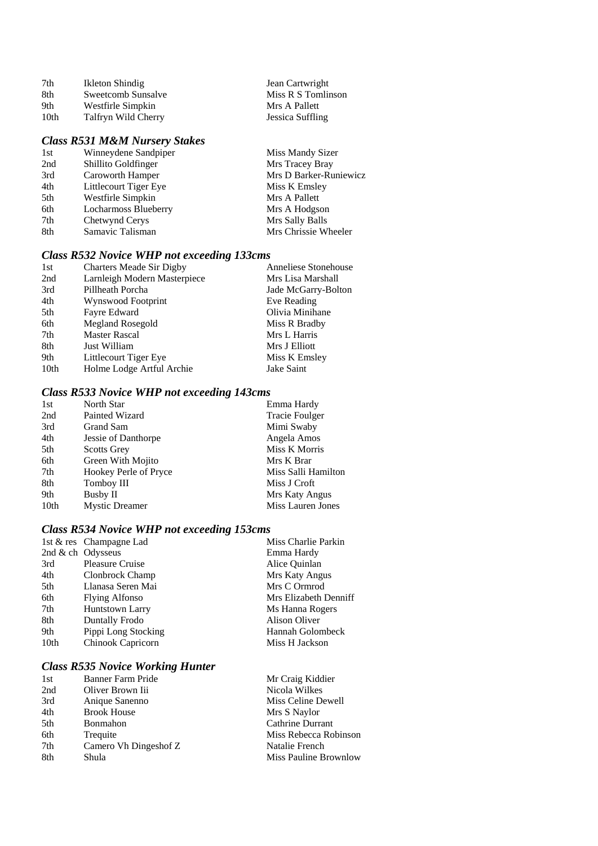| 7th  | Ikleton Shindig     |  |
|------|---------------------|--|
| 8th  | Sweetcomb Sunsalve  |  |
| 9th  | Westfirle Simpkin   |  |
| 10th | Talfryn Wild Cherry |  |

## *Class R531 M&M Nursery Stakes*

| 1st | Winneydene Sandpiper  | Miss Mandy Sizer       |
|-----|-----------------------|------------------------|
| 2nd | Shillito Goldfinger   | Mrs Tracey Bray        |
| 3rd | Caroworth Hamper      | Mrs D Barker-Runiewicz |
| 4th | Littlecourt Tiger Eye | Miss K Emsley          |
| 5th | Westfirle Simpkin     | Mrs A Pallett          |
| 6th | Locharmoss Blueberry  | Mrs A Hodgson          |
| 7th | Chetwynd Cerys        | Mrs Sally Balls        |
| 8th | Samavic Talisman      | Mrs Chrissie Wheeler   |

Jean Cartwright Miss R S Tomlinson Mrs A Pallett Jessica Suffling

## *Class R532 Novice WHP not exceeding 133cms*

| 1st  | <b>Charters Meade Sir Digby</b> | Anneliese Stonehouse |
|------|---------------------------------|----------------------|
| 2nd  | Larnleigh Modern Masterpiece    | Mrs Lisa Marshall    |
| 3rd  | Pillheath Porcha                | Jade McGarry-Bolton  |
| 4th  | Wynswood Footprint              | Eve Reading          |
| 5th  | Fayre Edward                    | Olivia Minihane      |
| 6th  | Megland Rosegold                | Miss R Bradby        |
| 7th  | <b>Master Rascal</b>            | Mrs L Harris         |
| 8th  | Just William                    | Mrs J Elliott        |
| 9th  | Littlecourt Tiger Eye           | Miss K Emsley        |
| 10th | Holme Lodge Artful Archie       | Jake Saint           |

## *Class R533 Novice WHP not exceeding 143cms*

| 1st  | North Star            | Emma Hardy               |
|------|-----------------------|--------------------------|
| 2nd  | Painted Wizard        | <b>Tracie Foulger</b>    |
| 3rd  | Grand Sam             | Mimi Swaby               |
| 4th  | Jessie of Danthorpe   | Angela Amos              |
| 5th  | <b>Scotts Grey</b>    | Miss K Morris            |
| 6th  | Green With Mojito     | Mrs K Brar               |
| 7th  | Hookey Perle of Pryce | Miss Salli Hamilton      |
| 8th  | Tomboy III            | Miss J Croft             |
| 9th  | Busby II              | Mrs Katy Angus           |
| 10th | <b>Mystic Dreamer</b> | <b>Miss Lauren Jones</b> |

## *Class R534 Novice WHP not exceeding 153cms*

| 1st & res Champagne Lad | Miss Charlie Parkin   |
|-------------------------|-----------------------|
| 2nd & ch Odysseus       | Emma Hardy            |
| <b>Pleasure Cruise</b>  | Alice Quinlan         |
| Clonbrock Champ         | Mrs Katy Angus        |
| Llanasa Seren Mai       | Mrs C Ormrod          |
| <b>Flying Alfonso</b>   | Mrs Elizabeth Denniff |
| Huntstown Larry         | Ms Hanna Rogers       |
| <b>Duntally Frodo</b>   | Alison Oliver         |
| Pippi Long Stocking     | Hannah Golombeck      |
| Chinook Capricorn       | Miss H Jackson        |
|                         |                       |

## *Class R535 Novice Working Hunter*

| 1st | Banner Farm Pride     | Mr Craig Kiddier      |
|-----|-----------------------|-----------------------|
| 2nd | Oliver Brown Iii      | Nicola Wilkes         |
| 3rd | Anique Sanenno        | Miss Celine Dewell    |
| 4th | <b>Brook House</b>    | Mrs S Naylor          |
| 5th | Bonmahon              | Cathrine Durrant      |
| 6th | Trequite              | Miss Rebecca Robinson |
| 7th | Camero Vh Dingeshof Z | Natalie French        |
| 8th | Shula                 | Miss Pauline Brownlow |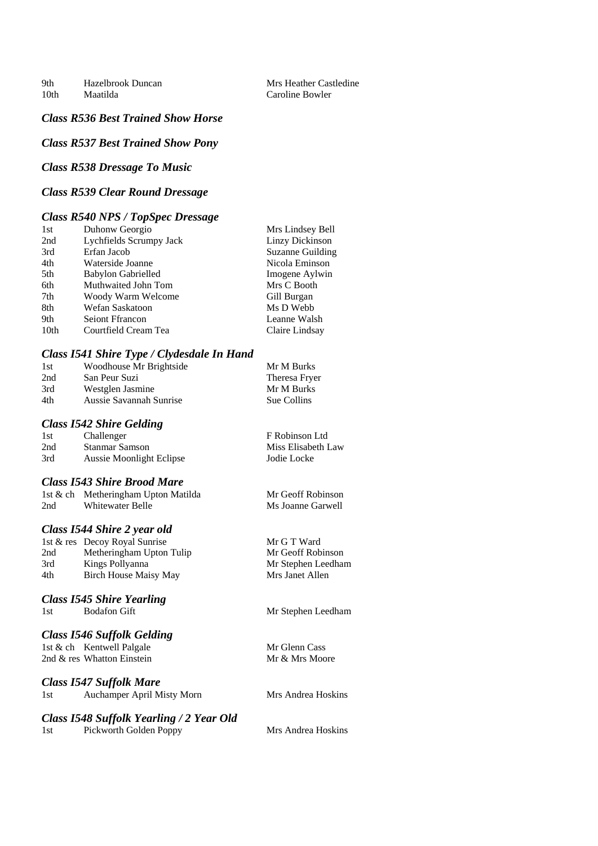## *Class R536 Best Trained Show Horse*

*Class R537 Best Trained Show Pony* 

#### *Class R538 Dressage To Music*

#### *Class R539 Clear Round Dressage*

#### *Class R540 NPS / TopSpec Dressage*

| 1st              | Duhonw Georgio          | Mrs Lindsey Bell |
|------------------|-------------------------|------------------|
| 2nd              | Lychfields Scrumpy Jack | Linzy Dickinson  |
| 3rd              | Erfan Jacob             | Suzanne Guilding |
| 4th              | Waterside Joanne        | Nicola Eminson   |
| 5th              | Babylon Gabrielled      | Imogene Aylwin   |
| 6th              | Muthwaited John Tom     | Mrs C Booth      |
| 7th              | Woody Warm Welcome      | Gill Burgan      |
| 8th              | Wefan Saskatoon         | Ms D Webb        |
| 9th              | <b>Seiont Ffrancon</b>  | Leanne Walsh     |
| 10 <sub>th</sub> | Courtfield Cream Tea    | Claire Lindsay   |

#### *Class I541 Shire Type / Clydesdale In Hand*

| 1st | Woodhouse Mr Brightside | Mr M Burks    |
|-----|-------------------------|---------------|
| 2nd | San Peur Suzi           | Theresa Fryer |
| 3rd | Westglen Jasmine        | Mr M Burks    |
| 4th | Aussie Savannah Sunrise | Sue Collins   |

#### *Class I542 Shire Gelding*

| 1st | Challenger                      | F Robinson Ltd   |
|-----|---------------------------------|------------------|
| 2nd | Stanmar Samson                  | Miss Elisabeth I |
| 3rd | <b>Aussie Moonlight Eclipse</b> | Jodie Locke      |

#### *Class I543 Shire Brood Mare*

|     | 1st & ch Metheringham Upton Matilda |
|-----|-------------------------------------|
| 2nd | Whitewater Belle                    |

#### *Class I544 Shire 2 year old*

|     | 1st & res Decoy Royal Sunrise |
|-----|-------------------------------|
| 2nd | Metheringham Upton Tulip      |
| 3rd | Kings Pollyanna               |
| 4th | <b>Birch House Maisy May</b>  |

# *Class I545 Shire Yearling*

1st Bodafon Gift Mr Stephen Leedham

#### *Class I546 Suffolk Gelding*

1st & ch Kentwell Palgale Mr Glenn Cass<br>
2nd & res Whatton Einstein Mr & Mrs Moore 2nd  $&$  res Whatton Einstein

|     | <b>Class I547 Suffolk Mare</b> |
|-----|--------------------------------|
| 1st | Auchamper April Misty Morn     |

#### *Class I548 Suffolk Yearling / 2 Year Old*

1st Pickworth Golden Poppy Mrs Andrea Hoskins

isabeth Law

Mr Geoff Robinson Ms Joanne Garwell

Mr G T Ward p Mr Geoff Robinson Mr Stephen Leedham Mrs Janet Allen

Mrs Andrea Hoskins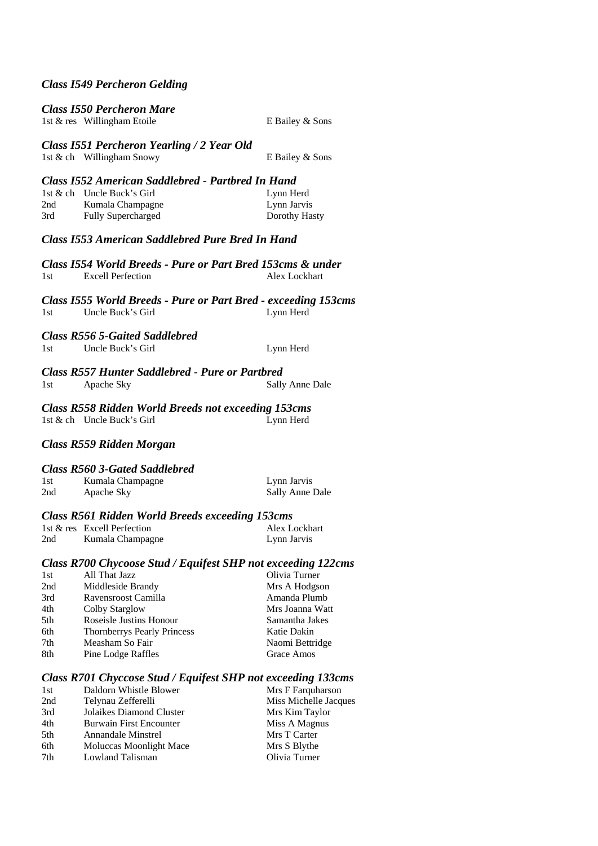#### *Class I549 Percheron Gelding*

#### *Class I550 Percheron Mare*

1st & res Willingham Etoile E Bailey & Sons

*Class I551 Percheron Yearling / 2 Year Old*  1st & ch Willingham Snowy E Bailey & Sons

#### *Class I552 American Saddlebred - Partbred In Hand*

|     | 1st & ch Uncle Buck's Girl | Lynn Herd     |
|-----|----------------------------|---------------|
| 2nd | Kumala Champagne           | Lynn Jarvis   |
| 3rd | <b>Fully Supercharged</b>  | Dorothy Hasty |

#### *Class I553 American Saddlebred Pure Bred In Hand*

*Class I554 World Breeds - Pure or Part Bred 153cms & under*  1st Excell Perfection Alex Lockhart

*Class I555 World Breeds - Pure or Part Bred - exceeding 153cms*  1st Uncle Buck's Girl Lynn Herd

#### *Class R556 5-Gaited Saddlebred*

#### *Class R557 Hunter Saddlebred - Pure or Partbred*

| 1st | Apache Sky | Sally Anne Dale |
|-----|------------|-----------------|
|     |            |                 |

*Class R558 Ridden World Breeds not exceeding 153cms* 

#### *Class R559 Ridden Morgan*

#### *Class R560 3-Gated Saddlebred*

| 1st | Kumala Champagne | Lynn Jarvis     |
|-----|------------------|-----------------|
| 2nd | Apache Sky       | Sally Anne Dale |

#### *Class R561 Ridden World Breeds exceeding 153cms*

|     | 1st & res Excell Perfection | Alex Lockhart |
|-----|-----------------------------|---------------|
| 2nd | Kumala Champagne            | Lynn Jarvis   |

#### *Class R700 Chycoose Stud / Equifest SHP not exceeding 122cms*

| 1st | All That Jazz                      | Olivia Turner   |
|-----|------------------------------------|-----------------|
| 2nd | Middleside Brandy                  | Mrs A Hodgson   |
| 3rd | Ravensroost Camilla                | Amanda Plumb    |
| 4th | Colby Starglow                     | Mrs Joanna Watt |
| 5th | Roseisle Justins Honour            | Samantha Jakes  |
| 6th | <b>Thornberrys Pearly Princess</b> | Katie Dakin     |
| 7th | Measham So Fair                    | Naomi Bettridge |
| 8th | Pine Lodge Raffles                 | Grace Amos      |
|     |                                    |                 |

## *Class R701 Chyccose Stud / Equifest SHP not exceeding 133cms*

| 1st | Daldorn Whistle Blower    | Mrs F Farquharson     |
|-----|---------------------------|-----------------------|
| 2nd | Telynau Zefferelli        | Miss Michelle Jacques |
| 3rd | Jolaikes Diamond Cluster  | Mrs Kim Taylor        |
| 4th | Burwain First Encounter   | Miss A Magnus         |
| 5th | <b>Annandale Minstrel</b> | Mrs T Carter          |
| 6th | Moluccas Moonlight Mace   | Mrs S Blythe          |
| 7th | Lowland Talisman          | Olivia Turner         |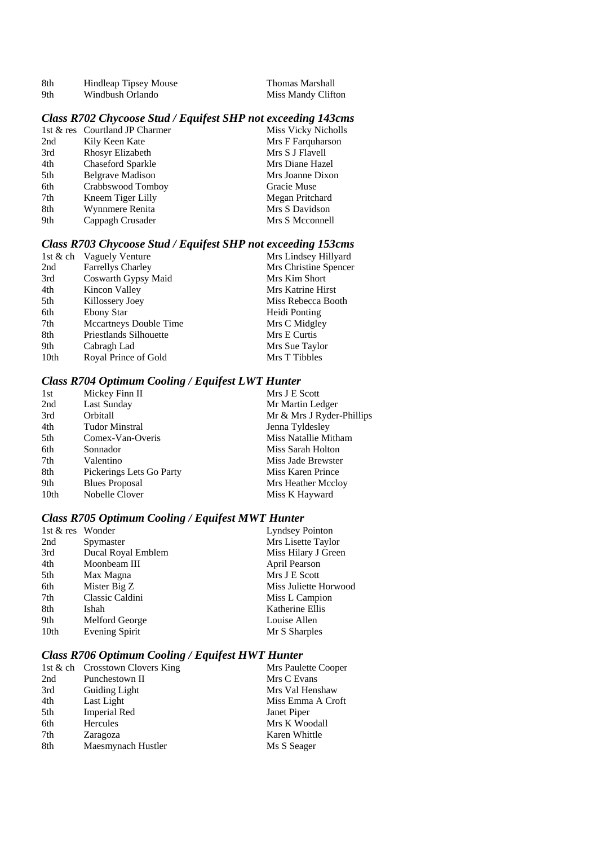| 8th | <b>Hindleap Tipsey Mouse</b> | Thomas Marshall    |
|-----|------------------------------|--------------------|
| 9th | Windbush Orlando             | Miss Mandy Clifton |

## *Class R702 Chycoose Stud / Equifest SHP not exceeding 143cms*

|     | 1st & res Courtland JP Charmer | <b>Miss Vicky Nicholls</b> |
|-----|--------------------------------|----------------------------|
| 2nd | Kily Keen Kate                 | Mrs F Farquharson          |
| 3rd | Rhosyr Elizabeth               | Mrs S J Flavell            |
| 4th | Chaseford Sparkle              | Mrs Diane Hazel            |
| 5th | <b>Belgrave Madison</b>        | Mrs Joanne Dixon           |
| 6th | Crabbswood Tomboy              | Gracie Muse                |
| 7th | Kneem Tiger Lilly              | Megan Pritchard            |
| 8th | Wynnmere Renita                | Mrs S Davidson             |
| 9th | Cappagh Crusader               | Mrs S Mcconnell            |
|     |                                |                            |

## *Class R703 Chycoose Stud / Equifest SHP not exceeding 153cms*

|      | 1st & ch Vaguely Venture      | Mrs Lindsey Hillyard  |
|------|-------------------------------|-----------------------|
| 2nd  | <b>Farrellys Charley</b>      | Mrs Christine Spencer |
| 3rd  | Coswarth Gypsy Maid           | Mrs Kim Short         |
| 4th  | Kincon Valley                 | Mrs Katrine Hirst     |
| 5th  | Killossery Joey               | Miss Rebecca Booth    |
| 6th  | <b>Ebony Star</b>             | Heidi Ponting         |
| 7th  | Mccartneys Double Time        | Mrs C Midgley         |
| 8th  | <b>Priestlands Silhouette</b> | Mrs E Curtis          |
| 9th  | Cabragh Lad                   | Mrs Sue Taylor        |
| 10th | Royal Prince of Gold          | Mrs T Tibbles         |

#### *Class R704 Optimum Cooling / Equifest LWT Hunter*

| 1st  | Mickey Finn II           | Mrs J E Scott             |
|------|--------------------------|---------------------------|
| 2nd  | Last Sunday              | Mr Martin Ledger          |
| 3rd  | Orbitall                 | Mr & Mrs J Ryder-Phillips |
| 4th  | Tudor Minstral           | Jenna Tyldesley           |
| 5th  | Comex-Van-Overis         | Miss Natallie Mitham      |
| 6th  | Sonnador                 | Miss Sarah Holton         |
| 7th  | Valentino                | Miss Jade Brewster        |
| 8th  | Pickerings Lets Go Party | Miss Karen Prince         |
| 9th  | <b>Blues Proposal</b>    | Mrs Heather Mccloy        |
| 10th | Nobelle Clover           | Miss K Hayward            |
|      |                          |                           |

## *Class R705 Optimum Cooling / Equifest MWT Hunter*

| 1st & res Wonder |                       | <b>Lyndsey Pointon</b> |
|------------------|-----------------------|------------------------|
| 2nd              | Spymaster             | Mrs Lisette Taylor     |
| 3rd              | Ducal Royal Emblem    | Miss Hilary J Green    |
| 4th              | Moonbeam III          | April Pearson          |
| 5th              | Max Magna             | Mrs J E Scott          |
| 6th              | Mister Big Z          | Miss Juliette Horwood  |
| 7th              | Classic Caldini       | Miss L Campion         |
| 8th              | Ishah                 | Katherine Ellis        |
| 9th              | Melford George        | Louise Allen           |
| 10th             | <b>Evening Spirit</b> | Mr S Sharples          |

## *Class R706 Optimum Cooling / Equifest HWT Hunter*

|     | 1st & ch Crosstown Clovers King | Mrs Paulette Cooper |
|-----|---------------------------------|---------------------|
| 2nd | Punchestown II                  | Mrs C Evans         |
| 3rd | <b>Guiding Light</b>            | Mrs Val Henshaw     |
| 4th | Last Light                      | Miss Emma A Croft   |
| 5th | <b>Imperial Red</b>             | Janet Piper         |
| 6th | Hercules                        | Mrs K Woodall       |
| 7th | Zaragoza                        | Karen Whittle       |
| 8th | Maesmynach Hustler              | Ms S Seager         |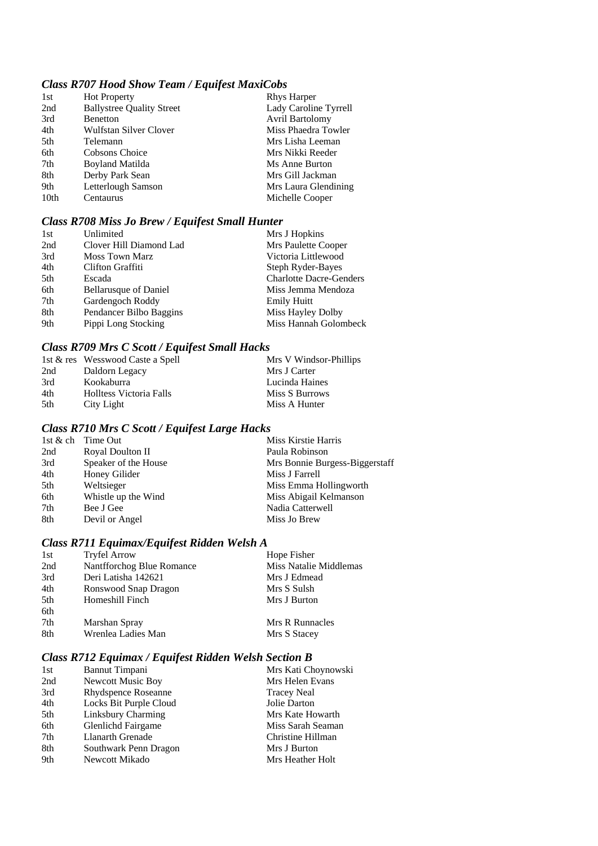## *Class R707 Hood Show Team / Equifest MaxiCobs*

| <b>Hot Property</b>              | <b>Rhys Harper</b>     |
|----------------------------------|------------------------|
| <b>Ballystree Quality Street</b> | Lady Caroline Tyrrell  |
| <b>Benetton</b>                  | <b>Avril Bartolomy</b> |
| Wulfstan Silver Clover           | Miss Phaedra Towler    |
| Telemann                         | Mrs Lisha Leeman       |
| Cobsons Choice                   | Mrs Nikki Reeder       |
| Boyland Matilda                  | Ms Anne Burton         |
| Derby Park Sean                  | Mrs Gill Jackman       |
| Letterlough Samson               | Mrs Laura Glendining   |
| Centaurus                        | Michelle Cooper        |
|                                  |                        |

## *Class R708 Miss Jo Brew / Equifest Small Hunter*

| 1st | Unlimited               | Mrs J Hopkins                  |
|-----|-------------------------|--------------------------------|
| 2nd | Clover Hill Diamond Lad | Mrs Paulette Cooper            |
| 3rd | <b>Moss Town Marz</b>   | Victoria Littlewood            |
| 4th | Clifton Graffiti        | Steph Ryder-Bayes              |
| 5th | Escada                  | <b>Charlotte Dacre-Genders</b> |
| 6th | Bellarusque of Daniel   | Miss Jemma Mendoza             |
| 7th | Gardengoch Roddy        | <b>Emily Huitt</b>             |
| 8th | Pendancer Bilbo Baggins | Miss Hayley Dolby              |
| 9th | Pippi Long Stocking     | Miss Hannah Golombeck          |

## *Class R709 Mrs C Scott / Equifest Small Hacks*

|     | 1st & res Wesswood Caste a Spell | Mrs V Windsor-Phillips |
|-----|----------------------------------|------------------------|
| 2nd | Daldorn Legacy                   | Mrs J Carter           |
| 3rd | Kookaburra                       | Lucinda Haines         |
| 4th | Holltess Victoria Falls          | Miss S Burrows         |
| 5th | City Light                       | Miss A Hunter          |

## *Class R710 Mrs C Scott / Equifest Large Hacks*

|     | 1st & ch Time Out    | Miss Kirstie Harris            |
|-----|----------------------|--------------------------------|
| 2nd | Royal Doulton II     | Paula Robinson                 |
| 3rd | Speaker of the House | Mrs Bonnie Burgess-Biggerstaff |
| 4th | Honey Gilider        | Miss J Farrell                 |
| 5th | Weltsieger           | Miss Emma Hollingworth         |
| 6th | Whistle up the Wind  | Miss Abigail Kelmanson         |
| 7th | Bee J Gee            | Nadia Catterwell               |
| 8th | Devil or Angel       | Miss Jo Brew                   |
|     |                      |                                |

## *Class R711 Equimax/Equifest Ridden Welsh A*

| 1st | <b>Tryfel Arrow</b>       | Hope Fisher            |
|-----|---------------------------|------------------------|
| 2nd | Nantfforchog Blue Romance | Miss Natalie Middlemas |
| 3rd | Deri Latisha 142621       | Mrs J Edmead           |
| 4th | Ronswood Snap Dragon      | Mrs S Sulsh            |
| 5th | Homeshill Finch           | Mrs J Burton           |
| 6th |                           |                        |
| 7th | Marshan Spray             | Mrs R Runnacles        |
| 8th | Wrenlea Ladies Man        | Mrs S Stacey           |

#### *Class R712 Equimax / Equifest Ridden Welsh Section B*

| 1st | Bannut Timpani            | Mrs Kati Choynowski |
|-----|---------------------------|---------------------|
| 2nd | Newcott Music Boy         | Mrs Helen Evans     |
| 3rd | Rhydspence Roseanne       | <b>Tracey Neal</b>  |
| 4th | Locks Bit Purple Cloud    | Jolie Darton        |
| 5th | Linksbury Charming        | Mrs Kate Howarth    |
| 6th | <b>Glenlichd Fairgame</b> | Miss Sarah Seaman   |
| 7th | Llanarth Grenade          | Christine Hillman   |
| 8th | Southwark Penn Dragon     | Mrs J Burton        |
| 9th | Newcott Mikado            | Mrs Heather Holt    |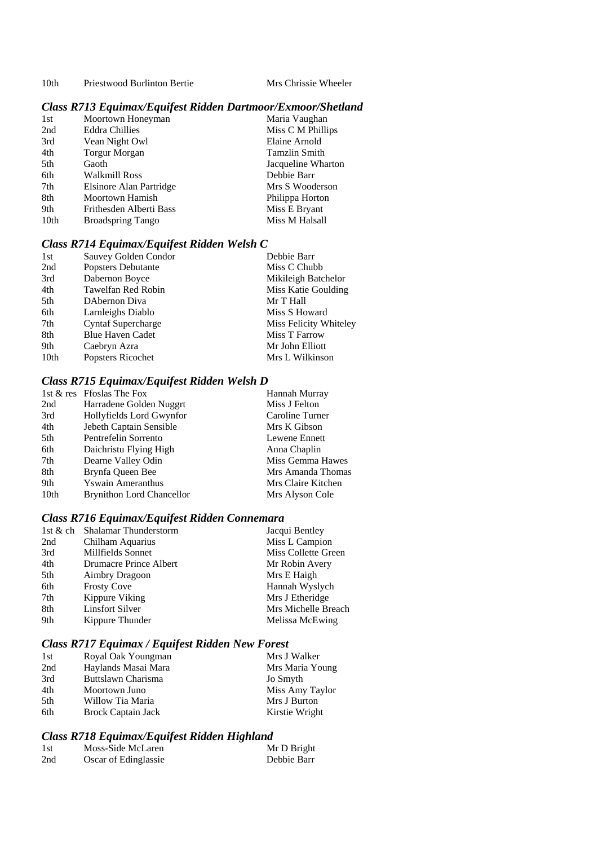10th Priestwood Burlinton Bertie Mrs Chrissie Wheeler

## *Class R713 Equimax/Equifest Ridden Dartmoor/Exmoor/Shetland*

| 1st  | Moortown Honeyman        | Maria Vaughan        |
|------|--------------------------|----------------------|
| 2nd  | <b>Eddra Chillies</b>    | Miss C M Phillips    |
| 3rd  | Vean Night Owl           | Elaine Arnold        |
| 4th  | <b>Torgur Morgan</b>     | <b>Tamzlin Smith</b> |
| 5th  | Gaoth                    | Jacqueline Wharton   |
| 6th  | Walkmill Ross            | Debbie Barr          |
| 7th  | Elsinore Alan Partridge  | Mrs S Wooderson      |
| 8th  | Moortown Hamish          | Philippa Horton      |
| 9th  | Frithesden Alberti Bass  | Miss E Bryant        |
| 10th | <b>Broadspring Tango</b> | Miss M Halsall       |

## *Class R714 Equimax/Equifest Ridden Welsh C*

| 1st              | Sauvey Golden Condor      | Debbie Barr            |
|------------------|---------------------------|------------------------|
| 2nd              | Popsters Debutante        | Miss C Chubb           |
| 3rd              | Dabernon Boyce            | Mikileigh Batchelor    |
| 4th              | Tawelfan Red Robin        | Miss Katie Goulding    |
| 5th              | DAbernon Diva             | Mr T Hall              |
| 6th              | Larnleighs Diablo         | Miss S Howard          |
| 7th              | <b>Cyntaf Supercharge</b> | Miss Felicity Whiteley |
| 8th              | <b>Blue Haven Cadet</b>   | Miss T Farrow          |
| 9th              | Caebryn Azra              | Mr John Elliott        |
| 10 <sub>th</sub> | Popsters Ricochet         | Mrs L Wilkinson        |

## *Class R715 Equimax/Equifest Ridden Welsh D*

|      | 1st & res Ffoslas The Fox        | Hannah Murray      |
|------|----------------------------------|--------------------|
| 2nd  | Harradene Golden Nuggrt          | Miss J Felton      |
| 3rd  | Hollyfields Lord Gwynfor         | Caroline Turner    |
| 4th  | Jebeth Captain Sensible          | Mrs K Gibson       |
| 5th  | Pentrefelin Sorrento             | Lewene Ennett      |
| 6th  | Daichristu Flying High           | Anna Chaplin       |
| 7th  | Dearne Valley Odin               | Miss Gemma Hawes   |
| 8th  | Brynfa Queen Bee                 | Mrs Amanda Thomas  |
| 9th  | <b>Yswain Ameranthus</b>         | Mrs Claire Kitchen |
| 10th | <b>Brynithon Lord Chancellor</b> | Mrs Alyson Cole    |

## *Class R716 Equimax/Equifest Ridden Connemara*

| 1st & ch | Shalamar Thunderstorm  | Jacqui Bentley      |
|----------|------------------------|---------------------|
| 2nd      | Chilham Aquarius       | Miss L Campion      |
| 3rd      | Millfields Sonnet      | Miss Collette Green |
| 4th      | Drumacre Prince Albert | Mr Robin Avery      |
| 5th      | Aimbry Dragoon         | Mrs E Haigh         |
| 6th      | <b>Frosty Cove</b>     | Hannah Wyslych      |
| 7th      | Kippure Viking         | Mrs J Etheridge     |
| 8th      | Linsfort Silver        | Mrs Michelle Breach |
| 9th      | Kippure Thunder        | Melissa McEwing     |

## *Class R717 Equimax / Equifest Ridden New Forest*

| 1st | Royal Oak Youngman        | Mrs J Walker    |
|-----|---------------------------|-----------------|
| 2nd | Haylands Masai Mara       | Mrs Maria Young |
| 3rd | Buttslawn Charisma        | <b>Jo Smyth</b> |
| 4th | Moortown Juno             | Miss Amy Taylor |
| 5th | Willow Tia Maria          | Mrs J Burton    |
| 6th | <b>Brock Captain Jack</b> | Kirstie Wright  |

## *Class R718 Equimax/Equifest Ridden Highland*

| 1st | Moss-Side McLaren    | Mr D Bright |
|-----|----------------------|-------------|
| 2nd | Oscar of Edinglassie | Debbie Barr |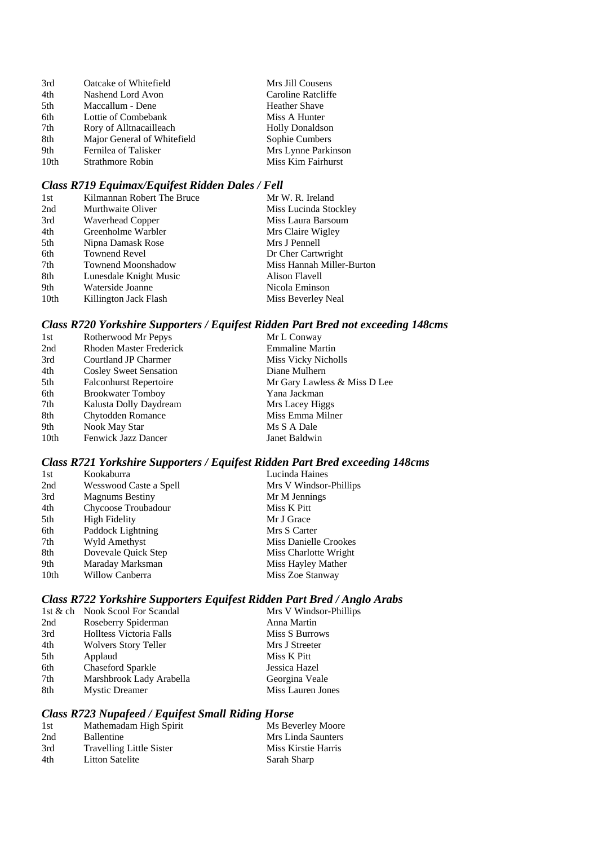| 3rd              | Oatcake of Whitefield       | Mrs Jill Cousens       |
|------------------|-----------------------------|------------------------|
| 4th              | Nashend Lord Avon           | Caroline Ratcliffe     |
| 5th              | Maccallum - Dene            | <b>Heather Shave</b>   |
| 6th              | Lottie of Combebank         | Miss A Hunter          |
| 7th              | Rory of Alltnacailleach     | <b>Holly Donaldson</b> |
| 8th              | Major General of Whitefield | Sophie Cumbers         |
| 9th              | Fernilea of Talisker        | Mrs Lynne Parkinson    |
| 10 <sub>th</sub> | <b>Strathmore Robin</b>     | Miss Kim Fairhurst     |

## *Class R719 Equimax/Equifest Ridden Dales / Fell*

| 1st              | Kilmannan Robert The Bruce | Mr W. R. Ireland          |
|------------------|----------------------------|---------------------------|
| 2nd              | Murthwaite Oliver          | Miss Lucinda Stockley     |
| 3rd              | Waverhead Copper           | Miss Laura Barsoum        |
| 4th              | Greenholme Warbler         | Mrs Claire Wigley         |
| 5th              | Nipna Damask Rose          | Mrs J Pennell             |
| 6th              | <b>Townend Revel</b>       | Dr Cher Cartwright        |
| 7th              | <b>Townend Moonshadow</b>  | Miss Hannah Miller-Burton |
| 8th              | Lunesdale Knight Music     | Alison Flavell            |
| 9th              | Waterside Joanne           | Nicola Eminson            |
| 10 <sub>th</sub> | Killington Jack Flash      | Miss Beverley Neal        |

## *Class R720 Yorkshire Supporters / Equifest Ridden Part Bred not exceeding 148cms*

| Rotherwood Mr Pepys            | Mr L Conway                  |
|--------------------------------|------------------------------|
| <b>Rhoden Master Frederick</b> | <b>Emmaline Martin</b>       |
| Courtland JP Charmer           | Miss Vicky Nicholls          |
| <b>Cosley Sweet Sensation</b>  | Diane Mulhern                |
| <b>Falconhurst Repertoire</b>  | Mr Gary Lawless & Miss D Lee |
| <b>Brookwater Tomboy</b>       | Yana Jackman                 |
| Kalusta Dolly Daydream         | Mrs Lacey Higgs              |
| Chytodden Romance              | Miss Emma Milner             |
| Nook May Star                  | Ms S A Dale                  |
| <b>Fenwick Jazz Dancer</b>     | Janet Baldwin                |
|                                |                              |

## *Class R721 Yorkshire Supporters / Equifest Ridden Part Bred exceeding 148cms*

| 1st              | Kookaburra             | Lucinda Haines         |
|------------------|------------------------|------------------------|
| 2nd              | Wesswood Caste a Spell | Mrs V Windsor-Phillips |
| 3rd              | <b>Magnums Bestiny</b> | Mr M Jennings          |
| 4th              | Chycoose Troubadour    | Miss K Pitt            |
| 5th              | <b>High Fidelity</b>   | Mr J Grace             |
| 6th              | Paddock Lightning      | Mrs S Carter           |
| 7th              | <b>Wyld Amethyst</b>   | Miss Danielle Crookes  |
| 8th              | Dovevale Quick Step    | Miss Charlotte Wright  |
| 9th              | Maraday Marksman       | Miss Hayley Mather     |
| 10 <sub>th</sub> | Willow Canberra        | Miss Zoe Stanway       |

## *Class R722 Yorkshire Supporters Equifest Ridden Part Bred / Anglo Arabs*

|     | 1st & ch Nook Scool For Scandal | Mrs V Windsor-Phillips   |
|-----|---------------------------------|--------------------------|
| 2nd | Roseberry Spiderman             | Anna Martin              |
| 3rd | Holltess Victoria Falls         | Miss S Burrows           |
| 4th | <b>Wolvers Story Teller</b>     | Mrs J Streeter           |
| 5th | Applaud                         | Miss K Pitt              |
| 6th | Chaseford Sparkle               | Jessica Hazel            |
| 7th | Marshbrook Lady Arabella        | Georgina Veale           |
| 8th | <b>Mystic Dreamer</b>           | <b>Miss Lauren Jones</b> |
|     |                                 |                          |

## *Class R723 Nupafeed / Equifest Small Riding Horse*

| 1st | Mathemadam High Spirit          | Ms Beverley Moore   |
|-----|---------------------------------|---------------------|
| 2nd | <b>Ballentine</b>               | Mrs Linda Saunters  |
| 3rd | <b>Travelling Little Sister</b> | Miss Kirstie Harris |
| 4th | Litton Satelite                 | Sarah Sharp         |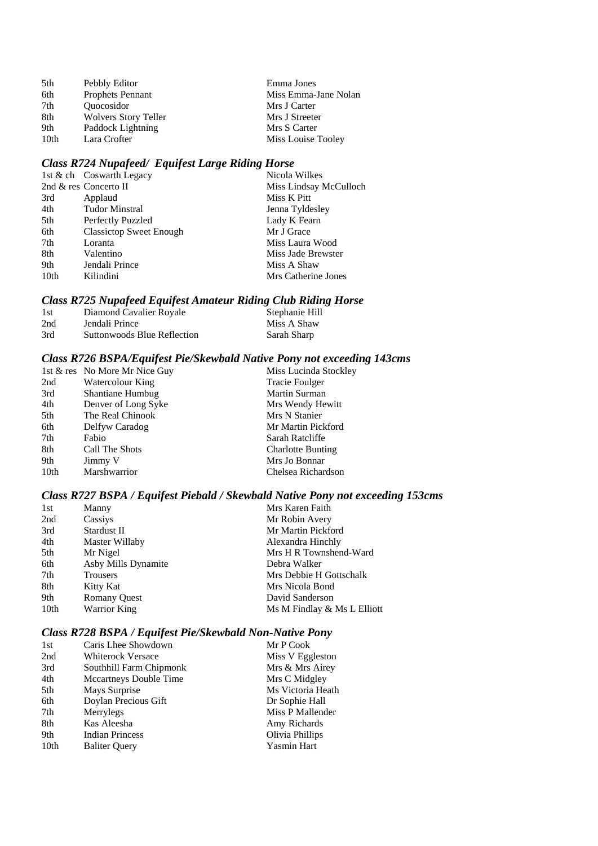| 5th  | Pebbly Editor               | Emma Jones           |
|------|-----------------------------|----------------------|
| 6th  | Prophets Pennant            | Miss Emma-Jane Nolan |
| 7th  | <i><b>Ouocosidor</b></i>    | Mrs J Carter         |
| 8th  | <b>Wolvers Story Teller</b> | Mrs J Streeter       |
| 9th  | Paddock Lightning           | Mrs S Carter         |
| 10th | Lara Crofter                | Miss Louise Tooley   |

## *Class R724 Nupafeed/ Equifest Large Riding Horse*

|                  | 1st & ch Coswarth Legacy       | Nicola Wilkes          |
|------------------|--------------------------------|------------------------|
|                  | 2nd & res Concerto II          | Miss Lindsay McCulloch |
| 3rd              | Applaud                        | Miss K Pitt            |
| 4th              | <b>Tudor Minstral</b>          | Jenna Tyldesley        |
| 5th              | Perfectly Puzzled              | Lady K Fearn           |
| 6th              | <b>Classictop Sweet Enough</b> | Mr J Grace             |
| 7th              | Loranta                        | Miss Laura Wood        |
| 8th              | Valentino                      | Miss Jade Brewster     |
| 9th              | Jendali Prince                 | Miss A Shaw            |
| 10 <sub>th</sub> | Kilindini                      | Mrs Catherine Jones    |

## *Class R725 Nupafeed Equifest Amateur Riding Club Riding Horse*

| -1st | Diamond Cavalier Royale     | Stephanie Hill |
|------|-----------------------------|----------------|
| 2nd  | Jendali Prince              | Miss A Shaw    |
| 3rd  | Suttonwoods Blue Reflection | Sarah Sharp    |

## *Class R726 BSPA/Equifest Pie/Skewbald Native Pony not exceeding 143cms*

|      | 1st & res No More Mr Nice Guy | Miss Lucinda Stockley    |
|------|-------------------------------|--------------------------|
| 2nd  | Watercolour King              | <b>Tracie Foulger</b>    |
| 3rd  | <b>Shantiane Humbug</b>       | Martin Surman            |
| 4th  | Denver of Long Syke           | Mrs Wendy Hewitt         |
| 5th  | The Real Chinook              | Mrs N Stanier            |
| 6th  | Delfyw Caradog                | Mr Martin Pickford       |
| 7th  | Fabio                         | Sarah Ratcliffe          |
| 8th  | Call The Shots                | <b>Charlotte Bunting</b> |
| 9th  | Jimmy V                       | Mrs Jo Bonnar            |
| 10th | Marshwarrior                  | Chelsea Richardson       |

## *Class R727 BSPA / Equifest Piebald / Skewbald Native Pony not exceeding 153cms*

| 1st  | Manny               | Mrs Karen Faith             |
|------|---------------------|-----------------------------|
| 2nd  | Cassiys             | Mr Robin Avery              |
| 3rd  | Stardust II         | Mr Martin Pickford          |
| 4th  | Master Willaby      | Alexandra Hinchly           |
| 5th  | Mr Nigel            | Mrs H R Townshend-Ward      |
| 6th  | Asby Mills Dynamite | Debra Walker                |
| 7th  | <b>Trousers</b>     | Mrs Debbie H Gottschalk     |
| 8th  | Kitty Kat           | Mrs Nicola Bond             |
| 9th  | <b>Romany Quest</b> | David Sanderson             |
| 10th | <b>Warrior King</b> | Ms M Findlay & Ms L Elliott |

## *Class R728 BSPA / Equifest Pie/Skewbald Non-Native Pony*

| Caris Lhee Showdown      | Mr P Cook         |
|--------------------------|-------------------|
| <b>Whiterock Versace</b> | Miss V Eggleston  |
| Southhill Farm Chipmonk  | Mrs & Mrs Airey   |
| Mccartneys Double Time   | Mrs C Midgley     |
| Mays Surprise            | Ms Victoria Heath |
| Doylan Precious Gift     | Dr Sophie Hall    |
| Merrylegs                | Miss P Mallender  |
| Kas Aleesha              | Amy Richards      |
| <b>Indian Princess</b>   | Olivia Phillips   |
| <b>Baliter Query</b>     | Yasmin Hart       |
|                          |                   |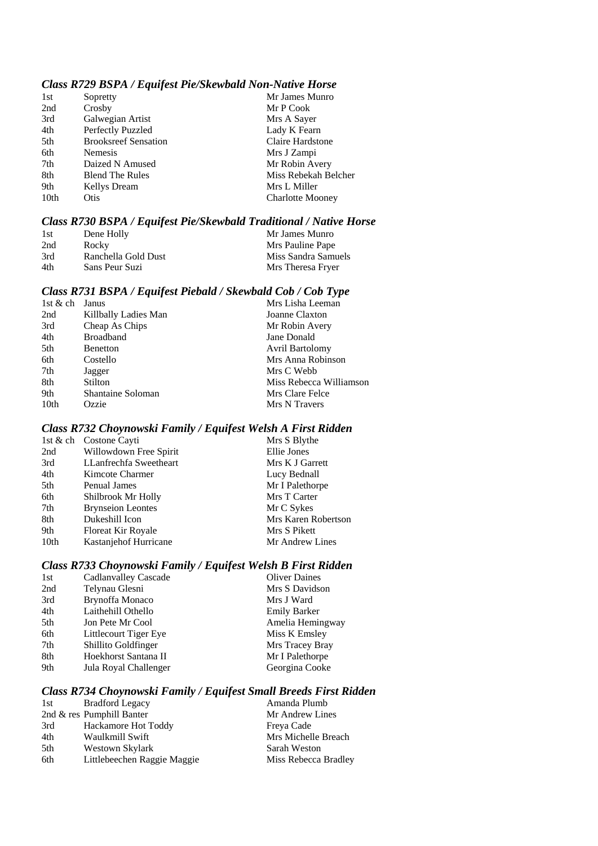#### *Class R729 BSPA / Equifest Pie/Skewbald Non-Native Horse*

| 1st              | Sopretty                    | Mr James Munro          |
|------------------|-----------------------------|-------------------------|
| 2nd              | Crosby                      | Mr P Cook               |
| 3rd              | Galwegian Artist            | Mrs A Sayer             |
| 4th              | Perfectly Puzzled           | Lady K Fearn            |
| 5th              | <b>Brooksreef Sensation</b> | Claire Hardstone        |
| 6th              | <b>Nemesis</b>              | Mrs J Zampi             |
| 7th              | Daized N Amused             | Mr Robin Avery          |
| 8th              | <b>Blend The Rules</b>      | Miss Rebekah Belcher    |
| 9th              | Kellys Dream                | Mrs L Miller            |
| 10 <sub>th</sub> | Otis                        | <b>Charlotte Mooney</b> |
|                  |                             |                         |

#### *Class R730 BSPA / Equifest Pie/Skewbald Traditional / Native Horse*

| -1st | Dene Holly          | Mr James Munro      |
|------|---------------------|---------------------|
| 2nd  | Rocky               | Mrs Pauline Pape    |
| 3rd  | Ranchella Gold Dust | Miss Sandra Samuels |
| 4th  | Sans Peur Suzi      | Mrs Theresa Fryer   |

## *Class R731 BSPA / Equifest Piebald / Skewbald Cob / Cob Type*

| 1st & ch         | Janus                | Mrs Lisha Leeman        |
|------------------|----------------------|-------------------------|
| 2nd              | Killbally Ladies Man | Joanne Claxton          |
| 3rd              | Cheap As Chips       | Mr Robin Avery          |
| 4th              | <b>Broadband</b>     | Jane Donald             |
| 5th              | Benetton             | Avril Bartolomy         |
| 6th              | Costello             | Mrs Anna Robinson       |
| 7th              | Jagger               | Mrs C Webb              |
| 8th              | Stilton              | Miss Rebecca Williamson |
| 9th              | Shantaine Soloman    | Mrs Clare Felce         |
| 10 <sub>th</sub> | Ozzie                | Mrs N Travers           |

## *Class R732 Choynowski Family / Equifest Welsh A First Ridden*

| 1st & ch Costone Cayti   | Mrs S Blythe        |
|--------------------------|---------------------|
| Willowdown Free Spirit   | Ellie Jones         |
| LLanfrechfa Sweetheart   | Mrs K J Garrett     |
| Kimcote Charmer          | Lucy Bednall        |
| Penual James             | Mr I Palethorpe     |
| Shilbrook Mr Holly       | Mrs T Carter        |
| <b>Brynseion Leontes</b> | Mr C Sykes          |
| Dukeshill Icon           | Mrs Karen Robertson |
| Floreat Kir Royale       | Mrs S Pikett        |
| Kastanjehof Hurricane    | Mr Andrew Lines     |
|                          |                     |

## *Class R733 Choynowski Family / Equifest Welsh B First Ridden*

| <b>Cadlanvalley Cascade</b> | <b>Oliver Daines</b> |
|-----------------------------|----------------------|
| Telynau Glesni              | Mrs S Davidson       |
| Brynoffa Monaco             | Mrs J Ward           |
| Laithehill Othello          | <b>Emily Barker</b>  |
| Jon Pete Mr Cool            | Amelia Hemingway     |
| Littlecourt Tiger Eye       | Miss K Emsley        |
| Shillito Goldfinger         | Mrs Tracey Bray      |
| Hoekhorst Santana II        | Mr I Palethorpe      |
| Jula Royal Challenger       | Georgina Cooke       |
|                             |                      |

## *Class R734 Choynowski Family / Equifest Small Breeds First Ridden*

| 1st | <b>Bradford Legacy</b>       | Amanda Plumb         |
|-----|------------------------------|----------------------|
|     | 2nd $\&$ res Pumphill Banter | Mr Andrew Lines      |
| 3rd | Hackamore Hot Toddy          | Freya Cade           |
| 4th | Waulkmill Swift              | Mrs Michelle Breach  |
| 5th | Westown Skylark              | Sarah Weston         |
| 6th | Littlebeechen Raggie Maggie  | Miss Rebecca Bradley |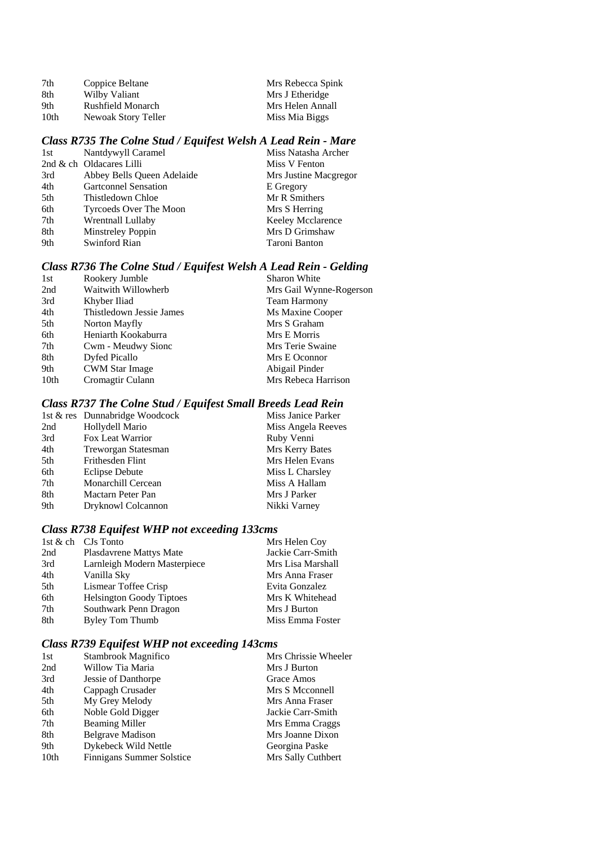| 7th  | Coppice Beltane     | Mrs Rebecca Spink |
|------|---------------------|-------------------|
| 8th  | Wilby Valiant       | Mrs J Etheridge   |
| 9th  | Rushfield Monarch   | Mrs Helen Annall  |
| 10th | Newoak Story Teller | Miss Mia Biggs    |

## *Class R735 The Colne Stud / Equifest Welsh A Lead Rein - Mare*

| 1st | Nantdywyll Caramel          | Miss Natasha Archer   |
|-----|-----------------------------|-----------------------|
|     | 2nd & ch Oldacares Lilli    | Miss V Fenton         |
| 3rd | Abbey Bells Queen Adelaide  | Mrs Justine Macgregor |
| 4th | <b>Gartconnel Sensation</b> | E Gregory             |
| 5th | Thistledown Chloe           | Mr R Smithers         |
| 6th | Tyrcoeds Over The Moon      | Mrs S Herring         |
| 7th | Wrentnall Lullaby           | Keeley Mcclarence     |
| 8th | Minstreley Poppin           | Mrs D Grimshaw        |
| 9th | Swinford Rian               | Taroni Banton         |

## *Class R736 The Colne Stud / Equifest Welsh A Lead Rein - Gelding*

| 1st              | Rookery Jumble           | <b>Sharon White</b>     |
|------------------|--------------------------|-------------------------|
| 2nd              | Waitwith Willowherb      | Mrs Gail Wynne-Rogerson |
| 3rd              | Khyber Iliad             | Team Harmony            |
| 4th              | Thistledown Jessie James | Ms Maxine Cooper        |
| 5th              | Norton Mayfly            | Mrs S Graham            |
| 6th              | Heniarth Kookaburra      | Mrs E Morris            |
| 7th              | Cwm - Meudwy Sionc       | Mrs Terie Swaine        |
| 8th              | Dyfed Picallo            | Mrs E Oconnor           |
| 9th              | <b>CWM Star Image</b>    | Abigail Pinder          |
| 10 <sub>th</sub> | Cromagtir Culann         | Mrs Rebeca Harrison     |
|                  |                          |                         |

## *Class R737 The Colne Stud / Equifest Small Breeds Lead Rein*

|     | 1st & res Dunnabridge Woodcock | Miss Janice Parker |
|-----|--------------------------------|--------------------|
| 2nd | Hollydell Mario                | Miss Angela Reeves |
| 3rd | Fox Leat Warrior               | Ruby Venni         |
| 4th | <b>Treworgan Statesman</b>     | Mrs Kerry Bates    |
| 5th | Frithesden Flint               | Mrs Helen Evans    |
| 6th | <b>Eclipse Debute</b>          | Miss L Charsley    |
| 7th | <b>Monarchill Cercean</b>      | Miss A Hallam      |
| 8th | Mactarn Peter Pan              | Mrs J Parker       |
| 9th | Dryknowl Colcannon             | Nikki Varney       |
|     |                                |                    |

## *Class R738 Equifest WHP not exceeding 133cms*

|     | 1st & ch CJs Tonto              | Mrs Helen Coy     |
|-----|---------------------------------|-------------------|
| 2nd | Plasdavrene Mattys Mate         | Jackie Carr-Smith |
| 3rd | Larnleigh Modern Masterpiece    | Mrs Lisa Marshall |
| 4th | Vanilla Sky                     | Mrs Anna Fraser   |
| 5th | Lismear Toffee Crisp            | Evita Gonzalez    |
| 6th | <b>Helsington Goody Tiptoes</b> | Mrs K Whitehead   |
| 7th | Southwark Penn Dragon           | Mrs J Burton      |
| 8th | Byley Tom Thumb                 | Miss Emma Foster  |

## *Class R739 Equifest WHP not exceeding 143cms*

| 1st              | Stambrook Magnifico              | Mrs Chrissie Wheeler |
|------------------|----------------------------------|----------------------|
| 2nd              | Willow Tia Maria                 | Mrs J Burton         |
| 3rd              | Jessie of Danthorpe              | Grace Amos           |
| 4th              | Cappagh Crusader                 | Mrs S Mcconnell      |
| 5th              | My Grey Melody                   | Mrs Anna Fraser      |
| 6th              | Noble Gold Digger                | Jackie Carr-Smith    |
| 7th              | <b>Beaming Miller</b>            | Mrs Emma Craggs      |
| 8th              | <b>Belgrave Madison</b>          | Mrs Joanne Dixon     |
| 9th              | Dykebeck Wild Nettle             | Georgina Paske       |
| 10 <sub>th</sub> | <b>Finnigans Summer Solstice</b> | Mrs Sally Cuthbert   |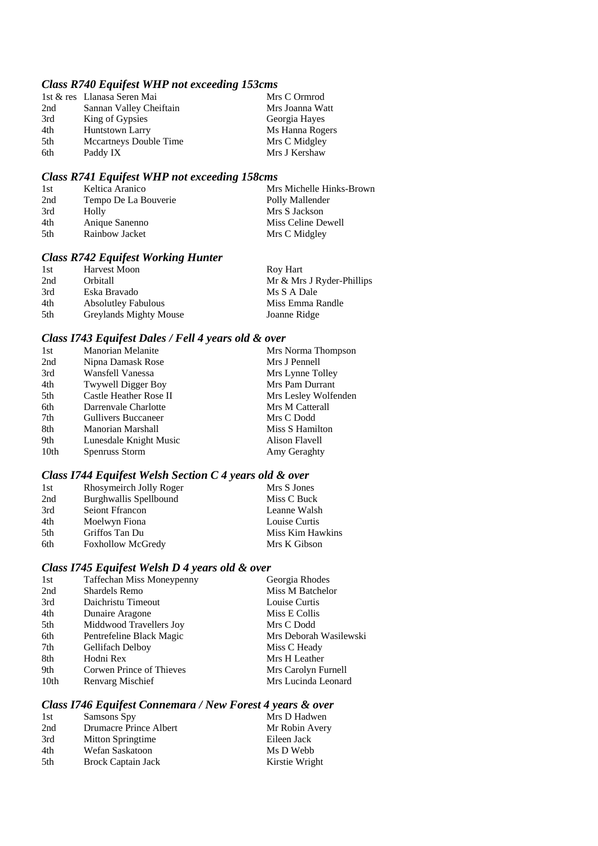## *Class R740 Equifest WHP not exceeding 153cms*

|     | 1st & res Llanasa Seren Mai | Mrs C Ormrod    |
|-----|-----------------------------|-----------------|
| 2nd | Sannan Valley Cheiftain     | Mrs Joanna Watt |
| 3rd | King of Gypsies             | Georgia Hayes   |
| 4th | <b>Huntstown Larry</b>      | Ms Hanna Rogers |
| 5th | Mccartneys Double Time      | Mrs C Midgley   |
| 6th | Paddy IX                    | Mrs J Kershaw   |

## *Class R741 Equifest WHP not exceeding 158cms*

| 1st | Keltica Aranico      | Mrs Michelle Hinks-Brown |
|-----|----------------------|--------------------------|
| 2nd | Tempo De La Bouverie | Polly Mallender          |
| 3rd | Holly                | Mrs S Jackson            |
| 4th | Anique Sanenno       | Miss Celine Dewell       |
| 5th | Rainbow Jacket       | Mrs C Midgley            |

## *Class R742 Equifest Working Hunter*

| 1st | Harvest Moon               | Roy Hart                  |
|-----|----------------------------|---------------------------|
| 2nd | Orbitall                   | Mr & Mrs J Ryder-Phillips |
| 3rd | Eska Bravado               | Ms S A Dale               |
| 4th | <b>Absolutley Fabulous</b> | Miss Emma Randle          |
| 5th | Greylands Mighty Mouse     | Joanne Ridge              |

## *Class I743 Equifest Dales / Fell 4 years old & over*

| 1st  | Manorian Melanite          | Mrs Norma Thompson   |
|------|----------------------------|----------------------|
| 2nd  | Nipna Damask Rose          | Mrs J Pennell        |
| 3rd  | Wansfell Vanessa           | Mrs Lynne Tolley     |
| 4th  | <b>Twywell Digger Boy</b>  | Mrs Pam Durrant      |
| 5th  | Castle Heather Rose II     | Mrs Lesley Wolfenden |
| 6th  | Darrenvale Charlotte       | Mrs M Catterall      |
| 7th  | <b>Gullivers Buccaneer</b> | Mrs C Dodd           |
| 8th  | Manorian Marshall          | Miss S Hamilton      |
| 9th  | Lunesdale Knight Music     | Alison Flavell       |
| 10th | Spenruss Storm             | Amy Geraghty         |

## *Class I744 Equifest Welsh Section C 4 years old & over*

| 1st | Rhosymeirch Jolly Roger  | Mrs S Jones      |
|-----|--------------------------|------------------|
| 2nd | Burghwallis Spellbound   | Miss C Buck      |
| 3rd | <b>Seiont Ffrancon</b>   | Leanne Walsh     |
| 4th | Moelwyn Fiona            | Louise Curtis    |
| 5th | Griffos Tan Du           | Miss Kim Hawkins |
| 6th | <b>Foxhollow McGredy</b> | Mrs K Gibson     |

## *Class I745 Equifest Welsh D 4 years old & over*

| 1st  | <b>Taffechan Miss Moneypenny</b> | Georgia Rhodes         |
|------|----------------------------------|------------------------|
| 2nd  | <b>Shardels Remo</b>             | Miss M Batchelor       |
| 3rd  | Daichristu Timeout               | Louise Curtis          |
| 4th  | Dunaire Aragone                  | Miss E Collis          |
| 5th  | Middwood Travellers Joy          | Mrs C Dodd             |
| 6th  | Pentrefeline Black Magic         | Mrs Deborah Wasilewski |
| 7th  | Gellifach Delboy                 | Miss C Heady           |
| 8th  | Hodni Rex                        | Mrs H Leather          |
| 9th  | Corwen Prince of Thieves         | Mrs Carolyn Furnell    |
| 10th | Renvarg Mischief                 | Mrs Lucinda Leonard    |
|      |                                  |                        |

## *Class I746 Equifest Connemara / New Forest 4 years & over*

| 1st | Samsons Spy               | Mrs D Hadwen   |
|-----|---------------------------|----------------|
| 2nd | Drumacre Prince Albert    | Mr Robin Avery |
| 3rd | Mitton Springtime         | Eileen Jack    |
| 4th | Wefan Saskatoon           | Ms D Webb      |
| 5th | <b>Brock Captain Jack</b> | Kirstie Wright |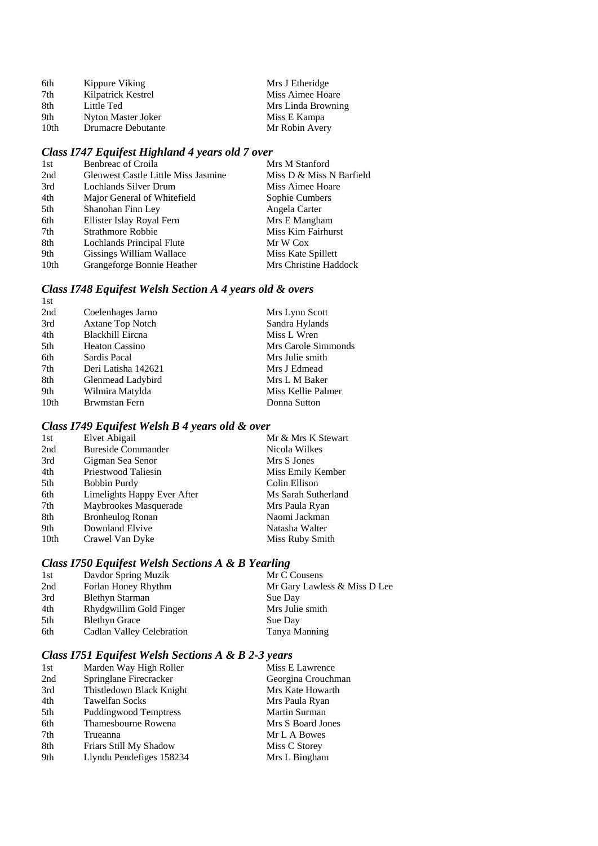| 6th  | Kippure Viking     | Mrs J Etheridge    |
|------|--------------------|--------------------|
| 7th  | Kilpatrick Kestrel | Miss Aimee Hoare   |
| 8th  | Little Ted         | Mrs Linda Browning |
| 9th  | Nyton Master Joker | Miss E Kampa       |
| 10th | Drumacre Debutante | Mr Robin Avery     |

## *Class I747 Equifest Highland 4 years old 7 over*

| Benbreac of Croila                         | Mrs M Stanford           |
|--------------------------------------------|--------------------------|
| <b>Glenwest Castle Little Miss Jasmine</b> | Miss D & Miss N Barfield |
| Lochlands Silver Drum                      | Miss Aimee Hoare         |
| Major General of Whitefield                | Sophie Cumbers           |
| Shanohan Finn Ley                          | Angela Carter            |
| Ellister Islay Royal Fern                  | Mrs E Mangham            |
| Strathmore Robbie                          | Miss Kim Fairhurst       |
| Lochlands Principal Flute                  | Mr W Cox                 |
| Gissings William Wallace                   | Miss Kate Spillett       |
| Grangeforge Bonnie Heather                 | Mrs Christine Haddock    |
|                                            |                          |

#### *Class I748 Equifest Welsh Section A 4 years old & overs*  1st

| 2nd              | Coelenhages Jarno       | Mrs Lynn Scott      |
|------------------|-------------------------|---------------------|
| 3rd              | Axtane Top Notch        | Sandra Hylands      |
| 4th              | <b>Blackhill Eircna</b> | Miss L Wren         |
| 5th              | <b>Heaton Cassino</b>   | Mrs Carole Simmonds |
| 6th              | Sardis Pacal            | Mrs Julie smith     |
| 7th              | Deri Latisha 142621     | Mrs J Edmead        |
| 8th              | Glenmead Ladybird       | Mrs L M Baker       |
| 9th              | Wilmira Matylda         | Miss Kellie Palmer  |
| 10 <sub>th</sub> | Brwmstan Fern           | Donna Sutton        |
|                  |                         |                     |

## *Class I749 Equifest Welsh B 4 years old & over*

| 1st  | Elvet Abigail               | Mr & Mrs K Stewart  |
|------|-----------------------------|---------------------|
| 2nd  | <b>Bureside Commander</b>   | Nicola Wilkes       |
| 3rd  | Gigman Sea Senor            | Mrs S Jones         |
| 4th  | Priestwood Taliesin         | Miss Emily Kember   |
| 5th  | <b>Bobbin Purdy</b>         | Colin Ellison       |
| 6th  | Limelights Happy Ever After | Ms Sarah Sutherland |
| 7th  | Maybrookes Masquerade       | Mrs Paula Ryan      |
| 8th  | <b>Bronheulog Ronan</b>     | Naomi Jackman       |
| 9th  | Downland Elvive             | Natasha Walter      |
| 10th | Crawel Van Dyke             | Miss Ruby Smith     |

## *Class I750 Equifest Welsh Sections A & B Yearling*

| 1st | Davdor Spring Muzik       | Mr C Cousens                 |
|-----|---------------------------|------------------------------|
| 2nd | Forlan Honey Rhythm       | Mr Gary Lawless & Miss D Lee |
| 3rd | Blethyn Starman           | Sue Day                      |
| 4th | Rhydgwillim Gold Finger   | Mrs Julie smith              |
| 5th | <b>Blethyn Grace</b>      | Sue Day                      |
| 6th | Cadlan Valley Celebration | Tanya Manning                |

## *Class I751 Equifest Welsh Sections A & B 2-3 years*

| 1st | Marden Way High Roller   | Miss E Lawrence    |
|-----|--------------------------|--------------------|
| 2nd | Springlane Firecracker   | Georgina Crouchman |
| 3rd | Thistledown Black Knight | Mrs Kate Howarth   |
| 4th | Tawelfan Socks           | Mrs Paula Ryan     |
| 5th | Puddingwood Temptress    | Martin Surman      |
| 6th | Thamesbourne Rowena      | Mrs S Board Jones  |
| 7th | Trueanna                 | Mr L A Bowes       |
| 8th | Friars Still My Shadow   | Miss C Storey      |
| 9th | Llyndu Pendefiges 158234 | Mrs L Bingham      |
|     |                          |                    |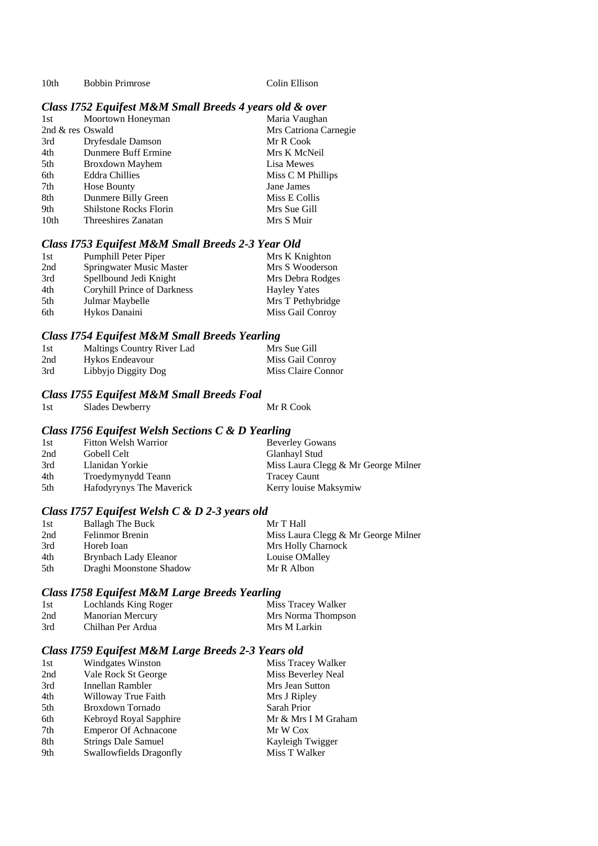10th Bobbin Primrose Colin Ellison

#### *Class I752 Equifest M&M Small Breeds 4 years old & over*

| 1st              | Moortown Honeyman             | Maria Vaughan         |
|------------------|-------------------------------|-----------------------|
| 2nd & res Oswald |                               | Mrs Catriona Carnegie |
| 3rd              | Dryfesdale Damson             | Mr R Cook             |
| 4th              | Dunmere Buff Ermine           | Mrs K McNeil          |
| 5th              | Broxdown Mayhem               | Lisa Mewes            |
| 6th              | <b>Eddra Chillies</b>         | Miss C M Phillips     |
| 7th              | Hose Bounty                   | Jane James            |
| 8th              | Dunmere Billy Green           | Miss E Collis         |
| 9th              | <b>Shilstone Rocks Florin</b> | Mrs Sue Gill          |
| 10th             | Threeshires Zanatan           | Mrs S Muir            |
|                  |                               |                       |

#### *Class I753 Equifest M&M Small Breeds 2-3 Year Old*

| 1st | Pumphill Peter Piper        | Mrs K Knighton      |
|-----|-----------------------------|---------------------|
| 2nd | Springwater Music Master    | Mrs S Wooderson     |
| 3rd | Spellbound Jedi Knight      | Mrs Debra Rodges    |
| 4th | Coryhill Prince of Darkness | <b>Hayley Yates</b> |
| 5th | Julmar Maybelle             | Mrs T Pethybridge   |
| 6th | Hykos Danaini               | Miss Gail Conroy    |

## *Class I754 Equifest M&M Small Breeds Yearling*

| 1st | Maltings Country River Lad | Mrs Sue Gill       |
|-----|----------------------------|--------------------|
| 2nd | Hykos Endeavour            | Miss Gail Conroy   |
| 3rd | Libbyjo Diggity Dog        | Miss Claire Connor |

#### *Class I755 Equifest M&M Small Breeds Foal*

| Mr R Cook<br>Slades Dewberry<br>1st |
|-------------------------------------|
|-------------------------------------|

#### *Class I756 Equifest Welsh Sections C & D Yearling*

| 1st | Fitton Welsh Warrior     | <b>Beverley Gowans</b>              |
|-----|--------------------------|-------------------------------------|
| 2nd | Gobell Celt              | Glanhayl Stud                       |
| 3rd | Llanidan Yorkie          | Miss Laura Clegg & Mr George Milner |
| 4th | Troedymynydd Teann       | <b>Tracey Caunt</b>                 |
| 5th | Hafodyrynys The Maverick | Kerry louise Maksymiw               |

#### *Class I757 Equifest Welsh C & D 2-3 years old*

| 1st | <b>Ballagh The Buck</b> | Mr T Hall                           |
|-----|-------------------------|-------------------------------------|
| 2nd | Felinmor Brenin         | Miss Laura Clegg & Mr George Milner |
| 3rd | Horeb Ioan              | Mrs Holly Charnock                  |
| 4th | Brynbach Lady Eleanor   | Louise OMalley                      |
| 5th | Draghi Moonstone Shadow | Mr R Albon                          |

#### *Class I758 Equifest M&M Large Breeds Yearling*

| 1st | Lochlands King Roger    | Miss Tracey Walker |
|-----|-------------------------|--------------------|
| 2nd | <b>Manorian Mercury</b> | Mrs Norma Thompson |
| 3rd | Chilhan Per Ardua       | Mrs M Larkin       |

#### *Class I759 Equifest M&M Large Breeds 2-3 Years old*

| 1st | Windgates Winston           | Miss Tracey Walker  |
|-----|-----------------------------|---------------------|
| 2nd | Vale Rock St George         | Miss Beverley Neal  |
| 3rd | Innellan Rambler            | Mrs Jean Sutton     |
| 4th | Willoway True Faith         | Mrs J Ripley        |
| 5th | <b>Broxdown Tornado</b>     | Sarah Prior         |
| 6th | Kebroyd Royal Sapphire      | Mr & Mrs I M Graham |
| 7th | <b>Emperor Of Achnacone</b> | Mr W Cox            |
| 8th | <b>Strings Dale Samuel</b>  | Kayleigh Twigger    |
| 9th | Swallowfields Dragonfly     | Miss T Walker       |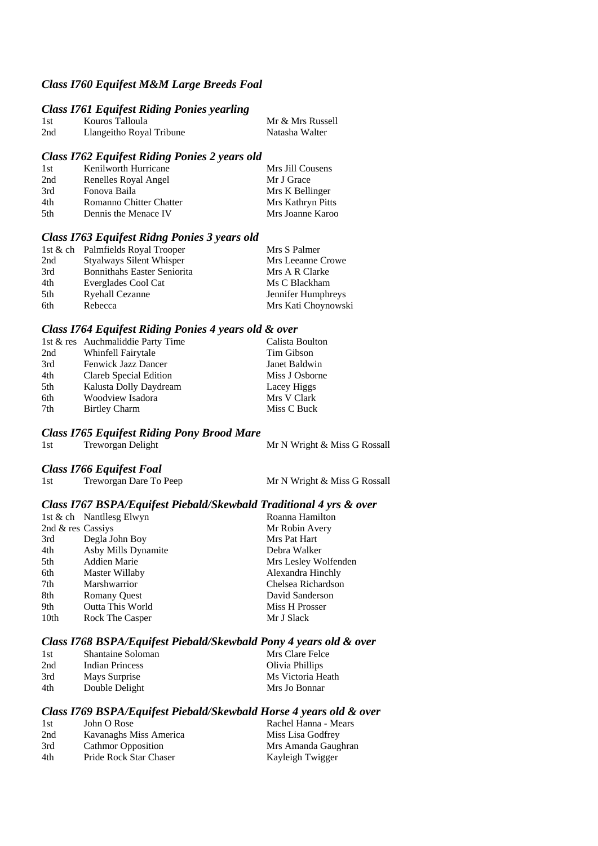#### *Class I760 Equifest M&M Large Breeds Foal*

#### *Class I761 Equifest Riding Ponies yearling*

| 1st | Kouros Talloula          | Mr & Mrs Russell |
|-----|--------------------------|------------------|
| 2nd | Llangeitho Royal Tribune | Natasha Walter   |

#### *Class I762 Equifest Riding Ponies 2 years old*

| Kenilworth Hurricane    | Mrs Jill Cousens  |
|-------------------------|-------------------|
| Renelles Royal Angel    | Mr J Grace        |
| Fonova Baila            | Mrs K Bellinger   |
| Romanno Chitter Chatter | Mrs Kathryn Pitts |
| Dennis the Menace IV    | Mrs Joanne Karoo  |
|                         |                   |

#### *Class I763 Equifest Ridng Ponies 3 years old*

|     | 1st & ch Palmfields Royal Trooper  | Mrs S Palmer        |
|-----|------------------------------------|---------------------|
| 2nd | <b>Styalways Silent Whisper</b>    | Mrs Leeanne Crowe   |
| 3rd | <b>Bonnithahs Easter Seniorita</b> | Mrs A R Clarke      |
| 4th | Everglades Cool Cat                | Ms C Blackham       |
| 5th | <b>Ryehall Cezanne</b>             | Jennifer Humphreys  |
| 6th | Rebecca                            | Mrs Kati Choynowski |

#### *Class I764 Equifest Riding Ponies 4 years old & over*

|     | 1st & res Auchmaliddie Party Time | Calista Boulton |
|-----|-----------------------------------|-----------------|
| 2nd | Whinfell Fairytale                | Tim Gibson      |
| 3rd | <b>Fenwick Jazz Dancer</b>        | Janet Baldwin   |
| 4th | Clareb Special Edition            | Miss J Osborne  |
| 5th | Kalusta Dolly Daydream            | Lacey Higgs     |
| 6th | Woodview Isadora                  | Mrs V Clark     |
| 7th | Birtley Charm                     | Miss C Buck     |
|     |                                   |                 |

#### *Class I765 Equifest Riding Pony Brood Mare*

| 1st | Treworgan Delight | Mr N Wright & Miss G Rossall |
|-----|-------------------|------------------------------|
|     |                   |                              |

## *Class I766 Equifest Foal*

| 1st | Treworgan Dare To Peep | Mr N Wright & Miss G Rossall |
|-----|------------------------|------------------------------|
|     |                        |                              |

#### *Class I767 BSPA/Equifest Piebald/Skewbald Traditional 4 yrs & over*

|                   | 1st & ch Nantllesg Elwyn | Roanna Hamilton      |
|-------------------|--------------------------|----------------------|
| 2nd & res Cassiys |                          | Mr Robin Avery       |
| 3rd               | Degla John Boy           | Mrs Pat Hart         |
| 4th               | Asby Mills Dynamite      | Debra Walker         |
| 5th               | <b>Addien Marie</b>      | Mrs Lesley Wolfenden |
| 6th               | Master Willaby           | Alexandra Hinchly    |
| 7th               | <b>Marshwarrior</b>      | Chelsea Richardson   |
| 8th               | <b>Romany Quest</b>      | David Sanderson      |
| 9th               | <b>Outta This World</b>  | Miss H Prosser       |
| 10th              | <b>Rock The Casper</b>   | Mr J Slack           |

#### *Class I768 BSPA/Equifest Piebald/Skewbald Pony 4 years old & over*

| 1st | <b>Shantaine Soloman</b> | Mrs Clare Felce   |
|-----|--------------------------|-------------------|
| 2nd | Indian Princess          | Olivia Phillips   |
| 3rd | Mays Surprise            | Ms Victoria Heath |
| 4th | Double Delight           | Mrs Jo Bonnar     |

#### *Class I769 BSPA/Equifest Piebald/Skewbald Horse 4 years old & over*

| 1st | John O Rose               | Rachel Hanna - Mears |
|-----|---------------------------|----------------------|
| 2nd | Kavanaghs Miss America    | Miss Lisa Godfrey    |
| 3rd | <b>Cathmor Opposition</b> | Mrs Amanda Gaughran  |
| 4th | Pride Rock Star Chaser    | Kayleigh Twigger     |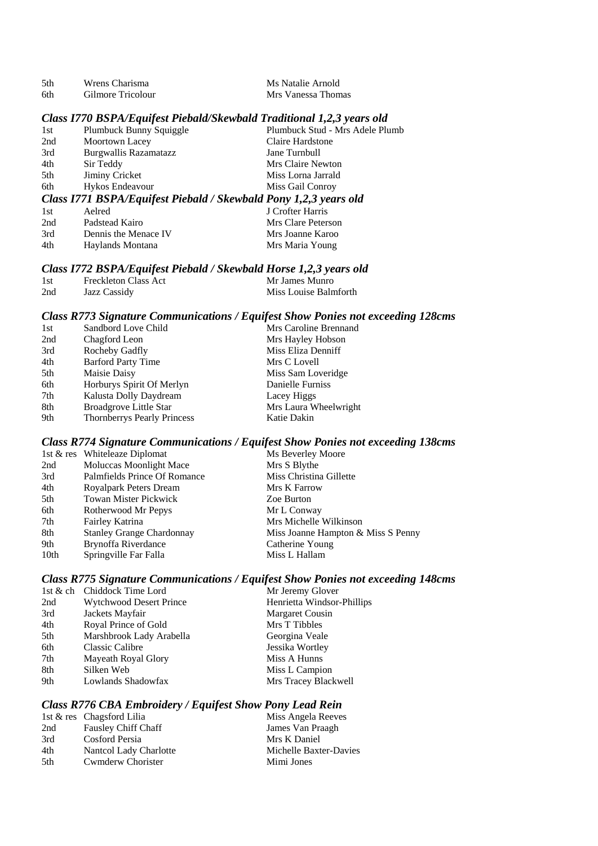| .5th | Wrens Charisma    | Ms Natalie Arnold  |
|------|-------------------|--------------------|
| 6th  | Gilmore Tricolour | Mrs Vanessa Thomas |

#### *Class I770 BSPA/Equifest Piebald/Skewbald Traditional 1,2,3 years old*

| 1st      | Plumbuck Bunny Squiggle                                          | Plumbuck Stud - Mrs Adele Plumb                                  |
|----------|------------------------------------------------------------------|------------------------------------------------------------------|
| 2nd      | Moortown Lacey                                                   | Claire Hardstone                                                 |
| 3rd      | Burgwallis Razamatazz                                            | Jane Turnbull                                                    |
| 4th      | Sir Teddy                                                        | Mrs Claire Newton                                                |
| 5th      | <b>Jiminy Cricket</b>                                            | Miss Lorna Jarrald                                               |
| 6th      | Hykos Endeavour                                                  | Miss Gail Conroy                                                 |
|          | Class I771 BSPA/Equifest Piebald / Skewbald Pony 1,2,3 years old |                                                                  |
| 1st      | Aelred                                                           | J Crofter Harris                                                 |
| $\sim$ 1 | $P_1$ $I_2$ $I_1$                                                | $\mathbf{M}$ $\mathbf{C}$ $\mathbf{I}$ $\mathbf{D}$ $\mathbf{I}$ |

#### 2nd Padstead Kairo Mrs Clare Peterson 3rd Dennis the Menace IV Mrs Joanne Karoo 4th Haylands Montana Mrs Maria Young

#### *Class I772 BSPA/Equifest Piebald / Skewbald Horse 1,2,3 years old*

| 1st | Freckleton Class Act | Mr James Munro        |
|-----|----------------------|-----------------------|
| 2nd | Jazz Cassidy         | Miss Louise Balmforth |

#### *Class R773 Signature Communications / Equifest Show Ponies not exceeding 128cms*

| 1st | Sandbord Love Child                | Mrs Caroline Brennand |
|-----|------------------------------------|-----------------------|
| 2nd | Chagford Leon                      | Mrs Hayley Hobson     |
| 3rd | Rocheby Gadfly                     | Miss Eliza Denniff    |
| 4th | <b>Barford Party Time</b>          | Mrs C Lovell          |
| 5th | Maisie Daisy                       | Miss Sam Loveridge    |
| 6th | Horburys Spirit Of Merlyn          | Danielle Furniss      |
| 7th | Kalusta Dolly Daydream             | Lacey Higgs           |
| 8th | <b>Broadgrove Little Star</b>      | Mrs Laura Wheelwright |
| 9th | <b>Thornberrys Pearly Princess</b> | Katie Dakin           |
|     |                                    |                       |

## *Class R774 Signature Communications / Equifest Show Ponies not exceeding 138cms*

|                  | 1st & res Whiteleaze Diplomat    | Ms Beverley Moore                  |
|------------------|----------------------------------|------------------------------------|
| 2nd              | <b>Moluccas Moonlight Mace</b>   | Mrs S Blythe                       |
| 3rd              | Palmfields Prince Of Romance     | Miss Christina Gillette            |
| 4th              | Royalpark Peters Dream           | Mrs K Farrow                       |
| 5th              | <b>Towan Mister Pickwick</b>     | Zoe Burton                         |
| 6th              | Rotherwood Mr Pepys              | Mr L Conway                        |
| 7th              | Fairley Katrina                  | Mrs Michelle Wilkinson             |
| 8th              | <b>Stanley Grange Chardonnay</b> | Miss Joanne Hampton & Miss S Penny |
| 9th              | Brynoffa Riverdance              | Catherine Young                    |
| 10 <sub>th</sub> | Springville Far Falla            | Miss L Hallam                      |
|                  |                                  |                                    |

## *Class R775 Signature Communications / Equifest Show Ponies not exceeding 148cms*

| 1st & ch Chiddock Time Lord    | Mr Jeremy Glover           |
|--------------------------------|----------------------------|
| <b>Wytchwood Desert Prince</b> | Henrietta Windsor-Phillips |
| Jackets Mayfair                | <b>Margaret Cousin</b>     |
| Royal Prince of Gold           | Mrs T Tibbles              |
| Marshbrook Lady Arabella       | Georgina Veale             |
| Classic Calibre                | Jessika Wortley            |
| Mayeath Royal Glory            | Miss A Hunns               |
| Silken Web                     | Miss L Campion             |
| Lowlands Shadowfax             | Mrs Tracey Blackwell       |
|                                |                            |

## *Class R776 CBA Embroidery / Equifest Show Pony Lead Rein*

|      | 1st & res Chagsford Lilia  | Miss Angela Reeves     |
|------|----------------------------|------------------------|
| 2nd  | <b>Fausley Chiff Chaff</b> | James Van Praagh       |
| 3rd  | Cosford Persia             | Mrs K Daniel           |
| 4th  | Nantcol Lady Charlotte     | Michelle Baxter-Davies |
| .5th | Cwmderw Chorister          | Mimi Jones             |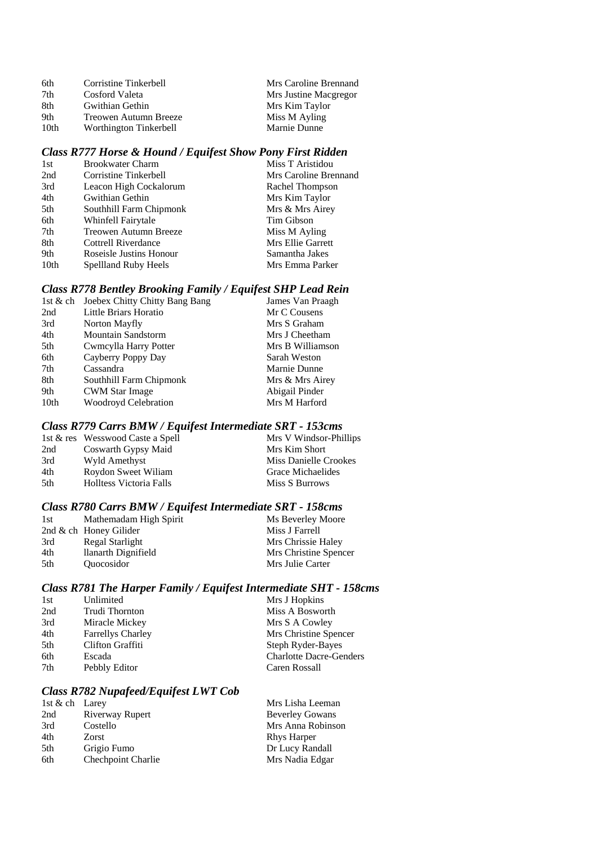| 6th              | Corristine Tinkerbell  | Mrs Caroline Brennand |
|------------------|------------------------|-----------------------|
| 7th              | Cosford Valeta         | Mrs Justine Macgregor |
| 8th              | Gwithian Gethin        | Mrs Kim Taylor        |
| 9th              | Treowen Autumn Breeze  | Miss M Ayling         |
| 10 <sub>th</sub> | Worthington Tinkerbell | Marnie Dunne          |

## *Class R777 Horse & Hound / Equifest Show Pony First Ridden*

| <b>Brookwater Charm</b> | Miss T Aristidou      |
|-------------------------|-----------------------|
| Corristine Tinkerbell   | Mrs Caroline Brennand |
| Leacon High Cockalorum  | Rachel Thompson       |
| Gwithian Gethin         | Mrs Kim Taylor        |
| Southhill Farm Chipmonk | Mrs & Mrs Airey       |
| Whinfell Fairytale      | Tim Gibson            |
| Treowen Autumn Breeze   | Miss M Ayling         |
| Cottrell Riverdance     | Mrs Ellie Garrett     |
| Roseisle Justins Honour | Samantha Jakes        |
| Spellland Ruby Heels    | Mrs Emma Parker       |
|                         |                       |

## *Class R778 Bentley Brooking Family / Equifest SHP Lead Rein*

| 1st & ch | Joebex Chitty Chitty Bang Bang | James Van Praagh |
|----------|--------------------------------|------------------|
| 2nd      | Little Briars Horatio          | Mr C Cousens     |
| 3rd      | Norton Mayfly                  | Mrs S Graham     |
| 4th      | <b>Mountain Sandstorm</b>      | Mrs J Cheetham   |
| 5th      | Cwmcylla Harry Potter          | Mrs B Williamson |
| 6th      | Cayberry Poppy Day             | Sarah Weston     |
| 7th      | Cassandra                      | Marnie Dunne     |
| 8th      | Southhill Farm Chipmonk        | Mrs & Mrs Airey  |
| 9th      | <b>CWM Star Image</b>          | Abigail Pinder   |
| 10th     | Woodroyd Celebration           | Mrs M Harford    |

## *Class R779 Carrs BMW / Equifest Intermediate SRT - 153cms*

|      | 1st & res Wesswood Caste a Spell | Mrs V Windsor-Phillips |
|------|----------------------------------|------------------------|
| 2nd  | Coswarth Gypsy Maid              | Mrs Kim Short          |
| 3rd  | Wyld Amethyst                    | Miss Danielle Crookes  |
| 4th  | Roydon Sweet Wiliam              | Grace Michaelides      |
| .5th | Holltess Victoria Falls          | Miss S Burrows         |

## *Class R780 Carrs BMW / Equifest Intermediate SRT - 158cms*

| 1st | Mathemadam High Spirit    | Ms Beverley Moore     |
|-----|---------------------------|-----------------------|
|     | 2nd $\&$ ch Honey Gilider | Miss J Farrell        |
| 3rd | Regal Starlight           | Mrs Chrissie Haley    |
| 4th | llanarth Dignifield       | Mrs Christine Spencer |
| 5th | Quocosidor                | Mrs Julie Carter      |

## *Class R781 The Harper Family / Equifest Intermediate SHT - 158cms*

| 1st | Unlimited                | Mrs J Hopkins                  |
|-----|--------------------------|--------------------------------|
| 2nd | Trudi Thornton           | Miss A Bosworth                |
| 3rd | Miracle Mickey           | Mrs S A Cowley                 |
| 4th | <b>Farrellys Charley</b> | Mrs Christine Spencer          |
| 5th | Clifton Graffiti         | Steph Ryder-Bayes              |
| 6th | Escada                   | <b>Charlotte Dacre-Genders</b> |
| 7th | Pebbly Editor            | Caren Rossall                  |

## *Class R782 Nupafeed/Equifest LWT Cob*

| 1st & ch Larey            | Mrs Lisha Leeman       |
|---------------------------|------------------------|
| Riverway Rupert           | <b>Beverley Gowans</b> |
| Costello                  | Mrs Anna Robinson      |
| Zorst                     | <b>Rhys Harper</b>     |
| Grigio Fumo               | Dr Lucy Randall        |
| <b>Chechpoint Charlie</b> | Mrs Nadia Edgar        |
|                           |                        |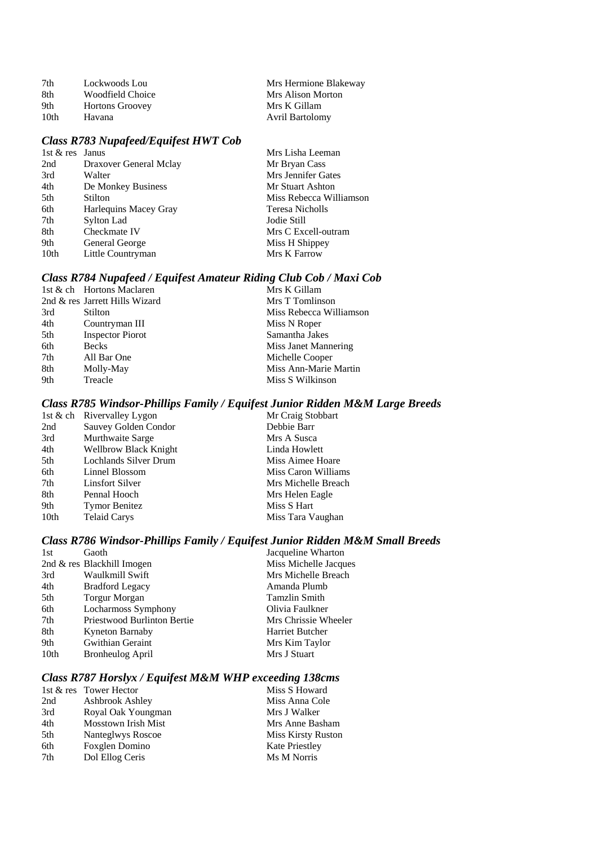| 7th  | Lockwoods Lou          | Mrs Hermione Blakeway |
|------|------------------------|-----------------------|
| -8th | Woodfield Choice       | Mrs Alison Morton     |
| 9th  | <b>Hortons Groovey</b> | Mrs K Gillam          |
| 10th | Havana                 | Avril Bartolomy       |

## *Class R783 Nupafeed/Equifest HWT Cob*

| 1st $&$ res Janus |                        | Mrs Lisha Leeman        |
|-------------------|------------------------|-------------------------|
| 2nd               | Draxover General Mclay | Mr Bryan Cass           |
| 3rd               | Walter                 | Mrs Jennifer Gates      |
| 4th               | De Monkey Business     | Mr Stuart Ashton        |
| 5th               | Stilton                | Miss Rebecca Williamson |
| 6th               | Harlequins Macey Gray  | Teresa Nicholls         |
| 7th               | Sylton Lad             | Jodie Still             |
| 8th               | Checkmate IV           | Mrs C Excell-outram     |
| 9th               | General George         | Miss H Shippey          |
| 10th              | Little Countryman      | Mrs K Farrow            |

## *Class R784 Nupafeed / Equifest Amateur Riding Club Cob / Maxi Cob*

|     | 1st & ch Hortons Maclaren      | Mrs K Gillam            |
|-----|--------------------------------|-------------------------|
|     | 2nd & res Jarrett Hills Wizard | Mrs T Tomlinson         |
| 3rd | Stilton                        | Miss Rebecca Williamson |
| 4th | Countryman III                 | Miss N Roper            |
| 5th | <b>Inspector Piorot</b>        | Samantha Jakes          |
| 6th | <b>Becks</b>                   | Miss Janet Mannering    |
| 7th | All Bar One                    | Michelle Cooper         |
| 8th | Molly-May                      | Miss Ann-Marie Martin   |
| 9th | Treacle                        | Miss S Wilkinson        |
|     |                                |                         |

## *Class R785 Windsor-Phillips Family / Equifest Junior Ridden M&M Large Breeds*

| 1st & ch Rivervalley Lygon   | Mr Craig Stobbart   |
|------------------------------|---------------------|
| Sauvey Golden Condor         | Debbie Barr         |
| Murthwaite Sarge             | Mrs A Susca         |
| <b>Wellbrow Black Knight</b> | Linda Howlett       |
| Lochlands Silver Drum        | Miss Aimee Hoare    |
| Linnel Blossom               | Miss Caron Williams |
| <b>Linsfort Silver</b>       | Mrs Michelle Breach |
| Pennal Hooch                 | Mrs Helen Eagle     |
| <b>Tymor Benitez</b>         | Miss S Hart         |
| <b>Telaid Carys</b>          | Miss Tara Vaughan   |
|                              |                     |

#### *Class R786 Windsor-Phillips Family / Equifest Junior Ridden M&M Small Breeds*

| 1st  | Gaoth                       | Jacqueline Wharton     |
|------|-----------------------------|------------------------|
|      | 2nd & res Blackhill Imogen  | Miss Michelle Jacques  |
| 3rd  | Waulkmill Swift             | Mrs Michelle Breach    |
| 4th  | <b>Bradford Legacy</b>      | Amanda Plumb           |
| 5th  | <b>Torgur Morgan</b>        | <b>Tamzlin Smith</b>   |
| 6th  | Locharmoss Symphony         | Olivia Faulkner        |
| 7th  | Priestwood Burlinton Bertie | Mrs Chrissie Wheeler   |
| 8th  | Kyneton Barnaby             | <b>Harriet Butcher</b> |
| 9th  | Gwithian Geraint            | Mrs Kim Taylor         |
| 10th | Bronheulog April            | Mrs J Stuart           |
|      |                             |                        |

## *Class R787 Horslyx / Equifest M&M WHP exceeding 138cms*

|     | 1st & res Tower Hector | Miss S Howard             |
|-----|------------------------|---------------------------|
| 2nd | Ashbrook Ashley        | Miss Anna Cole            |
| 3rd | Royal Oak Youngman     | Mrs J Walker              |
| 4th | Mosstown Irish Mist    | Mrs Anne Basham           |
| 5th | Nanteglwys Roscoe      | <b>Miss Kirsty Ruston</b> |
| 6th | Foxglen Domino         | <b>Kate Priestley</b>     |
| 7th | Dol Ellog Ceris        | Ms M Norris               |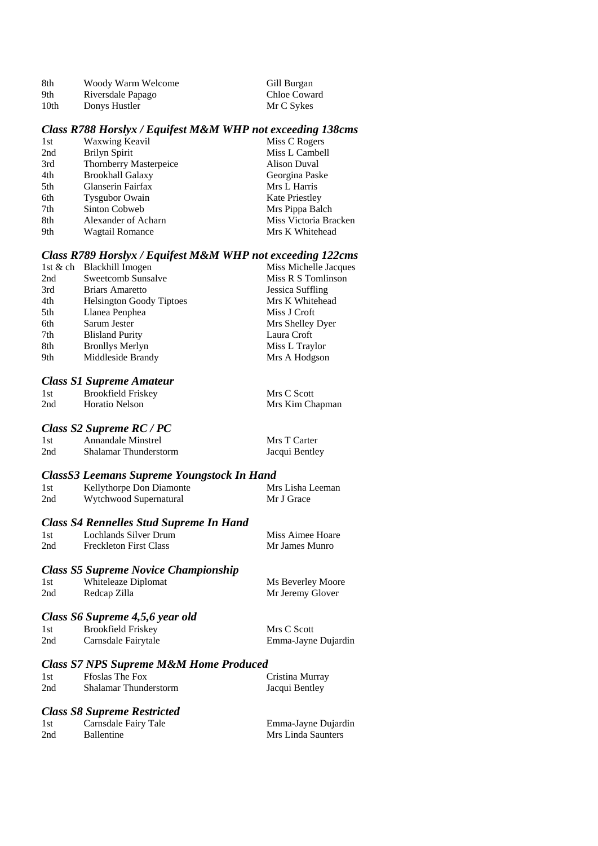| 8th  | Woody Warm Welcome | Gill Burgan  |
|------|--------------------|--------------|
| 9th  | Riversdale Papago  | Chloe Coward |
| 10th | Donys Hustler      | Mr C Sykes   |

## *Class R788 Horslyx / Equifest M&M WHP not exceeding 138cms*

| 1st | Waxwing Keavil                | Miss C Rogers         |
|-----|-------------------------------|-----------------------|
| 2nd | Brilyn Spirit                 | Miss L Cambell        |
| 3rd | <b>Thornberry Masterpeice</b> | Alison Duval          |
| 4th | <b>Brookhall Galaxy</b>       | Georgina Paske        |
| 5th | Glanserin Fairfax             | Mrs L Harris          |
| 6th | <b>Tysgubor Owain</b>         | <b>Kate Priestley</b> |
| 7th | Sinton Cobweb                 | Mrs Pippa Balch       |
| 8th | Alexander of Acharn           | Miss Victoria Bracken |
| 9th | Wagtail Romance               | Mrs K Whitehead       |
|     |                               |                       |

#### *Class R789 Horslyx / Equifest M&M WHP not exceeding 122cms*

| 1st & ch Blackhill Imogen       | Miss Michelle Jacques |
|---------------------------------|-----------------------|
| Sweetcomb Sunsalve              | Miss R S Tomlinson    |
| <b>Briars Amaretto</b>          | Jessica Suffling      |
| <b>Helsington Goody Tiptoes</b> | Mrs K Whitehead       |
| Llanea Penphea                  | Miss J Croft          |
| Sarum Jester                    | Mrs Shelley Dyer      |
| <b>Blisland Purity</b>          | Laura Croft           |
| <b>Bronllys Merlyn</b>          | Miss L Traylor        |
| Middleside Brandy               | Mrs A Hodgson         |
|                                 |                       |

#### *Class S1 Supreme Amateur*

| 1st | <b>Brookfield Friskey</b> | Mrs C Scott     |
|-----|---------------------------|-----------------|
| 2nd | Horatio Nelson            | Mrs Kim Chapman |

#### *Class S2 Supreme RC / PC*

| -1st | <b>Annandale Minstrel</b>    | Mrs T Carter   |
|------|------------------------------|----------------|
| 2nd  | <b>Shalamar Thunderstorm</b> | Jacqui Bentley |

#### *ClassS3 Leemans Supreme Youngstock In Hand*

| 1st | Kellythorpe Don Diamonte | Mrs Lisha Leeman |
|-----|--------------------------|------------------|
| 2nd | Wytchwood Supernatural   | Mr J Grace       |

#### *Class S4 Rennelles Stud Supreme In Hand*

| 1st | Lochlands Silver Drum         | Miss Aimee Hoare |
|-----|-------------------------------|------------------|
| 2nd | <b>Freckleton First Class</b> | Mr James Munro   |

#### *Class S5 Supreme Novice Championship*

| 1st | Whiteleaze Diplomat | Ms Beverley Moore |
|-----|---------------------|-------------------|
| 2nd | Redcap Zilla        | Mr Jeremy Glover  |

## *Class S6 Supreme 4,5,6 year old*

| 1st | <b>Brookfield Friskey</b> | Mrs C Scott         |
|-----|---------------------------|---------------------|
| 2nd | Carnsdale Fairytale       | Emma-Jayne Dujardin |

#### *Class S7 NPS Supreme M&M Home Produced*

| 1st | <b>Froslas The Fox</b>       | Cristina Murray |
|-----|------------------------------|-----------------|
| 2nd | <b>Shalamar Thunderstorm</b> | Jacqui Bentley  |

#### *Class S8 Supreme Restricted*

| 1st | Carnsdale Fairy Tale | Emma-Jayne Dujardin |
|-----|----------------------|---------------------|
| 2nd | <b>Ballentine</b>    | Mrs Linda Saunters  |